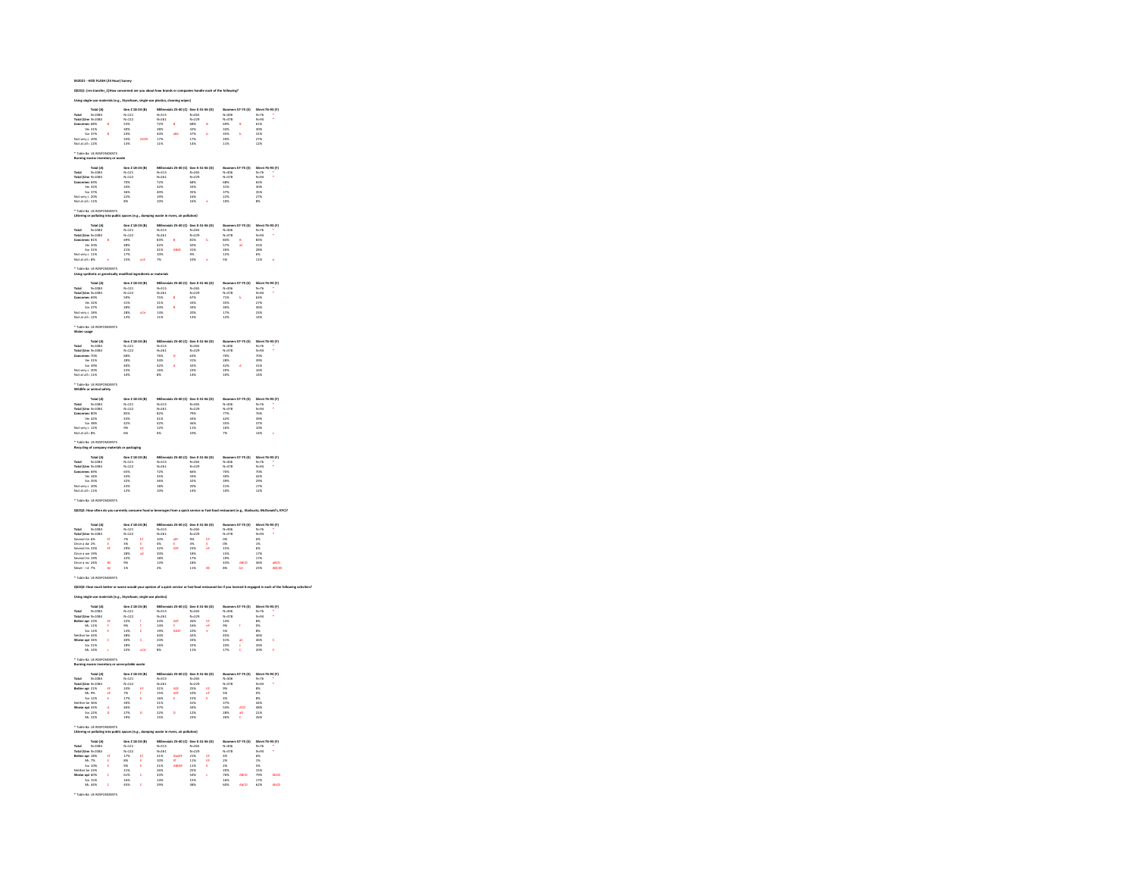| 21: [res tra                                                                                                                                                                                        |                             |                                                                                  |               |                                                                    |                                                                                                                                                                             |                                                                      |               |                                                            |                           |                                                                              |                                    |
|-----------------------------------------------------------------------------------------------------------------------------------------------------------------------------------------------------|-----------------------------|----------------------------------------------------------------------------------|---------------|--------------------------------------------------------------------|-----------------------------------------------------------------------------------------------------------------------------------------------------------------------------|----------------------------------------------------------------------|---------------|------------------------------------------------------------|---------------------------|------------------------------------------------------------------------------|------------------------------------|
|                                                                                                                                                                                                     |                             |                                                                                  |               |                                                                    |                                                                                                                                                                             |                                                                      |               |                                                            |                           |                                                                              |                                    |
| Total (A)                                                                                                                                                                                           |                             | Gen Z 18-24 (B)                                                                  |               |                                                                    |                                                                                                                                                                             | Gen X 41-56 (D)                                                      |               | Boor                                                       | rs 57-75 (t)              |                                                                              |                                    |
| $N - 1084$                                                                                                                                                                                          |                             | $N = 121$                                                                        |               | N=315<br>N=261                                                     |                                                                                                                                                                             | $N - 265$                                                            |               | Boome<br>N=306<br>N=378<br>69%<br>34%<br>35%<br>20%        |                           | Silent 76-93 (F)<br>N=76                                                     |                                    |
| Total (Umr N-1084                                                                                                                                                                                   | ×                           | $N - 122$                                                                        |               |                                                                    | ś                                                                                                                                                                           | $N - 229$                                                            | ė             |                                                            | s                         | $N = 24$<br>61%                                                              |                                    |
| Concerner 68%<br>Viv 31%<br>Sor 37%                                                                                                                                                                 |                             | 53%<br>30%                                                                       |               | 72%<br>72%<br>44%<br>44%                                           |                                                                                                                                                                             | 68%<br>88%<br>82%<br>87%                                             |               |                                                            |                           | sos.                                                                         |                                    |
| wry c 20%                                                                                                                                                                                           | ö                           | 24%<br>33%                                                                       | ACTOR         |                                                                    | abi                                                                                                                                                                         |                                                                      | b             |                                                            | b                         | 31%<br>27%                                                                   |                                    |
| Not at all + 12%                                                                                                                                                                                    |                             | 13%                                                                              |               | 11%                                                                |                                                                                                                                                                             | 14%                                                                  |               | 11%                                                        |                           | 12%                                                                          |                                    |
| Table Ba US RESPONDENTS                                                                                                                                                                             |                             |                                                                                  |               |                                                                    |                                                                                                                                                                             |                                                                      |               |                                                            |                           |                                                                              |                                    |
| excess inve                                                                                                                                                                                         |                             |                                                                                  |               |                                                                    |                                                                                                                                                                             |                                                                      |               |                                                            |                           |                                                                              |                                    |
| Total (A)<br>otal N-1034<br>otal (Umr N-1034<br>Oncerner 69%<br>Ve: 32%<br>Sor 47%<br>Mary 69%                                                                                                      |                             | Gen Z 18-24 (B)<br>N=121<br>N=122<br>20%<br>34%<br>34%<br>35%<br>22%             |               | Millen<br>N=315<br>N=261<br>72%<br>32%<br>40%<br>40%               | 25-40 (C)                                                                                                                                                                   | Gen X<br>N=265<br>N=229<br>68%<br>S3%<br>S3%<br>16%<br>16%           | <b>56 (D)</b> |                                                            | 57-75 (E)                 |                                                                              | 76-93 (F)                          |
|                                                                                                                                                                                                     |                             |                                                                                  |               |                                                                    |                                                                                                                                                                             |                                                                      |               | Booms<br>N=306<br>N=378<br>68%<br>31%<br>37%<br>22%        |                           | Silent<br>N=76<br>N=94<br>65%<br>S0%<br>S0%                                  |                                    |
|                                                                                                                                                                                                     |                             |                                                                                  |               |                                                                    |                                                                                                                                                                             |                                                                      |               |                                                            |                           |                                                                              |                                    |
|                                                                                                                                                                                                     |                             |                                                                                  |               |                                                                    |                                                                                                                                                                             |                                                                      |               |                                                            |                           |                                                                              |                                    |
| Not verv c 20%<br>Not at all : 11%                                                                                                                                                                  |                             |                                                                                  |               |                                                                    |                                                                                                                                                                             |                                                                      |               |                                                            |                           | 27%                                                                          |                                    |
|                                                                                                                                                                                                     |                             | 8%                                                                               |               | 10%                                                                |                                                                                                                                                                             | 16%                                                                  |               | 10%                                                        |                           | 8%                                                                           |                                    |
| Table Ba US RESPONDENTS<br>Littering or polluting into public spaces (e.g., dur                                                                                                                     |                             |                                                                                  |               | washe in ri                                                        | rs, air pollution)                                                                                                                                                          |                                                                      |               |                                                            |                           |                                                                              |                                    |
| Total (A)                                                                                                                                                                                           |                             |                                                                                  |               | Miles                                                              |                                                                                                                                                                             |                                                                      |               |                                                            |                           |                                                                              |                                    |
|                                                                                                                                                                                                     |                             |                                                                                  |               |                                                                    |                                                                                                                                                                             | h 25-40 (C) Gen X 41-56 (D)                                          |               |                                                            | 57-75 (E)                 | Silent 76-93 (F)                                                             |                                    |
|                                                                                                                                                                                                     |                             |                                                                                  |               |                                                                    |                                                                                                                                                                             |                                                                      |               |                                                            |                           |                                                                              |                                    |
|                                                                                                                                                                                                     |                             |                                                                                  |               |                                                                    |                                                                                                                                                                             |                                                                      |               | N-306<br>N-378<br>84%<br>57%<br>26%<br>12%                 | áć,                       | N=76<br>N=94<br>83%<br>S5%<br>28%<br>28%<br>11%                              |                                    |
|                                                                                                                                                                                                     |                             |                                                                                  |               |                                                                    |                                                                                                                                                                             |                                                                      |               |                                                            |                           |                                                                              |                                    |
| Total (A)<br>Total (Um N-1084<br>Total (Um N-1084<br>Concerner 81%<br>West 11%<br>Not at all 18%<br>Not at all 18%                                                                                  | $\mathcal{A}$               | Gen Z 18-24 (8)<br>N=121<br>N=122<br>G9%<br>G8%<br>48%<br>21%<br>17%<br>17%      |               | N-315<br>N-261<br>S3%<br>42%<br>41%<br>10%<br>7%                   |                                                                                                                                                                             | Gen X +<br>N=265<br>N=229<br>81%<br>SO%<br>31%<br>9%<br>10%          |               |                                                            |                           |                                                                              |                                    |
|                                                                                                                                                                                                     |                             |                                                                                  |               |                                                                    |                                                                                                                                                                             |                                                                      |               |                                                            |                           |                                                                              |                                    |
| .<br>Table Ba US RESPONDENTS<br>Jaing synthetic or genetically                                                                                                                                      |                             |                                                                                  |               |                                                                    |                                                                                                                                                                             |                                                                      |               |                                                            |                           |                                                                              |                                    |
| Total (A)<br>Total (Unv N-1034<br>Total (Unv N-1034<br>Concernec 69%<br>Ve 32%<br>Not von a 19%<br>Not von a 19%                                                                                    |                             |                                                                                  |               | Millenr<br>N=315<br>N=261<br>75%<br>31%                            | 40 (C)                                                                                                                                                                      |                                                                      |               |                                                            | 57-75 (t)                 |                                                                              |                                    |
|                                                                                                                                                                                                     |                             | Gen Z 18-24 (B)<br>N=121<br>N=122<br>S9%                                         |               |                                                                    |                                                                                                                                                                             | Gen X 41-56 (D)<br>N=265<br>N=229<br>67%<br>S3%<br>S4%               |               | Boome<br>N=306<br>N=378<br>71%<br>35%<br>36%               |                           | Silent 76-93 (F)<br>N=76<br>N=94                                             |                                    |
|                                                                                                                                                                                                     |                             |                                                                                  |               |                                                                    |                                                                                                                                                                             |                                                                      |               |                                                            |                           | 63%                                                                          |                                    |
|                                                                                                                                                                                                     |                             | 31%<br>28%                                                                       |               | 44%                                                                | ś                                                                                                                                                                           |                                                                      |               |                                                            |                           | 27%<br>36%                                                                   |                                    |
| Not very c 18%<br>Not at all : 12%                                                                                                                                                                  |                             | 28%                                                                              |               | 14%                                                                |                                                                                                                                                                             | 20%                                                                  |               | 17%                                                        |                           | 23%                                                                          |                                    |
|                                                                                                                                                                                                     |                             | 13%                                                                              |               | 11%                                                                |                                                                                                                                                                             | 13%                                                                  |               | 12%                                                        |                           | 14%                                                                          |                                    |
| Table Ba US RESPONDENTS                                                                                                                                                                             |                             |                                                                                  |               |                                                                    |                                                                                                                                                                             |                                                                      |               |                                                            |                           |                                                                              |                                    |
| .<br>Water usage                                                                                                                                                                                    |                             |                                                                                  |               |                                                                    |                                                                                                                                                                             |                                                                      |               |                                                            |                           |                                                                              |                                    |
|                                                                                                                                                                                                     |                             | Gen Z 18-24 (6)<br>N=121<br>N=122<br>68%<br>40%<br>28%<br>40%                    |               |                                                                    | 40(0)                                                                                                                                                                       | Gen X 41-56 (D)<br>N-265<br>N-229<br>S3%<br>S3%<br>S3%<br>S3%<br>23% |               |                                                            |                           |                                                                              |                                    |
|                                                                                                                                                                                                     |                             |                                                                                  |               |                                                                    |                                                                                                                                                                             |                                                                      |               |                                                            |                           |                                                                              |                                    |
|                                                                                                                                                                                                     |                             |                                                                                  |               |                                                                    | ö                                                                                                                                                                           |                                                                      |               |                                                            |                           |                                                                              |                                    |
| Total (A)<br>Total (Um N-1054<br>Total (Um N-1054<br>Concernec 70%<br>Ver 31%<br>Sor 39%<br>Not verv c 20%<br>Not at all i 11%                                                                      |                             |                                                                                  |               | Millen<br>N-315<br>N-261<br>76%<br>34%<br>42%<br>16%<br>16%        | d                                                                                                                                                                           |                                                                      |               | Boome<br>N-306<br>N-378<br>70%<br>28%<br>42%<br>42%<br>20% | d                         | Silent<br>N=76<br>N=94<br>N=94<br>N0%<br>SP%<br>SP%<br>16%<br>14%            |                                    |
|                                                                                                                                                                                                     |                             |                                                                                  |               |                                                                    |                                                                                                                                                                             |                                                                      |               |                                                            |                           |                                                                              |                                    |
|                                                                                                                                                                                                     |                             | 10%                                                                              |               |                                                                    |                                                                                                                                                                             |                                                                      |               |                                                            |                           |                                                                              |                                    |
| le Ba US RESPONDENTS<br>Wildlife or animal safety                                                                                                                                                   |                             |                                                                                  |               |                                                                    |                                                                                                                                                                             |                                                                      |               |                                                            |                           |                                                                              |                                    |
| Total (A)                                                                                                                                                                                           |                             |                                                                                  |               | Mill                                                               | h 25-40 (C)                                                                                                                                                                 | Gen X 41-56 (D)                                                      |               |                                                            | rs 57-75 (t)              |                                                                              |                                    |
| Total N=1084<br>Total (Umr N=1084                                                                                                                                                                   |                             | Gen 2 18-24 (8)<br>N=121<br>N=122<br>85%<br>43%                                  |               | N-315<br>N-261                                                     |                                                                                                                                                                             | $N - 265$                                                            |               | Boon                                                       |                           |                                                                              |                                    |
|                                                                                                                                                                                                     |                             |                                                                                  |               |                                                                    |                                                                                                                                                                             | $N - 220$                                                            |               | N-326<br>N-378<br>77%<br>42%<br>35%<br>16%<br>7%           |                           |                                                                              |                                    |
|                                                                                                                                                                                                     |                             |                                                                                  |               |                                                                    |                                                                                                                                                                             | 79%<br>43%<br>36%<br>11%                                             |               |                                                            |                           |                                                                              |                                    |
|                                                                                                                                                                                                     |                             | $\frac{42\%}{9\%}$                                                               |               |                                                                    |                                                                                                                                                                             |                                                                      |               |                                                            |                           |                                                                              |                                    |
| Total (Umr N=10)<br>Concerner 80%<br>Ve 42%<br>Sot 38%<br>Not very c 12%<br>Not at all i 8%                                                                                                         |                             |                                                                                  |               | 82%<br>42%<br>42%<br>12%<br>6%                                     |                                                                                                                                                                             | 10%                                                                  |               |                                                            |                           | Silent 76-93 (F)<br>N=76<br>N=94<br>76%<br>39%<br>37%<br>37%<br>10%<br>14% c |                                    |
|                                                                                                                                                                                                     |                             |                                                                                  |               |                                                                    |                                                                                                                                                                             |                                                                      |               |                                                            |                           |                                                                              |                                    |
|                                                                                                                                                                                                     |                             |                                                                                  |               |                                                                    |                                                                                                                                                                             |                                                                      |               |                                                            |                           |                                                                              |                                    |
| .<br>Table Ba US RESPONDENTS<br>tecycling of company materi                                                                                                                                         |                             |                                                                                  |               |                                                                    |                                                                                                                                                                             |                                                                      |               |                                                            |                           |                                                                              |                                    |
|                                                                                                                                                                                                     |                             |                                                                                  |               |                                                                    |                                                                                                                                                                             |                                                                      |               |                                                            |                           |                                                                              |                                    |
|                                                                                                                                                                                                     |                             |                                                                                  |               |                                                                    |                                                                                                                                                                             |                                                                      |               |                                                            |                           |                                                                              |                                    |
|                                                                                                                                                                                                     |                             | Gen 2 18-24 (B)<br>N=121<br>N=122<br>65%                                         |               |                                                                    |                                                                                                                                                                             |                                                                      |               |                                                            |                           |                                                                              |                                    |
|                                                                                                                                                                                                     |                             | 33%                                                                              |               | Millen<br>N=315<br>N=261<br>72%<br>35%                             |                                                                                                                                                                             | Gen X 41-56 (D)<br>N=265<br>N=229<br>66%<br>33%                      |               |                                                            |                           | Silent 76-93 (F)<br>N=76<br>N=94<br>70%<br>42%                               |                                    |
| Total (A)<br>Total (Um N-1034<br>Total (Um N-1034<br>Concernes 69%<br>Vin 34%<br>Statures a 35%<br>Natures a 35%<br>very c 20%                                                                      |                             | 32%<br>23%                                                                       |               | 36%<br>18%                                                         |                                                                                                                                                                             | 32%<br>20%                                                           |               | Booms<br>N-306<br>N-378<br>70%<br>30%<br>30%<br>21%        |                           | 20%<br>17%                                                                   |                                    |
| Not at all ( 11%                                                                                                                                                                                    |                             | 12%                                                                              |               | 10%                                                                |                                                                                                                                                                             | 14%                                                                  |               | 10%                                                        |                           | 12%                                                                          |                                    |
| Table Ba US RESPONDENTS                                                                                                                                                                             |                             |                                                                                  |               |                                                                    |                                                                                                                                                                             |                                                                      |               |                                                            |                           |                                                                              |                                    |
| Q\$2Q2: How often do you cr                                                                                                                                                                         |                             |                                                                                  |               |                                                                    | es from a quick                                                                                                                                                             |                                                                      |               |                                                            | nt (e.e., Starbucks, McDr |                                                                              | ald's, KFC17                       |
|                                                                                                                                                                                                     |                             |                                                                                  |               |                                                                    |                                                                                                                                                                             |                                                                      |               |                                                            |                           |                                                                              |                                    |
| Total (A)                                                                                                                                                                                           |                             |                                                                                  | n Z 18-24 (B) |                                                                    | $\overline{a}$                                                                                                                                                              | $-44$                                                                |               |                                                            | 57-75 (E)                 |                                                                              | x 76-93 (F)                        |
|                                                                                                                                                                                                     |                             |                                                                                  |               |                                                                    |                                                                                                                                                                             |                                                                      |               |                                                            |                           |                                                                              |                                    |
|                                                                                                                                                                                                     |                             |                                                                                  |               |                                                                    |                                                                                                                                                                             |                                                                      |               |                                                            |                           |                                                                              |                                    |
|                                                                                                                                                                                                     |                             |                                                                                  |               |                                                                    |                                                                                                                                                                             |                                                                      |               |                                                            |                           |                                                                              |                                    |
|                                                                                                                                                                                                     | 计划                          |                                                                                  | 计数据           |                                                                    | atf<br>E<br>Atf                                                                                                                                                             |                                                                      | 医毛蜱           |                                                            |                           |                                                                              |                                    |
|                                                                                                                                                                                                     |                             |                                                                                  |               |                                                                    |                                                                                                                                                                             |                                                                      |               |                                                            |                           |                                                                              |                                    |
|                                                                                                                                                                                                     | tc<br>tc                    | M=121<br>N=122<br>N% 3% 28%<br>28% 28% 28%                                       |               | N=315<br>N=261<br>10%<br>4%<br>32%<br>20%<br>13%<br>2%             |                                                                                                                                                                             | N-265<br>N-229<br>9%<br>3%<br>23%<br>18%<br>17%<br>11%               | bć.           | N-306<br>N-378<br>OK 0K<br>15%<br>15%<br>19%<br>ss.        | ABCD<br>bC                | N=76<br>N=94<br>O%<br>1%<br>17%<br>17%<br>17%<br>23%                         | aBCD<br>ABCDE                      |
| Table Ba US RESPONDENTS                                                                                                                                                                             |                             |                                                                                  |               |                                                                    |                                                                                                                                                                             |                                                                      |               |                                                            |                           |                                                                              |                                    |
|                                                                                                                                                                                                     |                             |                                                                                  |               |                                                                    |                                                                                                                                                                             |                                                                      |               |                                                            |                           |                                                                              |                                    |
|                                                                                                                                                                                                     |                             |                                                                                  |               |                                                                    | trie would your opinion of a quick service or fast-food restaur.                                                                                                            |                                                                      |               | nt be if you lear                                          |                           |                                                                              | ed it encared in each of the folls |
|                                                                                                                                                                                                     |                             | mfoi                                                                             |               | dastical                                                           |                                                                                                                                                                             |                                                                      |               |                                                            |                           |                                                                              |                                    |
| OS2OS: How much better or w-                                                                                                                                                                        |                             | Gen 7 18.24 (R)                                                                  |               | <b>MIL</b>                                                         | in (c)                                                                                                                                                                      | Gen X 41-56 (0)                                                      |               |                                                            | 57.75 (6)                 | Silent 76-93 (F)                                                             |                                    |
|                                                                                                                                                                                                     |                             |                                                                                  |               |                                                                    |                                                                                                                                                                             |                                                                      |               |                                                            |                           |                                                                              | l,                                 |
|                                                                                                                                                                                                     | $\theta$                    |                                                                                  |               |                                                                    | ÀĖ                                                                                                                                                                          |                                                                      | ø             |                                                            |                           |                                                                              |                                    |
|                                                                                                                                                                                                     |                             |                                                                                  |               |                                                                    | r<br>Aber                                                                                                                                                                   |                                                                      |               |                                                            | é                         |                                                                              |                                    |
|                                                                                                                                                                                                     | ţ                           |                                                                                  | f<br>E        |                                                                    |                                                                                                                                                                             |                                                                      | ť             |                                                            |                           |                                                                              |                                    |
|                                                                                                                                                                                                     | ć                           |                                                                                  | ć             |                                                                    |                                                                                                                                                                             |                                                                      |               |                                                            |                           |                                                                              | ć                                  |
|                                                                                                                                                                                                     |                             | N=121<br>N=122<br>22%<br>9%<br>38%<br>40%<br>18%<br>18%                          | ada           | N=315<br>N=261<br>33%<br>14%<br>16%<br>24%<br>16%                  |                                                                                                                                                                             | N=265<br>N=229<br>26%<br>16%<br>10%<br>33%<br>22%<br>11%             |               | N-306<br>N-378<br>14%<br>14%<br>41%<br>17%                 | $\frac{1}{\epsilon}$      |                                                                              | ć                                  |
| e Ba US RESPONDENTS                                                                                                                                                                                 |                             |                                                                                  |               |                                                                    |                                                                                                                                                                             |                                                                      |               |                                                            |                           |                                                                              |                                    |
| Total N-1034<br>Total N-1034<br>Total (Umr N-1034<br>Better opi 23%<br>M: 1136<br>Neither be 43%<br>Netra epi 34%<br>Worse opi 34%<br>M: 50121%<br>M: 14%<br>M: 14%<br>urning excess inventory or u |                             |                                                                                  |               |                                                                    |                                                                                                                                                                             |                                                                      |               |                                                            |                           |                                                                              |                                    |
| Total (A)<br>Total (Um N-1034<br>Total (Um N-1034<br>Several tin 6%<br>Once a die 25%<br>Several tin 23%<br>Once a we 19%<br>Once a mr 24%<br>Once a mr 24%<br>Once a mr 24%<br>Total (A)           |                             |                                                                                  |               |                                                                    | s 25-40 (C)                                                                                                                                                                 | Gen X 41-56 (D)                                                      |               | <b>Boo</b>                                                 | 57-75 (t)                 |                                                                              |                                    |
|                                                                                                                                                                                                     |                             |                                                                                  |               |                                                                    |                                                                                                                                                                             |                                                                      |               |                                                            |                           |                                                                              |                                    |
| Fotal N=1084<br>Fotal (Uny N=1084                                                                                                                                                                   |                             |                                                                                  |               |                                                                    |                                                                                                                                                                             | N-265<br>N-229                                                       |               |                                                            |                           | Silent 76-93 (F)<br>N=76<br>N=94                                             |                                    |
|                                                                                                                                                                                                     |                             |                                                                                  |               |                                                                    |                                                                                                                                                                             |                                                                      |               |                                                            |                           |                                                                              |                                    |
|                                                                                                                                                                                                     | ž                           |                                                                                  |               |                                                                    | abi<br>E                                                                                                                                                                    | 25%<br>25%<br>10%<br>15%                                             | 医卵石           |                                                            |                           |                                                                              |                                    |
|                                                                                                                                                                                                     | d<br>D                      |                                                                                  |               |                                                                    | ö                                                                                                                                                                           |                                                                      |               |                                                            |                           |                                                                              |                                    |
|                                                                                                                                                                                                     |                             |                                                                                  |               | Millen<br>N=315<br>N=261<br>31%<br>15%<br>31%<br>37%<br>22%<br>22% |                                                                                                                                                                             |                                                                      |               | N-306<br>N-378<br>9% 5% 4% 37%<br>54% 28%                  | ACD<br>aD<br>C            | 8% 0% 8% 48% 48% 21% 26%                                                     |                                    |
| Total (Umr N-103<br>Better ooi 21%<br>Ms 9%<br>Sot 12%<br>Neither bs 36%<br>Worse ooi 43%<br>Sot 22%<br>Ms 22%                                                                                      |                             | Gen 2 18-24 (6)<br>N=121<br>N=122<br>24% F<br>25% F<br>15% R<br>27% D<br>27% D   |               |                                                                    |                                                                                                                                                                             | 41%<br>41%<br>34%<br>12%                                             |               |                                                            |                           |                                                                              |                                    |
| lable Ba US RESPONDENTS<br>ng or polluting into pu                                                                                                                                                  |                             | ices (e.g., dur                                                                  |               |                                                                    | ers, air p                                                                                                                                                                  |                                                                      |               |                                                            |                           |                                                                              |                                    |
|                                                                                                                                                                                                     |                             |                                                                                  | $-24(8)$      |                                                                    |                                                                                                                                                                             |                                                                      |               |                                                            | 57-75 (t)                 |                                                                              |                                    |
|                                                                                                                                                                                                     |                             |                                                                                  |               |                                                                    |                                                                                                                                                                             |                                                                      |               |                                                            |                           |                                                                              |                                    |
|                                                                                                                                                                                                     |                             |                                                                                  | ø             |                                                                    |                                                                                                                                                                             |                                                                      |               |                                                            |                           |                                                                              |                                    |
|                                                                                                                                                                                                     |                             |                                                                                  |               |                                                                    |                                                                                                                                                                             |                                                                      |               |                                                            |                           |                                                                              |                                    |
| Total (A)<br>Total (Umx N-1034<br>Total (Umx N-1034<br>Better opi 18%<br>Mr. 7%<br>Son 10%<br>Naither ba 23%<br>Veither be 23%                                                                      | $\frac{\epsilon}{\epsilon}$ |                                                                                  | t<br>t        | Millen<br>N=315<br>N=261<br>31%<br>10%<br>21%                      | $\begin{array}{ll} \text{sh 25-40 (C)} & \text{Gen X} \\ & \text{N-265} \\ & \text{N-229} \\ \text{Abeff} & 21\% \\ \text{eff} & 11\% \\ \text{ABDF} & 11\% \\ \end{array}$ |                                                                      | 世界            | Boome<br>N-306<br>N-378<br>4%<br>2%<br>2%<br>20%           |                           | Silent<br>N=76<br>N=94<br>N=94<br>S%<br>1%<br>S%<br>15%                      |                                    |
| Worse opi 60%<br>Sor 15%<br>Ms. 44%                                                                                                                                                                 | ċ<br>ć                      | Gen 2 18<br>N=121<br>N=122<br>17%<br>8%<br>9%<br>21%<br>21%<br>61%<br>16%<br>45% | ċ<br>ć        | 26%<br>43%<br>14%<br>29%                                           |                                                                                                                                                                             | 25%<br>54%<br>15%<br>ses.                                            | ć             | 76%<br>16%<br>60%                                          | ABCD<br>AbCD              | 79%<br>17%<br>62%                                                            | AbCD<br>AbCD                       |

042021 - HOD FLASH (24 Hour) Survey

\* Table Ba US RESPONDENT: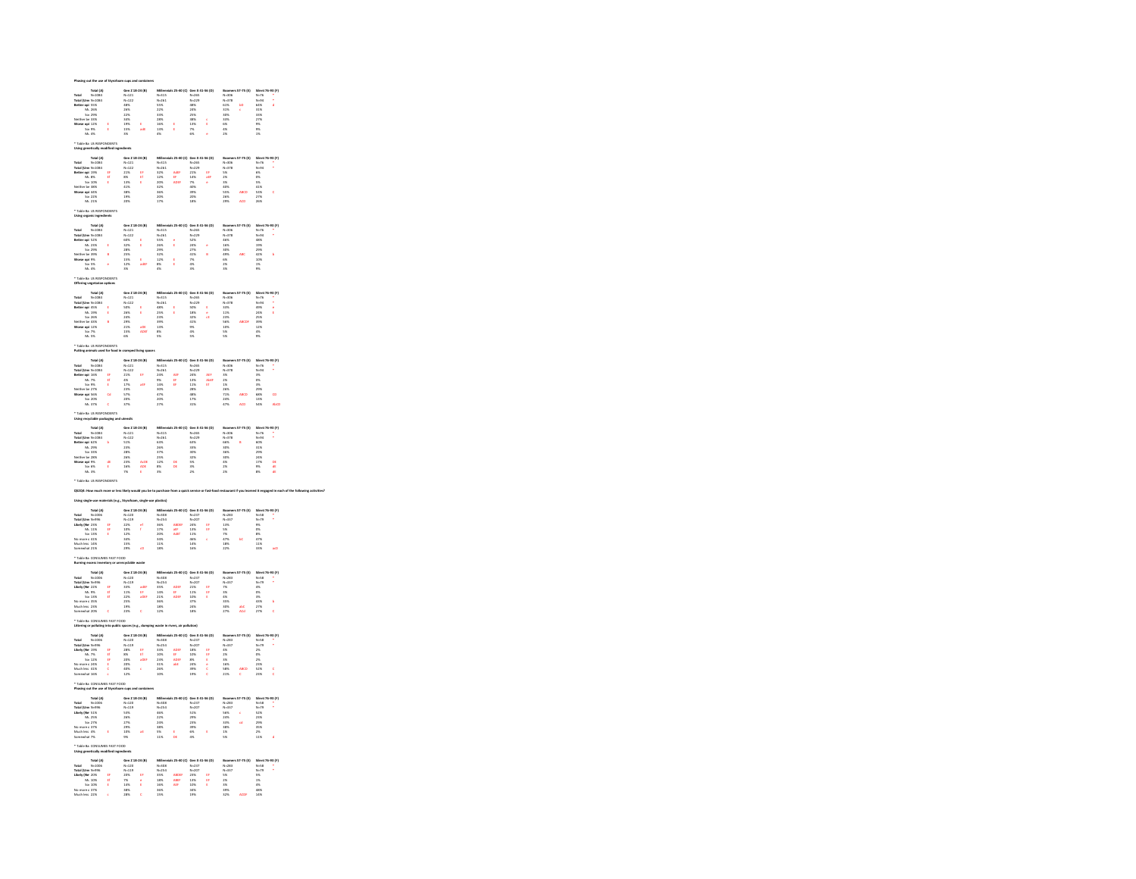|                                                                                                                                                                                                                                                                                                                                                                                                                                                           |                                                                                                                                                                                                                                                      |                                                                  |                                                                                  |                    |                                                                            |                           |                                                                          |                   |                                                                   |            |                                                               | 9.0)<br> -       |
|-----------------------------------------------------------------------------------------------------------------------------------------------------------------------------------------------------------------------------------------------------------------------------------------------------------------------------------------------------------------------------------------------------------------------------------------------------------|------------------------------------------------------------------------------------------------------------------------------------------------------------------------------------------------------------------------------------------------------|------------------------------------------------------------------|----------------------------------------------------------------------------------|--------------------|----------------------------------------------------------------------------|---------------------------|--------------------------------------------------------------------------|-------------------|-------------------------------------------------------------------|------------|---------------------------------------------------------------|------------------|
|                                                                                                                                                                                                                                                                                                                                                                                                                                                           |                                                                                                                                                                                                                                                      |                                                                  |                                                                                  |                    |                                                                            |                           |                                                                          |                   |                                                                   |            |                                                               |                  |
|                                                                                                                                                                                                                                                                                                                                                                                                                                                           | Total (A)<br>N=1034<br>Umr N=1034<br>nel 55%<br>M: 26%<br>Sot 29%<br>min 33%<br>Sot 9%<br>Ns. 4%                                                                                                                                                     |                                                                  | Gen 2 1<br>N=121<br>N=122<br>48%<br>25%<br>34%<br>15%<br>15%<br>15%              |                    | Num<br>N-315<br>N-261<br>N-261<br>S5%<br>22%<br>33%<br>16%<br>13%          |                           | Gen X<br>N=265<br>N=229<br>48%<br>24%<br>25%<br>38%<br>13%<br>7%<br>6%   |                   | N-306<br>N-306<br>61% 31% 30% 35%<br>35% 6% 4% 2%                 |            | Silem<br>N=76<br>N=94<br>64% 31% 33%<br>27% 9% 1%             |                  |
|                                                                                                                                                                                                                                                                                                                                                                                                                                                           |                                                                                                                                                                                                                                                      |                                                                  |                                                                                  |                    |                                                                            |                           |                                                                          |                   |                                                                   |            |                                                               |                  |
|                                                                                                                                                                                                                                                                                                                                                                                                                                                           |                                                                                                                                                                                                                                                      |                                                                  |                                                                                  |                    |                                                                            | ţ                         |                                                                          | i                 |                                                                   |            |                                                               |                  |
|                                                                                                                                                                                                                                                                                                                                                                                                                                                           |                                                                                                                                                                                                                                                      |                                                                  |                                                                                  |                    |                                                                            |                           |                                                                          |                   |                                                                   |            |                                                               |                  |
|                                                                                                                                                                                                                                                                                                                                                                                                                                                           |                                                                                                                                                                                                                                                      |                                                                  |                                                                                  |                    |                                                                            |                           |                                                                          |                   |                                                                   |            |                                                               |                  |
|                                                                                                                                                                                                                                                                                                                                                                                                                                                           | ie Ba US RESPONDENTS<br>generationally modified in<br>Total (A)<br>Umy N-1084<br>Umy N-1084<br>201 10%<br>So 10%<br>5 10%<br>5 10%<br>So 10%<br>21%<br>Ma 22%<br>Ma 22%                                                                              |                                                                  |                                                                                  |                    |                                                                            |                           |                                                                          |                   |                                                                   |            |                                                               |                  |
|                                                                                                                                                                                                                                                                                                                                                                                                                                                           |                                                                                                                                                                                                                                                      |                                                                  | Gen 2 18<br>N=121<br>N=122<br>21%<br>8%<br>8%<br>41%<br>41%<br>38%<br>19%<br>20% |                    |                                                                            |                           |                                                                          |                   |                                                                   |            |                                                               |                  |
|                                                                                                                                                                                                                                                                                                                                                                                                                                                           |                                                                                                                                                                                                                                                      |                                                                  |                                                                                  |                    | Numers<br>N=261<br>32%<br>12%<br>32%<br>36%<br>36%<br>20%                  |                           |                                                                          |                   |                                                                   |            |                                                               | 15 (P)<br>-<br>- |
| rotal<br>Fotal (Ur<br>Setter op                                                                                                                                                                                                                                                                                                                                                                                                                           |                                                                                                                                                                                                                                                      |                                                                  |                                                                                  |                    |                                                                            |                           |                                                                          |                   |                                                                   |            |                                                               |                  |
|                                                                                                                                                                                                                                                                                                                                                                                                                                                           |                                                                                                                                                                                                                                                      |                                                                  |                                                                                  | 计算机                |                                                                            | AdEF<br>EF<br>ADEF        |                                                                          | せぬ                |                                                                   |            |                                                               |                  |
|                                                                                                                                                                                                                                                                                                                                                                                                                                                           |                                                                                                                                                                                                                                                      |                                                                  |                                                                                  |                    |                                                                            |                           |                                                                          |                   |                                                                   |            |                                                               |                  |
|                                                                                                                                                                                                                                                                                                                                                                                                                                                           |                                                                                                                                                                                                                                                      |                                                                  |                                                                                  |                    |                                                                            |                           |                                                                          |                   |                                                                   |            |                                                               | ċ                |
|                                                                                                                                                                                                                                                                                                                                                                                                                                                           |                                                                                                                                                                                                                                                      |                                                                  |                                                                                  |                    |                                                                            |                           | uen x + 265<br>N + 229<br>21% 14% 40% 39% 20% 20% 18%                    |                   | BBL++<br>N-326<br>N-378<br>S% 25%<br>S5%<br>26% 29%               |            | A N-76<br>N-94<br>6% OS 5% 41% 27% 26%                        |                  |
|                                                                                                                                                                                                                                                                                                                                                                                                                                                           | sie Ba US RESPONDER<br>g organic ingredients                                                                                                                                                                                                         |                                                                  |                                                                                  |                    |                                                                            |                           |                                                                          |                   |                                                                   |            |                                                               |                  |
|                                                                                                                                                                                                                                                                                                                                                                                                                                                           |                                                                                                                                                                                                                                                      |                                                                  |                                                                                  |                    |                                                                            |                           |                                                                          |                   |                                                                   |            |                                                               |                  |
|                                                                                                                                                                                                                                                                                                                                                                                                                                                           |                                                                                                                                                                                                                                                      |                                                                  |                                                                                  |                    |                                                                            |                           |                                                                          |                   |                                                                   |            |                                                               | 15 (P)<br>-<br>- |
|                                                                                                                                                                                                                                                                                                                                                                                                                                                           |                                                                                                                                                                                                                                                      |                                                                  |                                                                                  |                    |                                                                            |                           |                                                                          |                   |                                                                   |            |                                                               |                  |
|                                                                                                                                                                                                                                                                                                                                                                                                                                                           |                                                                                                                                                                                                                                                      |                                                                  |                                                                                  |                    |                                                                            | i                         |                                                                          |                   |                                                                   |            |                                                               |                  |
|                                                                                                                                                                                                                                                                                                                                                                                                                                                           |                                                                                                                                                                                                                                                      |                                                                  |                                                                                  |                    |                                                                            |                           |                                                                          |                   |                                                                   |            |                                                               |                  |
|                                                                                                                                                                                                                                                                                                                                                                                                                                                           |                                                                                                                                                                                                                                                      |                                                                  |                                                                                  |                    |                                                                            |                           |                                                                          |                   |                                                                   |            |                                                               |                  |
|                                                                                                                                                                                                                                                                                                                                                                                                                                                           |                                                                                                                                                                                                                                                      |                                                                  | Gen Z 1<br>N=121<br>N=122<br>SO%<br>32%<br>28%<br>25%<br>15%<br>12%              | .<br>aer           | Miss<br>N=315<br>N=261<br>S5%<br>26%<br>29%<br>32%<br>12%<br>4%            | t                         | Gen X<br>N=265<br>N=229<br>S2%<br>27%<br>47%<br>N%<br>N%                 |                   | Booms<br>N=378<br>46% 16%<br>30% 49%<br>49% 6% 1%                 |            | Silent<br>N=76<br>N=94<br>48% 19%<br>42% 42%<br>10% 42%       |                  |
|                                                                                                                                                                                                                                                                                                                                                                                                                                                           | 70 May 2014<br>10 M = 1034<br>10 M = 1034<br>10 M = 1034<br>1035<br>100 M = 29%<br>100 M = 29%<br>100 M = 29%<br>100 M = 29%<br>100 M = 29%<br>100 M = 29%<br>100 M = 29%                                                                            |                                                                  |                                                                                  |                    |                                                                            |                           |                                                                          |                   |                                                                   |            |                                                               |                  |
|                                                                                                                                                                                                                                                                                                                                                                                                                                                           | $104.475$<br>Table Ba US #ESPONDENTS<br>Table Ba US #ESPONDENTS<br>Table Managet Barian options<br>Table Managet<br>Managet Ba + 25%<br>Managet Ba + 23%<br>Managet Ba + 23%<br>Son 26%<br>Norse cond 123%<br>Son 75%<br>Managet Ba + 23%<br>Managet |                                                                  |                                                                                  |                    |                                                                            |                           |                                                                          |                   |                                                                   |            |                                                               |                  |
|                                                                                                                                                                                                                                                                                                                                                                                                                                                           |                                                                                                                                                                                                                                                      |                                                                  |                                                                                  |                    |                                                                            |                           |                                                                          |                   |                                                                   |            |                                                               |                  |
|                                                                                                                                                                                                                                                                                                                                                                                                                                                           |                                                                                                                                                                                                                                                      |                                                                  |                                                                                  |                    |                                                                            |                           |                                                                          |                   |                                                                   |            |                                                               |                  |
|                                                                                                                                                                                                                                                                                                                                                                                                                                                           |                                                                                                                                                                                                                                                      |                                                                  |                                                                                  |                    |                                                                            |                           |                                                                          |                   |                                                                   |            |                                                               |                  |
|                                                                                                                                                                                                                                                                                                                                                                                                                                                           |                                                                                                                                                                                                                                                      |                                                                  |                                                                                  |                    |                                                                            | i                         |                                                                          | t<br>d            |                                                                   |            |                                                               |                  |
|                                                                                                                                                                                                                                                                                                                                                                                                                                                           |                                                                                                                                                                                                                                                      |                                                                  |                                                                                  |                    |                                                                            |                           |                                                                          |                   |                                                                   |            |                                                               |                  |
|                                                                                                                                                                                                                                                                                                                                                                                                                                                           |                                                                                                                                                                                                                                                      |                                                                  |                                                                                  |                    |                                                                            |                           |                                                                          |                   |                                                                   |            |                                                               |                  |
|                                                                                                                                                                                                                                                                                                                                                                                                                                                           |                                                                                                                                                                                                                                                      |                                                                  | Gen Z 1<br>N=121<br>N=122<br>SO%<br>26%<br>24%<br>21%<br>15%<br>15%              | aCE<br>ADEF        | Millen<br>N=315<br>N=261<br>48%<br>25%<br>39%<br>39%<br>39%<br>39%         |                           | Gen X + 265<br>N=265<br>SD% 18%<br>32% 41%<br>41% 41% 41%                |                   | Boome<br>N=306<br>N=378<br>33%<br>33%<br>23%<br>50%<br>30%<br>50% |            | 3876-76<br>N-76<br>42% 25% 25% 12% 25% 27%                    |                  |
|                                                                                                                                                                                                                                                                                                                                                                                                                                                           |                                                                                                                                                                                                                                                      |                                                                  |                                                                                  |                    |                                                                            |                           |                                                                          |                   |                                                                   |            |                                                               |                  |
|                                                                                                                                                                                                                                                                                                                                                                                                                                                           | ible Ba US RESPONDENTS<br>tine animals used for food                                                                                                                                                                                                 |                                                                  |                                                                                  |                    |                                                                            |                           |                                                                          |                   |                                                                   |            |                                                               |                  |
|                                                                                                                                                                                                                                                                                                                                                                                                                                                           |                                                                                                                                                                                                                                                      |                                                                  |                                                                                  |                    |                                                                            |                           |                                                                          |                   |                                                                   |            |                                                               |                  |
|                                                                                                                                                                                                                                                                                                                                                                                                                                                           |                                                                                                                                                                                                                                                      |                                                                  |                                                                                  |                    |                                                                            |                           |                                                                          |                   |                                                                   |            |                                                               | 13 (P)<br>-<br>- |
|                                                                                                                                                                                                                                                                                                                                                                                                                                                           |                                                                                                                                                                                                                                                      |                                                                  |                                                                                  |                    |                                                                            |                           |                                                                          |                   |                                                                   |            |                                                               |                  |
|                                                                                                                                                                                                                                                                                                                                                                                                                                                           |                                                                                                                                                                                                                                                      |                                                                  |                                                                                  |                    |                                                                            |                           |                                                                          |                   |                                                                   |            |                                                               |                  |
|                                                                                                                                                                                                                                                                                                                                                                                                                                                           |                                                                                                                                                                                                                                                      | びせき                                                              |                                                                                  | á.                 |                                                                            | AB<br>B<br>B              |                                                                          | AEF<br>AbEF<br>EF |                                                                   |            |                                                               |                  |
|                                                                                                                                                                                                                                                                                                                                                                                                                                                           |                                                                                                                                                                                                                                                      |                                                                  |                                                                                  |                    |                                                                            |                           |                                                                          |                   |                                                                   |            |                                                               |                  |
|                                                                                                                                                                                                                                                                                                                                                                                                                                                           |                                                                                                                                                                                                                                                      | $\alpha$                                                         | Gen 2 18<br>N=121<br>N=122<br>21%<br>4%<br>17%<br>23%<br>S7%<br>20%              |                    | NHR<br>N-315<br>N-261<br>24% 5% 47% 47%<br>20% 27%                         |                           | Gen X<br>N=265<br>N=229<br>24%<br>13%<br>13%<br>48%<br>48%<br>17%<br>31% |                   | BOOM 8<br>N=378<br>N=378<br>3% 2% 1% 1% 24%<br>24% 24%            |            | Silenti<br>N=76<br>N=94<br>N% S% S% S% S% S% S% S% S% S% S%   |                  |
|                                                                                                                                                                                                                                                                                                                                                                                                                                                           | Total (A)<br>d M-1084<br>d (Umr N-1084<br>mr ool 16%<br>M: 7%<br>So: 9%<br>me op 16%<br>So: 27%<br>M: 527%<br>M: 37%<br>M: 37%                                                                                                                       | $\epsilon$                                                       |                                                                                  |                    |                                                                            |                           |                                                                          |                   |                                                                   | ACD        |                                                               |                  |
|                                                                                                                                                                                                                                                                                                                                                                                                                                                           |                                                                                                                                                                                                                                                      |                                                                  |                                                                                  |                    |                                                                            |                           |                                                                          |                   |                                                                   |            |                                                               |                  |
|                                                                                                                                                                                                                                                                                                                                                                                                                                                           | ible ita US RESPONDENTS<br>ng recyclable packaging ar                                                                                                                                                                                                |                                                                  |                                                                                  |                    |                                                                            |                           |                                                                          |                   |                                                                   |            |                                                               |                  |
|                                                                                                                                                                                                                                                                                                                                                                                                                                                           |                                                                                                                                                                                                                                                      |                                                                  |                                                                                  |                    |                                                                            |                           |                                                                          |                   |                                                                   |            |                                                               | 13 (P)<br>-<br>- |
|                                                                                                                                                                                                                                                                                                                                                                                                                                                           |                                                                                                                                                                                                                                                      |                                                                  |                                                                                  |                    |                                                                            |                           |                                                                          |                   |                                                                   |            |                                                               |                  |
|                                                                                                                                                                                                                                                                                                                                                                                                                                                           |                                                                                                                                                                                                                                                      |                                                                  |                                                                                  |                    |                                                                            |                           |                                                                          |                   |                                                                   |            |                                                               |                  |
|                                                                                                                                                                                                                                                                                                                                                                                                                                                           |                                                                                                                                                                                                                                                      |                                                                  |                                                                                  |                    |                                                                            |                           |                                                                          |                   |                                                                   |            |                                                               |                  |
|                                                                                                                                                                                                                                                                                                                                                                                                                                                           |                                                                                                                                                                                                                                                      |                                                                  |                                                                                  |                    |                                                                            |                           |                                                                          |                   |                                                                   |            |                                                               |                  |
|                                                                                                                                                                                                                                                                                                                                                                                                                                                           |                                                                                                                                                                                                                                                      |                                                                  |                                                                                  |                    |                                                                            |                           |                                                                          |                   |                                                                   |            |                                                               |                  |
|                                                                                                                                                                                                                                                                                                                                                                                                                                                           |                                                                                                                                                                                                                                                      |                                                                  |                                                                                  |                    |                                                                            |                           |                                                                          |                   |                                                                   |            |                                                               |                  |
|                                                                                                                                                                                                                                                                                                                                                                                                                                                           |                                                                                                                                                                                                                                                      |                                                                  | Gen Z 1<br>N=121<br>N=122<br>S1%<br>28%<br>28%<br>28%<br>28%<br>16%              | AcDE<br>ADE<br>E   | Milen<br>N=261<br>N=261<br>S3%<br>26%<br>37%<br>12%<br>12%                 | DE<br>DE                  | Gen X +<br>N=265<br>N=229<br>63%<br>33%<br>32%<br>32%<br>5%<br>32%       |                   | Booms<br>N=378<br>66% 30%<br>36% 36%<br>36% 35%<br>4% 2%          |            | Silent<br>N=76<br>N=94<br>60% 31%<br>29% 24%<br>17% 8%        | DE<br>de<br>de   |
|                                                                                                                                                                                                                                                                                                                                                                                                                                                           |                                                                                                                                                                                                                                                      |                                                                  |                                                                                  |                    |                                                                            |                           |                                                                          |                   |                                                                   |            |                                                               |                  |
|                                                                                                                                                                                                                                                                                                                                                                                                                                                           |                                                                                                                                                                                                                                                      |                                                                  |                                                                                  |                    |                                                                            |                           |                                                                          |                   |                                                                   |            |                                                               |                  |
|                                                                                                                                                                                                                                                                                                                                                                                                                                                           |                                                                                                                                                                                                                                                      |                                                                  |                                                                                  |                    |                                                                            |                           |                                                                          |                   |                                                                   |            |                                                               |                  |
|                                                                                                                                                                                                                                                                                                                                                                                                                                                           |                                                                                                                                                                                                                                                      |                                                                  |                                                                                  |                    |                                                                            |                           |                                                                          |                   |                                                                   |            |                                                               |                  |
|                                                                                                                                                                                                                                                                                                                                                                                                                                                           |                                                                                                                                                                                                                                                      |                                                                  |                                                                                  |                    |                                                                            |                           |                                                                          |                   |                                                                   |            |                                                               |                  |
|                                                                                                                                                                                                                                                                                                                                                                                                                                                           |                                                                                                                                                                                                                                                      |                                                                  |                                                                                  |                    |                                                                            |                           |                                                                          |                   |                                                                   |            |                                                               | ï                |
|                                                                                                                                                                                                                                                                                                                                                                                                                                                           |                                                                                                                                                                                                                                                      |                                                                  |                                                                                  |                    |                                                                            |                           |                                                                          |                   |                                                                   |            |                                                               |                  |
|                                                                                                                                                                                                                                                                                                                                                                                                                                                           |                                                                                                                                                                                                                                                      |                                                                  |                                                                                  |                    |                                                                            |                           |                                                                          | 81<br>81          |                                                                   |            |                                                               |                  |
|                                                                                                                                                                                                                                                                                                                                                                                                                                                           |                                                                                                                                                                                                                                                      | 计时间                                                              |                                                                                  |                    |                                                                            | ABDEI<br>aEF<br>AdEF      |                                                                          |                   |                                                                   |            |                                                               |                  |
|                                                                                                                                                                                                                                                                                                                                                                                                                                                           |                                                                                                                                                                                                                                                      |                                                                  |                                                                                  |                    |                                                                            |                           |                                                                          |                   |                                                                   |            |                                                               |                  |
| Total Notal (A)<br>Total N=1006<br>Total (Umx N=996<br>Likely (Ne 23%<br>Ma. 113%<br>Son 13%<br>No more c 41%<br>Much less 14%<br>Somewhat 21%                                                                                                                                                                                                                                                                                                            |                                                                                                                                                                                                                                                      |                                                                  | Gen 2 18<br>N=120<br>N=119<br>22%<br>10%<br>12%<br>34%<br>15%<br>20%             |                    | Millen<br>N=308<br>N=254<br>36%<br>17%<br>20%<br>34%<br>11%<br>11%         |                           | Gen X 41<br>N-237<br>N-207<br>24%<br>13%<br>11%<br>46%<br>46%            |                   | Boome<br>N=283<br>N=337<br>13%<br>5%<br>47%<br>47%<br>18%         |            | Silent<br>N=58<br>N=79<br>9%<br>O%<br>8%<br>47%<br>11%<br>11% |                  |
|                                                                                                                                                                                                                                                                                                                                                                                                                                                           |                                                                                                                                                                                                                                                      |                                                                  |                                                                                  |                    |                                                                            |                           |                                                                          |                   |                                                                   |            |                                                               |                  |
|                                                                                                                                                                                                                                                                                                                                                                                                                                                           |                                                                                                                                                                                                                                                      | ile Ba CONSUMES FAST FOOD<br>ing excess inventory or unrecy      | cycli                                                                            |                    |                                                                            |                           |                                                                          |                   |                                                                   |            |                                                               |                  |
|                                                                                                                                                                                                                                                                                                                                                                                                                                                           |                                                                                                                                                                                                                                                      |                                                                  |                                                                                  |                    |                                                                            |                           |                                                                          |                   |                                                                   |            |                                                               |                  |
|                                                                                                                                                                                                                                                                                                                                                                                                                                                           |                                                                                                                                                                                                                                                      |                                                                  |                                                                                  |                    |                                                                            |                           |                                                                          |                   |                                                                   |            |                                                               | 15 (P)<br>-<br>- |
|                                                                                                                                                                                                                                                                                                                                                                                                                                                           |                                                                                                                                                                                                                                                      |                                                                  |                                                                                  |                    |                                                                            |                           |                                                                          |                   |                                                                   |            |                                                               |                  |
|                                                                                                                                                                                                                                                                                                                                                                                                                                                           |                                                                                                                                                                                                                                                      | せぜ                                                               |                                                                                  | adEf<br>Ef<br>aDEf |                                                                            | ADEF<br>EF<br>ADEF        |                                                                          | 计时目               |                                                                   |            |                                                               |                  |
|                                                                                                                                                                                                                                                                                                                                                                                                                                                           |                                                                                                                                                                                                                                                      |                                                                  |                                                                                  |                    |                                                                            |                           |                                                                          |                   |                                                                   |            |                                                               | 6                |
|                                                                                                                                                                                                                                                                                                                                                                                                                                                           |                                                                                                                                                                                                                                                      |                                                                  | Gen 2 18<br>N=120<br>N=119<br>33%<br>11%<br>22%<br>25%<br>25%                    |                    | Nilen<br>N-308<br>N-254<br>35% 14%<br>21% 36% 18%                          |                           | Gen X<br>N=237<br>N=207<br>21%<br>11%<br>37%<br>24%<br>24%               |                   | BOMM<br>N-283<br>N-337<br>N-337<br>35%<br>35%<br>35%              | abC<br>ACd | Silent<br>N=58<br>N=79<br>4%<br>SX<br>3%<br>27%<br>27%        |                  |
| Total (A)<br>Total N=1056<br>Total (Umv N=996<br>Likely (Ne 22%<br>Momere d 35%<br>Nommere 35%<br>Nommere 35%<br>Nommere 35%<br>Somewhat 20%                                                                                                                                                                                                                                                                                                              |                                                                                                                                                                                                                                                      |                                                                  |                                                                                  |                    |                                                                            |                           |                                                                          |                   |                                                                   |            |                                                               |                  |
|                                                                                                                                                                                                                                                                                                                                                                                                                                                           |                                                                                                                                                                                                                                                      | ible Ba-CONSUMES FAST FOOD<br>ering or polluting into public spa |                                                                                  |                    |                                                                            |                           |                                                                          |                   |                                                                   |            |                                                               |                  |
|                                                                                                                                                                                                                                                                                                                                                                                                                                                           |                                                                                                                                                                                                                                                      |                                                                  |                                                                                  |                    |                                                                            |                           |                                                                          |                   |                                                                   |            |                                                               |                  |
|                                                                                                                                                                                                                                                                                                                                                                                                                                                           |                                                                                                                                                                                                                                                      |                                                                  |                                                                                  |                    |                                                                            |                           |                                                                          |                   |                                                                   |            |                                                               |                  |
|                                                                                                                                                                                                                                                                                                                                                                                                                                                           |                                                                                                                                                                                                                                                      |                                                                  |                                                                                  |                    |                                                                            |                           |                                                                          |                   |                                                                   |            |                                                               | Ţ                |
|                                                                                                                                                                                                                                                                                                                                                                                                                                                           |                                                                                                                                                                                                                                                      |                                                                  |                                                                                  |                    |                                                                            |                           |                                                                          |                   |                                                                   |            |                                                               |                  |
|                                                                                                                                                                                                                                                                                                                                                                                                                                                           |                                                                                                                                                                                                                                                      |                                                                  |                                                                                  | er<br>er<br>ader   |                                                                            |                           |                                                                          |                   |                                                                   |            |                                                               |                  |
|                                                                                                                                                                                                                                                                                                                                                                                                                                                           |                                                                                                                                                                                                                                                      |                                                                  |                                                                                  |                    |                                                                            | ADEF<br>EF<br>ADEF<br>abE |                                                                          |                   |                                                                   |            |                                                               |                  |
|                                                                                                                                                                                                                                                                                                                                                                                                                                                           |                                                                                                                                                                                                                                                      | 開 野 野 田 田                                                        | Gen 2 1<br>N=120<br>N=119<br>28%<br>8%<br>20%<br>20%<br>40%<br>12%               |                    | Millen<br>N=308<br>N=254<br>33%<br>33%<br>33%<br>33%<br>26%<br>26%         |                           | Gen X<br>N=237<br>N=207<br>18%<br>10%<br>24%<br>24%<br>19%               | 计时间 医白色           | N-283<br>N-337<br>N-337<br>4%<br>25%<br>58%<br>58%<br>21%         |            | Silent<br>N=58<br>N=79<br>2%<br>O%<br>2%<br>52%<br>52%        |                  |
| Total (A)<br>Total (A)<br>N=1006<br>Total (Um N=996<br>Thing Vie 19%<br>Mommere 24%<br>No more 24%<br>Nommere 24%<br>Somewhat 16%<br>Somewhat 16%                                                                                                                                                                                                                                                                                                         |                                                                                                                                                                                                                                                      |                                                                  |                                                                                  |                    |                                                                            |                           |                                                                          |                   |                                                                   |            |                                                               |                  |
|                                                                                                                                                                                                                                                                                                                                                                                                                                                           | sie Ba CONSUMES FAST<br>ing out the use of Styro                                                                                                                                                                                                     |                                                                  |                                                                                  |                    |                                                                            |                           |                                                                          |                   |                                                                   |            |                                                               |                  |
|                                                                                                                                                                                                                                                                                                                                                                                                                                                           |                                                                                                                                                                                                                                                      |                                                                  |                                                                                  |                    |                                                                            |                           |                                                                          |                   |                                                                   |            |                                                               |                  |
|                                                                                                                                                                                                                                                                                                                                                                                                                                                           |                                                                                                                                                                                                                                                      |                                                                  |                                                                                  |                    |                                                                            |                           |                                                                          |                   |                                                                   |            |                                                               | as (r)<br>.      |
|                                                                                                                                                                                                                                                                                                                                                                                                                                                           |                                                                                                                                                                                                                                                      |                                                                  |                                                                                  |                    |                                                                            |                           |                                                                          |                   |                                                                   |            |                                                               |                  |
|                                                                                                                                                                                                                                                                                                                                                                                                                                                           |                                                                                                                                                                                                                                                      |                                                                  |                                                                                  |                    |                                                                            |                           |                                                                          |                   |                                                                   | œ          |                                                               |                  |
|                                                                                                                                                                                                                                                                                                                                                                                                                                                           |                                                                                                                                                                                                                                                      |                                                                  |                                                                                  |                    |                                                                            |                           |                                                                          |                   |                                                                   |            |                                                               |                  |
|                                                                                                                                                                                                                                                                                                                                                                                                                                                           |                                                                                                                                                                                                                                                      |                                                                  |                                                                                  |                    |                                                                            | E<br>DE                   |                                                                          |                   |                                                                   |            |                                                               |                  |
| $\begin{array}{r} \textbf{Total} & \textbf{Total} \\ \textbf{Total} & \textbf{N} = 006 \\ \textbf{Total} & \textbf{C} & \textbf{M} \\ \textbf{Total} & \textbf{C} & \textbf{M} \\ \textbf{D} & \textbf{C} & \textbf{M} \\ \textbf{M} & \textbf{M} & \textbf{M} \\ \textbf{M} & \textbf{M} & \textbf{M} \\ \textbf{M} & \textbf{M} & \textbf{M} \\ \textbf{M} & \textbf{M} & \textbf{M} \\ \textbf{M} & \textbf{M} & \textbf{M} \\ \textbf{M} & \textbf{M$ |                                                                                                                                                                                                                                                      |                                                                  | Gen 2 18<br>N=120<br>N=119<br>S3%<br>26%<br>27%<br>29%<br>10%                    |                    | Millen<br>N-308<br>N-254<br>N-255<br>46%<br>22%<br>24%<br>38%<br>5%<br>11% |                           | Gen X +<br>N=237<br>N=207<br>S1%<br>23%<br>23%<br>S2%<br>6%<br>4%        |                   | Boome<br>N=283<br>N=337<br>S6%<br>24%<br>33%<br>38%<br>38%        |            | Silent<br>N=58<br>N=79<br>S2%<br>29%<br>29%<br>25%            |                  |
|                                                                                                                                                                                                                                                                                                                                                                                                                                                           | ible Ba CONSUM<br>ng genetically mo                                                                                                                                                                                                                  |                                                                  |                                                                                  |                    |                                                                            |                           |                                                                          |                   |                                                                   |            |                                                               |                  |
|                                                                                                                                                                                                                                                                                                                                                                                                                                                           |                                                                                                                                                                                                                                                      |                                                                  |                                                                                  |                    |                                                                            |                           |                                                                          |                   |                                                                   |            |                                                               |                  |
|                                                                                                                                                                                                                                                                                                                                                                                                                                                           |                                                                                                                                                                                                                                                      |                                                                  |                                                                                  |                    |                                                                            |                           |                                                                          |                   |                                                                   |            |                                                               |                  |
|                                                                                                                                                                                                                                                                                                                                                                                                                                                           |                                                                                                                                                                                                                                                      |                                                                  |                                                                                  |                    |                                                                            |                           |                                                                          |                   |                                                                   |            |                                                               | 13 (P)<br>-<br>- |
|                                                                                                                                                                                                                                                                                                                                                                                                                                                           |                                                                                                                                                                                                                                                      |                                                                  |                                                                                  |                    |                                                                            |                           |                                                                          |                   |                                                                   |            |                                                               |                  |
| Total Total (A)<br>Total N=1006<br>Total (Um N=996<br>Likely (Ne 20%<br>Ma 100%<br>No more c 37%<br>No more c 37%                                                                                                                                                                                                                                                                                                                                         |                                                                                                                                                                                                                                                      | せき                                                               | Gen 2 18<br>N=120<br>N=119<br>20%<br>7%<br>14%<br>14%<br>38%                     | 计算法<br>ċ           | Numero<br>N=308<br>N=254<br>35%<br>35%<br>36%<br>36%                       | ABDE<br>ABEF<br>AEF       | Gen X<br>N=237<br>N=207<br>23%<br>13%<br>13%<br>34%<br>19%               | びせき               | Boome<br>N-283<br>N-337<br>5%<br>2%<br>3%<br>32%                  |            | Silent<br>N=58<br>N=79<br>5%<br>1%<br>48%<br>48%              |                  |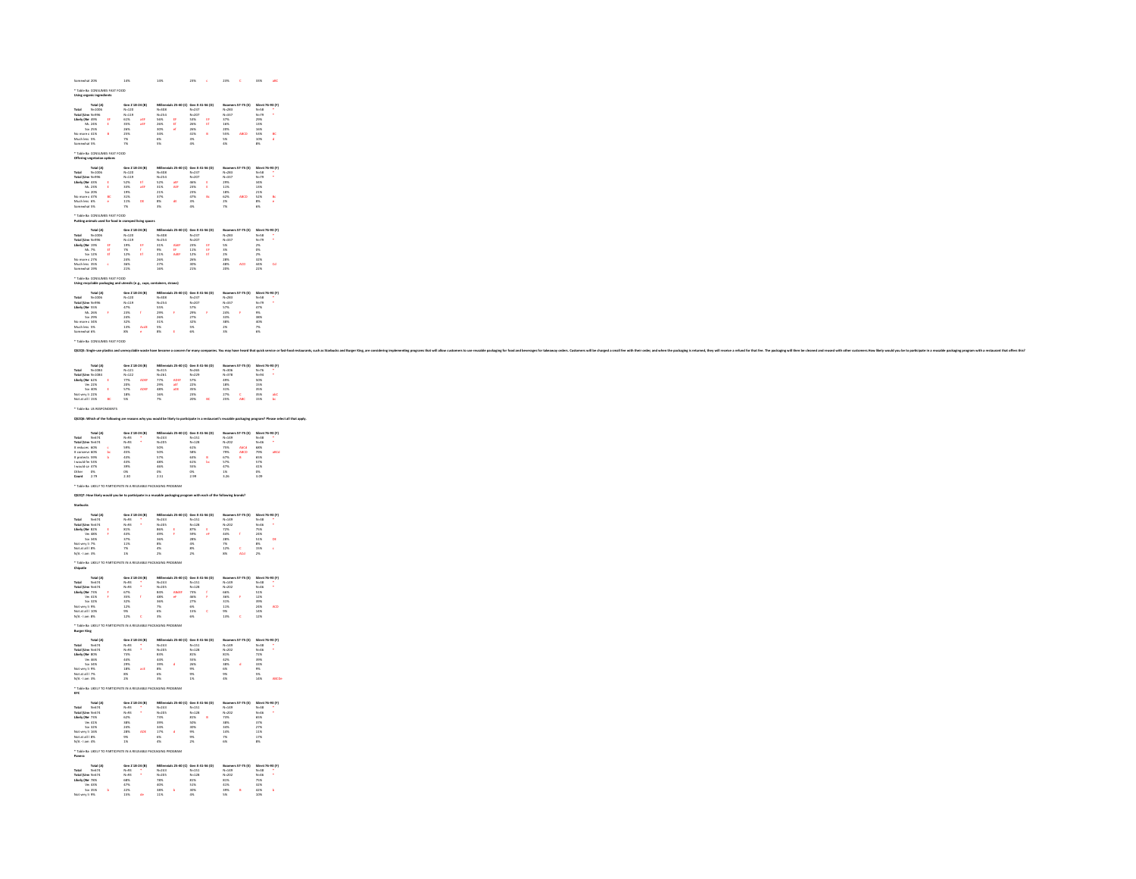| Somewhat 20%<br>* Table Ba CONSUMES FAST FOOD                                                                                                                                                                                                                                                                                                                                                                                                                                                                                                                         | $14\%$                                                                                                                                                                                                                                                                                                                                                                                                                                                                                                                                     | $14\%$                                                                              |                                                                                                                                                                                                                                                                                                                                                                                             | $23\% \qquad c \qquad 23\% \qquad C \qquad 33\% \qquad aB \qquad$                                                                                                                                                                                                                                                                                                                                                                                                      |
|-----------------------------------------------------------------------------------------------------------------------------------------------------------------------------------------------------------------------------------------------------------------------------------------------------------------------------------------------------------------------------------------------------------------------------------------------------------------------------------------------------------------------------------------------------------------------|--------------------------------------------------------------------------------------------------------------------------------------------------------------------------------------------------------------------------------------------------------------------------------------------------------------------------------------------------------------------------------------------------------------------------------------------------------------------------------------------------------------------------------------------|-------------------------------------------------------------------------------------|---------------------------------------------------------------------------------------------------------------------------------------------------------------------------------------------------------------------------------------------------------------------------------------------------------------------------------------------------------------------------------------------|------------------------------------------------------------------------------------------------------------------------------------------------------------------------------------------------------------------------------------------------------------------------------------------------------------------------------------------------------------------------------------------------------------------------------------------------------------------------|
| Using organic ingredients<br>$\begin{array}{r} \text{Total} & \text{Total} \text{ } \{A\} \\ \text{Total} & \text{No}=10\% \\ \text{Total} & \text{Total} & \text{No}=99\% \\ \text{Likler} & \text{Mo}=49\% \\ \text{No} & \text{Con} & \text{No}=24\% \\ \text{No} & \text{more} & \text{No}=15\% \\ \text{Nonreawhat 5\%} \end{array}$<br>$\mathbf{r}$                                                                                                                                                                                                             | Gen Z 18-24 (6)<br>N-120<br>N-119<br>61%<br>SS%<br>25%<br>25%<br>25%<br>P%                                                                                                                                                                                                                                                                                                                                                                                                                                                                 | Millenniak 25-41<br>N=208<br>N=254<br>S6% Ef<br>20% ef<br>30% ef<br>30%<br>S%       |                                                                                                                                                                                                                                                                                                                                                                                             |                                                                                                                                                                                                                                                                                                                                                                                                                                                                        |
| * Table Ba CONSUMES FAST FOOD<br>Offering vegetarian options                                                                                                                                                                                                                                                                                                                                                                                                                                                                                                          |                                                                                                                                                                                                                                                                                                                                                                                                                                                                                                                                            |                                                                                     |                                                                                                                                                                                                                                                                                                                                                                                             |                                                                                                                                                                                                                                                                                                                                                                                                                                                                        |
| Total (A)<br>Total N=1006<br>Total (Um N=996<br>Likely (Ne 43%<br>Mo more c 47%<br>No more c 47%<br>Much less 6%<br>Somewhat 5%<br>$\frac{ac}{c}$                                                                                                                                                                                                                                                                                                                                                                                                                     | Gen 2 18-24 (6)<br>$N=120$<br>$N=119$<br>$52\%$<br>$18\%$<br>$19\%$<br>$11\%$<br>$D6$                                                                                                                                                                                                                                                                                                                                                                                                                                                      |                                                                                     |                                                                                                                                                                                                                                                                                                                                                                                             | $[500\, \text{Meas}\, 57-75\, \text{(t)} \quad \text{Sileent}\, 76-93\, \text{(t)} \\\hline 18-283 \qquad \text{(t)}-79\, \text{(t)} \qquad \text{(t)} \qquad \text{(t)} \qquad \text{(t)} \qquad \text{(t)} \qquad \text{(t)} \qquad \text{(t)} \qquad \text{(t)} \qquad \text{(t)} \qquad \text{(t)} \qquad \text{(t)} \qquad \text{(t)} \qquad \text{(t)} \qquad \text{(t)} \qquad \text{(t)} \qquad \text{(t)} \qquad \text{(t)} \qquad \text{(t)} \qquad \text{($ |
| * Table Ba CONSUMES FAST FOOD<br>Putting animals used for food in cran                                                                                                                                                                                                                                                                                                                                                                                                                                                                                                |                                                                                                                                                                                                                                                                                                                                                                                                                                                                                                                                            |                                                                                     |                                                                                                                                                                                                                                                                                                                                                                                             |                                                                                                                                                                                                                                                                                                                                                                                                                                                                        |
| $\begin{tabular}{ll} \textbf{Total} & \textbf{N=1006} \\ \textbf{Total} & \textbf{N=1006} \\ \textbf{Total} & \textbf{N=996} \\ \textbf{Likel} & \textbf{Ma 1256} \\ \textbf{Ma 1256} & \textbf{Saa 1256} \\ \textbf{Nontree 4 275} \\ \textbf{Moch less 3586} \\ \textbf{Somowhat 1396} \end{tabular}$<br>$\frac{\theta}{\theta}$<br>$\epsilon$                                                                                                                                                                                                                      | Gen Z 18-24 (B)<br>N=120<br>N=119<br>19%<br>19%<br>F%<br>11%<br>24%<br>24%<br>24%                                                                                                                                                                                                                                                                                                                                                                                                                                                          |                                                                                     |                                                                                                                                                                                                                                                                                                                                                                                             | $\begin{tabular}{l c c c c} \hline \textbf{Millonial} 12:44:10 & \textbf{for } 8:4:54 \textbf{ [0]} & \textbf{Rormen} 12:73 \textbf{ [1]} & \textbf{54} \textbf{in} 18:41 \textbf{ [1]} \\ \hline \textbf{N} & 34.54 & \textbf{N} & 20 & \textbf{N} & 11 & \textbf{N} & 10 \\ \textbf{N} & 34.54 & \textbf{N} & 20 & \textbf{N} & 11 & \textbf{N} & 10 \\ \textbf{15} & 4.847 & $                                                                                      |
| * Table Ba CONSUMES FAST FOOD                                                                                                                                                                                                                                                                                                                                                                                                                                                                                                                                         | Using recyclable packaging and utensils (e.g., cups, containers, straws)                                                                                                                                                                                                                                                                                                                                                                                                                                                                   |                                                                                     |                                                                                                                                                                                                                                                                                                                                                                                             |                                                                                                                                                                                                                                                                                                                                                                                                                                                                        |
| Using recycles<br>Total (A)<br>Total (Une N=2016<br>Total (Une N=2016<br>Likely (Ne 55%<br>Mac 29%<br>Somewhat 6%<br>Somewhat 6%<br>Somewhat 6%<br>$\mathcal{A}$<br>* Table Ba CONSUMES FAST FOOD                                                                                                                                                                                                                                                                                                                                                                     |                                                                                                                                                                                                                                                                                                                                                                                                                                                                                                                                            |                                                                                     |                                                                                                                                                                                                                                                                                                                                                                                             |                                                                                                                                                                                                                                                                                                                                                                                                                                                                        |
|                                                                                                                                                                                                                                                                                                                                                                                                                                                                                                                                                                       | Q52Q5: Single-use plastics and unrecyclable waste have become a concern for many companies. You may have heard that quick service or first-food restaurants, such as Starbucks and Burger King, are considering imples                                                                                                                                                                                                                                                                                                                     |                                                                                     |                                                                                                                                                                                                                                                                                                                                                                                             |                                                                                                                                                                                                                                                                                                                                                                                                                                                                        |
| $\begin{tabular}{l c c c} \hline \textbf{Total} & \textbf{Total} & \textbf{No} \\ \hline \textbf{Total} & \textbf{No} = 00184 \\ \textbf{Utility UGau} & \textbf{No} = 0216 \\ \textbf{Linky (Ne 6228)} & \textbf{Co} \\ \textbf{You 4098} & \textbf{Co} = 0498 \\ \textbf{NoC uvy 16 2296} & \textbf{E} \\ \textbf{NoC ut all 1358} & \textbf{B} \\ \hline \end{tabular}$<br>* Table Ba US RESPONDENTS<br>Q52Q6: Which of the following are reasons why you would be likely to participate in a restaurant's reusable packaging program? Please select all that appl | Gen 2 18-24 (8)<br>N-121<br>N-122<br>756 ADEF<br>20% ADEF<br>18% ADEF<br>18%                                                                                                                                                                                                                                                                                                                                                                                                                                                               |                                                                                     |                                                                                                                                                                                                                                                                                                                                                                                             | <b>Boomers 57-75 (£) Silent 76-93 (F)</b><br>N-305<br>N-378 N-76 *<br>49% 50% 50%<br>18% 18% 55%<br>18% 18% 55% abC<br>27% C 35% abC                                                                                                                                                                                                                                                                                                                                   |
|                                                                                                                                                                                                                                                                                                                                                                                                                                                                                                                                                                       |                                                                                                                                                                                                                                                                                                                                                                                                                                                                                                                                            |                                                                                     |                                                                                                                                                                                                                                                                                                                                                                                             |                                                                                                                                                                                                                                                                                                                                                                                                                                                                        |
| $\begin{tabular}{l c c} \multicolumn{1}{c}{\textbf{Total (A)}} & \multicolumn{1}{c}{\textbf{Total (A)}} \\ \multicolumn{1}{c}{\textbf{Total (Uraw N-674}} \\ \multicolumn{1}{c}{\textbf{Total (Uraw N-674}} \\ \multicolumn{1}{c}{\textbf{Total (Uraw N-674}} \\ \multicolumn{1}{c}{\textbf{It contains 60\%}} \\ \multicolumn{1}{c}{\textbf{It contains 53\%}} \\ \multicolumn{1}{c}{\textbf{WowNd} int 83\%}} \\ \multicolumn{1}{c}{\textbf{WowNd} int 83\%}} \\ \multicolumn$                                                                                      | $\begin{array}{ll} \textbf{Gen 2 18-24 (b)}\\ \textbf{N+93} & \bullet \\ \textbf{N+93} & \bullet \\ \textbf{5956} \\ \textbf{5968} \\ \textbf{4356} \\ \textbf{4366} \\ \textbf{3976} \\ \textbf{086} \\ \textbf{237} \\ \textbf{087} \\ \textbf{230} \end{array}$                                                                                                                                                                                                                                                                         |                                                                                     | Milternian 25-40 (C) Gen X 41-56 (D)<br>N-2-25<br>N-2-25<br>SOK 6:16<br>SOK 6:36<br>4:86<br>4:86<br>4:86<br>ASK 6:55<br>5:16<br>CK 5:55<br>25<br>20<br>20<br>20                                                                                                                                                                                                                             | <b>Boomer 57-75 (4)</b> Silent 76-93 (9)<br>N~140 N~120<br>N~202 N~46 *<br>75% ABCd 68%<br>75% ABCD 75% aBCd<br>67% 8 65%<br>67% 41%<br>47% 41% 57%<br>47% 41% 05%                                                                                                                                                                                                                                                                                                     |
| * Table Ba LIKELY TO PARTICIPATE IN A REUSABLE PACKAGING PROGRAM<br>QS2Q7: How likely would you be to participate in a reusable packaging program with each of the following brands?                                                                                                                                                                                                                                                                                                                                                                                  |                                                                                                                                                                                                                                                                                                                                                                                                                                                                                                                                            |                                                                                     |                                                                                                                                                                                                                                                                                                                                                                                             |                                                                                                                                                                                                                                                                                                                                                                                                                                                                        |
| Starbucks<br>Total M<br>1974 - N-674<br>Total (Umr N-674<br>1985 - Vie 4855<br>1985 - Vie 4855<br>Not very ii 756<br>Not at all I 856<br>Not at all I 856<br>Not at all I 856<br>Not at all I 856<br>* Table Ba LIKELY TO<br>Chipotle                                                                                                                                                                                                                                                                                                                                 | $\begin{array}{ll} \textbf{Gen 2 18-24 (b)}\\ \textbf{N=93} & \bullet \\ \textbf{N=93} & \bullet \\ \textbf{8156} & \bullet \\ \textbf{8156} & \bullet \\ \textbf{3256} & \bullet \\ \textbf{3756} & \bullet \\ \textbf{116} & \bullet \\ \textbf{76} & \bullet \\ \textbf{186} & \bullet \\ \textbf{196} & \bullet \\ \textbf{186} & \bullet \\ \textbf{196} & \bullet \\ \textbf{196} & \bullet \\ \textbf{196} & \bullet \\ \textbf{196} & \bullet \\ \textbf{196} & \bullet$<br>.<br>IPATE IN A REUSABLE PACKAGING PROGRAM             |                                                                                     | $\begin{array}{l l l} \textbf{M} \textbf{N} & \textbf{in} & \textbf{25.40} \text{ (C)} & \textbf{Gen} \textbf{N} & \textbf{41.56} \text{ (D)} \\ \textbf{N} & \textbf{0.243} & \textbf{N} & \textbf{1.51} \\ \textbf{N} & \textbf{0.205} & \textbf{N} & \textbf{1.212} & \textbf{0.228} \\ \textbf{1.676} & \textbf{0.276} & \textbf{0.276} & \textbf{0.276} \\ \textbf{2.676} & \textbf{0$ | Roomers 57-75 (£) Silent 76-83 (P)<br>N-140<br>N-2022 N-46 *<br>72% 73%<br>42% f 24%<br>26% 51% 06<br>26% 6 51% 06<br>75% 6 65% 02%                                                                                                                                                                                                                                                                                                                                    |
| Total (A)<br>Total M=574<br>Total (Umr N=574<br>Likely (Ne 73%<br>We 41%<br>Not viry 19%<br>Not wire all 1.0%<br>N/A - 1 am 8%                                                                                                                                                                                                                                                                                                                                                                                                                                        | $\begin{array}{llll} \texttt{Gen 2 18-24 (b)} \\ \texttt{N=93} & \bullet \\ \texttt{N=93} & \bullet \\ \texttt{87\%} & \bullet \\ \texttt{83\%} & \bullet \\ \texttt{82\%} & \bullet \\ \texttt{82\%} & \bullet \\ \texttt{84\%} & \bullet \\ \texttt{85\%} & \bullet \\ \texttt{86\%} & \bullet \\ \texttt{87\%} & \bullet \\ \texttt{88\%} & \bullet \\ \texttt{88\%} & \bullet \\ \texttt{88\%} & \bullet \\ \texttt{88\%} & \bullet \\ \texttt{88\%} & \bullet \\$<br>* Table Ba LIKELY TO PARTICIPATE IN A REUSABLE PACKAGING PROGRAM | Millenniah 25-40 (c)<br>N=243<br>N=205<br>84% - AbddF<br>48% - eF<br>N%<br>P%<br>S% | $\begin{array}{rcl} \min{25\text{--}40\text{~IC1}} & \text{Gen X 41-56 (D)}\\ & & \text{N=151} \\ & & \text{N=122} \\ & & \text{2756} \\ \text{of} & & \text{4656} \\ & & & \text{2756} \\ & & & \text{656} \\ & & & \text{666} \\ & & & \text{676} \\ & & & \text{686} \\ & & & \text{696} \\ \end{array}$                                                                                 | Roomen 57-75 (£) Silent 76-23 (P)<br>N=30 N=35 *<br>N=30 N=46 *<br>66% F 51%<br>15% F 12%<br>30% 26% ACD<br>15% 26% ACD<br>15% C 12%                                                                                                                                                                                                                                                                                                                                   |
| $\ensuremath{\mathsf{B}}\xspace$ urger King                                                                                                                                                                                                                                                                                                                                                                                                                                                                                                                           |                                                                                                                                                                                                                                                                                                                                                                                                                                                                                                                                            |                                                                                     |                                                                                                                                                                                                                                                                                                                                                                                             |                                                                                                                                                                                                                                                                                                                                                                                                                                                                        |
| Total (A)<br>Total M=574<br>Total (Umr N=674<br>Likely (Ne 80%<br>We 46%<br>Not very il 9%<br>Not at all 17%<br>Not at all 17%<br>Not at all 17%                                                                                                                                                                                                                                                                                                                                                                                                                      | Gen Z 18-24 (6)<br>N=93<br>N=93<br>23%<br>23%<br>25%<br>25%<br>26%                                                                                                                                                                                                                                                                                                                                                                                                                                                                         |                                                                                     |                                                                                                                                                                                                                                                                                                                                                                                             | $\begin{tabular}{l c c c c} \hline \textbf{M} \textbf{M} \textbf{m} \textbf{m} \textbf{h} & \textbf{B} \textbf{B} & \textbf{B} \textbf{G} & \textbf{B} \textbf{B} & \textbf{B} \textbf{B} & \textbf{B} \textbf{B} & \textbf{B} \textbf{B} & \textbf{B} \textbf{B} & \textbf{B} \textbf{B} & \textbf{B} \textbf{B} & \textbf{B} \textbf{B} & \textbf{B} \textbf{B} & \textbf{B} \textbf{B} & \textbf{B} \textbf{B} & \$                                                 |
| * Table Ba LIKELY TO PARTICIPATE IN A REUSABLE PACKAGING PROGRAM<br>кгс                                                                                                                                                                                                                                                                                                                                                                                                                                                                                               |                                                                                                                                                                                                                                                                                                                                                                                                                                                                                                                                            |                                                                                     |                                                                                                                                                                                                                                                                                                                                                                                             |                                                                                                                                                                                                                                                                                                                                                                                                                                                                        |
| $\begin{tabular}{l c c} \multicolumn{1}{l}{\textbf{Total (A)}} & \multicolumn{1}{l}{\textbf{Total (A)}} & \multicolumn{1}{l}{\textbf{Total (U}} & \multicolumn{1}{l}{\textbf{N=674}} \\ \multicolumn{1}{l}{\textbf{Total (U}} & \multicolumn{1}{l}{\textbf{N=674}} & \multicolumn{1}{l}{\textbf{Total (U}} & \multicolumn{1}{l}{\textbf{N=674}} \\ \multicolumn{1}{l}{\textbf{Likler (Na 73\%)} } & \multicolumn{1}{l}{\textbf{N=126}} & \multicolumn{1}{l}{\textbf{$                                                                                                 | $\begin{array}{ll} \texttt{Gen 2 18-24 (8)}\\ \texttt{N=93} & \bullet \\ \texttt{N=93} & \bullet \\ \texttt{62\%} & \bullet \\ \texttt{38\%} \\ \texttt{24\%} & \texttt{ADE} \\ \texttt{28\%} & \texttt{ADE} \\ \texttt{9\%} & \bullet \\ \texttt{1\%} & \end{array}$<br>* Table Ba LIKELY TO PARTICIPATE IN A REUSABLE PACKAGING PROGRAM                                                                                                                                                                                                  | Millenniah 25-40 (t<br>N-243<br>73%<br>39%<br>39%<br>34%<br>4%<br>6%                | Millennials 25-40 (C) Gen X 41-56 (D)<br>3 Gen X 4:<br>N=151<br>N=128<br>S3%<br>S3%<br>S6%<br>S6%<br>S6%<br>S4%<br>$\mathbf{B}$                                                                                                                                                                                                                                                             | <b>Boomers 57-75 (1)</b> Silent 76-93 (P)<br>N=140<br>N=202 N=46<br>75% 65%<br>36% 57%<br>36% 11% 11%<br>14% 11% 12%<br>16% 16%                                                                                                                                                                                                                                                                                                                                        |
| Panera<br>$\begin{array}{ll} \text{Total} & \text{Total (A)} \\ \text{Total} & \text{N=674} \\ \text{Total (Unre N=674)} \\ \text{Likley (Ne 78\%)} & \text{Var 45\%} \\ \text{Var 45\%} & \text{Var 45\%} \\ \text{Var 45\%} & \text{Var 45\%} \end{array}$<br>$\mathbf{b}$<br>Not very li 9%                                                                                                                                                                                                                                                                        | Gen 2 18-24 (6)<br>N-93<br>N-93<br>SSX<br>SSX<br>22%<br>22%<br>25%<br>DSX                                                                                                                                                                                                                                                                                                                                                                                                                                                                  |                                                                                     |                                                                                                                                                                                                                                                                                                                                                                                             |                                                                                                                                                                                                                                                                                                                                                                                                                                                                        |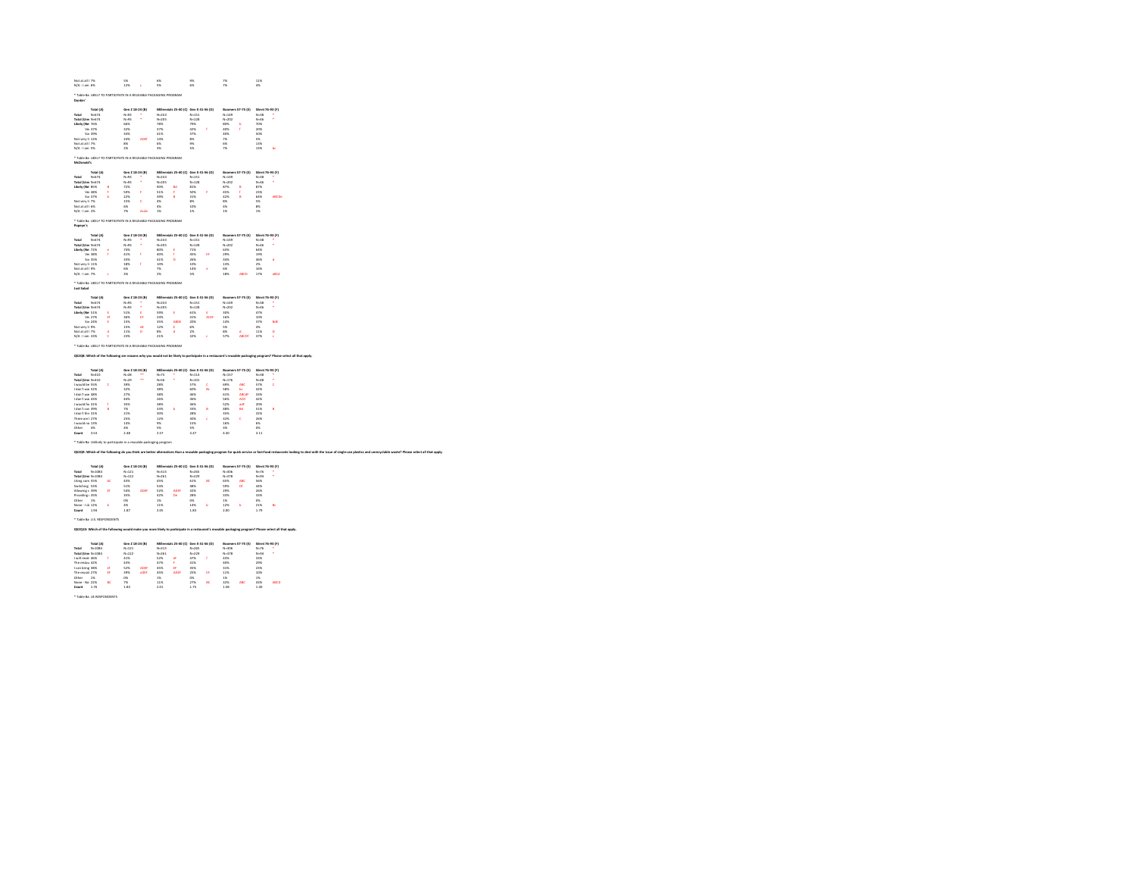| N/A - 1 am 6%                                        |                        |              | 5%                               |           | 6%                                                                                                                                                                                                                            |                                        | 9%                     |     | 256                     |                                    | 11%                    |             |
|------------------------------------------------------|------------------------|--------------|----------------------------------|-----------|-------------------------------------------------------------------------------------------------------------------------------------------------------------------------------------------------------------------------------|----------------------------------------|------------------------|-----|-------------------------|------------------------------------|------------------------|-------------|
|                                                      |                        |              | 12%                              | ×         | 5%                                                                                                                                                                                                                            |                                        | 6%                     |     | $\overline{\alpha}$     |                                    | 4%                     |             |
| Develop"                                             |                        |              |                                  |           | * Table Ba LIKELY TO PARTICIPATE IN A REUSABLE PACKAGING PROGRAM                                                                                                                                                              |                                        |                        |     |                         |                                    |                        |             |
|                                                      | Total (A)              |              | Gen 2 18-24 (B)                  |           |                                                                                                                                                                                                                               | Millennials 25-40 (C) Gen X 41-56 (D)  |                        |     |                         | Boomers 57-75 (t) Silent 76-93 (F) |                        |             |
| Total<br>Total (Line North)                          | $N - 674$              |              | $N = 93$<br>$N = 0.5$            |           | $N = 243$<br>$N = 20%$                                                                                                                                                                                                        |                                        | $N - 151$<br>N=128     |     | $N - 149$<br>$Ne = 202$ |                                    | $N - 38$<br>Negativ    |             |
| Likely (Ne. 76%)                                     |                        |              | 66%                              |           | 78%                                                                                                                                                                                                                           |                                        | 79%                    |     | 80%                     |                                    | 70%                    |             |
|                                                      | Ve: 37%                |              | 32%                              |           | 37%                                                                                                                                                                                                                           |                                        | 42%                    | ł   | 40%                     |                                    | 20%                    |             |
|                                                      | So: 39%                |              | 34%                              |           | 41%                                                                                                                                                                                                                           |                                        | 37%                    |     | 40%                     |                                    | sos.                   |             |
| Not wirv li 12%                                      |                        |              | 24%                              | ADE       | 14%                                                                                                                                                                                                                           |                                        | 8%                     |     | 7%                      |                                    | 5%                     |             |
| Not at all 17%<br>N/A-1 am 5%                        |                        |              | 8%<br>$2\%$                      |           | 6%<br>3%                                                                                                                                                                                                                      |                                        | 9%<br>5%               |     | 6%<br>$\overline{1}$    |                                    | 13%<br>13%             | b.          |
|                                                      |                        |              |                                  |           |                                                                                                                                                                                                                               |                                        |                        |     |                         |                                    |                        |             |
| McDonald's                                           |                        |              |                                  |           | * Table Ba LIKELY TO PARTICIPATE IN A REUSABLE PACKAGING PROGRAM                                                                                                                                                              |                                        |                        |     |                         |                                    |                        |             |
| Total                                                | Total (A)<br>$N = 674$ |              | Gen 2 18-24 (B)<br>$N - 93$      |           | $N = 243$                                                                                                                                                                                                                     | Millennials 25-40 (C) Gen X 41-56 (D)  | $N - 151$              |     | $N - 149$               | Boomers 57-75 (£) Silent 76-93 (F) | $N - 38$               |             |
| Total (Une N-674                                     |                        |              | $N = 93$                         |           | $N - 205$                                                                                                                                                                                                                     |                                        | $N - 128$              |     | $N - 202$               |                                    | $N - 46$               |             |
| Likely (Ne 85%                                       |                        |              | 72%                              |           | sox                                                                                                                                                                                                                           |                                        | 81%                    |     | 87%                     |                                    | 87%                    |             |
|                                                      | Ve: 48%                |              | sono                             | ×         | 51%                                                                                                                                                                                                                           | ×                                      | sons                   |     | 45%                     | ł                                  | 23%                    |             |
|                                                      | Sot 37%                | ь            | 22%                              |           | 39%                                                                                                                                                                                                                           | ö                                      | 31%                    |     | 42%                     | ö                                  | 64%                    | ABCDe       |
| Not very li 7%                                       |                        |              | 15%                              | ×         | 4%                                                                                                                                                                                                                            |                                        | 8%                     |     | 8%                      |                                    | 5%                     |             |
| Not at all I 6%<br>N/A - 1 am 2%                     |                        |              | 6%<br>$\infty$                   | Ade       | 4%<br>1%                                                                                                                                                                                                                      |                                        | 10%<br>1%              |     | 4%<br>1K                |                                    | gy,<br>16              |             |
|                                                      |                        |              |                                  |           |                                                                                                                                                                                                                               |                                        |                        |     |                         |                                    |                        |             |
|                                                      |                        |              |                                  |           | * Table Ba LIKELY TO PARTICIPATE IN A REUSABLE PACKAGING PROGRAM                                                                                                                                                              |                                        |                        |     |                         |                                    |                        |             |
| Popeye's                                             |                        |              |                                  |           |                                                                                                                                                                                                                               |                                        |                        |     |                         |                                    |                        |             |
| Total                                                | Total (A)<br>$N = 674$ |              | Gen Z 18-24 (B)<br>$N - 93$      |           | $N = 243$                                                                                                                                                                                                                     | Millennials 25-40 (C) Gen X 41-56 (D)  | $N - 151$              |     | $N - 149$               | Boomers 57-75 (£) Silent 76-93 (F) | $N - 38$               |             |
| Total (Umr N-674                                     |                        |              | $N - 93$                         |           | $N = 205$                                                                                                                                                                                                                     |                                        | $N - 128$              |     | $N - 202$               |                                    | $N = 46$               |             |
| Likely (Ne 72%                                       |                        |              | 74%                              |           | 80%                                                                                                                                                                                                                           |                                        | 71%                    |     | 63%                     |                                    | 64%                    |             |
|                                                      | Ve: 38%                | ×            | 41%                              | x         | ADK.                                                                                                                                                                                                                          | ×                                      | 45%                    | ĥ.  | 20 <sup>6</sup>         |                                    | 10%                    |             |
|                                                      | So: 35%                |              | 33%                              |           | 41%                                                                                                                                                                                                                           | ö                                      | 26%                    |     | 34%                     |                                    | 46%                    | é           |
| Not very li 11%                                      |                        |              | 18%                              | x         | 10%                                                                                                                                                                                                                           |                                        | 10%                    |     | 13%                     |                                    | $2\%$                  |             |
| New air all 1.9%                                     |                        |              | <b>AK</b>                        |           | $^{76}$                                                                                                                                                                                                                       |                                        | 14%                    | é   | m                       |                                    | 16%                    |             |
| N/A -1 am 7%                                         |                        | ×            | 3%                               |           | 2%                                                                                                                                                                                                                            |                                        | 5%                     |     | 18%                     | ABCD                               | 17%                    | abCd        |
| Just Salad                                           |                        |              |                                  |           | * Table Ba LIKELY TO PARTICIPATE IN A REUSABLE PACKAGING PROGRAM                                                                                                                                                              |                                        |                        |     |                         |                                    |                        |             |
|                                                      | Total (A)              |              | Gen 2 18-24 (B)                  |           |                                                                                                                                                                                                                               | Millennials 25-40 (C) Gen X 41-56 (D)  |                        |     |                         | Boomers 57-75 (£) Silent 76-93 (F) |                        |             |
| Total                                                | $N = 674$              |              | $N = 93$                         |           | $N - 243$                                                                                                                                                                                                                     |                                        | $N - 151$              |     | $N = 149$               |                                    | $N - 38$               |             |
| Total (Une N-674                                     |                        |              | $N = 93$                         |           | $N - 205$                                                                                                                                                                                                                     |                                        | $N - 128$              |     | $N = 202$               |                                    | NoAK                   |             |
| Likely (Ne 51%)                                      |                        | ×            | 51%                              | ٠         | KOK.                                                                                                                                                                                                                          | ×                                      | 61%                    | ٠   | <b>MW</b>               |                                    | 47%                    |             |
|                                                      | Ve: 27%                | £f           | 36%                              | £f        | 24%                                                                                                                                                                                                                           |                                        | 41%                    | ACE | 16%                     |                                    | 10%                    |             |
| Not very li 9%                                       | So: 24%                | ŧ            | 15%<br>15%                       | df        | 35%<br>12%                                                                                                                                                                                                                    | ABDE<br>ŧ                              | 20%<br>6%              |     | 14%<br>5%               |                                    | 37%<br>4%              | bdf         |
|                                                      |                        |              |                                  |           |                                                                                                                                                                                                                               |                                        |                        |     |                         |                                    |                        |             |
|                                                      |                        |              |                                  |           |                                                                                                                                                                                                                               |                                        |                        |     |                         |                                    |                        |             |
|                                                      |                        | ×<br>×       | 11%<br>23%                       | $\sim$    | $8\%$<br>21%<br>* Table Ba LIKELY TO PARTICIPATE IN A REUSABLE PACKAGING PROGRAM                                                                                                                                              | ×                                      | 256<br>32%             | ×   | 88<br>57%               | ×<br>ABCDE                         | 11%<br>37%             | $\sim$<br>× |
|                                                      |                        |              |                                  |           | OS2O8: Which of the following are reasons why you would not be likely to participate in a restaurant's reusable packaging program? Please select all that apply.                                                              |                                        |                        |     |                         |                                    |                        |             |
| New art all 1.7%<br>N/A-1 am 33%                     | Total (A)              |              | Gen Z 18-24 (B)                  |           |                                                                                                                                                                                                                               | Millennials 25-40 (C) Gen X 41-56 (D)  |                        |     |                         | <b>Boomers 57-75 (£)</b>           | Silent 76-93 (F)       |             |
| Total<br>Total (Umr N-410                            | $N - 410$              |              | $N - 28$<br>$N - 29$             | $\ddotsc$ | $N - 73$<br>$N-56$                                                                                                                                                                                                            |                                        | $N - 114$<br>$N - 101$ |     | $N - 157$<br>$N = 176$  |                                    | $N - 38$<br>$N - 48$   |             |
| Lamid ha 55%                                         |                        |              | <b>MW</b>                        |           | 288                                                                                                                                                                                                                           |                                        | 57%                    | ċ   | 69%                     | ABC                                | <b>STK</b>             | ×           |
| I don't war 52%                                      |                        |              | 32%                              |           | 38%                                                                                                                                                                                                                           |                                        | 60%                    | b.  | 58%                     | be.                                | 42%                    |             |
| I don't war 48%                                      |                        |              | 27%                              |           | 38%                                                                                                                                                                                                                           |                                        | 46%                    |     | 61%                     | ABCdl                              | 33%                    |             |
|                                                      |                        |              | 44%                              |           | <b>26%</b>                                                                                                                                                                                                                    |                                        | six                    |     | 56%                     | ACD                                | 42%                    |             |
| I don't war 43%<br>Lamidd for 41%                    |                        | x            | 35%                              |           | <b>tax</b>                                                                                                                                                                                                                    |                                        | ww                     |     | <b>K2NC</b>             | adf                                | 2000                   |             |
| I don't cor 39%                                      |                        | ×            | 256                              |           | 33%                                                                                                                                                                                                                           | ь                                      | 33%                    | ×   | 48%                     | <b>bd</b>                          | 51%                    | ×           |
| I don't this 31%                                     |                        |              | 21%                              |           | 30%                                                                                                                                                                                                                           |                                        | 28%                    |     | 35%                     |                                    | 32%                    |             |
| There are   27%                                      |                        |              | 25%                              |           | 12%                                                                                                                                                                                                                           |                                        | sos                    | ċ   | 32%                     | ć                                  | 26%                    |             |
| I would no 13%<br>Other                              | $4\%$                  |              | 14%<br>asc.                      |           | $\infty$<br><b>KNC</b>                                                                                                                                                                                                        |                                        | 15%<br>ss.             |     | 16%<br>$^{46}$          |                                    | <b>AK</b><br><b>OK</b> |             |
| Count                                                |                        |              | 2.48                             |           | 2.57                                                                                                                                                                                                                          |                                        | 3.47                   |     | 4.30                    |                                    | 3.11                   |             |
|                                                      | $3.53\,$               |              |                                  |           | * Table Ba Unlikely to participate in a reusable packaging program                                                                                                                                                            |                                        |                        |     |                         |                                    |                        |             |
|                                                      |                        |              |                                  |           | OS2O9: Which of the following do you think are better alternatives than a reusable packasing program for quick service or fast-food restaurants looking to deal with the issue of single-use plastics and unrecyclable waste? |                                        |                        |     |                         |                                    |                        |             |
|                                                      | Total (A)              |              | Gen 2 18-24 (B)                  |           |                                                                                                                                                                                                                               | Millennials 25-40 (C) Gen X 41-56 (D)  |                        |     |                         | Boomers 57-75 (£)                  | Silver 26, 93, 013     |             |
| Total                                                | $N - 1084$             |              | $N = 121$                        |           | $N - 315$                                                                                                                                                                                                                     |                                        | $N - 265$              |     | $N - 306$               |                                    | $N - 76$               |             |
| Total (Uny N-1084                                    |                        |              | $N = 122$                        |           | $N - 261$                                                                                                                                                                                                                     |                                        | $N - 220$              |     | $N - 378$               |                                    | $N = 94$               |             |
|                                                      |                        |              | 43%                              |           | 45%                                                                                                                                                                                                                           |                                        | 61%                    |     | 65%                     |                                    | sés                    |             |
|                                                      |                        |              | 51%                              |           | 54%                                                                                                                                                                                                                           |                                        | <b>ABYC</b>            |     | sos                     | es.                                | <b>ABY</b>             |             |
| Usine com 55%<br>Saint-line 53%<br>Allowing c 39%    |                        | $\theta$     | 54%                              | ADE       | 52%                                                                                                                                                                                                                           | <b>ADEF</b>                            | 32%                    |     | 29%                     |                                    | 26%                    |             |
|                                                      |                        |              | 35%                              |           | 42%                                                                                                                                                                                                                           | be.                                    | 28%                    |     | 33%                     |                                    | 33%                    |             |
|                                                      | 14                     |              | $rac{1}{2}$                      |           | 1K                                                                                                                                                                                                                            |                                        | $_{\alpha}$            |     | $^{16}$                 |                                    | $_{\alpha}$            |             |
|                                                      | 1.94                   | ъ            | 4%<br>1.87                       |           | 11%<br>2.05                                                                                                                                                                                                                   |                                        | 14%<br>1.83            | b   | 12%<br>2.00             | ь                                  | 21%<br>1.79            | b.          |
| Providina : 35%<br>Other<br>None - 1 dr 12%<br>Count |                        |              |                                  |           |                                                                                                                                                                                                                               |                                        |                        |     |                         |                                    |                        |             |
| * Table Ba U.S. RESPONDENTS                          |                        |              |                                  |           | Q\$2Q10: Which of the following would make you more likely to participate in a restaurant's reusable packaging program? Please select all that apply.                                                                         |                                        |                        |     |                         |                                    |                        |             |
|                                                      |                        |              |                                  |           |                                                                                                                                                                                                                               |                                        |                        |     |                         |                                    |                        |             |
|                                                      | Total (A)              |              | Gen 7 18.24 (8)                  |           |                                                                                                                                                                                                                               | Millennials 25.40 (C) (Sen X 41.56 (D) |                        |     |                         | Boomers 57-75 (£) Silent 76-93 (F) |                        |             |
| Total                                                | $N - 1084$             |              | $N = 121$                        |           | $N - 315$                                                                                                                                                                                                                     |                                        | $N - 265$              |     | $N - 306$               |                                    | $N - 76$               |             |
| Total (Unv N-1084                                    |                        |              | $N = 122$                        |           | $N = 261$                                                                                                                                                                                                                     |                                        | $N - 229$              |     | $N - 378$               |                                    | $N = 24$               |             |
| will recei 46%<br>The restau 42%                     |                        |              | 41%<br>ave                       |           | 52%<br>42 <sup>6</sup>                                                                                                                                                                                                        | ×                                      | 47%<br>41%             |     | 43%<br>ans.             |                                    | 33%<br>2000            |             |
| I can bring 38%                                      |                        | ×.           | 52%                              | ADE       | 45%                                                                                                                                                                                                                           | EF.                                    | 35%                    |     | 31%                     |                                    | 23%                    |             |
|                                                      |                        | $\theta$     |                                  | abbi      |                                                                                                                                                                                                                               | ADEI                                   | 25%                    | ø   | 11%                     |                                    | 10%                    |             |
| The reuse 27%<br>Other                               | 1%                     |              | 39%<br>os.                       |           | 45%<br>1%                                                                                                                                                                                                                     |                                        | ox                     |     | $1\%$                   |                                    | 1%                     |             |
| None - No. 22%<br>Count                              | 1.76                   | $\mathbf{r}$ | $\overline{\phantom{a}}$<br>1.83 |           | 11%<br>2.01                                                                                                                                                                                                                   |                                        | <b>27%</b><br>1.75     | bć. | <b>APK</b><br>1.58      | ABC                                | <b>AW</b><br>1.40      | ABCD        |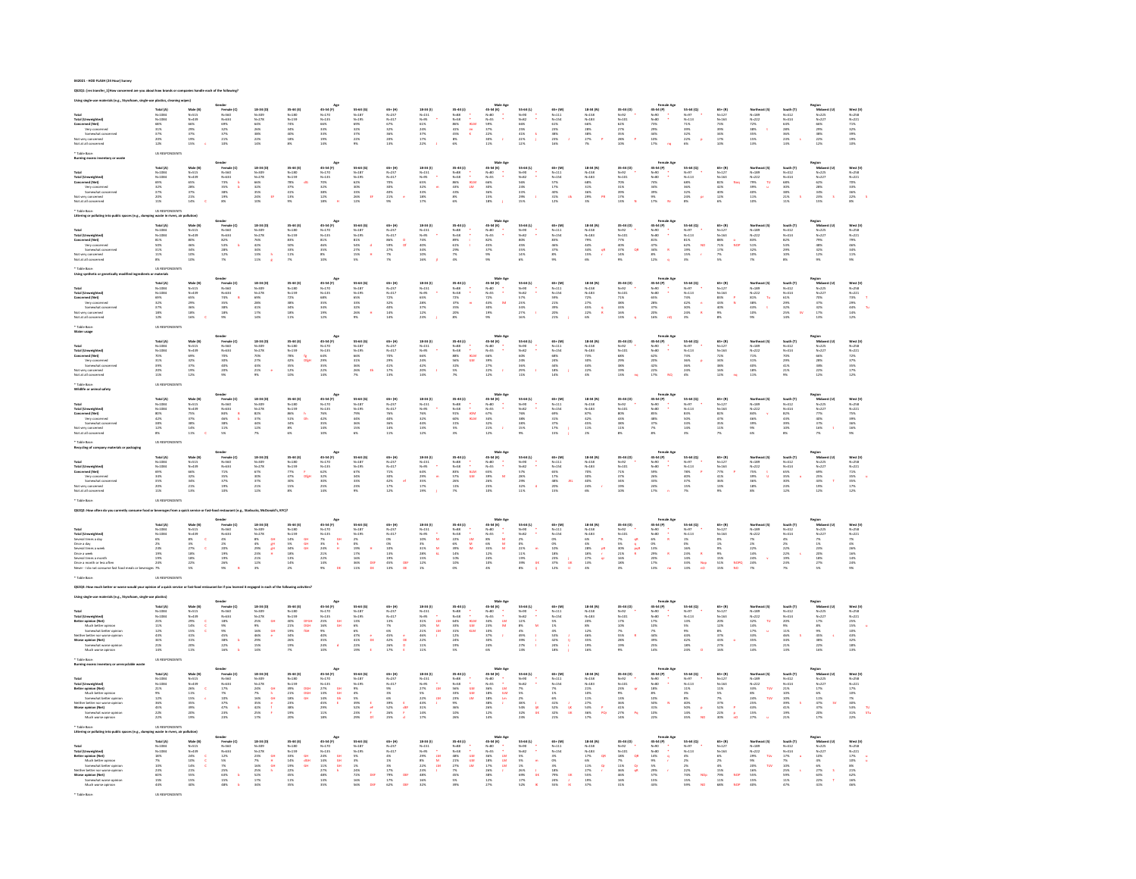|                                                                                                                                                                                                                                       | Total (A)<br>N=1084<br>N=1084<br>S3%<br>S3%<br>37%<br>20%<br>20%               | Male (B)<br>N=515<br>N=439<br>66%<br>29%<br>29%<br>19%<br>19%            | Sender<br>Female (C)<br>N=560<br>N=634<br>69%<br>32%<br>32%<br>21%<br>21%                                                      | 18-34 (D)<br>N-309<br>N-278<br>64%<br>26%<br>28%<br>38%<br>22%<br>14%                                                                      | 35-44 (E)<br>N=180<br>N=159<br>N=K<br>34%<br>34%<br>40%<br>18%                                                                                                                          |                                                                                                                                                                              | $\begin{array}{l} 55-64\; (G)\\ N=187\\ N=195\\ 69\%\\ 32\%\\ 32\%\\ 22\%\\ 9\% \end{array}$                                      | $\begin{array}{r} 65* (H) \\ N=237 \\ N=317 \\ 67\% \\ 32\% \\ 36\% \\ 20\% \\ 23\% \\ 13\% \end{array}$                                                                                                                                                       | $\begin{array}{r} 18\,34\,(0)\\ \,N\text{-}151\\ \,N\text{-}95\\ \,6\,1\%\\ \,2\,4\%\\ \,3\,7\%\\ \,1\,7\%\\ \,2\,2\% \end{array}$                                                                                                                                                                                                                                                                       | $\begin{array}{r} 35\text{--}44\ (1)\\ \mathit{N=38}\\ \mathit{N=58}\\ \mathit{N=58}\\ 41\%\ \\ 41\%\ \\ 8\%\ \\ 6\%\end{array}$                                                                                          | 45-54 (K)<br>N-80<br>N-55<br>S9%<br>S9%<br>S9%<br>S9%<br>S9%<br>S9%                                                                                                                                                                                                                                                                                                                | 55-64 (L)<br>N-90<br>N-82<br>N-82<br>S5%<br>25%<br>41%<br>22%                                                               | 65+ (M)<br>N-111<br>N-154<br>61%<br>23%<br>23%<br>23%<br>23%<br>16%                                                            | $\begin{array}{l} \textbf{18-34 (N)} \\ \textbf{N=153} \\ \textbf{N=183} \\ \textbf{66\%} \\ \textbf{28\%} \\ \textbf{38\%} \\ \textbf{27\%} \\ \textbf{7\%} \end{array}$ | $\begin{array}{l} 35\text{--}44\ ( \text{O}) \\ \text{N=22} \\ \text{N=101} \\ 62\% \\ 27\% \\ 28\% \\ 28\% \\ 28\% \\ 10\% \end{array}$                           | $\begin{array}{r} \textbf{remine}\\ \textbf{45-54 (P)}\\ \textbf{N=90}\\ \textbf{N=80}\\ \textbf{7.356}\\ \textbf{2.956}\\ \textbf{4.456}\\ \textbf{1.076}\\ \textbf{1.776} \end{array}$                                                                                                                                                                                                                                               | $\begin{array}{l} 53\text{--}64\;(\text{Q})\\ \mathit{N}{=}97\\ \mathit{N}{=}113\\ 71\%\\ 39\%\\ 32\%\\ 22\%\\ 6\% \end{array}$                 | $\begin{array}{l} 65* (R) \\ N\text{-}127 \\ N\text{-}163 \\ 73\% \\ 39\% \\ 34\% \\ 17\% \\ 10\% \end{array}$                                                                                                                                                                                                  | Northeast (S)<br>N=189<br>N=222<br>72%<br>73%<br>35%<br>35%<br>15%               | South (T)<br>N=412<br>N=414<br>N=416<br>28%<br>28%<br>36%<br>28%<br>13% | Region<br>Midwest (U)<br>N=225<br>N=227<br>66%<br>29%<br>38%<br>22%<br>22%<br>12%    | West (V)<br>N=258<br>N=221<br>71%<br>32%<br>32%<br>10%<br>10%                      |
|---------------------------------------------------------------------------------------------------------------------------------------------------------------------------------------------------------------------------------------|--------------------------------------------------------------------------------|--------------------------------------------------------------------------|--------------------------------------------------------------------------------------------------------------------------------|--------------------------------------------------------------------------------------------------------------------------------------------|-----------------------------------------------------------------------------------------------------------------------------------------------------------------------------------------|------------------------------------------------------------------------------------------------------------------------------------------------------------------------------|-----------------------------------------------------------------------------------------------------------------------------------|----------------------------------------------------------------------------------------------------------------------------------------------------------------------------------------------------------------------------------------------------------------|----------------------------------------------------------------------------------------------------------------------------------------------------------------------------------------------------------------------------------------------------------------------------------------------------------------------------------------------------------------------------------------------------------|---------------------------------------------------------------------------------------------------------------------------------------------------------------------------------------------------------------------------|------------------------------------------------------------------------------------------------------------------------------------------------------------------------------------------------------------------------------------------------------------------------------------------------------------------------------------------------------------------------------------|-----------------------------------------------------------------------------------------------------------------------------|--------------------------------------------------------------------------------------------------------------------------------|---------------------------------------------------------------------------------------------------------------------------------------------------------------------------|--------------------------------------------------------------------------------------------------------------------------------------------------------------------|----------------------------------------------------------------------------------------------------------------------------------------------------------------------------------------------------------------------------------------------------------------------------------------------------------------------------------------------------------------------------------------------------------------------------------------|-------------------------------------------------------------------------------------------------------------------------------------------------|-----------------------------------------------------------------------------------------------------------------------------------------------------------------------------------------------------------------------------------------------------------------------------------------------------------------|----------------------------------------------------------------------------------|-------------------------------------------------------------------------|--------------------------------------------------------------------------------------|------------------------------------------------------------------------------------|
|                                                                                                                                                                                                                                       |                                                                                |                                                                          |                                                                                                                                |                                                                                                                                            |                                                                                                                                                                                         | 45-54 (1<br>N-170<br>N-135<br>66%<br>33%<br>33%<br>19%<br>14%                                                                                                                |                                                                                                                                   |                                                                                                                                                                                                                                                                |                                                                                                                                                                                                                                                                                                                                                                                                          | $\begin{array}{c} \bullet \\ \bullet \\ \mathsf{ncim} \\ \mathsf{im} \\ \mathsf{K} \end{array}$                                                                                                                           |                                                                                                                                                                                                                                                                                                                                                                                    |                                                                                                                             |                                                                                                                                |                                                                                                                                                                           |                                                                                                                                                                    |                                                                                                                                                                                                                                                                                                                                                                                                                                        |                                                                                                                                                 |                                                                                                                                                                                                                                                                                                                 |                                                                                  |                                                                         |                                                                                      |                                                                                    |
| Total (Umweighted)<br>Total (Umweighted)<br>Concerned (Net)<br>Somewhat cons<br>Not ut all concerned<br>Not at all concerned                                                                                                          |                                                                                |                                                                          |                                                                                                                                |                                                                                                                                            |                                                                                                                                                                                         |                                                                                                                                                                              |                                                                                                                                   |                                                                                                                                                                                                                                                                |                                                                                                                                                                                                                                                                                                                                                                                                          |                                                                                                                                                                                                                           |                                                                                                                                                                                                                                                                                                                                                                                    |                                                                                                                             |                                                                                                                                |                                                                                                                                                                           |                                                                                                                                                                    |                                                                                                                                                                                                                                                                                                                                                                                                                                        |                                                                                                                                                 |                                                                                                                                                                                                                                                                                                                 |                                                                                  |                                                                         |                                                                                      |                                                                                    |
|                                                                                                                                                                                                                                       |                                                                                |                                                                          |                                                                                                                                |                                                                                                                                            |                                                                                                                                                                                         |                                                                                                                                                                              |                                                                                                                                   |                                                                                                                                                                                                                                                                |                                                                                                                                                                                                                                                                                                                                                                                                          |                                                                                                                                                                                                                           |                                                                                                                                                                                                                                                                                                                                                                                    |                                                                                                                             |                                                                                                                                |                                                                                                                                                                           |                                                                                                                                                                    |                                                                                                                                                                                                                                                                                                                                                                                                                                        |                                                                                                                                                 |                                                                                                                                                                                                                                                                                                                 |                                                                                  |                                                                         |                                                                                      |                                                                                    |
|                                                                                                                                                                                                                                       |                                                                                |                                                                          |                                                                                                                                |                                                                                                                                            |                                                                                                                                                                                         |                                                                                                                                                                              |                                                                                                                                   |                                                                                                                                                                                                                                                                |                                                                                                                                                                                                                                                                                                                                                                                                          |                                                                                                                                                                                                                           |                                                                                                                                                                                                                                                                                                                                                                                    |                                                                                                                             |                                                                                                                                |                                                                                                                                                                           |                                                                                                                                                                    |                                                                                                                                                                                                                                                                                                                                                                                                                                        |                                                                                                                                                 |                                                                                                                                                                                                                                                                                                                 |                                                                                  |                                                                         |                                                                                      |                                                                                    |
|                                                                                                                                                                                                                                       |                                                                                |                                                                          |                                                                                                                                |                                                                                                                                            |                                                                                                                                                                                         |                                                                                                                                                                              |                                                                                                                                   |                                                                                                                                                                                                                                                                |                                                                                                                                                                                                                                                                                                                                                                                                          |                                                                                                                                                                                                                           |                                                                                                                                                                                                                                                                                                                                                                                    |                                                                                                                             |                                                                                                                                |                                                                                                                                                                           |                                                                                                                                                                    |                                                                                                                                                                                                                                                                                                                                                                                                                                        |                                                                                                                                                 |                                                                                                                                                                                                                                                                                                                 |                                                                                  |                                                                         |                                                                                      |                                                                                    |
|                                                                                                                                                                                                                                       |                                                                                |                                                                          |                                                                                                                                |                                                                                                                                            |                                                                                                                                                                                         |                                                                                                                                                                              |                                                                                                                                   |                                                                                                                                                                                                                                                                |                                                                                                                                                                                                                                                                                                                                                                                                          |                                                                                                                                                                                                                           |                                                                                                                                                                                                                                                                                                                                                                                    |                                                                                                                             |                                                                                                                                |                                                                                                                                                                           |                                                                                                                                                                    | $\begin{array}{c} \textbf{Female Age} \\ 45-54\,(9) \\ \textbf{N}\!\rightarrow\!\!60 \\ \textbf{N}\!\rightarrow\!\!60 \\ \textbf{N}\!\rightarrow\!\!60 \\ \textbf{3-9\%} \\ 34\% \\ 39\% \\ 9\% \\ 17\% \end{array}$                                                                                                                                                                                                                   |                                                                                                                                                 |                                                                                                                                                                                                                                                                                                                 |                                                                                  |                                                                         |                                                                                      |                                                                                    |
|                                                                                                                                                                                                                                       | <b>Total (A)</b>                                                               | Male (8)<br>N=515<br>N=439<br>S5%<br>28%<br>28%<br>21%<br>21%            | Gender<br>Female (C)<br>N-560<br>N-534<br>23%<br>35%<br>38%<br>19%<br>E%                                                       | 18-34 (D)                                                                                                                                  | 35-44 (E)<br>N=180<br>N=159<br>78%<br>37%<br>41%<br>41%<br>13%                                                                                                                          | 45-54 (F)<br>N=170<br>N=135<br>70%<br>32%<br>32%<br>38%<br>12%                                                                                                               | 55-64 (G)<br>N=187<br>N=195<br>S2%<br>S2%<br>33%<br>26%<br>26%                                                                    | 65+ (H)<br>N-237<br>N-317<br>N-317<br>20%<br>40%<br>21%<br>9%                                                                                                                                                                                                  | 18-34 (1)                                                                                                                                                                                                                                                                                                                                                                                                | $\begin{array}{l} 35\text{--}44\ (1) \\ \mathit{N}{\rightarrow} 8 \\ \mathit{N}{\rightarrow} 8 \\ \mathit{86}\% \\ \mathit{86}\% \\ \mathit{43}\% \\ \mathit{86}\% \\ \mathit{87}\% \\ \mathit{67}\end{array}$            | Mate Ay<br>$45-54$ (K)<br>$N-80$<br>$N-55$<br>$66\%$<br>$30\%$<br>$36\%$<br>$15\%$<br>$18\%$                                                                                                                                                                                                                                                                                       | 55-64 (L)<br>N=90<br>N=82<br>S6%<br>23%<br>23%<br>23%<br>29%                                                                | 65+ (M)<br>N=111<br>N=154<br>S7%<br>17%<br>40%<br>31%<br>12%                                                                   | 18-34 (N)<br>N=153<br>N=183<br>68%<br>51%<br>36%<br>29%                                                                                                                   | $\begin{aligned} & 35\text{--} 44\ (O)\\ & N\text{--} 92\\ & N\text{--} 101\\ & 70\%\\ & 31\%\\ & 17\%\\ & 13\% \end{aligned}$                                     |                                                                                                                                                                                                                                                                                                                                                                                                                                        | 55-64 (Q)<br>N=97<br>N=113<br>68%<br>36%<br>32%<br>24%<br>24%                                                                                   | $\begin{array}{l} 65* (8) \\ \mathsf{N}{\text -}127 \\ \mathsf{N}{\text -}163 \\ 82\% \\ 42\% \\ 42\% \\ 12\% \\ 12\% \\ 6\% \end{array}$                                                                                                                                                                       | Northeast (5)<br>N-189<br>N-222<br>N-222<br>79% U<br>10% U<br>11% 10%            | South (T)<br>N=412<br>N=414<br>S8%<br>S8%<br>S8%<br>21%<br>11%          | Region<br>Midwest (U)<br>N-225<br>N-227<br>SX<br>SX<br>23%<br>34%<br>23%<br>S        | West (V)<br>N=258<br>N=221<br>P0%<br>S3%<br>S6%<br>22%<br>B%                       |
|                                                                                                                                                                                                                                       |                                                                                |                                                                          |                                                                                                                                |                                                                                                                                            |                                                                                                                                                                                         |                                                                                                                                                                              |                                                                                                                                   |                                                                                                                                                                                                                                                                |                                                                                                                                                                                                                                                                                                                                                                                                          | $\begin{array}{l} 1 \\ \vdots \\ 0 \\ \mathsf{LM} \end{array}$                                                                                                                                                            |                                                                                                                                                                                                                                                                                                                                                                                    |                                                                                                                             |                                                                                                                                |                                                                                                                                                                           |                                                                                                                                                                    |                                                                                                                                                                                                                                                                                                                                                                                                                                        |                                                                                                                                                 |                                                                                                                                                                                                                                                                                                                 |                                                                                  |                                                                         |                                                                                      |                                                                                    |
|                                                                                                                                                                                                                                       |                                                                                |                                                                          |                                                                                                                                |                                                                                                                                            |                                                                                                                                                                                         |                                                                                                                                                                              |                                                                                                                                   |                                                                                                                                                                                                                                                                |                                                                                                                                                                                                                                                                                                                                                                                                          |                                                                                                                                                                                                                           |                                                                                                                                                                                                                                                                                                                                                                                    |                                                                                                                             |                                                                                                                                |                                                                                                                                                                           |                                                                                                                                                                    |                                                                                                                                                                                                                                                                                                                                                                                                                                        |                                                                                                                                                 |                                                                                                                                                                                                                                                                                                                 |                                                                                  |                                                                         |                                                                                      |                                                                                    |
|                                                                                                                                                                                                                                       |                                                                                |                                                                          |                                                                                                                                |                                                                                                                                            |                                                                                                                                                                                         |                                                                                                                                                                              |                                                                                                                                   |                                                                                                                                                                                                                                                                |                                                                                                                                                                                                                                                                                                                                                                                                          |                                                                                                                                                                                                                           |                                                                                                                                                                                                                                                                                                                                                                                    |                                                                                                                             |                                                                                                                                |                                                                                                                                                                           |                                                                                                                                                                    |                                                                                                                                                                                                                                                                                                                                                                                                                                        |                                                                                                                                                 |                                                                                                                                                                                                                                                                                                                 |                                                                                  |                                                                         |                                                                                      |                                                                                    |
| Total (Unweighted)<br>Total (Unweighted)<br>Concerned (Net)<br>Yery concerned<br>Not very concerned<br>Not at all concerned                                                                                                           | Total (A)<br>N=1084<br>N=1084<br>69%<br>52%<br>37%<br>37%<br>20%               |                                                                          |                                                                                                                                | 18-34 (1<br>N-309<br>N-278<br>66%<br>S2%<br>35%<br>24%<br>24%                                                                              |                                                                                                                                                                                         |                                                                                                                                                                              |                                                                                                                                   |                                                                                                                                                                                                                                                                | 18-34 (1)<br>N=151<br>N=95<br>65%<br>3.2%<br>3.3%<br>1.8%<br>1.7%                                                                                                                                                                                                                                                                                                                                        |                                                                                                                                                                                                                           |                                                                                                                                                                                                                                                                                                                                                                                    |                                                                                                                             |                                                                                                                                |                                                                                                                                                                           |                                                                                                                                                                    |                                                                                                                                                                                                                                                                                                                                                                                                                                        |                                                                                                                                                 |                                                                                                                                                                                                                                                                                                                 |                                                                                  |                                                                         |                                                                                      |                                                                                    |
|                                                                                                                                                                                                                                       |                                                                                |                                                                          |                                                                                                                                |                                                                                                                                            |                                                                                                                                                                                         |                                                                                                                                                                              |                                                                                                                                   |                                                                                                                                                                                                                                                                |                                                                                                                                                                                                                                                                                                                                                                                                          |                                                                                                                                                                                                                           |                                                                                                                                                                                                                                                                                                                                                                                    |                                                                                                                             |                                                                                                                                |                                                                                                                                                                           |                                                                                                                                                                    |                                                                                                                                                                                                                                                                                                                                                                                                                                        |                                                                                                                                                 |                                                                                                                                                                                                                                                                                                                 |                                                                                  |                                                                         |                                                                                      |                                                                                    |
|                                                                                                                                                                                                                                       |                                                                                |                                                                          |                                                                                                                                |                                                                                                                                            |                                                                                                                                                                                         |                                                                                                                                                                              |                                                                                                                                   |                                                                                                                                                                                                                                                                |                                                                                                                                                                                                                                                                                                                                                                                                          |                                                                                                                                                                                                                           |                                                                                                                                                                                                                                                                                                                                                                                    |                                                                                                                             |                                                                                                                                |                                                                                                                                                                           |                                                                                                                                                                    |                                                                                                                                                                                                                                                                                                                                                                                                                                        |                                                                                                                                                 |                                                                                                                                                                                                                                                                                                                 |                                                                                  |                                                                         |                                                                                      |                                                                                    |
|                                                                                                                                                                                                                                       |                                                                                | Male (B)<br>N-515<br>N-439<br>BD%<br>46%<br>46%<br>34%<br>10%            | Gender<br>Female (C)<br>N-534<br>N-634<br>82%<br>S3%<br>D8%<br>28%<br>28%<br>P%                                                | $\begin{array}{l} 18\text{--}34\ (0)\\ \text{N--}109\\ \text{N--}278\\ \text{76}\%\\ 42\%\\ 34\%\\ 13\%\\ 13\%\\ 11\% \end{array}$         | $\begin{array}{l} 35\text{--}44\;(\mathrm{E})\\ \mathit{N}{-}180\\ \mathit{N}{-}159\\ 83\%\\ 50\%\\ 33\%\\ 11\%\\ \end{array}$                                                          | 45-54 (F)<br>$N=120$<br>$N=135$<br>81%<br>46%<br>85%<br>8%<br>8%<br>10%                                                                                                      | $\begin{array}{l} 55-64\; (G)\\ \mathsf{N}{\text{-}}187\\ \mathsf{N}{\text{-}}195\\ 81\%\\ 54\%\\ 2.7\%\\ 15\%\\ 5\% \end{array}$ | 65+ (H)<br>N-237<br>N-317<br>N-317<br>27%<br>27%<br>7%                                                                                                                                                                                                         | $\begin{array}{r} 18\,34\,(0)\\ \,N\text{-}151\\ \,N\text{-}95\\ \,74\%\\ \,40\%\\ \,34\%\\ \,10\%\\ \,16\% \end{array}$                                                                                                                                                                                                                                                                                 | $\begin{array}{r} 35\text{--}44\ (1)\\ \mathit{N=38}\\ \mathit{N=58}\\ 89\%\\ 29\%\\ 29\%\\ 7\%\\ 4\% \end{array}$                                                                                                        | Mala<br>45-54 (K)<br>N=55<br>N=55<br>37%<br>37%<br>9%                                                                                                                                                                                                                                                                                                                              | 55-64 (L)<br>N-92<br>N-82<br>SOK<br>45%<br>14%<br>14%<br>14%                                                                |                                                                                                                                | $\begin{array}{r} 18\text{--}34\ (N)\\ N\text{--}153\\ N\text{--}183\\ 79\%\\ 44\%\\ 34\%\\ 15\%\\ 15\%\\ 6\% \end{array}$                                                | $\begin{array}{l} 35\text{--}44\ (0) \\ \text{N=92} \\ \text{N=101} \\ 77\% \\ 40\% \\ 37\% \\ 14\% \\ 9\% \end{array}$                                            | $\begin{array}{c} \text{Female} \text{ Ag} \text{} \\ 45-54 \text{ (P)} \\ \text{N} \rightarrow 00 \\ \text{N} \rightarrow 00 \\ 81\% \\ 41\% \\ 34\% \\ 34\% \\ 8\% \\ 12\% \\ 9\% \\ 12\% \\ 9\end{array},$                                                                                                                                                                                                                          | $55-64 (Q)$<br>$N=97$<br>$N=113$<br>$81\%$<br>$62\%$<br>$19\%$<br>$15\%$                                                                        | $\begin{array}{l} 65* (8) \\ \text{N-}127 \\ \text{N-}163 \\ \text{88\%} \\ 71\% \\ \text{17\%} \\ \text{7\%} \\ \text{5\%} \end{array}$                                                                                                                                                                        | Northeast (5)<br>N=189<br>N=222<br>83%<br>53%<br>52%<br>10%<br>10%               | South (T)<br>N=414<br>N=414<br>82%<br>S3%<br>20%<br>20%<br>10%          | Region<br>Midwest (U)<br>N=225<br>N=227<br>29%<br>48%<br>32%<br>32%<br>22%           | West (V)<br>N=258<br>N=221<br>P9%<br>46%<br>46%<br>34%<br>11%<br>P%                |
|                                                                                                                                                                                                                                       |                                                                                |                                                                          |                                                                                                                                |                                                                                                                                            |                                                                                                                                                                                         |                                                                                                                                                                              |                                                                                                                                   |                                                                                                                                                                                                                                                                |                                                                                                                                                                                                                                                                                                                                                                                                          |                                                                                                                                                                                                                           |                                                                                                                                                                                                                                                                                                                                                                                    |                                                                                                                             |                                                                                                                                |                                                                                                                                                                           |                                                                                                                                                                    |                                                                                                                                                                                                                                                                                                                                                                                                                                        |                                                                                                                                                 |                                                                                                                                                                                                                                                                                                                 |                                                                                  |                                                                         |                                                                                      |                                                                                    |
|                                                                                                                                                                                                                                       |                                                                                |                                                                          |                                                                                                                                |                                                                                                                                            |                                                                                                                                                                                         |                                                                                                                                                                              |                                                                                                                                   |                                                                                                                                                                                                                                                                |                                                                                                                                                                                                                                                                                                                                                                                                          |                                                                                                                                                                                                                           |                                                                                                                                                                                                                                                                                                                                                                                    |                                                                                                                             |                                                                                                                                |                                                                                                                                                                           |                                                                                                                                                                    |                                                                                                                                                                                                                                                                                                                                                                                                                                        | NO                                                                                                                                              |                                                                                                                                                                                                                                                                                                                 |                                                                                  |                                                                         |                                                                                      |                                                                                    |
|                                                                                                                                                                                                                                       |                                                                                |                                                                          |                                                                                                                                |                                                                                                                                            |                                                                                                                                                                                         |                                                                                                                                                                              |                                                                                                                                   |                                                                                                                                                                                                                                                                |                                                                                                                                                                                                                                                                                                                                                                                                          |                                                                                                                                                                                                                           |                                                                                                                                                                                                                                                                                                                                                                                    |                                                                                                                             |                                                                                                                                | $\frac{dR}{dt}$                                                                                                                                                           |                                                                                                                                                                    |                                                                                                                                                                                                                                                                                                                                                                                                                                        |                                                                                                                                                 |                                                                                                                                                                                                                                                                                                                 |                                                                                  |                                                                         |                                                                                      |                                                                                    |
| Total<br>Total (Umweighted)<br>Concerned (Net)<br>- Very concerned<br>- Somewhat concerned<br>Not at all concerned<br>Not at all concerned                                                                                            | Total (A<br>N=1084<br>N=1084<br>81%<br>81%<br>31%<br>11%<br>11%                |                                                                          |                                                                                                                                |                                                                                                                                            |                                                                                                                                                                                         |                                                                                                                                                                              |                                                                                                                                   |                                                                                                                                                                                                                                                                |                                                                                                                                                                                                                                                                                                                                                                                                          |                                                                                                                                                                                                                           |                                                                                                                                                                                                                                                                                                                                                                                    |                                                                                                                             | 65+ (M)<br>N=111<br>N=154<br>83%<br>46%<br>37%<br>8%<br>8%                                                                     |                                                                                                                                                                           |                                                                                                                                                                    |                                                                                                                                                                                                                                                                                                                                                                                                                                        |                                                                                                                                                 |                                                                                                                                                                                                                                                                                                                 |                                                                                  |                                                                         |                                                                                      |                                                                                    |
|                                                                                                                                                                                                                                       | US RESI                                                                        |                                                                          |                                                                                                                                |                                                                                                                                            |                                                                                                                                                                                         |                                                                                                                                                                              |                                                                                                                                   |                                                                                                                                                                                                                                                                |                                                                                                                                                                                                                                                                                                                                                                                                          |                                                                                                                                                                                                                           |                                                                                                                                                                                                                                                                                                                                                                                    |                                                                                                                             |                                                                                                                                |                                                                                                                                                                           |                                                                                                                                                                    |                                                                                                                                                                                                                                                                                                                                                                                                                                        |                                                                                                                                                 |                                                                                                                                                                                                                                                                                                                 |                                                                                  |                                                                         |                                                                                      |                                                                                    |
|                                                                                                                                                                                                                                       |                                                                                |                                                                          |                                                                                                                                |                                                                                                                                            |                                                                                                                                                                                         |                                                                                                                                                                              |                                                                                                                                   |                                                                                                                                                                                                                                                                |                                                                                                                                                                                                                                                                                                                                                                                                          |                                                                                                                                                                                                                           |                                                                                                                                                                                                                                                                                                                                                                                    |                                                                                                                             |                                                                                                                                |                                                                                                                                                                           |                                                                                                                                                                    |                                                                                                                                                                                                                                                                                                                                                                                                                                        |                                                                                                                                                 |                                                                                                                                                                                                                                                                                                                 |                                                                                  |                                                                         |                                                                                      |                                                                                    |
|                                                                                                                                                                                                                                       |                                                                                |                                                                          |                                                                                                                                |                                                                                                                                            |                                                                                                                                                                                         |                                                                                                                                                                              |                                                                                                                                   |                                                                                                                                                                                                                                                                |                                                                                                                                                                                                                                                                                                                                                                                                          |                                                                                                                                                                                                                           |                                                                                                                                                                                                                                                                                                                                                                                    |                                                                                                                             |                                                                                                                                |                                                                                                                                                                           |                                                                                                                                                                    |                                                                                                                                                                                                                                                                                                                                                                                                                                        |                                                                                                                                                 |                                                                                                                                                                                                                                                                                                                 |                                                                                  |                                                                         |                                                                                      |                                                                                    |
|                                                                                                                                                                                                                                       |                                                                                |                                                                          |                                                                                                                                |                                                                                                                                            |                                                                                                                                                                                         |                                                                                                                                                                              |                                                                                                                                   |                                                                                                                                                                                                                                                                |                                                                                                                                                                                                                                                                                                                                                                                                          |                                                                                                                                                                                                                           |                                                                                                                                                                                                                                                                                                                                                                                    |                                                                                                                             |                                                                                                                                |                                                                                                                                                                           |                                                                                                                                                                    |                                                                                                                                                                                                                                                                                                                                                                                                                                        |                                                                                                                                                 |                                                                                                                                                                                                                                                                                                                 |                                                                                  |                                                                         |                                                                                      |                                                                                    |
|                                                                                                                                                                                                                                       |                                                                                |                                                                          |                                                                                                                                |                                                                                                                                            |                                                                                                                                                                                         |                                                                                                                                                                              |                                                                                                                                   |                                                                                                                                                                                                                                                                |                                                                                                                                                                                                                                                                                                                                                                                                          |                                                                                                                                                                                                                           |                                                                                                                                                                                                                                                                                                                                                                                    |                                                                                                                             |                                                                                                                                |                                                                                                                                                                           |                                                                                                                                                                    |                                                                                                                                                                                                                                                                                                                                                                                                                                        |                                                                                                                                                 |                                                                                                                                                                                                                                                                                                                 |                                                                                  |                                                                         |                                                                                      |                                                                                    |
| Total<br>Total (Unweighted)<br>Concerned (Net)<br>Yery concerned<br>Not very concerned<br>Not very concerned                                                                                                                          |                                                                                |                                                                          | Gender<br>Female (C)<br>N=634<br>N=634<br>74%<br>35%<br>38%<br>38%<br>28%                                                      | 18-34 (D)<br>N=309<br>N=278<br>69%<br>28%<br>41%<br>17%<br>17%                                                                             |                                                                                                                                                                                         |                                                                                                                                                                              |                                                                                                                                   |                                                                                                                                                                                                                                                                |                                                                                                                                                                                                                                                                                                                                                                                                          |                                                                                                                                                                                                                           |                                                                                                                                                                                                                                                                                                                                                                                    |                                                                                                                             |                                                                                                                                | $\begin{array}{l} 18\text{--}34\ (N)\\ N\text{--}153\\ N\text{--}183\\ 72\%\\ 27\%\\ 45\%\\ 22\%\\ \sim\\ \end{array}$                                                    |                                                                                                                                                                    |                                                                                                                                                                                                                                                                                                                                                                                                                                        |                                                                                                                                                 |                                                                                                                                                                                                                                                                                                                 |                                                                                  |                                                                         |                                                                                      |                                                                                    |
|                                                                                                                                                                                                                                       | Total (A)<br>N=1084<br>N=1084<br>69%<br>32%<br>32%<br>18%<br>18%               | Male (B)<br>N=515<br>N=439<br>S5%<br>29%<br>36%<br>18%<br>16%            |                                                                                                                                |                                                                                                                                            | 35-44 (E)<br>N=180<br>N=159<br>72%<br>38%<br>38%<br>38%<br>18%<br>11%                                                                                                                   | 45-54 (F)<br>N=170<br>N=135<br>SS%<br>SS%<br>SS%<br>SS%<br>12%<br>12%                                                                                                        | 55-64 (G)<br>N=187<br>N=195<br>S5%<br>S3%<br>32%<br>26%<br>26%                                                                    | 65+ (H)<br>N=237<br>N=317<br>72%<br>32%<br>40%<br>14%<br>14%                                                                                                                                                                                                   | $\begin{array}{l} 18\text{--}34\ (0) \\ \mathit{N}{\text{--}}151 \\ \mathit{N}{\text{--}}95 \\ \mathit{65}\% \\ 2.8\% \\ 3.7\% \\ 12\% \\ 2.8\% \end{array}$                                                                                                                                                                                                                                             | 35-44 (J)<br>N-88<br>N-58<br>N-58<br>72%<br>37%<br>35%<br>20%                                                                                                                                                             | Male Age<br>45-54 (K)<br>N=55<br>N=55<br>22%<br>43%<br>SD%<br>19%                                                                                                                                                                                                                                                                                                                  | 55-64 (L)<br>N=90<br>N=82<br>S7%<br>23%<br>23%<br>24%<br>16%                                                                | 65+ (M)<br>N=111<br>N=154<br>S9%<br>21%<br>21%<br>20%                                                                          |                                                                                                                                                                           | $\begin{array}{l} 35\text{--}44\ (0) \\ \text{N=92} \\ \text{N=101} \\ 71\% \\ 38\% \\ 33\% \\ 16\% \\ 13\% \\ \end{array}$                                        | $\begin{array}{r} \textbf{Female Age} \\ 45-54 \textbf{(9)} \\ \textbf{N} \!\!-\!\! 90 \\ \textbf{N} \!\!-\!\! 90 \\ \textbf{N} \!\!-\!\! 90 \\ \textbf{65N} \\ 220\% \\ 220\% \\ 169\% \end{array}$                                                                                                                                                                                                                                   | $55 - 64 (Q)$<br>$N = 113$<br>$73 \%$<br>$22 \%$<br>$24 \%$<br>$30 \%$                                                                          | $\begin{array}{l} 65* (8) \\ N*127 \\ N*163 \\ 83\% \\ 43\% \\ 43\% \\ 9\% \\ 9\% \\ \end{array}$                                                                                                                                                                                                               | Northeast (5)<br>N-189<br>N-222<br>S1% Tu<br>38% t<br>43% t<br>10%<br>S%         | South (T)<br>N=412<br>N=414<br>61%<br>29%<br>29%<br>25%<br>25%          | Region<br>Midwest (U)<br>N=225<br>N=227<br>NS<br>32%<br>32%<br>32%<br>12%<br>13%     | West (V)<br>N=258<br>N=221<br>73%<br>29%<br>44%<br>14%<br>14%                      |
|                                                                                                                                                                                                                                       |                                                                                |                                                                          |                                                                                                                                |                                                                                                                                            |                                                                                                                                                                                         |                                                                                                                                                                              |                                                                                                                                   |                                                                                                                                                                                                                                                                |                                                                                                                                                                                                                                                                                                                                                                                                          |                                                                                                                                                                                                                           |                                                                                                                                                                                                                                                                                                                                                                                    |                                                                                                                             |                                                                                                                                |                                                                                                                                                                           |                                                                                                                                                                    |                                                                                                                                                                                                                                                                                                                                                                                                                                        |                                                                                                                                                 |                                                                                                                                                                                                                                                                                                                 |                                                                                  |                                                                         |                                                                                      |                                                                                    |
|                                                                                                                                                                                                                                       | us nes                                                                         |                                                                          |                                                                                                                                |                                                                                                                                            |                                                                                                                                                                                         |                                                                                                                                                                              |                                                                                                                                   |                                                                                                                                                                                                                                                                |                                                                                                                                                                                                                                                                                                                                                                                                          |                                                                                                                                                                                                                           |                                                                                                                                                                                                                                                                                                                                                                                    |                                                                                                                             |                                                                                                                                |                                                                                                                                                                           |                                                                                                                                                                    |                                                                                                                                                                                                                                                                                                                                                                                                                                        |                                                                                                                                                 |                                                                                                                                                                                                                                                                                                                 |                                                                                  |                                                                         |                                                                                      |                                                                                    |
|                                                                                                                                                                                                                                       |                                                                                |                                                                          | Gender<br>Female<br>N=560<br>N=634<br>70%<br>30%<br>40%<br>20%                                                                 |                                                                                                                                            |                                                                                                                                                                                         |                                                                                                                                                                              |                                                                                                                                   |                                                                                                                                                                                                                                                                |                                                                                                                                                                                                                                                                                                                                                                                                          |                                                                                                                                                                                                                           | Male Age<br>45-54 (K)<br>N=80<br>N=55<br>69%<br>22%<br>22%<br>22%<br>22%                                                                                                                                                                                                                                                                                                           |                                                                                                                             |                                                                                                                                |                                                                                                                                                                           |                                                                                                                                                                    |                                                                                                                                                                                                                                                                                                                                                                                                                                        |                                                                                                                                                 |                                                                                                                                                                                                                                                                                                                 |                                                                                  |                                                                         | Region<br>Midwest (U)<br>N=225<br>N=227<br>66%<br>28%<br>28%<br>22%<br>22%<br>22%    |                                                                                    |
|                                                                                                                                                                                                                                       | Total (A)<br>N-1084<br>N-1084<br>N-1084<br>31%<br>39%<br>20%<br>11%            | Male (B)<br>N-515<br>N-439<br>N-439<br>SP%<br>37%<br>37%<br>19%          |                                                                                                                                | 18-34 (D)<br>N=309<br>N=278<br>70%<br>27%<br>43%<br>21%                                                                                    | $\begin{array}{l} 35\text{--}44\ (E)\\ \mathit{N}{=}180\\ \mathit{N}{=}159\\ \mathit{78}\%\\ 42\%\\ 35\%\\ 12\%\\ 10\% \end{array}$                                                     | 45-54 (F)<br>N=170<br>N=135<br>64%<br>23%<br>22%<br>14%                                                                                                                      | 55-64 (G)<br>N=187<br>N=195<br>N=66%<br>31%<br>36%<br>26%<br>26%                                                                  | $\begin{array}{l} 65*(\mathsf{H}) \\ \mathsf{N}{\!\!\!\!\!\!\!-}237 \\ \mathsf{N}{\!\!\!\!\!\!\!-}312 \\ \mathsf{N}{\!\!\!\!\!\!\!\!-}317 \\ \mathsf{N}{\!\!\!\!\!\!\!\!-}317 \\ \mathsf{29}\% \\ \mathsf{41}\% \\ \mathsf{17}\% \\ \mathsf{13}\% \end{array}$ | $\begin{array}{r} 18\text{-}34\ (0) \\ \mathsf{N}{\text{-}}151 \\ \mathsf{N}{\text{-}}95 \\ \mathsf{66\%} \\ 24\% \\ \mathsf{42\%} \\ 20\% \\ \mathsf{14\%} \end{array}$                                                                                                                                                                                                                                 | 35.44 (J)<br>N=88<br>N=58<br>88% RCM<br>56% RLM<br>32%<br>5%<br>7%                                                                                                                                                        |                                                                                                                                                                                                                                                                                                                                                                                    | 55-64 (L)<br>N=82<br>N=82<br>60%<br>24%<br>24%<br>36%<br>29%                                                                | $\begin{array}{l} 65* \, (M) \\ N\!-\!111 \\ N\!-\!154 \\ 68\% \\ 24\% \\ 24\% \\ 18\% \\ 18\% \\ 18\% \\ 14\% \end{array}$    | 18-34 (N)<br>N=158<br>N=183<br>73%<br>30%<br>44%<br>44%                                                                                                                   | $\begin{array}{l} 35\text{--}44\ (0)\\ \hline \text{N}{\text{--}}92\\ \text{N}{\text{--}}101\\ 68\%\\ 29\%\\ 38\%\\ 19\%\\ 19\%\\ 13\% \end{array}$                | $\begin{array}{c} \textbf{Female A} \\ \textbf{45-54 (P)} \\ \textbf{N=90} \\ \textbf{N=80} \\ \textbf{6.256} \\ \textbf{2.056} \\ \textbf{2.06} \\ \textbf{2.75} \\ \textbf{2.75} \\ \textbf{1.796} \end{array}$                                                                                                                                                                                                                      | 55-64 (Q)<br>N=97<br>N=113<br>73%<br>36%<br>36%<br>24%<br>4%                                                                                    | $\begin{array}{l} 65* (8) \\ \mathsf{N}{\text -}127 \\ \mathsf{N}{\text -}163 \\ \mathsf{7256} \\ 34\% \\ 38\% \\ 16\% \\ \mathsf{1256} \end{array}$                                                                                                                                                            | Northeast (S)<br>N=189<br>N=222<br>71%<br>31%<br>40%<br>18%<br>18%               | South (T)<br>N=412<br>N=414<br>N=414<br>20%<br>41%<br>21%               |                                                                                      | West [V]<br>N=258<br>N=221<br>72%<br>37%<br>35%<br>17%<br>17%                      |
| Total (Unweighted)<br>Concerned (Net)<br>Very concerne<br>Somewhat con                                                                                                                                                                |                                                                                |                                                                          |                                                                                                                                |                                                                                                                                            |                                                                                                                                                                                         |                                                                                                                                                                              |                                                                                                                                   |                                                                                                                                                                                                                                                                |                                                                                                                                                                                                                                                                                                                                                                                                          |                                                                                                                                                                                                                           |                                                                                                                                                                                                                                                                                                                                                                                    |                                                                                                                             |                                                                                                                                |                                                                                                                                                                           |                                                                                                                                                                    |                                                                                                                                                                                                                                                                                                                                                                                                                                        |                                                                                                                                                 |                                                                                                                                                                                                                                                                                                                 |                                                                                  |                                                                         |                                                                                      |                                                                                    |
|                                                                                                                                                                                                                                       |                                                                                |                                                                          |                                                                                                                                |                                                                                                                                            |                                                                                                                                                                                         |                                                                                                                                                                              |                                                                                                                                   |                                                                                                                                                                                                                                                                |                                                                                                                                                                                                                                                                                                                                                                                                          |                                                                                                                                                                                                                           |                                                                                                                                                                                                                                                                                                                                                                                    |                                                                                                                             |                                                                                                                                |                                                                                                                                                                           |                                                                                                                                                                    |                                                                                                                                                                                                                                                                                                                                                                                                                                        |                                                                                                                                                 |                                                                                                                                                                                                                                                                                                                 |                                                                                  |                                                                         |                                                                                      |                                                                                    |
|                                                                                                                                                                                                                                       |                                                                                |                                                                          |                                                                                                                                |                                                                                                                                            |                                                                                                                                                                                         |                                                                                                                                                                              |                                                                                                                                   |                                                                                                                                                                                                                                                                |                                                                                                                                                                                                                                                                                                                                                                                                          |                                                                                                                                                                                                                           |                                                                                                                                                                                                                                                                                                                                                                                    |                                                                                                                             |                                                                                                                                |                                                                                                                                                                           |                                                                                                                                                                    |                                                                                                                                                                                                                                                                                                                                                                                                                                        |                                                                                                                                                 |                                                                                                                                                                                                                                                                                                                 |                                                                                  |                                                                         |                                                                                      |                                                                                    |
|                                                                                                                                                                                                                                       |                                                                                |                                                                          |                                                                                                                                |                                                                                                                                            |                                                                                                                                                                                         |                                                                                                                                                                              |                                                                                                                                   |                                                                                                                                                                                                                                                                |                                                                                                                                                                                                                                                                                                                                                                                                          |                                                                                                                                                                                                                           |                                                                                                                                                                                                                                                                                                                                                                                    |                                                                                                                             |                                                                                                                                |                                                                                                                                                                           |                                                                                                                                                                    |                                                                                                                                                                                                                                                                                                                                                                                                                                        |                                                                                                                                                 |                                                                                                                                                                                                                                                                                                                 |                                                                                  |                                                                         |                                                                                      |                                                                                    |
|                                                                                                                                                                                                                                       |                                                                                |                                                                          |                                                                                                                                |                                                                                                                                            |                                                                                                                                                                                         |                                                                                                                                                                              |                                                                                                                                   |                                                                                                                                                                                                                                                                |                                                                                                                                                                                                                                                                                                                                                                                                          |                                                                                                                                                                                                                           |                                                                                                                                                                                                                                                                                                                                                                                    |                                                                                                                             |                                                                                                                                |                                                                                                                                                                           |                                                                                                                                                                    |                                                                                                                                                                                                                                                                                                                                                                                                                                        |                                                                                                                                                 |                                                                                                                                                                                                                                                                                                                 |                                                                                  |                                                                         |                                                                                      |                                                                                    |
|                                                                                                                                                                                                                                       |                                                                                |                                                                          | Gender<br>Female<br>N=560<br>N=634<br>84%<br>46%<br>38%<br>11%                                                                 |                                                                                                                                            |                                                                                                                                                                                         |                                                                                                                                                                              |                                                                                                                                   |                                                                                                                                                                                                                                                                |                                                                                                                                                                                                                                                                                                                                                                                                          |                                                                                                                                                                                                                           |                                                                                                                                                                                                                                                                                                                                                                                    |                                                                                                                             |                                                                                                                                |                                                                                                                                                                           |                                                                                                                                                                    |                                                                                                                                                                                                                                                                                                                                                                                                                                        |                                                                                                                                                 |                                                                                                                                                                                                                                                                                                                 |                                                                                  |                                                                         | tegion<br>Midwes<br>N=225<br>N=227<br>N%<br>40%<br>37%<br>16%<br>16%                 |                                                                                    |
|                                                                                                                                                                                                                                       | Total (A)<br>N=1084<br>N=1084<br>80%<br>80%<br>42%<br>38%<br>12%               | Male (B)<br>N=515<br>N=439<br>75%<br>38%<br>38%<br>38%<br>14%            |                                                                                                                                | 18-34 (D)<br>N=309<br>N=278<br>82%<br>82%<br>37%<br>44%                                                                                    | 35-44 (E)<br>N-180<br>N-159<br>86%<br>S1%<br>S1%<br>8%<br>8%                                                                                                                            | $\begin{array}{r} \mathbf{45.54}\ (1) \\ \mathbf{10-170} \\ \mathbf{N-135} \\ \mathbf{76}\% \\ \mathbf{42}\% \\ \mathbf{35}\% \\ \mathbf{14}\% \\ \mathbf{10}\% \end{array}$ | 55-64 (G)<br>N=187<br>N=195<br>79%<br>44%<br>44%<br>15%<br>15%<br>15%                                                             | $\begin{array}{r} 65* (H) \\ N=237 \\ N=317 \\ 76\% \\ 40\% \\ 36\% \\ 14\% \\ 11\% \end{array}$                                                                                                                                                               | $\begin{array}{r} 18\text{-}34\ (0) \\ \mathit{N}{\text{-}}151 \\ \mathit{N}{\text{-}}95 \\ \mathit{76}\% \\ 32\% \\ 44\% \\ 13\% \\ 13\% \\ \end{array}$                                                                                                                                                                                                                                                | $\begin{array}{l} 35\text{--}44\ (1) \\ \mathit{N}{\rightarrow} 88 \\ \mathit{N}{\rightarrow} 58 \\ \mathit{91\%} \\ \mathit{91\%} \\ 31\%\ \mathit{5\%} \\ 33\%\ \end{array}$                                            | Male<br>45-54 (K)<br>N=80<br>N=55<br>67%<br>34%<br>32%<br>21%<br>22%                                                                                                                                                                                                                                                                                                               | 55-64 (L)<br>N=92<br>N=82<br>N6%<br>38%<br>38%<br>15%<br>9%                                                                 | $\begin{array}{r} 65* (M) \\ N\text{-}111 \\ N\text{-}154 \\ 69\% \\ 31\% \\ 31\% \\ 37\% \\ 17\% \\ 17\% \\ 18\% \end{array}$ | $\begin{array}{r} 18\text{--}34\ (N)\\ N\text{--}153\\ N\text{--}183\\ 87\%\\ 42\%\\ 45\%\\ 11\% \end{array}$                                                             | $\begin{array}{l} 35\text{--}44\ (0) \\ \text{N=92} \\ \text{N=101} \\ 80\% \\ 43\% \\ 38\% \\ 11\% \\ \text{mm} \\ 11\% \\ \text{mm} \end{array}$                 | $\begin{array}{c} \textbf{Female} \\ \textbf{45-54 (P)} \\ \textbf{N+90} \\ \textbf{N+90} \\ \textbf{85\%} \\ \textbf{85\%} \\ \textbf{48\%} \\ \textbf{37\%} \\ \textbf{7\%} \\ \textbf{8\%} \end{array}$                                                                                                                                                                                                                             | $55 - 64 (Q)$<br>$N = 113$<br>$83 \%$<br>$50 \%$<br>$33 \%$<br>$14 \%$<br>$39 \%$                                                               | $\begin{array}{l} 65* (8) \\ N=127 \\ N=163 \\ 82\% \\ 47\% \\ 35\% \\ 11\% \\ \ldots \end{array}$                                                                                                                                                                                                              | Northea<br>N=189<br>N=222<br>84%<br>46%<br>9%<br>9%<br>9%                        | South (T)<br>$N=412$<br>$N=414$<br>$82\%$<br>$43\%$<br>$39\%$<br>$10\%$ |                                                                                      | West (V)<br>N=258<br>N=221<br>75%<br>39%<br>39%<br>16%<br>16%                      |
|                                                                                                                                                                                                                                       |                                                                                |                                                                          |                                                                                                                                |                                                                                                                                            |                                                                                                                                                                                         |                                                                                                                                                                              |                                                                                                                                   |                                                                                                                                                                                                                                                                |                                                                                                                                                                                                                                                                                                                                                                                                          | $\frac{1}{100M}$                                                                                                                                                                                                          |                                                                                                                                                                                                                                                                                                                                                                                    |                                                                                                                             |                                                                                                                                |                                                                                                                                                                           |                                                                                                                                                                    |                                                                                                                                                                                                                                                                                                                                                                                                                                        |                                                                                                                                                 |                                                                                                                                                                                                                                                                                                                 |                                                                                  |                                                                         |                                                                                      |                                                                                    |
|                                                                                                                                                                                                                                       |                                                                                |                                                                          |                                                                                                                                |                                                                                                                                            |                                                                                                                                                                                         |                                                                                                                                                                              |                                                                                                                                   |                                                                                                                                                                                                                                                                |                                                                                                                                                                                                                                                                                                                                                                                                          |                                                                                                                                                                                                                           |                                                                                                                                                                                                                                                                                                                                                                                    |                                                                                                                             |                                                                                                                                |                                                                                                                                                                           |                                                                                                                                                                    |                                                                                                                                                                                                                                                                                                                                                                                                                                        |                                                                                                                                                 |                                                                                                                                                                                                                                                                                                                 |                                                                                  |                                                                         |                                                                                      |                                                                                    |
| Total<br>Total (Umweighted)<br>Concerned (Net)<br>Yery concerned<br>Not very concerned<br>Not very concerned                                                                                                                          |                                                                                |                                                                          |                                                                                                                                | 12%                                                                                                                                        |                                                                                                                                                                                         |                                                                                                                                                                              |                                                                                                                                   |                                                                                                                                                                                                                                                                |                                                                                                                                                                                                                                                                                                                                                                                                          |                                                                                                                                                                                                                           |                                                                                                                                                                                                                                                                                                                                                                                    |                                                                                                                             |                                                                                                                                |                                                                                                                                                                           |                                                                                                                                                                    |                                                                                                                                                                                                                                                                                                                                                                                                                                        |                                                                                                                                                 |                                                                                                                                                                                                                                                                                                                 |                                                                                  |                                                                         |                                                                                      |                                                                                    |
|                                                                                                                                                                                                                                       |                                                                                |                                                                          |                                                                                                                                |                                                                                                                                            |                                                                                                                                                                                         |                                                                                                                                                                              |                                                                                                                                   |                                                                                                                                                                                                                                                                |                                                                                                                                                                                                                                                                                                                                                                                                          |                                                                                                                                                                                                                           |                                                                                                                                                                                                                                                                                                                                                                                    |                                                                                                                             |                                                                                                                                |                                                                                                                                                                           |                                                                                                                                                                    |                                                                                                                                                                                                                                                                                                                                                                                                                                        |                                                                                                                                                 |                                                                                                                                                                                                                                                                                                                 |                                                                                  |                                                                         |                                                                                      |                                                                                    |
|                                                                                                                                                                                                                                       |                                                                                |                                                                          |                                                                                                                                |                                                                                                                                            |                                                                                                                                                                                         |                                                                                                                                                                              |                                                                                                                                   |                                                                                                                                                                                                                                                                |                                                                                                                                                                                                                                                                                                                                                                                                          |                                                                                                                                                                                                                           |                                                                                                                                                                                                                                                                                                                                                                                    |                                                                                                                             |                                                                                                                                |                                                                                                                                                                           |                                                                                                                                                                    |                                                                                                                                                                                                                                                                                                                                                                                                                                        |                                                                                                                                                 |                                                                                                                                                                                                                                                                                                                 |                                                                                  |                                                                         |                                                                                      |                                                                                    |
|                                                                                                                                                                                                                                       |                                                                                |                                                                          |                                                                                                                                |                                                                                                                                            |                                                                                                                                                                                         |                                                                                                                                                                              |                                                                                                                                   |                                                                                                                                                                                                                                                                |                                                                                                                                                                                                                                                                                                                                                                                                          |                                                                                                                                                                                                                           |                                                                                                                                                                                                                                                                                                                                                                                    |                                                                                                                             |                                                                                                                                |                                                                                                                                                                           |                                                                                                                                                                    |                                                                                                                                                                                                                                                                                                                                                                                                                                        |                                                                                                                                                 |                                                                                                                                                                                                                                                                                                                 |                                                                                  |                                                                         |                                                                                      |                                                                                    |
|                                                                                                                                                                                                                                       |                                                                                |                                                                          |                                                                                                                                |                                                                                                                                            |                                                                                                                                                                                         |                                                                                                                                                                              |                                                                                                                                   |                                                                                                                                                                                                                                                                |                                                                                                                                                                                                                                                                                                                                                                                                          |                                                                                                                                                                                                                           |                                                                                                                                                                                                                                                                                                                                                                                    |                                                                                                                             |                                                                                                                                |                                                                                                                                                                           |                                                                                                                                                                    |                                                                                                                                                                                                                                                                                                                                                                                                                                        |                                                                                                                                                 |                                                                                                                                                                                                                                                                                                                 |                                                                                  |                                                                         |                                                                                      |                                                                                    |
|                                                                                                                                                                                                                                       |                                                                                |                                                                          |                                                                                                                                |                                                                                                                                            |                                                                                                                                                                                         |                                                                                                                                                                              |                                                                                                                                   |                                                                                                                                                                                                                                                                |                                                                                                                                                                                                                                                                                                                                                                                                          |                                                                                                                                                                                                                           |                                                                                                                                                                                                                                                                                                                                                                                    |                                                                                                                             |                                                                                                                                |                                                                                                                                                                           |                                                                                                                                                                    |                                                                                                                                                                                                                                                                                                                                                                                                                                        |                                                                                                                                                 |                                                                                                                                                                                                                                                                                                                 |                                                                                  |                                                                         |                                                                                      |                                                                                    |
|                                                                                                                                                                                                                                       |                                                                                |                                                                          |                                                                                                                                |                                                                                                                                            |                                                                                                                                                                                         |                                                                                                                                                                              |                                                                                                                                   |                                                                                                                                                                                                                                                                |                                                                                                                                                                                                                                                                                                                                                                                                          |                                                                                                                                                                                                                           |                                                                                                                                                                                                                                                                                                                                                                                    |                                                                                                                             |                                                                                                                                |                                                                                                                                                                           |                                                                                                                                                                    |                                                                                                                                                                                                                                                                                                                                                                                                                                        |                                                                                                                                                 |                                                                                                                                                                                                                                                                                                                 |                                                                                  |                                                                         |                                                                                      |                                                                                    |
|                                                                                                                                                                                                                                       |                                                                                |                                                                          |                                                                                                                                |                                                                                                                                            |                                                                                                                                                                                         |                                                                                                                                                                              |                                                                                                                                   |                                                                                                                                                                                                                                                                |                                                                                                                                                                                                                                                                                                                                                                                                          |                                                                                                                                                                                                                           |                                                                                                                                                                                                                                                                                                                                                                                    |                                                                                                                             |                                                                                                                                |                                                                                                                                                                           |                                                                                                                                                                    |                                                                                                                                                                                                                                                                                                                                                                                                                                        |                                                                                                                                                 |                                                                                                                                                                                                                                                                                                                 |                                                                                  |                                                                         |                                                                                      |                                                                                    |
|                                                                                                                                                                                                                                       |                                                                                |                                                                          |                                                                                                                                |                                                                                                                                            |                                                                                                                                                                                         |                                                                                                                                                                              |                                                                                                                                   |                                                                                                                                                                                                                                                                | $\frac{1}{2}$                                                                                                                                                                                                                                                                                                                                                                                            | $\begin{array}{c} 1 \\ 0 \\ 0 \\ 0 \\ 0 \\ \end{array}$                                                                                                                                                                   |                                                                                                                                                                                                                                                                                                                                                                                    |                                                                                                                             |                                                                                                                                |                                                                                                                                                                           |                                                                                                                                                                    |                                                                                                                                                                                                                                                                                                                                                                                                                                        |                                                                                                                                                 |                                                                                                                                                                                                                                                                                                                 |                                                                                  |                                                                         |                                                                                      |                                                                                    |
|                                                                                                                                                                                                                                       | Total (A)<br>N=1084<br>N=1084<br>69%<br>34%<br>35%<br>20%<br>20%               | Male (B)<br>N=515<br>N=439<br>66%<br>32%<br>32%<br>34%<br>21%            | Gender<br>Female (C)<br>N-560<br>N-634<br>71%<br>35%<br>37%<br>19%<br>10%                                                      | 18-34 (D)<br>N=278<br>N=278<br>S2%<br>S2%<br>37%<br>21%<br>12%                                                                             | 35-44 (E)<br>N=180<br>N=159<br>N=159<br>N%<br>47%<br>S0%<br>15%<br>N%                                                                                                                   | 45-54 (F)<br>N=170<br>N=135<br>62%<br>S2%<br>S2%<br>25%<br>14%                                                                                                               | 55-64 (G)<br>N=187<br>N=195<br>SPK<br>34%<br>33%<br>23%<br>23%                                                                    | $\begin{array}{l} 65*\left( \mathsf{H} \right) \\ \mathsf{N}{\text{--}}237 \\ \mathsf{N}{\text{--}}317 \\ \mathsf{N}{\text{--}}317 \\ \mathsf{718} \\ 42\% \\ \mathsf{178} \\ 12\% \end{array}$                                                                | $\begin{array}{r} 18\ 34\ (0) \\ N\!\!=\!\!151 \\ N\!\!=\!\!95 \\ 64\% \\ 29\% \\ 35\% \\ 17\% \\ \end{array}$                                                                                                                                                                                                                                                                                           | $\begin{array}{l} 35\text{--}44\ (1)\\ \mathit{N=88}\\ \mathit{N=58}\\ 83\%\ 57\%\ 26\%\ 11\%\ 7\%\end{array}$                                                                                                            |                                                                                                                                                                                                                                                                                                                                                                                    | 55-64 (L)<br>N=90<br>N=82<br>S7%<br>28%<br>29%<br>32%<br>32%                                                                | $\begin{array}{r} 63* (M) \\ N=111 \\ N=154 \\ 63\% \\ 17\% \\ 48\% \\ 20\% \\ 15\% \end{array}$                               | $\begin{array}{l} 18\text{--}34\;(\mathbf{N})\\ N\! =\! 153\\ N\! =\! 183\\ 70\%\\ 30\%\\ 40\%\\ 24\%\\ 6\% \end{array}$                                                  | $\begin{array}{l} 35\text{--}64\ (0) \\ \mathsf{N}{\rightarrow}22 \\ \mathsf{N}{\rightarrow}101 \\ \mathsf{71}\%\ \\ 37\%\ \\ 34\%\ \\ 19\%\ \\ 10\%\ \end{array}$ | Female A<br>45-54 (P)<br>N-90<br>N-80<br>59%<br>26%<br>33%<br>24%<br>17%<br>n                                                                                                                                                                                                                                                                                                                                                          | $\begin{array}{l} 55-64\ (Q)\\ N=97\\ N=113\\ 78\%\\ 40\%\\ 37\%\\ 15\%\\ 7\% \end{array}$                                                      | $\begin{array}{l} 65* (8) \\ \hline N=127 \\ \hline N=163 \\ 77\% \\ 41\% \\ 36\% \\ 13\% \\ \hline \end{array}$                                                                                                                                                                                                | Northeast (5)<br>N=189<br>N=222<br>75%<br>39%<br>39%<br>36%<br>18%<br>8%         | South (T)<br>N=412<br>N=414<br>65%<br>35%<br>30%<br>23%<br>23%          | Region<br>Midwest (U)<br>N=225<br>N=227<br>69%<br>25%<br>43%<br>19%<br>19%<br>12%    | West (V)<br>N=258<br>N=221<br>71%<br>35%<br>35%<br>17%<br>17%                      |
| Total (Umweighted)<br>Total (Umweighted)<br>Concerned (Net)<br>Somewhat concern<br>Not very concerned<br>Not at all concerned                                                                                                         |                                                                                |                                                                          |                                                                                                                                |                                                                                                                                            |                                                                                                                                                                                         |                                                                                                                                                                              |                                                                                                                                   |                                                                                                                                                                                                                                                                |                                                                                                                                                                                                                                                                                                                                                                                                          |                                                                                                                                                                                                                           | $\begin{array}{l l} \hline \textbf{Mule Age} \\ \textbf{45-54 (K)} \\ \textbf{N+50} \\ \textbf{N+55} \\ \textbf{65\%} \\ \textbf{55\%} \\ \textbf{39\%} \\ \textbf{25\%} \\ \textbf{25\%} \\ \textbf{25\%} \\ \textbf{10\%} \end{array}$                                                                                                                                           |                                                                                                                             |                                                                                                                                |                                                                                                                                                                           |                                                                                                                                                                    |                                                                                                                                                                                                                                                                                                                                                                                                                                        |                                                                                                                                                 |                                                                                                                                                                                                                                                                                                                 |                                                                                  |                                                                         |                                                                                      |                                                                                    |
|                                                                                                                                                                                                                                       |                                                                                |                                                                          |                                                                                                                                |                                                                                                                                            |                                                                                                                                                                                         |                                                                                                                                                                              |                                                                                                                                   |                                                                                                                                                                                                                                                                |                                                                                                                                                                                                                                                                                                                                                                                                          |                                                                                                                                                                                                                           |                                                                                                                                                                                                                                                                                                                                                                                    |                                                                                                                             |                                                                                                                                |                                                                                                                                                                           |                                                                                                                                                                    |                                                                                                                                                                                                                                                                                                                                                                                                                                        |                                                                                                                                                 |                                                                                                                                                                                                                                                                                                                 |                                                                                  |                                                                         |                                                                                      |                                                                                    |
|                                                                                                                                                                                                                                       |                                                                                |                                                                          |                                                                                                                                |                                                                                                                                            |                                                                                                                                                                                         |                                                                                                                                                                              |                                                                                                                                   |                                                                                                                                                                                                                                                                |                                                                                                                                                                                                                                                                                                                                                                                                          |                                                                                                                                                                                                                           |                                                                                                                                                                                                                                                                                                                                                                                    |                                                                                                                             |                                                                                                                                |                                                                                                                                                                           |                                                                                                                                                                    |                                                                                                                                                                                                                                                                                                                                                                                                                                        |                                                                                                                                                 |                                                                                                                                                                                                                                                                                                                 |                                                                                  |                                                                         |                                                                                      |                                                                                    |
|                                                                                                                                                                                                                                       |                                                                                |                                                                          |                                                                                                                                |                                                                                                                                            |                                                                                                                                                                                         |                                                                                                                                                                              |                                                                                                                                   |                                                                                                                                                                                                                                                                |                                                                                                                                                                                                                                                                                                                                                                                                          |                                                                                                                                                                                                                           |                                                                                                                                                                                                                                                                                                                                                                                    |                                                                                                                             |                                                                                                                                |                                                                                                                                                                           |                                                                                                                                                                    |                                                                                                                                                                                                                                                                                                                                                                                                                                        |                                                                                                                                                 |                                                                                                                                                                                                                                                                                                                 |                                                                                  |                                                                         |                                                                                      |                                                                                    |
|                                                                                                                                                                                                                                       |                                                                                |                                                                          |                                                                                                                                |                                                                                                                                            |                                                                                                                                                                                         |                                                                                                                                                                              |                                                                                                                                   |                                                                                                                                                                                                                                                                |                                                                                                                                                                                                                                                                                                                                                                                                          |                                                                                                                                                                                                                           |                                                                                                                                                                                                                                                                                                                                                                                    |                                                                                                                             |                                                                                                                                |                                                                                                                                                                           |                                                                                                                                                                    |                                                                                                                                                                                                                                                                                                                                                                                                                                        |                                                                                                                                                 |                                                                                                                                                                                                                                                                                                                 |                                                                                  |                                                                         |                                                                                      |                                                                                    |
|                                                                                                                                                                                                                                       |                                                                                |                                                                          |                                                                                                                                |                                                                                                                                            |                                                                                                                                                                                         |                                                                                                                                                                              |                                                                                                                                   |                                                                                                                                                                                                                                                                |                                                                                                                                                                                                                                                                                                                                                                                                          |                                                                                                                                                                                                                           |                                                                                                                                                                                                                                                                                                                                                                                    |                                                                                                                             |                                                                                                                                |                                                                                                                                                                           |                                                                                                                                                                    |                                                                                                                                                                                                                                                                                                                                                                                                                                        |                                                                                                                                                 |                                                                                                                                                                                                                                                                                                                 |                                                                                  |                                                                         |                                                                                      |                                                                                    |
|                                                                                                                                                                                                                                       |                                                                                |                                                                          |                                                                                                                                |                                                                                                                                            | $\overline{\mathfrak{g}}$ a $\overline{\mathfrak{g}}$                                                                                                                                   |                                                                                                                                                                              |                                                                                                                                   |                                                                                                                                                                                                                                                                |                                                                                                                                                                                                                                                                                                                                                                                                          |                                                                                                                                                                                                                           |                                                                                                                                                                                                                                                                                                                                                                                    |                                                                                                                             |                                                                                                                                |                                                                                                                                                                           |                                                                                                                                                                    |                                                                                                                                                                                                                                                                                                                                                                                                                                        |                                                                                                                                                 |                                                                                                                                                                                                                                                                                                                 |                                                                                  |                                                                         |                                                                                      |                                                                                    |
|                                                                                                                                                                                                                                       |                                                                                |                                                                          |                                                                                                                                | $\begin{array}{cccccc} \mathbf{z} & \mathbf{z} & \mathbf{z} & \mathbf{z} \\ \mathbf{z} & \mathbf{z} & \mathbf{z} & \mathbf{z} \end{array}$ |                                                                                                                                                                                         | $\frac{d\theta}{dt}$                                                                                                                                                         |                                                                                                                                   |                                                                                                                                                                                                                                                                | $\begin{array}{c} 1 \\ M \\ M \\ M \end{array}$                                                                                                                                                                                                                                                                                                                                                          | $\frac{1}{2}$                                                                                                                                                                                                             |                                                                                                                                                                                                                                                                                                                                                                                    |                                                                                                                             |                                                                                                                                |                                                                                                                                                                           | 计算机                                                                                                                                                                |                                                                                                                                                                                                                                                                                                                                                                                                                                        |                                                                                                                                                 |                                                                                                                                                                                                                                                                                                                 |                                                                                  |                                                                         |                                                                                      |                                                                                    |
| Total (Unweighted)<br>Several times a day<br>Once a day<br>Several times a week<br>Once a week<br>Several times a mont<br>Several mostly                                                                                              | Total (A)<br>N=1084<br>N=1084<br>S%<br>23%<br>23%<br>19%<br>24%<br>24%         | Male (B)<br>N=515<br>N=439<br>S%<br>S%<br>22%<br>18%<br>22%<br>22%<br>5% |                                                                                                                                |                                                                                                                                            |                                                                                                                                                                                         |                                                                                                                                                                              |                                                                                                                                   | DEF<br>DE                                                                                                                                                                                                                                                      |                                                                                                                                                                                                                                                                                                                                                                                                          |                                                                                                                                                                                                                           |                                                                                                                                                                                                                                                                                                                                                                                    |                                                                                                                             | $\frac{1}{u}$                                                                                                                  | 医神经病                                                                                                                                                                      |                                                                                                                                                                    |                                                                                                                                                                                                                                                                                                                                                                                                                                        |                                                                                                                                                 |                                                                                                                                                                                                                                                                                                                 |                                                                                  |                                                                         |                                                                                      | West (V)<br>N=258<br>N=221<br>N=4%<br>4%<br>26%<br>16%<br>14%<br>24%<br>9%         |
|                                                                                                                                                                                                                                       |                                                                                |                                                                          | ender<br>Female (C)<br>N=580<br>N=534<br>4%<br>2%<br>2%<br>19%<br>19%<br>26%<br>8%                                             | 18-34 (D)<br>N-300<br>N-278<br>8%<br>8%<br>23%<br>23%<br>23%<br>23%<br>12%                                                                 | 35-44 (E)<br>N-150<br>N-150<br>14%<br>15%<br>34%<br>13%<br>13%<br>14%<br>14%                                                                                                            | Age<br>$45-54$ (P)<br>$N-120$<br>$N-125$<br>$7\%$<br>$2\%$<br>$2\%$<br>$2\%$<br>$14\%$<br>$9\%$                                                                              | $\begin{array}{r} 55-64\; (G)\\ N=187\\ N=195\\ 2\%\\ 0\%\\ 19\%\\ 19\%\\ 10\%\\ 36\%\\ 11\% \end{array}$<br>ber<br>be            | $\begin{array}{l} 63 + (H) \\ N - 237 \\ N - 317 \\ O \% \\ O \% \\ 10 \% \\ 13 \% \\ 19 \% \\ 45 \% \\ 13 \% \\ 13 \% \end{array}$                                                                                                                            | $\begin{array}{r} 18\text{--}34\text{--}01 \\ \text{N=151} \\ \text{N=95} \\ 10\% \\ 31\% \\ 31\% \\ 28\% \\ 15\% \\ 12\% \\ 12\% \\ 13\% \\ \end{array}$                                                                                                                                                                                                                                                | $\begin{array}{l} 35\text{--}44\ (1)\\ \mathit{N}{-}68\\ \mathit{N}{-}58\\ \mathit{22\%}\\ 22\%\\ 6\%\\ 39\%\\ 14\%\\ 10\%\\ 10\%\\ 0\%\\ \end{array}$                                                                    | Male Age<br>45-54 (K)<br>N=80 *<br>N=55 *<br>N=85 *<br>S5% *<br>24% *<br>24% *<br>24% *                                                                                                                                                                                                                                                                                            | $55-64 (1)$<br>$N-92$<br>$N-82$<br>$256$<br>$2256$<br>$2256$<br>$3956$<br>$856$<br>$\frac{\text{d} \mathbf{x}}{\mathbf{q}}$ | $\begin{array}{r} 63* (M) \\ N=111 \\ N=154 \\ 096 \\ 096 \\ 1096 \\ 1886 \\ 2336 \\ 3796 \\ 3796 \\ 1296 \\ \end{array}$      | 18-34 (N)<br>N=153<br>N=183<br>6%<br>6%<br>4%<br>27%<br>18%<br>27%<br>18%                                                                                                 | 35-44 (O)<br>N=92<br>N=101<br>N=101<br>N%<br>S5%<br>18%<br>18%<br>18%<br>18%                                                                                       | $\begin{array}{c} \textbf{Female Age} \\ \textbf{45-54 (P)}\\ \textbf{N=90} \end{array} \begin{array}{c} \textbf{48-64 (P)}\\ \textbf{N=90} \\ \textbf{N=80} \\ \textbf{0} \textbf{S} \\ \textbf{0} \textbf{S} \\ \textbf{1} \textbf{3} \textbf{S} \\ \textbf{2} \textbf{9} \textbf{S} \\ \textbf{2} \textbf{9} \textbf{S} \\ \textbf{1} \textbf{3} \textbf{S} \\ \textbf{1} \textbf{3} \textbf{S} \\ \textbf{1} \textbf{3} \textbf{S$ | $55 - 64 (Q)$<br>$N = 113$<br>$1\%$<br>$16\%$<br>$16\%$<br>$23\%$<br>$14\%$<br>$33\%$<br>Nop<br>nO                                              | $\begin{array}{l} 65* ( \mathbf{R} ) \\ \mathbf{N} \textbf{--} 127 \\ \mathbf{N} \textbf{--} 163 \\ \mathbf{O} \textbf{N} \\ \mathbf{15} \\ \mathbf{9} \textbf{N} \\ \mathbf{9} \textbf{N} \\ \mathbf{15} \textbf{N} \\ \mathbf{15} \textbf{N} \\ \mathbf{15} \textbf{N} \\ \mathbf{15} \textbf{N} \end{array}$ | Northeast (S)<br>N=189<br>N=222<br>7%<br>25%<br>24%<br>24%<br>24%<br>24%<br>7%   | South (T)<br>N=412<br>N=414<br>4%<br>22%<br>22%<br>22%<br>22%<br>22%    | Region<br>Midwest (U)<br>N=225<br>N=227<br>25%<br>22%<br>22%<br>22%<br>22%<br>27%    |                                                                                    |
|                                                                                                                                                                                                                                       |                                                                                |                                                                          |                                                                                                                                |                                                                                                                                            |                                                                                                                                                                                         |                                                                                                                                                                              |                                                                                                                                   |                                                                                                                                                                                                                                                                |                                                                                                                                                                                                                                                                                                                                                                                                          |                                                                                                                                                                                                                           |                                                                                                                                                                                                                                                                                                                                                                                    |                                                                                                                             |                                                                                                                                |                                                                                                                                                                           |                                                                                                                                                                    |                                                                                                                                                                                                                                                                                                                                                                                                                                        |                                                                                                                                                 |                                                                                                                                                                                                                                                                                                                 |                                                                                  |                                                                         |                                                                                      |                                                                                    |
|                                                                                                                                                                                                                                       |                                                                                |                                                                          |                                                                                                                                |                                                                                                                                            |                                                                                                                                                                                         |                                                                                                                                                                              |                                                                                                                                   |                                                                                                                                                                                                                                                                |                                                                                                                                                                                                                                                                                                                                                                                                          |                                                                                                                                                                                                                           |                                                                                                                                                                                                                                                                                                                                                                                    |                                                                                                                             |                                                                                                                                |                                                                                                                                                                           |                                                                                                                                                                    |                                                                                                                                                                                                                                                                                                                                                                                                                                        |                                                                                                                                                 |                                                                                                                                                                                                                                                                                                                 |                                                                                  |                                                                         |                                                                                      |                                                                                    |
|                                                                                                                                                                                                                                       |                                                                                |                                                                          |                                                                                                                                |                                                                                                                                            |                                                                                                                                                                                         |                                                                                                                                                                              |                                                                                                                                   |                                                                                                                                                                                                                                                                |                                                                                                                                                                                                                                                                                                                                                                                                          |                                                                                                                                                                                                                           |                                                                                                                                                                                                                                                                                                                                                                                    |                                                                                                                             |                                                                                                                                |                                                                                                                                                                           |                                                                                                                                                                    |                                                                                                                                                                                                                                                                                                                                                                                                                                        |                                                                                                                                                 |                                                                                                                                                                                                                                                                                                                 |                                                                                  |                                                                         |                                                                                      |                                                                                    |
|                                                                                                                                                                                                                                       |                                                                                |                                                                          |                                                                                                                                |                                                                                                                                            |                                                                                                                                                                                         |                                                                                                                                                                              |                                                                                                                                   |                                                                                                                                                                                                                                                                |                                                                                                                                                                                                                                                                                                                                                                                                          |                                                                                                                                                                                                                           |                                                                                                                                                                                                                                                                                                                                                                                    |                                                                                                                             |                                                                                                                                |                                                                                                                                                                           |                                                                                                                                                                    |                                                                                                                                                                                                                                                                                                                                                                                                                                        |                                                                                                                                                 |                                                                                                                                                                                                                                                                                                                 |                                                                                  |                                                                         |                                                                                      |                                                                                    |
|                                                                                                                                                                                                                                       |                                                                                |                                                                          |                                                                                                                                |                                                                                                                                            |                                                                                                                                                                                         |                                                                                                                                                                              |                                                                                                                                   |                                                                                                                                                                                                                                                                |                                                                                                                                                                                                                                                                                                                                                                                                          |                                                                                                                                                                                                                           |                                                                                                                                                                                                                                                                                                                                                                                    |                                                                                                                             |                                                                                                                                |                                                                                                                                                                           |                                                                                                                                                                    |                                                                                                                                                                                                                                                                                                                                                                                                                                        |                                                                                                                                                 |                                                                                                                                                                                                                                                                                                                 |                                                                                  |                                                                         |                                                                                      |                                                                                    |
|                                                                                                                                                                                                                                       |                                                                                |                                                                          |                                                                                                                                |                                                                                                                                            |                                                                                                                                                                                         |                                                                                                                                                                              |                                                                                                                                   |                                                                                                                                                                                                                                                                |                                                                                                                                                                                                                                                                                                                                                                                                          |                                                                                                                                                                                                                           |                                                                                                                                                                                                                                                                                                                                                                                    |                                                                                                                             |                                                                                                                                |                                                                                                                                                                           |                                                                                                                                                                    |                                                                                                                                                                                                                                                                                                                                                                                                                                        |                                                                                                                                                 |                                                                                                                                                                                                                                                                                                                 |                                                                                  |                                                                         |                                                                                      |                                                                                    |
|                                                                                                                                                                                                                                       |                                                                                |                                                                          |                                                                                                                                |                                                                                                                                            | DFGH<br>DGH<br>fGH                                                                                                                                                                      | aH<br>aH                                                                                                                                                                     |                                                                                                                                   |                                                                                                                                                                                                                                                                |                                                                                                                                                                                                                                                                                                                                                                                                          |                                                                                                                                                                                                                           |                                                                                                                                                                                                                                                                                                                                                                                    |                                                                                                                             |                                                                                                                                |                                                                                                                                                                           |                                                                                                                                                                    |                                                                                                                                                                                                                                                                                                                                                                                                                                        |                                                                                                                                                 |                                                                                                                                                                                                                                                                                                                 |                                                                                  |                                                                         |                                                                                      |                                                                                    |
|                                                                                                                                                                                                                                       |                                                                                |                                                                          |                                                                                                                                |                                                                                                                                            |                                                                                                                                                                                         |                                                                                                                                                                              | $\frac{e}{\alpha}$                                                                                                                |                                                                                                                                                                                                                                                                | $\begin{array}{c} 1\\ 1\\ 1\\ 2\\ 3\\ 4 \end{array}$                                                                                                                                                                                                                                                                                                                                                     |                                                                                                                                                                                                                           |                                                                                                                                                                                                                                                                                                                                                                                    |                                                                                                                             |                                                                                                                                |                                                                                                                                                                           |                                                                                                                                                                    |                                                                                                                                                                                                                                                                                                                                                                                                                                        |                                                                                                                                                 |                                                                                                                                                                                                                                                                                                                 |                                                                                  |                                                                         |                                                                                      |                                                                                    |
|                                                                                                                                                                                                                                       |                                                                                | Male (B)<br>N=515<br>N=439<br>29%<br>14%<br>15%<br>41%<br>31%<br>20%     | ender<br>Female (C)<br>N=634<br>18%<br>9%<br>9%<br>45%<br>38%<br>22%                                                           | 18-34 (D)<br>N-109<br>N-278<br>25%<br>9%<br>16%<br>16%<br>29%<br>15%<br>15%<br>14%                                                         | $\begin{array}{r} 35-44 \; (0) \\ \mathit{N}{-}180 \\ \mathit{N}{-}159 \\ \mathit{40\%} \\ 21\% \\ \mathit{29\%} \\ 34\% \\ 25\% \\ \mathit{20\%} \\ 19\% \\ \mathit{21\%} \end{array}$ |                                                                                                                                                                              | $\begin{array}{l} 35-64\; (G)\\ N-18\,7\\ N-19\,5\\ 1\,3\,\%\\ 6\,\%\\ 6\,\%\\ 4\,7\%\\ 4\,1\%\\ 2\,2\%\\ 19\% \end{array}$       | $\frac{1}{\alpha}$                                                                                                                                                                                                                                             | $\begin{array}{l} 18\text{-}34\ (0) \\ \mathsf{N}{\small +} 151 \\ \mathsf{N}{\small +} 05 \\ \mathsf{N}{\small +} 05 \\ \mathsf{31}\ \mathsf{N}{\small +} \\ \mathsf{10}\ \mathsf{N}{\small +} \\ \mathsf{21}\ \mathsf{N}{\small +} \\ \mathsf{46}\ \mathsf{N}{\small +} \\ \mathsf{22}\ \mathsf{N}{\small +} \\ \mathsf{11}\ \mathsf{N}{\small +} \\ \mathsf{11}\ \mathsf{N}{\small +} \\ \end{array}$ |                                                                                                                                                                                                                           | Male Age<br>45-54 (K)<br>$N+65$<br>$N+65$<br>34%<br>34%<br>23%<br>24%<br>24%<br>24%<br>24%                                                                                                                                                                                                                                                                                         |                                                                                                                             | 65+ [M]<br>N=111<br>N=154<br>S%<br>S3%<br>42%<br>24%<br>24%<br>24%                                                             | $\begin{array}{r} 18\text{--}34\; (N\\ N=15\,3\\ N=18\,3\\ 20\,\%\\ 25\,\\ 25\,\\ 12\,\%\\ 46\,\%\\ 35\,\%\\ 35\,\%\\ 19\,\%\\ \dots \end{array}$                         |                                                                                                                                                                    |                                                                                                                                                                                                                                                                                                                                                                                                                                        | $55 - 64 (Q)$<br>$N = 113$<br>$N = 113$<br>$55%$<br>$64%$<br>$64%$<br>$64%$<br>$24%$                                                            | $\begin{array}{r} 65* (8) \\ \mathsf{N}{\small +} 127 \\ \mathsf{N}{\small +} 163 \\ \mathsf{20}\mathsf{N} \\ 22\mathsf{N} \\ 37\mathsf{N} \\ 37\mathsf{N} \\ 43\mathsf{N} \\ 27\mathsf{N} \\ 16\mathsf{N} \end{array}$                                                                                         | Northea<br>N=189<br>N=222<br>32%<br>33%<br>33%<br>33%<br>21%<br>21%              | South (T)<br>N=412<br>N=414<br>20%<br>9%<br>11%<br>46%<br>34%<br>21%    |                                                                                      | West [V]<br>N=258<br>N=221<br>25%<br>15%<br>15%<br>43%<br>32%<br>18%<br>18%        |
| Total<br>Total (Unweighted)<br>Total (Unweighted)<br>Much better opinion<br>Somewhat better opinion<br>Neither better non varies opinion<br>Worse opinion (Met)<br>Somewhat worse opinion<br>Much varse opinion<br>Much varse opinion | Total (A)<br>N=1084<br>N=1084<br>23%<br>12%<br>12%<br>43%<br>34%<br>21%<br>14% |                                                                          |                                                                                                                                |                                                                                                                                            |                                                                                                                                                                                         | 45-54 (F)<br>N=170<br>N=135<br>25%<br>16%<br>S5%<br>40%<br>24%<br>24%<br>10%                                                                                                 |                                                                                                                                   | $\begin{array}{r} 65 * (H) \\ N = 237 \\ N = 317 \\ 1376 \\ 2376 \\ 656 \\ 4276 \\ 236 \\ 236 \\ 1776 \\ \end{array}$                                                                                                                                          |                                                                                                                                                                                                                                                                                                                                                                                                          | $\begin{array}{r} 35\text{--}44\ (1)\\ \mathit{N=38}\\ \mathit{N=58}\\ 64\%\\ 33\%\\ 33\%\\ 33\%\\ 24\%\\ 24\%\\ 19\%\\ 5\% \end{array}$                                                                                  |                                                                                                                                                                                                                                                                                                                                                                                    | 55-64 (L)<br>N=90<br>N=82<br>12%<br>8%<br>49%<br>49%<br>39%<br>27%                                                          |                                                                                                                                |                                                                                                                                                                           | 35-44 (O)<br>N=92<br>N=101<br>17%<br>17%<br>28%<br>28%<br>19%                                                                                                      | Fema<br>45-54 (P)<br>N-90<br>N-80<br>17%<br>17%<br>44%<br>39%<br>25%<br>14%                                                                                                                                                                                                                                                                                                                                                            |                                                                                                                                                 |                                                                                                                                                                                                                                                                                                                 |                                                                                  |                                                                         | Region<br>Michaet<br>N-225<br>N-227<br>17%<br>18%<br>45%<br>18%<br>22%<br>16%        |                                                                                    |
|                                                                                                                                                                                                                                       |                                                                                |                                                                          |                                                                                                                                |                                                                                                                                            |                                                                                                                                                                                         |                                                                                                                                                                              |                                                                                                                                   |                                                                                                                                                                                                                                                                |                                                                                                                                                                                                                                                                                                                                                                                                          |                                                                                                                                                                                                                           |                                                                                                                                                                                                                                                                                                                                                                                    |                                                                                                                             |                                                                                                                                |                                                                                                                                                                           |                                                                                                                                                                    |                                                                                                                                                                                                                                                                                                                                                                                                                                        |                                                                                                                                                 |                                                                                                                                                                                                                                                                                                                 |                                                                                  |                                                                         |                                                                                      |                                                                                    |
|                                                                                                                                                                                                                                       |                                                                                |                                                                          |                                                                                                                                |                                                                                                                                            |                                                                                                                                                                                         |                                                                                                                                                                              |                                                                                                                                   |                                                                                                                                                                                                                                                                |                                                                                                                                                                                                                                                                                                                                                                                                          |                                                                                                                                                                                                                           |                                                                                                                                                                                                                                                                                                                                                                                    |                                                                                                                             |                                                                                                                                |                                                                                                                                                                           |                                                                                                                                                                    |                                                                                                                                                                                                                                                                                                                                                                                                                                        |                                                                                                                                                 |                                                                                                                                                                                                                                                                                                                 |                                                                                  |                                                                         |                                                                                      |                                                                                    |
|                                                                                                                                                                                                                                       |                                                                                |                                                                          |                                                                                                                                |                                                                                                                                            |                                                                                                                                                                                         |                                                                                                                                                                              |                                                                                                                                   |                                                                                                                                                                                                                                                                |                                                                                                                                                                                                                                                                                                                                                                                                          |                                                                                                                                                                                                                           |                                                                                                                                                                                                                                                                                                                                                                                    |                                                                                                                             |                                                                                                                                |                                                                                                                                                                           |                                                                                                                                                                    |                                                                                                                                                                                                                                                                                                                                                                                                                                        |                                                                                                                                                 |                                                                                                                                                                                                                                                                                                                 |                                                                                  |                                                                         |                                                                                      |                                                                                    |
|                                                                                                                                                                                                                                       |                                                                                |                                                                          |                                                                                                                                |                                                                                                                                            |                                                                                                                                                                                         |                                                                                                                                                                              |                                                                                                                                   |                                                                                                                                                                                                                                                                |                                                                                                                                                                                                                                                                                                                                                                                                          |                                                                                                                                                                                                                           |                                                                                                                                                                                                                                                                                                                                                                                    |                                                                                                                             |                                                                                                                                |                                                                                                                                                                           |                                                                                                                                                                    |                                                                                                                                                                                                                                                                                                                                                                                                                                        |                                                                                                                                                 |                                                                                                                                                                                                                                                                                                                 | TUV                                                                              |                                                                         |                                                                                      |                                                                                    |
|                                                                                                                                                                                                                                       |                                                                                |                                                                          |                                                                                                                                |                                                                                                                                            |                                                                                                                                                                                         |                                                                                                                                                                              |                                                                                                                                   |                                                                                                                                                                                                                                                                |                                                                                                                                                                                                                                                                                                                                                                                                          |                                                                                                                                                                                                                           |                                                                                                                                                                                                                                                                                                                                                                                    |                                                                                                                             |                                                                                                                                |                                                                                                                                                                           |                                                                                                                                                                    |                                                                                                                                                                                                                                                                                                                                                                                                                                        |                                                                                                                                                 |                                                                                                                                                                                                                                                                                                                 |                                                                                  |                                                                         |                                                                                      |                                                                                    |
|                                                                                                                                                                                                                                       |                                                                                |                                                                          |                                                                                                                                |                                                                                                                                            | DGH<br>DGH<br>GH                                                                                                                                                                        | GH<br>GH<br>E                                                                                                                                                                |                                                                                                                                   |                                                                                                                                                                                                                                                                | $\begin{array}{l} 1\\ 0\\ 0\\ 0\\ 1 \end{array}$                                                                                                                                                                                                                                                                                                                                                         |                                                                                                                                                                                                                           |                                                                                                                                                                                                                                                                                                                                                                                    |                                                                                                                             |                                                                                                                                |                                                                                                                                                                           |                                                                                                                                                                    |                                                                                                                                                                                                                                                                                                                                                                                                                                        |                                                                                                                                                 |                                                                                                                                                                                                                                                                                                                 | $\frac{1}{\pi}$                                                                  |                                                                         |                                                                                      |                                                                                    |
|                                                                                                                                                                                                                                       |                                                                                |                                                                          |                                                                                                                                | $\frac{d}{dt} = \frac{d}{dt} \frac{d}{dt}$                                                                                                 |                                                                                                                                                                                         |                                                                                                                                                                              | $\frac{\epsilon}{\epsilon}$                                                                                                       | $\frac{\epsilon}{\epsilon \nu}$                                                                                                                                                                                                                                |                                                                                                                                                                                                                                                                                                                                                                                                          |                                                                                                                                                                                                                           |                                                                                                                                                                                                                                                                                                                                                                                    | $\frac{1}{96}$                                                                                                              | $\frac{1}{96}$                                                                                                                 | $\frac{\dot{p}}{p_{\text{Qg}}}$                                                                                                                                           |                                                                                                                                                                    |                                                                                                                                                                                                                                                                                                                                                                                                                                        |                                                                                                                                                 |                                                                                                                                                                                                                                                                                                                 |                                                                                  |                                                                         |                                                                                      |                                                                                    |
| Total<br>Total (Umweighted)<br>Better opinion (Net)<br>Much better opinion<br>Somwehrt better opinion<br>Neibher better nor worse opinion<br>Worse opinion<br>Somwehrt worse opinion<br>Somwehrt worse opinion                        | Total (A)<br>N=1084<br>N=1084<br>21%<br>9%<br>12%<br>12%<br>43%<br>22%         | Male (B)<br>N=439<br>N=439<br>26%<br>26%<br>15%<br>35%<br>20%<br>20%     | lender<br>– Fermale (C)<br>– N=584<br>– N=584<br>– 17%<br>– 17%<br>– 47%<br>– 23%<br>– 23%<br>– 23%<br>– 23%<br>– 23%<br>– 23% | 18-34 (D)<br>N-109<br>N-278<br>24%<br>24%<br>16%<br>42%<br>42%<br>25%                                                                      | $\begin{array}{r} 35\text{--}44\text{ }(\text{E})\\ \text{N=180}\\ \text{N=159}\\ 39\%\\ 21\%\\ 23\%\\ 23\%\\ 38\%\\ 29\%\\ 29\%\\ 20\% \end{array}$                                    | 4<br>45-54 (F)<br>N=135<br>N=135<br>23%<br>1356<br>239%<br>1356<br>1356                                                                                                      | $\begin{array}{r} 55-64\; (G)\\ N=187\\ N=195\\ 9\%\\ 4\%\\ 5\%\\ 39\%\\ 23\%\\ 23\%\\ 23\% \end{array}$                          | 65+ (M)<br>N-237<br>N-317<br>N-317<br>S2%<br>S2%<br>S2%<br>S2%<br>26%                                                                                                                                                                                          | $\begin{array}{r} 18\text{--}34\ (0) \\ \mathit{N}{-}151 \\ \mathit{N}{-}95 \\ \mathit{27}\% \\ \mathit{27}\% \\ \mathit{22}\% \\ \mathit{31}\% \\ \mathit{31}\% \\ \mathit{14}\% \\ \mathit{17}\% \end{array}$                                                                                                                                                                                          | $\begin{array}{ll} 35\text{--}44\ (1) \\ \text{N--}88 \\ \text{N--}88 \\ \text{56\%} \\ \text{35\%} \\ \text{33\%} \\ \text{13\%} \\ \text{14\%} \\ \text{23\%} \\ \text{16\%} \\ \text{16\%} \\ \text{26\%} \end{array}$ | $\begin{array}{rcl} \textbf{Male Age} & & \\ \textbf{45-54 (K)} & & \\ \textbf{N=80} & \bullet & \\ \textbf{N=93} & & \\ \textbf{36\%} & & \\ \textbf{38\%} & & \\ \textbf{18\%} & & \\ \textbf{18\%} & & \\ \textbf{28\%} & & \\ \textbf{29\%} & & \\ \textbf{21\%} & & \\ \textbf{24\%} & & \\ \end{array}$                                                                      | $\begin{array}{r} 55-64 \; (4) \\ N=90 \\ N=82 \\ 7\% \\ 5\% \\ 2\% \\ 38\% \\ 34\% \\ 32\% \\ 23\% \end{array}$            | 65+ (M)<br>N=111<br>N=154<br>N%<br>S2%<br>S2%<br>S2%<br>S2%<br>21%<br>21%                                                      | $\begin{array}{r} 18\text{--}34\ (N)\\ N\text{--}158\\ N\text{--}183\\ 21\%\\ 21\%\\ 11\%\\ 27\%\\ 53\%\\ 36\%\\ 17\% \end{array}$                                        | $\begin{aligned} & 35\text{--}44\ (O)\\ & N\text{--}92\\ & N\text{--}101\\ & 23\%\\ & 23\%\\ & 25\%\\ & 35\%\\ & 41\%\\ & 27\%\\ & 14\% \end{aligned}$             | $\begin{array}{r} \textbf{Female A} \\ \textbf{45-54 (P)} \\ \textbf{N=90} \\ \textbf{N=90} \\ \textbf{18\%} \\ \textbf{20\%} \\ \textbf{30\%} \\ \textbf{31\%} \\ \textbf{10\%} \\ \textbf{21\%} \\ \textbf{22\%} \end{array}$                                                                                                                                                                                                        | $\begin{array}{l} 93\text{--}64\;(\text{Q})\\ \mathcal{N}{=}97\\ \mathcal{N}{=}113\\ 11\%\\ 31\%\\ 8\%\\ 40\%\\ 50\%\\ 14\%\\ 35\% \end{array}$ | $\begin{array}{r} 65* (8) \\ N+127 \\ N+163 \\ 1154 \\ 5\% \\ 7\% \\ 37\% \\ 32\% \\ 22\% \\ 22\% \\ 30\% \end{array}$                                                                                                                                                                                          | Northeast (S)<br>N=222<br>N=222<br>33%<br>35%<br>25%<br>25%<br>43%<br>25%<br>27% | South (T)<br>N=414<br>N=414<br>21%<br>10%<br>39%<br>41%<br>19%<br>21%   | Region<br>Midwest (U)<br>N=225<br>N=227<br>SPK<br>SPK<br>SPK<br>2016<br>2716<br>2716 | West [V]<br>N=258<br>N=221<br>17%<br>10%<br>10%<br>53%<br>53%<br>53%<br>31%<br>22% |
|                                                                                                                                                                                                                                       |                                                                                |                                                                          |                                                                                                                                |                                                                                                                                            |                                                                                                                                                                                         |                                                                                                                                                                              |                                                                                                                                   |                                                                                                                                                                                                                                                                |                                                                                                                                                                                                                                                                                                                                                                                                          |                                                                                                                                                                                                                           |                                                                                                                                                                                                                                                                                                                                                                                    |                                                                                                                             |                                                                                                                                |                                                                                                                                                                           |                                                                                                                                                                    |                                                                                                                                                                                                                                                                                                                                                                                                                                        |                                                                                                                                                 |                                                                                                                                                                                                                                                                                                                 |                                                                                  |                                                                         |                                                                                      |                                                                                    |
|                                                                                                                                                                                                                                       |                                                                                |                                                                          |                                                                                                                                |                                                                                                                                            |                                                                                                                                                                                         |                                                                                                                                                                              |                                                                                                                                   |                                                                                                                                                                                                                                                                |                                                                                                                                                                                                                                                                                                                                                                                                          |                                                                                                                                                                                                                           |                                                                                                                                                                                                                                                                                                                                                                                    |                                                                                                                             |                                                                                                                                |                                                                                                                                                                           |                                                                                                                                                                    |                                                                                                                                                                                                                                                                                                                                                                                                                                        |                                                                                                                                                 |                                                                                                                                                                                                                                                                                                                 |                                                                                  |                                                                         |                                                                                      |                                                                                    |
|                                                                                                                                                                                                                                       |                                                                                |                                                                          |                                                                                                                                |                                                                                                                                            |                                                                                                                                                                                         |                                                                                                                                                                              |                                                                                                                                   |                                                                                                                                                                                                                                                                |                                                                                                                                                                                                                                                                                                                                                                                                          |                                                                                                                                                                                                                           |                                                                                                                                                                                                                                                                                                                                                                                    |                                                                                                                             |                                                                                                                                |                                                                                                                                                                           |                                                                                                                                                                    |                                                                                                                                                                                                                                                                                                                                                                                                                                        |                                                                                                                                                 |                                                                                                                                                                                                                                                                                                                 |                                                                                  |                                                                         |                                                                                      |                                                                                    |
|                                                                                                                                                                                                                                       |                                                                                |                                                                          |                                                                                                                                |                                                                                                                                            |                                                                                                                                                                                         |                                                                                                                                                                              |                                                                                                                                   |                                                                                                                                                                                                                                                                |                                                                                                                                                                                                                                                                                                                                                                                                          |                                                                                                                                                                                                                           |                                                                                                                                                                                                                                                                                                                                                                                    |                                                                                                                             |                                                                                                                                |                                                                                                                                                                           |                                                                                                                                                                    |                                                                                                                                                                                                                                                                                                                                                                                                                                        |                                                                                                                                                 |                                                                                                                                                                                                                                                                                                                 |                                                                                  |                                                                         |                                                                                      |                                                                                    |
|                                                                                                                                                                                                                                       |                                                                                |                                                                          |                                                                                                                                |                                                                                                                                            |                                                                                                                                                                                         |                                                                                                                                                                              |                                                                                                                                   |                                                                                                                                                                                                                                                                |                                                                                                                                                                                                                                                                                                                                                                                                          |                                                                                                                                                                                                                           |                                                                                                                                                                                                                                                                                                                                                                                    | Ĵ,                                                                                                                          |                                                                                                                                | $\alpha$                                                                                                                                                                  | $\alpha$                                                                                                                                                           |                                                                                                                                                                                                                                                                                                                                                                                                                                        |                                                                                                                                                 |                                                                                                                                                                                                                                                                                                                 | $\tau_{\rm Oy}$                                                                  |                                                                         |                                                                                      |                                                                                    |
|                                                                                                                                                                                                                                       |                                                                                |                                                                          |                                                                                                                                | $\frac{d}{dt} \frac{d}{dt} = \frac{d}{dt}$                                                                                                 | OH<br>OH<br>OH                                                                                                                                                                          | a<br>a<br>a<br>a                                                                                                                                                             |                                                                                                                                   |                                                                                                                                                                                                                                                                |                                                                                                                                                                                                                                                                                                                                                                                                          | $\begin{bmatrix} 1 \\ 1 \\ 0 \\ 0 \\ 0 \\ 0 \\ 0 \end{bmatrix}$                                                                                                                                                           |                                                                                                                                                                                                                                                                                                                                                                                    |                                                                                                                             |                                                                                                                                |                                                                                                                                                                           |                                                                                                                                                                    |                                                                                                                                                                                                                                                                                                                                                                                                                                        |                                                                                                                                                 |                                                                                                                                                                                                                                                                                                                 | <b>TUV</b>                                                                       |                                                                         |                                                                                      |                                                                                    |
| - po<br>- cetal<br>Total (Urnweighted)<br>Better opinion<br>- Much better opinion<br>- Somewhat better opinion<br>- Van better nor worse opinion<br>- Somewhat worse<br>- Much wor-<br>- Uch wor-                                     | Total (A)<br>N=1084<br>N=1084<br>N=10%<br>18%<br>23%<br>40%<br>15%<br>44%      | Male (B)<br>N=515<br>N=4%<br>24%<br>10%<br>15%<br>S5%<br>15%<br>40%      | Gender<br>Female (C)<br>N-580<br>N-634<br>12%<br>S%<br>S%<br>25%<br>25%<br>13%<br>15%<br>$\mathbf{b}$                          | 18-34 (D)<br>N=278<br>N=278<br>23%<br>25%<br>16%<br>25%<br>52%<br>17%<br>34%                                                               | 35-44 (E)<br>N=180<br>N=199<br>33%<br>34%<br>22%<br>45%<br>11%<br>11%                                                                                                                   | Age<br>45-54 (F)<br>N=135<br>24% (<br>11% (<br>11% (<br>13%<br>13%<br>13%<br>25%                                                                                             | $55-64(6)$<br>$N-187$<br>$N-195$<br>$5%$<br>$3%$<br>$24%$<br>$72%$<br>$16%$<br>$56%$<br>$\mathsf{def}$                            | 65+ (H)<br>N-237<br>N-317<br>N-517<br>4%<br>17%<br>17%<br>17%<br>17%<br>DEF                                                                                                                                                                                    | 18-34 (1)<br>N=951<br>N=9%<br>29%<br>23%<br>23%<br>48%<br>16%<br>16%<br>$\begin{array}{c} 1\\ 0\\ 1\\ 0\\ 0\\ 1 \end{array}$                                                                                                                                                                                                                                                                             | 35-44 (J)<br>N-88<br>N-58<br>A8%<br>22%<br>27%<br>7%<br>45%<br>5%<br>5%                                                                                                                                                   | $\begin{array}{rcl} & \text{Mule Age} & \text{Age} \\ \textbf{45-54 (K)} & & \text{ } \\ \textbf{N+55} & & \text{ } \\ \textbf{N+55} & & \text{ } \\ \textbf{3656} & & \text{ } \\ \textbf{3756} & & \text{ } \\ \textbf{276} & & \text{ } \\ \textbf{3876} & & \text{ } \\ \textbf{2776} & & \text{ } \\ \textbf{2776} & & \text{ } \\ \textbf{2776} & & \text{ } \\ \end{array}$ | 55-64 (L)<br>N=90<br>N=82<br>S%<br>S%<br>25%<br>25%<br>17%<br>S2%<br>$\frac{1}{48}$                                         | 65+ (M)<br>N = 111<br>N = 54<br>N %<br>S %<br>24%<br>24%<br>24%<br>24%<br>$\frac{1}{\pi}$                                      | $\begin{array}{r} 18\text{--}34\ (N)\\ N=153\\ N=183\\ 17\%\\ 6\%\\ 11\%\\ 27\%\\ 55\%\\ 19\%\\ 37\% \end{array}$<br>$\frac{\alpha}{\epsilon}$                            | 35-44 (0)<br>N=92<br>N=101<br>18%<br>18%<br>11%<br>46%<br>16%<br>16%<br>or<br>of                                                                                   | $\begin{array}{rcl} & & \textbf{Fermale} \, \textbf{Ag} \\ & & \textbf{45-54 (P)} \\ & & \textbf{N=90} \\ & & \textbf{N=90} \\ & & \textbf{14\%} \\ & & \textbf{2\%} \\ & & \textbf{2\%} \\ & & \textbf{2\%} \\ & & \textbf{3\%} \\ & & \textbf{4\%} \\ \end{array}$                                                                                                                                                                   | 55-64 (Q)<br>N=113<br>N=113<br>4%<br>2%<br>2%<br>2%<br>N=15%<br>15%<br>NO <sub>P</sub><br>NO                                                    | $\begin{array}{r} 65* (8) \\ \mathsf{N} \texttt{--} 127 \\ \mathsf{N} \texttt{--} 163 \\ \mathsf{6} \texttt{N} \\ 2 \texttt{N} \\ 4 \texttt{N} \\ 15 \texttt{N} \\ 2 \texttt{N} \\ 11 \texttt{N} \\ 68 \texttt{N} \end{array}$<br>NOP                                                                           | Northeast (S)<br>N=222<br>29%<br>29%<br>20%<br>20%<br>26%<br>25%<br>25%          | South (T)<br>N=412<br>N=414<br>17%<br>25%<br>25%<br>11%<br>47%          | Region<br>Midwest (U)<br>N=225<br>N=227<br>SSK<br>45K<br>SSK<br>2216<br>2216<br>2216 | West (V)<br>N-258<br>N-221<br>17%<br>17%<br>8%<br>21%<br>22%<br>16%<br>46%         |

042021 - HOD FLASH (24 Hour) Survey

\* Table Base: US RESPONDENTS

QS2Q1: [res transfer\_1]How concerned are you about how brands or companies handle each of the following?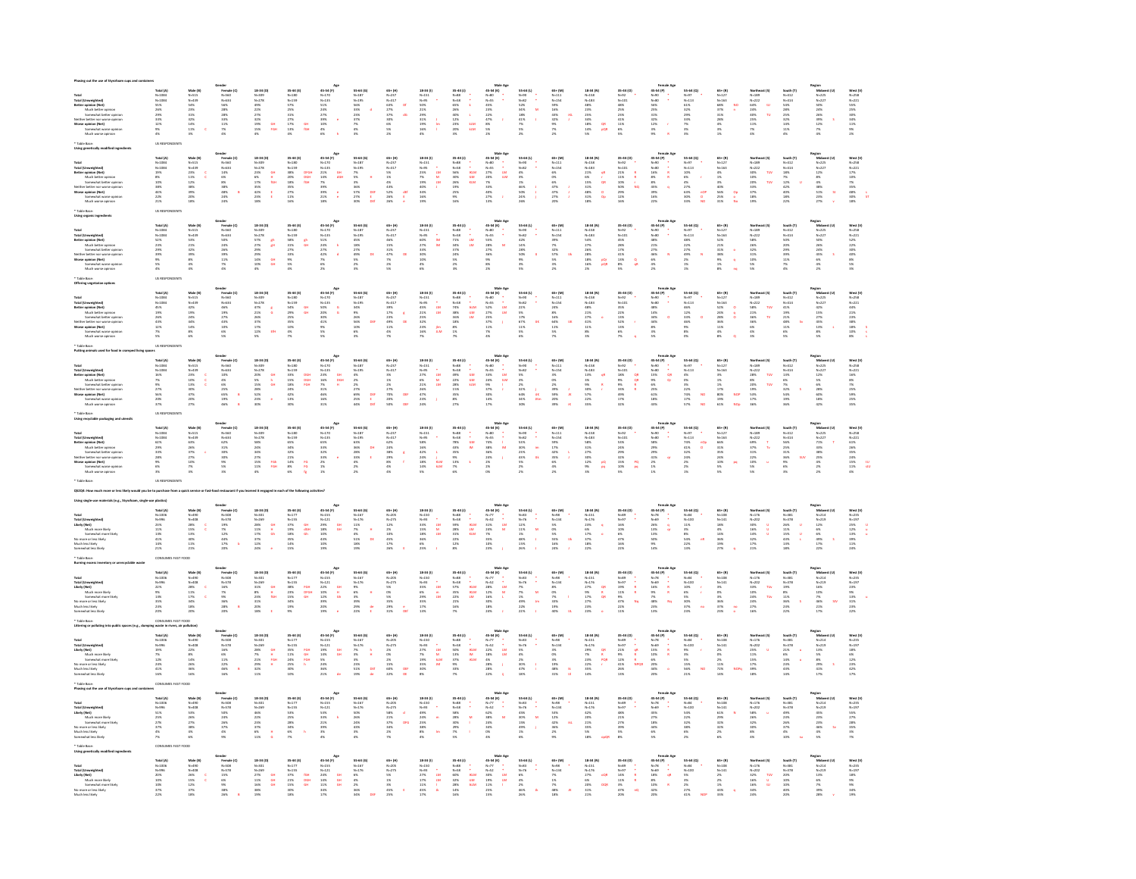| ir better nor worse opinio<br>1 opinion (Net)                                                                                                                                                                                                 | Total (A)<br>N-1084<br>N-1084<br>SS%<br>29%<br>29%<br>29%<br>29%<br>29%      | Made (B)<br>N=515<br>N=439<br>54%<br>32%<br>32%<br>32%<br>32%               | Gender<br>Female (C)<br>N=560<br>N=534<br>S6%<br>28%<br>28%<br>28%<br>33%<br>11%<br>7%     | 18-34 (D)<br>18-a-1<br>N-309<br>N-278<br>49%<br>22%<br>22%<br>32%<br>19%<br>19%<br>OH<br>FOH                                                                                                                                                                                 | $\begin{array}{l} 35\text{--}44\; (\mathrm{E})\\ \text{N=180}\\ \text{N=159}\\ \text{S} \text{7}\%\\ 25\%\\ 31\%\\ 27\%\\ 17\%\\ 17\%\\ 18\%\\ \text{or}\\ 18\% \end{array}$    | 45-54 (F)<br>N-125<br>N-125<br>S21%<br>27%<br>29%<br>10%<br>4%<br>6%                                         | 55-64 (G)<br>N=187<br>N=195<br>S6%<br>33%<br>23%<br>37%<br>7%<br>7%                                                                                                                                               | 65+ (H)<br>N=237<br>N=317<br>S2%<br>27%<br>37%<br>50%<br>60%<br>55%<br>21%                                                                | $\begin{array}{r} 18\text{--}34\ (0) \\ N=151 \\ N=95 \\ 50\% \\ 21\% \\ 21\% \\ 23\% \\ 31\% \\ 16\% \\ 4\% \end{array}$<br>ĥ                                                                                                                       | $\begin{array}{r} 35\text{-}44\text{ (I)}\\ \mathcal{N}\text{-}88\\ \mathcal{N}\text{-}88\\ \mathcal{N}\text{-}58\\ \mathcal{S}\text{-}9\%\\ 20\%\\ 40\%\\ 12\%\\ 23\%\\ 20\%\\ 3\% \end{array}$                                                                                                                                                                                                                                                                                  | Male $A = 34$ (K)<br>$N = 60$<br>$N = 55$<br>$435$<br>$235$<br>$225$<br>$475$<br>$35$<br>$256$                                                                                                                                                                                                                                                                                                                                    | 55-64 (L)<br>N=32<br>N=32<br>S2%<br>34%<br>18%<br>41%<br>A1%<br>$\frac{1}{2}$                                                                                                                   | 65+ (M)<br>N=111<br>N=154<br>S9%<br>16%<br>43%<br>9%<br>7%<br>7%                              | 18-34 (N)<br>N=158<br>N=183<br>AB%<br>25%<br>25%<br>34%<br>18%<br>14%<br>$\frac{QR}{PQR}$                                                                                                                                  | 35-44 (O)<br>N=101<br>N=101<br>48%<br>25%<br>25%<br>41%<br>11%<br>6%<br>5%                                                                                                            | Female.<br>45-54 (P)<br>N=00<br>56%<br>52%<br>32%<br>32%<br>32%<br>8%<br>8%<br>R                                                                                                                                                                                                                                                                                                                                                                                                               | $\begin{array}{r} 53-64~(\mathbf{Q})\\ N=97\\ N=113\\ 61\%\\ 32\%\\ 22\%\\ 23\%\\ 33\%\\ 7\%\\ 3\%\\ 3\%\\ \end{array}$                                                                                                                                                                    | $\begin{array}{r} 65* (8) \\ N-127 \\ N-163 \\ 68\% \\ 37\% \\ 31\% \\ 28\% \\ 4\% \\ 3\% \\ 1\% \end{array}$                                                                                                                                                                                                      | Northeast (5)<br>N=222<br>64% U<br>10<br>14% U<br>46% T,<br>12%<br>7%<br>4%                                                                                                                                                                                  | South (T)<br>N=414<br>N=414<br>S4%<br>28%<br>28%<br>32%<br>14%<br>11%                               | Region<br>Michwest (U)<br>N-227<br>N-227<br>50%<br>50%<br>26%<br>26%<br>30%<br>51%<br>4%<br>4% | West (V)<br>N=258<br>N=221<br>S5%<br>25%<br>25%<br>34%<br>11%<br>9%<br>25%       |
|-----------------------------------------------------------------------------------------------------------------------------------------------------------------------------------------------------------------------------------------------|------------------------------------------------------------------------------|-----------------------------------------------------------------------------|--------------------------------------------------------------------------------------------|------------------------------------------------------------------------------------------------------------------------------------------------------------------------------------------------------------------------------------------------------------------------------|---------------------------------------------------------------------------------------------------------------------------------------------------------------------------------|--------------------------------------------------------------------------------------------------------------|-------------------------------------------------------------------------------------------------------------------------------------------------------------------------------------------------------------------|-------------------------------------------------------------------------------------------------------------------------------------------|------------------------------------------------------------------------------------------------------------------------------------------------------------------------------------------------------------------------------------------------------|-----------------------------------------------------------------------------------------------------------------------------------------------------------------------------------------------------------------------------------------------------------------------------------------------------------------------------------------------------------------------------------------------------------------------------------------------------------------------------------|-----------------------------------------------------------------------------------------------------------------------------------------------------------------------------------------------------------------------------------------------------------------------------------------------------------------------------------------------------------------------------------------------------------------------------------|-------------------------------------------------------------------------------------------------------------------------------------------------------------------------------------------------|-----------------------------------------------------------------------------------------------|----------------------------------------------------------------------------------------------------------------------------------------------------------------------------------------------------------------------------|---------------------------------------------------------------------------------------------------------------------------------------------------------------------------------------|------------------------------------------------------------------------------------------------------------------------------------------------------------------------------------------------------------------------------------------------------------------------------------------------------------------------------------------------------------------------------------------------------------------------------------------------------------------------------------------------|--------------------------------------------------------------------------------------------------------------------------------------------------------------------------------------------------------------------------------------------------------------------------------------------|--------------------------------------------------------------------------------------------------------------------------------------------------------------------------------------------------------------------------------------------------------------------------------------------------------------------|--------------------------------------------------------------------------------------------------------------------------------------------------------------------------------------------------------------------------------------------------------------|-----------------------------------------------------------------------------------------------------|------------------------------------------------------------------------------------------------|----------------------------------------------------------------------------------|
|                                                                                                                                                                                                                                               |                                                                              |                                                                             |                                                                                            |                                                                                                                                                                                                                                                                              |                                                                                                                                                                                 |                                                                                                              |                                                                                                                                                                                                                   |                                                                                                                                           |                                                                                                                                                                                                                                                      |                                                                                                                                                                                                                                                                                                                                                                                                                                                                                   |                                                                                                                                                                                                                                                                                                                                                                                                                                   |                                                                                                                                                                                                 |                                                                                               |                                                                                                                                                                                                                            |                                                                                                                                                                                       |                                                                                                                                                                                                                                                                                                                                                                                                                                                                                                |                                                                                                                                                                                                                                                                                            |                                                                                                                                                                                                                                                                                                                    |                                                                                                                                                                                                                                                              |                                                                                                     |                                                                                                |                                                                                  |
| Total<br>Total (Umweighted)<br>Total (Umweighted)<br>Much better opinion<br>Somrwhat better opinion<br>Neither better nor worse opinion<br>Worse opinion (Net)<br>Somrwhat worse opinion<br>Much worse opinion<br>Much worse opinion          | Total (A)<br>N=1084<br>N=1084<br>19%<br>8%<br>8%<br>10%<br>44%<br>22%<br>21% | Male (B)<br>N=515<br>N=439<br>23%<br>11%<br>12%<br>38%<br>39%<br>20%<br>18% | Gender<br>Female (C)<br>N=560<br>N=634<br>24%<br>S%<br>S%<br>S%<br>S%<br>24%<br>24%<br>24% | 18-34 (D)<br>N-309<br>N-278<br>23%<br>23%<br>42%<br>42%<br>23%<br>23%<br>OH<br>H<br>KSH                                                                                                                                                                                      | $\begin{array}{r} 35\text{--}44\ (4)\\ \mathit{N}{-}180\\ \mathit{N}{-}159\\ 38\%\ 20\%\ 18\%\ 20\%\ 18\%\ 25\%\ 27\%\ 11\%\ 27\%\ 11\%\ 26\%\end{array}$<br>DFGH<br>DGH<br>fGH | an<br>dan<br>÷,                                                                                              | $\begin{array}{l} 35-64\; (G)\\ N-187\\ N-195\\ 7\%\\ 3\%\\ 3\%\\ 3\%\\ 3\%\\ 3\%\\ 2\%\\ 2\%\\ 3\%\\ \end{array}$<br>$\begin{array}{c} \mathbf{d} \mathbf{r} \\ \mathbf{r} \\ \mathbf{d} \mathbf{r} \end{array}$ | $\begin{array}{r} 65* (H) \\ N-237 \\ N-317 \\ S\% \\ 1\% \\ 4\% \\ 43\% \\ 52\% \\ 26\% \\ 26\% \end{array}$<br>$\frac{d\theta}{\theta}$ | $18.34(0)$<br>$N=95$<br>$25\%$<br>$25\%$<br>$29\%$<br>$40\%$<br>$34\%$<br>$16\%$<br>$\begin{bmatrix} 1 \\ 1 \\ 2 \\ 3 \\ 4 \end{bmatrix}$                                                                                                            | 35-44 (J)<br>N-88<br>N-58<br>N-58<br>S5%<br>26%<br>25%<br>25%<br>25%<br>25%<br>$\begin{array}{l} \begin{array}{c} \bullet \\ \bullet \\ \bullet \\ \bullet \\ \bullet \\ \bullet \\ \bullet \\ \bullet \\ \bullet \\ \bullet \end{array} \end{array}$                                                                                                                                                                                                                             | $\begin{array}{ccc} \textbf{Male} \ \mathsf{Age} \\ \textbf{45-54 (K)} \\ \textbf{N+80} & \bullet \\ \textbf{N+85} & \bullet \\ \textbf{N+85} & \textbf{LM} \\ \textbf{2756} & \textbf{LM} \\ \textbf{286} & \textbf{2786} \\ \textbf{2776} & \textbf{3} \\ \textbf{2786} & \textbf{3} \\ \textbf{2786} & \textbf{3} \\ \textbf{2786} & \textbf{3} \\ \textbf{2786} & \textbf{3} \\ \end{array}$                                  | 55-64 (L)<br>N-92<br>N-82<br>N-62<br>46%<br>150%<br>24%<br>26%                                                                                                                                  | 65+ (M)<br>N=111<br>N=154<br>6%<br>6%<br>6%<br>47%<br>47%<br>27%<br>27%                       | $\begin{array}{r} 18\text{--}34\ (N)\\ N=158\\ N=183\\ 21\%\\ 6\%\\ 15\%\\ 31\%\\ 48\%\\ 31\%\\ 48\%\\ 31\%\\ 18\%\\ \end{array}$<br>8.5 68                                                                                | $\begin{array}{l} 35\text{--}44\ (0)\\ \mathit{N}{\rightarrow}22\\ \mathit{N}{\rightarrow}101\\ 21\%\ 11\%\ 11\%\ 10\%\ 12\%\ 12\%\ 12\%\ 12\%\ 16\%\end{array}$                      | $\begin{array}{rcl} & & \textbf{Female } \mathsf{A} \\ \textbf{45-54 (P)} & & \bullet \\ \textbf{N+90} & & \bullet \\ \textbf{N+90} & & \bullet \\ \textbf{208} & & \textbf{R} \\ \textbf{386} & & \textbf{R} \\ \textbf{395} & & \textbf{396} \\ \textbf{3976} & & \textbf{2976} \\ \end{array}$                                                                                                                                                                                              | $\begin{array}{l} 95-64\; (Q)\\ \mathit{N}{=}97\\ \mathit{N}{=}113\\ 10\%\\ 6\%\\ 27\%\\ 23\%\\ 30\%\\ 33\% \end{array}$<br>$\frac{1}{2}$                                                                                                                                                  | $\begin{array}{r} 65* (8) \\ N-127 \\ N-163 \\ 456 \\ 156 \\ 356 \\ 4096 \\ 258 \\ 258 \\ 258 \\ 319 \\ \end{array}$<br>$\frac{1}{2}$                                                                                                                                                                              | Northe:<br>N=189<br>N=222<br>30%<br>30%<br>20%<br>33%<br>37%<br>33%<br>32%                                                                                                                                                                                   | South (T)<br>N=412<br>N=414<br>18%<br>18%<br>22%<br>42%<br>42%<br>18%<br>22%                        | Region<br>Michwest (U)<br>N-225<br>N-227<br>12%<br>8%<br>4%<br>51%<br>23%<br>27%<br>V<br>27%   | West [V]<br>N=258<br>N=221<br>17%<br>10%<br>25%<br>48%<br>85%<br>85%<br>18%      |
|                                                                                                                                                                                                                                               |                                                                              |                                                                             |                                                                                            |                                                                                                                                                                                                                                                                              |                                                                                                                                                                                 |                                                                                                              |                                                                                                                                                                                                                   |                                                                                                                                           |                                                                                                                                                                                                                                                      |                                                                                                                                                                                                                                                                                                                                                                                                                                                                                   |                                                                                                                                                                                                                                                                                                                                                                                                                                   |                                                                                                                                                                                                 |                                                                                               |                                                                                                                                                                                                                            |                                                                                                                                                                                       |                                                                                                                                                                                                                                                                                                                                                                                                                                                                                                |                                                                                                                                                                                                                                                                                            |                                                                                                                                                                                                                                                                                                                    |                                                                                                                                                                                                                                                              |                                                                                                     |                                                                                                |                                                                                  |
| ral<br>Total (Unweighted)<br>Better opinion (Net)<br>Much better opinion<br>Somwahat better opinion<br>"Somwahat worse opinion"<br>"Somwahat worse opini<br>"Somwahat worse opini"<br>"Luth worse opin"                                       | Total (A)<br>N=1084<br>N=1084<br>S2%<br>23%<br>29%<br>30%<br>S%<br>S%<br>4%  | Male (B)<br>N-515<br>N-439<br>S3%<br>21%<br>22%<br>32%<br>8%<br>4%<br>4%    | Gender<br>Female (C)<br>N-560<br>N-634<br>SOK<br>24%<br>26%<br>26%<br>11%<br>T%<br>4%      | $\begin{array}{r} 18\text{-}34\ ( \text{D) } \\ \text{N-}309 \\ \text{N-}278 \\ \text{S}\,7\% \\ \text{S}\,7\% \\ \text{S}\,27\% \\ \text{S}\,9\% \\ \text{S}\,9\% \\ \text{S}\,9\% \\ \text{S}\,10\% \\ \text{S}\,4\% \end{array}$<br>$\frac{\theta}{\theta^3}$<br>an<br>an | 35-44 (E)<br>N-150<br>N-150<br>S8%<br>31%<br>27%<br>33%<br>9%<br>S%<br>4%                                                                                                       | Age<br>$45-54$ (P)<br>$N-125$<br>$5-135$<br>$5-256$<br>$2.276$<br>$4.226$<br>$2.76$<br>$6.6$                 | $\begin{array}{l} 55-64\; (G)\\ \mathsf{N-187} \\ \mathsf{N-195} \\ 45\% \\ 18\% \\ 27\% \\ 49\% \\ 5\% \\ 2\% \\ 3\% \end{array}$                                                                                | 65+(H)<br>N-237<br>N-317<br>A6%<br>15%<br>31%<br>A7%<br>N-1%<br>N-1%                                                                      | 18-34 (1)<br>N=151<br>N=95<br>60%<br>27%<br>33%<br>30%<br>10%<br>4%<br>4%<br>$\frac{1}{10}$                                                                                                                                                          | $\begin{array}{l} 35\text{--}44\ (1)\\ \mathit{N=88}\\ \mathit{N=58}\\ \mathit{N=58}\\ 71\%\newline 37\%\newline 37\%\newline 37\%\newline 37\%\newline 38\%\newline 24\%\newline 35\%\newline 25\%\newline 35\%\newline 35\%\newline 35\%\newline 35\%\newline 35\%\newline 35\%\newline 35\%\newline 35\%\newline 35\%\newline 35\%\newline 35\%\newline 35\%\newline 35\%\newline 35\%\newline 35\%\newline 35\%\newline 35\%\newline 35\%\newline 35\%\newline 35$<br>i.<br>M | $\begin{array}{r} \textbf{Male Age} \\ \textbf{45-54 (K)} \\ \textbf{N+80} \\ \textbf{N+85} \\ \textbf{55\%} \\ \textbf{55\%} \\ \textbf{28\%} \\ \textbf{27\%} \\ \textbf{36\%} \\ \textbf{88\%} \\ \textbf{27\%} \\ \textbf{38\%} \\ \textbf{39\%} \\ \textbf{30\%} \\ \textbf{30\%} \\ \textbf{31\%} \\ \textbf{32\%} \\ \end{array}$                                                                                          | 55-64 (L)<br>N=00<br>N=82<br>42%<br>14%<br>14%<br>10%<br>9%<br>9%<br>9%<br>9%                                                                                                                   | 65+ (M)<br>N=111<br>N=154<br>N=154<br>S9%<br>S7%<br>S7%<br>S7%<br>S7%                         | $\begin{array}{r} \textbf{18-34 (N)} \\ \textbf{N=153} \\ \textbf{N=183} \\ \textbf{54\%} \\ \textbf{27\%} \\ \textbf{28\%} \\ \textbf{28\%} \\ \textbf{18\%} \\ \textbf{16\%} \\ \textbf{2\%} \end{array}$<br>pQr<br>pQfl | $\begin{array}{l} 35\text{--}44\ (0)\\ \mathit{N}{\rightarrow}22\\ \mathit{N}{\rightarrow}101\\ 45\%\ 28\%\ 17\%\ 41\%\ 13\%\ 8\%\ 13\%\ 8\%\ 5\%\end{array}$<br>$\frac{Q}{\alpha R}$ | $\begin{array}{r} \textbf{Female 1}\\ 45-54 (P)\\ \textbf{N=90} \\ \textbf{N=80} \\ 48\%\\ 21\%\\ 27\%\\ 6\%\\ 48\%\\ 2\%\\ \end{array}$                                                                                                                                                                                                                                                                                                                                                       | $\begin{array}{l} 55\text{--}64\text{ (Q)}\\ \text{N=97}\\ \text{N=113}\\ 48\%\\ 22\%\\ 27\%\\ 27\%\\ 27\%\\ 27\%\\ 27\%\\ 27\%\\ 27\%\\ 27\%\\ 27\%\\ 27\%\\ 27\%\\ 27\%\\ 27\%\\ 27\%\\ 27\%\\ 27\%\\ 27\%\\ 27\%\\ 27\%\\ 27\%\\ 27\%\\ 27\%\\ 27\%\\ 27\%\\ 27\%\\ 27\%\\ 27\%\\ 27\%$ | $\begin{array}{r} 65* (0) \\ N-127 \\ N-163 \\ 52\% \\ 21\% \\ 21\% \\ 31\% \\ 38\% \\ 21\% \\ 21\% \\ 23\% \\ 25\% \\ 21\% \\ 23\% \\ \end{array}$                                                                                                                                                                | Northeast (5)<br>N=189<br>N=222<br>S8%<br>26%<br>26%<br>32%<br>32%<br>S%                                                                                                                                                                                     | South (T)<br>N=412<br>N=414<br>SO%<br>20%<br>20%<br>39%<br>11%<br>T%                                | Region<br>Midwest (U)<br>N-225<br>N-227<br>50%<br>50%<br>28%<br>45%<br>45%<br>4%<br>4%<br>2%   | West [V]<br>N=258<br>N=221<br>S2%<br>22%<br>S0%<br>40%<br>40%<br>8%<br>S%<br>N=1 |
| Total<br>Total (Umweighted)<br>Better opinion (Net)<br>Much better opinion<br>Somrwhat better opinion<br>Neither better nor warse opinion<br>Worse opinion (Net)<br>Somrwhat worse opinion<br>Much worse opinion<br>Much worse opinion        | Total (A)<br>N=1084<br>N=1084<br>45%<br>19%<br>26%<br>43%<br>12%<br>7%       | Male (B)<br>N=515<br>N=439<br>42%<br>19%<br>24%<br>44%<br>14%<br>14%        | Gender<br>Female (C<br>N=560<br>N=634<br>49%<br>27%<br>27%<br>43%<br>10%<br>6%<br>6%       | $\begin{array}{r} 18\text{-}34\; (D)\\ N\text{-}309\\ N\text{-}278\\ 4\;7\%\\ 2\;1\%\\ 2\;6\%\\ 3\;7\%\\ 1\;7\%\\ 2\;2\;6\\ 1\;7\%\\ 2\;7\%\\ 5\% \end{array}$                                                                                                               | 35-44 (E)<br>N-150<br>N-150<br>S4%<br>29%<br>29%<br>35%<br>10%<br>4%                                                                                                            | A<br>45-54 (F)<br>N-135<br>50%<br>20%<br>41%<br>9%<br>5%<br>5%<br>5%                                         | 55-64 (0)<br>N-187<br>N-195<br>34%<br>9%<br>26%<br>56%<br>10%<br>6%<br>10%                                                                                                                                        | $\begin{array}{r} 63* (H) \\ N-237 \\ N-317 \\ 39\% \\ 17\% \\ 23\% \\ 49\% \\ 11\% \\ 46\% \\ \end{array}$                               | 18-34 (1)<br>N=151<br>N=9%<br>45%<br>23%<br>23%<br>23%<br>23%<br>16%<br>7%<br>*<br>LM<br>LM<br>LM                                                                                                                                                    | $\begin{array}{r} 35\text{--}44\ (1)\\ \mathit{N=88}\\ \mathit{N=58}\\ \mathit{N=58}\\ 74\ \mathrm{~} \\ 38\ \mathrm{~} \\ 38\ \mathrm{~} \\ 38\ \mathrm{~} \\ 38\ \mathrm{~} \\ 18\ \mathrm{~} \\ 18\ \mathrm{~} \\ 1\ \mathrm{~} \\ 7\ \mathrm{~} \\ \end{array}$<br>$\begin{array}{l} \begin{array}{l} \bullet \\ \bullet \\ \bullet \\ \bullet \\ \bullet \\ \bullet \\ \bullet \\ \bullet \end{array} \end{array}$                                                           | $\begin{array}{rcl} \textbf{Male Age} & & \\ \textbf{45-54 (K)} & & \\ \textbf{N+60} & \bullet & \\ \textbf{N+63} & & \\ \textbf{52\%} & & \\ \textbf{52\%} & & \\ \textbf{52\%} & & \\ \textbf{53\%} & & \\ \textbf{53\%} & & \\ \textbf{53\%} & & \\ \textbf{53\%} & & \\ \textbf{54\%} & & \\ \textbf{55\%} & & \\ \textbf{56\%} & & \\ \textbf{57\%} & & \\ \textbf{58\%} & & \\ \textbf{59\%} & & \\ \textbf{5$              | $\begin{array}{r} 55-64 \ (1) \\ \hline \hline 8-92 \\ \hline 9-82 \\ \hline 22\% \\ \hline 5\% \\ \hline 17\% \\ \hline 67\% \\ \hline 11\% \\ \hline 5\% \\ \hline 6\% \\ \hline \end{array}$ | 65+ (M)<br>N-111<br>N-154<br>24%<br>8%<br>16%<br>16%<br>11%<br>5%<br>7%                       | 18-34 (N)<br>N-153<br>N-183<br>AB%<br>27%<br>27%<br>41%<br>11%<br>11%<br>11%                                                                                                                                               | 35-44 (O)<br>N=02<br>N=101<br>S3%<br>22%<br>13%<br>S2%<br>13%<br>N%                                                                                                                   | Fermale <i>A</i><br>45-54 (P)<br>N-90<br>N-90<br>48%<br>14%<br>14%<br>8%<br>3%<br>3%<br>5%                                                                                                                                                                                                                                                                                                                                                                                                     | $55-64 (Q)$<br>$N=123$<br>$465%$<br>$225%$<br>$525%$<br>$65%$<br>$65%$<br>$65%$<br>$65%$                                                                                                                                                                                                   | $\begin{array}{r} 65* (8) \\ N+127 \\ N+163 \\ 52\% \\ 24\% \\ 24\% \\ 28\% \\ 36\% \\ 11\% \\ 4\% \\ 8\% \end{array}$                                                                                                                                                                                             | Northea<br>N=189<br>N=222<br>S8%<br>21%<br>36%<br>86%<br>4%<br>4%<br>3%                                                                                                                                                                                      | South (T)<br>$N=412$<br>$N=414$<br>$41\%$<br>$19\%$<br>$21\%$<br>$48\%$<br>$11\%$<br>$6\%$<br>$5\%$ | Region<br>Midwet<br>N=225<br>N=225<br>A5%<br>27%<br>45%<br>45%<br>38%                          | West [V]<br>N=258<br>N=221<br>44%<br>21%<br>23%<br>38%<br>18%<br>18%<br>10%      |
|                                                                                                                                                                                                                                               |                                                                              |                                                                             |                                                                                            |                                                                                                                                                                                                                                                                              |                                                                                                                                                                                 |                                                                                                              |                                                                                                                                                                                                                   |                                                                                                                                           |                                                                                                                                                                                                                                                      |                                                                                                                                                                                                                                                                                                                                                                                                                                                                                   |                                                                                                                                                                                                                                                                                                                                                                                                                                   |                                                                                                                                                                                                 |                                                                                               |                                                                                                                                                                                                                            |                                                                                                                                                                                       |                                                                                                                                                                                                                                                                                                                                                                                                                                                                                                |                                                                                                                                                                                                                                                                                            |                                                                                                                                                                                                                                                                                                                    |                                                                                                                                                                                                                                                              |                                                                                                     |                                                                                                |                                                                                  |
|                                                                                                                                                                                                                                               |                                                                              |                                                                             |                                                                                            |                                                                                                                                                                                                                                                                              |                                                                                                                                                                                 |                                                                                                              |                                                                                                                                                                                                                   |                                                                                                                                           |                                                                                                                                                                                                                                                      |                                                                                                                                                                                                                                                                                                                                                                                                                                                                                   |                                                                                                                                                                                                                                                                                                                                                                                                                                   |                                                                                                                                                                                                 |                                                                                               |                                                                                                                                                                                                                            |                                                                                                                                                                                       |                                                                                                                                                                                                                                                                                                                                                                                                                                                                                                |                                                                                                                                                                                                                                                                                            |                                                                                                                                                                                                                                                                                                                    |                                                                                                                                                                                                                                                              |                                                                                                     |                                                                                                |                                                                                  |
| otal<br>Call (Umweighted)<br>Hetter opinion (Net)<br>Much better opinion<br>Much better opinion<br>Warse opinion (Net)<br>Warse opinion (Net)<br>Somewhat worse opin<br>Much worse opinion                                                    | Total (A)<br>N-1084<br>N-1084<br>N-1084<br>16%<br>27%<br>27%<br>20%<br>20%   | Male (B)<br>N=515<br>N=439<br>23%<br>23%<br>13%<br>47%<br>47%<br>20%        | iender<br>Fernale (C<br>N=560<br>N=634<br>N=634<br>456<br>25%<br>25%<br>19%<br>46%         | $\begin{array}{r} 18\text{-}34\ ( \text{D}) \\ \text{N-}309 \\ \text{N-}278 \\ \text{206} \\ \text{56} \\ 556 \\ \text{158} \\ 28\% \\ \text{28\%} \\ 23\% \\ \text{206} \end{array}$<br>요<br>요                                                                              | 35-44 (E)<br>N-150<br>N-159<br>N-159<br>33%<br>15%<br>15%<br>42%<br>42%<br>42%<br>DGH<br>DGH<br>FGH                                                                             | A<br>45-54 (F)<br>N=120<br>N=135<br>23%<br>24%<br>31%<br>46%<br>31%<br>31%                                   | $\begin{array}{l} 55-64\; (G)\\ N-187\\ N-195\\ 4\%\\ 2\%\\ 2\%\\ 2\%\\ 2\%\\ 2\%\\ 2\%\\ 44\% \end{array}$                                                                                                       | 65+(H)<br>N-237<br>N-317<br>N-317<br>27%<br>27%<br>20%<br>20%<br>DEF                                                                      | 18-34 (1)<br>N=151<br>N=95<br>27%<br>28%<br>28%<br>28%<br>28%<br>28%<br>$\begin{array}{c} 1 \\ 2 \\ 3 \\ 3 \\ 4 \\ 5 \end{array}$                                                                                                                    | $\begin{array}{r} 35\text{--}44\ (1)\\ \mathit{N=88}\\ \mathit{N=58}\\ 49\%\newline 22\%\newline 22\%\newline 23\%\newline 35\%\newline 35\%\newline 27\%\newline \end{array}$<br>$\begin{bmatrix} 1 \\ 1 \\ 1 \\ 0 \\ 0 \\ 0 \\ 0 \\ 0 \\ 0 \\ 0 \\ 0 \end{bmatrix}$                                                                                                                                                                                                             | $\begin{array}{rcl} \textbf{Male} & \textbf{Age} \\ \textbf{45-54 (K)} & & \\ \textbf{N+80} & \bullet & \\ \textbf{N+85} & & \\ \textbf{33\%} & & \textbf{LM} \\ \textbf{24\%} & & \textbf{IM} \\ \textbf{9\%} & & \textbf{1} \\ \textbf{37\%} & & \\ \textbf{38\%} & & \\ \textbf{34\%} & & \\ \textbf{17\%} & & \\ \end{array}$                                                                                                 | 55-64 (L)<br>N-92<br>N-82<br>S%<br>S%<br>356<br>S4%<br>S4%<br>S4%<br>$\frac{\dot{J}}{\dot{a}K}$ if<br>$Rm$                                                                                      | 65+ (M)<br>N-111<br>N-154<br>N-154<br>SW<br>2%<br>SW:<br>SW:<br>20%<br>20%                    | 18-34 (N)<br>N=153<br>N=183<br>13%<br>35%<br>9%<br>57%<br>22%<br>22%                                                                                                                                                       | $\begin{array}{l} 35\text{--}44\ ( \text{O} ) \\ \text{N=92} \\ \text{N=101} \\ 18\% \\ \text{96} \\ 9\% \\ 33\% \\ 49\% \\ 17\% \\ 32\% \end{array}$                                 | $\begin{array}{r} \text{Female} \text{ Ag} \\ 45-54 \text{ (P)} \\ \text{N} \text{ } \text{ } 00 \text{ } \end{array} \begin{array}{r} \text{*\quad} \\ \text{N} \text{ }\text{ } 00 \text{ } \end{array} \begin{array}{r} \text{*\quad} \\ \text{N} \text{ }\text{ } 00 \text{ } \end{array} \begin{array}{r} \text{*\quad} \\ \text{N} \text{ }\text{ } 0 \text{ } \text{ } 0 \text{ } \end{array} \begin{array}{r} \text{*\quad} \\ \text{N} \text{ }\text{ } 0 \text{ } \text{ } 0 \text{$ | $\begin{array}{l} 53\text{--}64\,\,(Q)\\ \mathit{N}{=}97\\ \mathit{N}{=}113\\  \ 4\%\quad \  \, 0\%\quad \  \, \\ 0\%\quad \  \, 3\%\quad \  \, \\ 22\%\quad \  \, 74\%\quad \  \, \\ 17\%\quad \  \, 57\%\end{array}$<br>NO                                                               | $\begin{array}{r} 65* (8) \\ N+127 \\ N-163 \\ 356 \\ 156 \\ 176 \\ 176 \\ 1276 \\ 1296 \\ 196 \\ 1976 \\ 1396 \\ 1396 \\ 1396 \\ 1396 \\ 1396 \\ 1396 \\ 1396 \\ 1396 \\ 1396 \\ 1396 \\ 1396 \\ 1396 \\ 1396 \\ 1396 \\ 1396 \\ 1396 \\ 1396 \\ 1396 \\ 1396 \\ 1396 \\ 1396 \\ 1396 \\ 1396 \\ 1396 \\ 1396 \\$ | Northea<br>N=189<br>N=222<br>28%<br>8%<br>20%<br>19%<br>19%<br>19%<br>17%<br>17%                                                                                                                                                                             | South (T)<br>N=412<br>N=414<br>13%<br>6%<br>25%<br>S4%<br>19%<br>36%                                | Region<br>Michael<br>N=225<br>N=227<br>28%<br>60%<br>28%<br>42%<br>42%                         | West [V]<br>N=258<br>N=221<br>16%<br>S%<br>25%<br>25%<br>25%<br>25%              |
|                                                                                                                                                                                                                                               |                                                                              |                                                                             |                                                                                            |                                                                                                                                                                                                                                                                              |                                                                                                                                                                                 |                                                                                                              |                                                                                                                                                                                                                   |                                                                                                                                           |                                                                                                                                                                                                                                                      |                                                                                                                                                                                                                                                                                                                                                                                                                                                                                   |                                                                                                                                                                                                                                                                                                                                                                                                                                   |                                                                                                                                                                                                 |                                                                                               |                                                                                                                                                                                                                            |                                                                                                                                                                                       |                                                                                                                                                                                                                                                                                                                                                                                                                                                                                                |                                                                                                                                                                                                                                                                                            |                                                                                                                                                                                                                                                                                                                    |                                                                                                                                                                                                                                                              |                                                                                                     |                                                                                                |                                                                                  |
| Total (Umweighted)<br>Total (Umweighted)<br>Better opinion (Net)<br>Much better opinion<br>Somrwhat better opini<br>uither better nor varia opin<br>varia opinion (Net)<br>Somrwhat worse opinion<br>Much worse opinion<br>Much worse opinion | Total (A)<br>N=1084<br>N=1084<br>62%<br>29%<br>28%<br>28%<br>6%<br>6%        | Male (B)<br>N=515<br>N=439<br>63%<br>63%<br>27%<br>27%<br>27%<br>7%         | Gender<br>Female (C)<br>N-560<br>N-634<br>23%<br>33%<br>39%<br>39%<br>39%                  | 18-34 (D)<br>N-309<br>N-278<br>S8%<br>24%<br>34%<br>27%<br>15%<br>11%<br>4%                                                                                                                                                                                                  | 35-44 (E)<br>N=180<br>N=159<br>S5%<br>34%<br>32%<br>21%<br>14%<br>14%                                                                                                           | 45-54 (F)<br>N-135<br>N-135<br>S3%<br>S3%<br>S3%<br>S3%<br>2%<br>I%<br>I%                                    | $\begin{array}{l} 35-64\; (G)\\ N-187\\ N-195\\ 63\%\\ 36\%\\ 28\%\\ 33\%\\ 4\%\\ 2\%\\ 2\% \end{array}$                                                                                                          | 65+(H)<br>N-237<br>N-317<br>N-317<br>S3%<br>29%<br>R%<br>4%                                                                               | $\begin{array}{r} 18\text{--}34\ (0)\\ \mathit{N}{\text{--}}151\\ \mathit{N}{\text{--}}05\\ 58\%\\ 16\%\\ 42\%\\ 24\%\\ 18\%\\ 14\%\\ 5\% \end{array}$                                                                                               | $\begin{array}{ll} 35-44\ (1) \\ \mathbf{N}-88 \\ \mathbf{N}=58 \\ 78\% \\ \mathbf{78\%} \\ \mathbf{9\%} \\ 35\% \\ \mathbf{9\%} \\ \mathbf{13\%} \\ \mathbf{7\%} \\ \mathbf{5\%} \\ \mathbf{7\%} \\ \mathbf{6\%} \end{array}$                                                                                                                                                                                                                                                    | Male Age<br>45-54 (K)<br>N=80<br>N=55<br>74% 1<br>38% 1<br>36%<br>2%<br>2%<br>2%<br>0%                                                                                                                                                                                                                                                                                                                                            | 55-64 (L)<br>N=90<br>N=82<br>S3%<br>30%<br>23%<br>43%<br>5%<br>2%<br>$\frac{1}{m}$                                                                                                              | 65+ (M)<br>N-111<br>N-154<br>S9%<br>17%<br>42%<br>85%<br>6%<br>4%<br>2%                       | $\begin{array}{r} 18\text{-}34\ (N)\\ N=158\\ N=183\\ 58\%\\ 31\%\\ 27\%\\ 30\%\\ 12\%\\ 9\%\\ 3\%\\ \end{array}$<br>pQ<br>pq                                                                                              | 35-44 (O)<br>N=02<br>N=101<br>S3%<br>29%<br>29%<br>32%<br>15%<br>10%<br>5%<br>$\frac{m}{m}$                                                                                           | Fermale A<br>45-54 (P)<br>N-60<br>N-60<br>58%<br>29%<br>29%<br>41%<br>2%<br>2%<br>2%<br>2%<br>2%                                                                                                                                                                                                                                                                                                                                                                                               |                                                                                                                                                                                                                                                                                            | 65+ (R)<br>N-127<br>N-163<br>N-163<br>66%<br>31%<br>24%<br>24%<br>10%<br>5%                                                                                                                                                                                                                                        | Northea<br>N-189<br>N-222<br>S/%<br>S/%<br>37%<br>22%<br>10%<br>5%<br>5%                                                                                                                                                                                     | South (T)<br>N=412<br>N=414<br>S6%<br>25%<br>31%<br>S6%<br>O%<br>O%<br>N%                           | Region<br>M=225<br>N=227<br>N=227<br>25%<br>25%<br>25%<br>25%<br>25%                           | West (V)<br>N=258<br>N=221<br>61%<br>26%<br>35%<br>24%<br>15%<br>11%<br>11%      |
|                                                                                                                                                                                                                                               |                                                                              |                                                                             |                                                                                            |                                                                                                                                                                                                                                                                              |                                                                                                                                                                                 |                                                                                                              |                                                                                                                                                                                                                   |                                                                                                                                           |                                                                                                                                                                                                                                                      |                                                                                                                                                                                                                                                                                                                                                                                                                                                                                   |                                                                                                                                                                                                                                                                                                                                                                                                                                   |                                                                                                                                                                                                 |                                                                                               |                                                                                                                                                                                                                            |                                                                                                                                                                                       |                                                                                                                                                                                                                                                                                                                                                                                                                                                                                                |                                                                                                                                                                                                                                                                                            |                                                                                                                                                                                                                                                                                                                    |                                                                                                                                                                                                                                                              |                                                                                                     |                                                                                                |                                                                                  |
|                                                                                                                                                                                                                                               |                                                                              |                                                                             |                                                                                            |                                                                                                                                                                                                                                                                              |                                                                                                                                                                                 |                                                                                                              |                                                                                                                                                                                                                   |                                                                                                                                           |                                                                                                                                                                                                                                                      |                                                                                                                                                                                                                                                                                                                                                                                                                                                                                   |                                                                                                                                                                                                                                                                                                                                                                                                                                   |                                                                                                                                                                                                 |                                                                                               |                                                                                                                                                                                                                            |                                                                                                                                                                                       |                                                                                                                                                                                                                                                                                                                                                                                                                                                                                                |                                                                                                                                                                                                                                                                                            |                                                                                                                                                                                                                                                                                                                    |                                                                                                                                                                                                                                                              |                                                                                                     |                                                                                                |                                                                                  |
| Likely (Net)<br>Much more likely<br>Somewhat more lik<br>No more or less likely<br>Much less likely<br>Somewhat less likely                                                                                                                   | Total (A)<br>N=006<br>N=096<br>23%<br>23%<br>13%<br>41%<br>14%<br>21%        | Male (B)<br>N=408<br>N=408<br>28%<br>28%<br>15%<br>40%<br>40%<br>11%        | Sender<br>Female (C)<br>N=508<br>N=578<br>19%<br>25%<br>44%<br>17%<br>20%                  | 18-34 (D)<br>N-301<br>N-269<br>28%<br>11%<br>17%<br>17%<br>17%<br>12%<br>on<br>Gr                                                                                                                                                                                            | 35-44 (E)<br>N=177<br>N=155<br>37%<br>19%<br>19%<br>18%<br>14%<br>14%<br>GH<br>dGH<br>Gh                                                                                        | 45-54 (F)<br>N=155<br>N=121<br>N=121<br>29%<br>10%<br>43%<br>10%<br>aH<br>aH                                 | $\begin{array}{l} 55-64\; (G)\\ N=167\\ N=176\\ 11\%\\ 7\%\\ 4\%\\ 5\;1\%\\ 18\%\\ 19\% \end{array}$                                                                                                              | 65+ (H)<br>N-205<br>N-275<br>N-275<br>25%<br>25%<br>17%<br>26%                                                                            | 18-34 (1)<br>N=150<br>N=93<br>33%<br>35%<br>18%<br>36%<br>6%<br>6%<br>$\begin{array}{c} 1 \\ 2 \\ 3 \\ 3 \\ 4 \\ 5 \\ 6 \end{array}$                                                                                                                 | $\begin{array}{r} 35.44\ (1)\\ \mathit{N}{=}88\\ \mathit{N}{=}88\\ \mathit{N}{=}88\\ \mathit{59}\%\\ 28\%\\ 33\%\\ 22\%\\ 22\%\\ 33\%\\ 34\%\\ 356 \end{array}$                                                                                                                                                                                                                                                                                                                   | Male Age<br>45–54 (K)<br>N-77<br>N-52<br>31%<br>31%<br>24%<br>24%<br>25%<br>23%<br>23%                                                                                                                                                                                                                                                                                                                                            | $\begin{array}{r} 55-64 \ (1) \\ N=83 \\ N=76 \\ 12\% \\ 12\% \\ 13\% \\ 15\% \\ 15\% \\ 26\% \end{array}$                                                                                      | $\begin{array}{r} 634\; (M)\\ N=98\\ N=134\\ 5\%\\ 6\%\\ 5\%\\ 5\%\\ 16\%\\ 24\% \end{array}$ | $\begin{array}{r} 18\text{--}34\text{ }\left(\text{N}\right)\\ \mathit{N}{-151}\\ \mathit{N}{-176}\\ 23\%\\ 23\%\\ 37\%\\ 37\%\\ 18\%\\ 22\% \end{array}$                                                                  | $\begin{array}{l} 35\text{--}44\ (0) \\ \text{N=89} \\ \text{N=97} \\ 16\% \\ 10\% \\ 6\% \\ 47\% \\ 16\% \\ 22\% \end{array}$                                                        | Fema<br>45-54 (P)<br>N-78<br>N-69<br>26%<br>13%<br>13%<br>9%<br>14%<br>$\frac{1}{2}$                                                                                                                                                                                                                                                                                                                                                                                                           | $\begin{array}{r} 53\text{-}64 \; (Q) \\ \text{N-}84 \\ \text{N-}100 \\ 11\% \\ 3\% \\ 8\% \\ 54\% \\ 22\% \\ 13\% \end{array}$                                                                                                                                                            | $\begin{array}{r} 65* (8) \\ \mathsf{N-}108 \\ \mathsf{N-}141 \\ 18\% \\ 4\% \\ 36\% \\ 36\% \\ 19\% \\ 27\% \end{array}$                                                                                                                                                                                          | Northeast (5)<br>N-176<br>N-202<br>N-866<br>1666<br>1666<br>1466<br>1766<br>1776<br>2156                                                                                                                                                                     | South (T)<br>N=331<br>N=378<br>26%<br>25%<br>25%<br>43%<br>43%<br>25%                               | Region<br>Midwest (U)<br>N-214<br>N-219<br>12%<br>6%<br>6%<br>49%<br>5<br>12%<br>12%<br>12%    | West [V]<br>N=235<br>N=197<br>25%<br>12%<br>13%<br>13%<br>11%<br>24%             |
|                                                                                                                                                                                                                                               |                                                                              |                                                                             |                                                                                            |                                                                                                                                                                                                                                                                              |                                                                                                                                                                                 |                                                                                                              |                                                                                                                                                                                                                   |                                                                                                                                           |                                                                                                                                                                                                                                                      |                                                                                                                                                                                                                                                                                                                                                                                                                                                                                   |                                                                                                                                                                                                                                                                                                                                                                                                                                   |                                                                                                                                                                                                 |                                                                                               |                                                                                                                                                                                                                            |                                                                                                                                                                                       |                                                                                                                                                                                                                                                                                                                                                                                                                                                                                                |                                                                                                                                                                                                                                                                                            |                                                                                                                                                                                                                                                                                                                    |                                                                                                                                                                                                                                                              |                                                                                                     |                                                                                                |                                                                                  |
| Total (Unweighted)<br>Likely (Net)<br>Much more likely<br>Somewhat more<br>No more or less likely                                                                                                                                             | Total (A)<br>N=1006<br>N=996<br>22%<br>23%<br>13%<br>13%<br>23%              | Male (B)<br>N=408<br>N=408<br>28%<br>11%<br>17%<br>34%<br>18%<br>20%        | Gender<br>Female (C)<br>N=578<br>N=578<br>16%<br>28%<br>28%<br>28%<br>28%<br>28%           | 18-34 (D)<br>N-301<br>N-269<br>31%<br>31%<br>23%<br>31%<br>20%<br>18%<br>$\begin{array}{c} \alpha \text{H} \\ \text{H} \\ \text{R} \text{H} \end{array}$                                                                                                                     | 35-44 (E)<br>N=177<br>N=155<br>38%<br>38%<br>23%<br>34%<br>34%<br>39%<br>FOH<br>DFOH<br>OH                                                                                      | A<br>45-54 (F)<br>N=155<br>N=121<br>22%<br>12%<br>22%<br>20%<br>19%<br>an<br>an<br>ah                        | $\begin{array}{r} 35-64\; (G)\\ N=157\\ N=176\\ 9\%\\ 6\%\\ 3\%\\ 29\%\\ 22\% \end{array}$                                                                                                                        | 65+ (H)<br>N-205<br>N-275<br>SK<br>SSK<br>SSK<br>29%<br>29%<br>29%                                                                        | $\begin{array}{r} 18\text{-}34\ (0) \\ \mathsf{N}{\text{-}}150 \\ \mathsf{N}{\text{-}}03 \\ 35\% \\ 35\% \\ 29\% \\ 35\% \\ 17\% \\ 13\% \end{array}$<br>$\frac{1}{2}$                                                                               | $\begin{array}{r} 35\text{--}44\ (1)\\ \mathit{N}\text{--}88\\ \mathit{N}\text{--}58\\ \mathit{S7}\%\\ 35\%\\ 22\%\\ 22\%\\ 21\%\\ 16\%\\ \mathit{7}\% \end{array}$<br>$\begin{array}{l} \begin{array}{l} \bullet \\ \bullet \\ \bullet \\ \bullet \\ \bullet \\ \bullet \\ \bullet \\ \bullet \end{array} \end{array}$                                                                                                                                                           | $\begin{array}{ccc} \textbf{Male Age} & \\ \textbf{45-54 (K)} & \\ \textbf{N+77} & \bullet & \\ \textbf{N+52} & \bullet & \\ \textbf{28\%} & \textbf{LM} & \\ \textbf{12\%} & \textbf{M} & \\ \textbf{16\%} & \textbf{18\%} & \\ \textbf{24\%} & \textbf{18\%} & \\ \textbf{24\%} & \textbf{18\%} & \textbf{18\%} & \\ \end{array}$                                                                                               | 55-64 (L)<br>N=83<br>N=76<br>N%<br>7%<br>256<br>22%<br>22%<br>$\frac{1}{n}$                                                                                                                     | 65+ (M)<br>N-98<br>N-134<br>N-134<br>S%<br>T%<br>19%<br>19%<br>19%                            | $\begin{array}{l} 18\text{--}34\ (N)\\ N\text{--}151\\ N\text{--}176\\ 27\%\\ 27\%\\ 17\%\\ 23\%\\ 23\% \end{array}$<br>$\begin{array}{c} \frac{QR}{R} \\ R \\ \frac{QR}{} \end{array}$                                    | $\begin{array}{l} 35\text{--}44\ (0) \\ \text{N=89} \\ \text{N=97} \\ 19\% \\ \text{11\%} \\ 9\% \\ 47\% \\ 22\% \\ 11\% \end{array}$<br>f,                                           | Fermate Ay<br>45-54 (P)<br>N-78 +<br>N-69 +<br>16% R<br>25% A8% Ng<br>25% 18%                                                                                                                                                                                                                                                                                                                                                                                                                  | 55-64 (Q)<br>N=84<br>N=100<br>N=56<br>S%<br>S%<br>S%<br>S%<br>37%<br>23%                                                                                                                                                                                                                   | $\begin{array}{r} 65* (8) \\ N-108 \\ N-141 \\ 3\% \\ 0\% \\ 3\% \\ 3\% \\ 3\% \\ 3\% \\ 2\% \\ \end{array}$                                                                                                                                                                                                       | $\begin{array}{ll} \textbf{North exact (S)}\\ \mathsf{N}{=}1.76\\ \mathsf{N}{=}202\\ 3.3\%\\ 1.0\%\\ 2.4\%\\ 2.4\%\\ 2.7\%\\ 1.6\% \end{array} \quad \begin{array}{ll} \textbf{71} \\ \textbf{72} \\ \textbf{83} \\ \textbf{94} \\ \textbf{165} \end{array}$ | South (T)<br>N=381<br>N=378<br>19%<br>S6%<br>36%<br>23%<br>23%                                      | Region<br>Michwest (U)<br>N-214<br>N-219<br>16%<br>10%<br>21%<br>21%<br>17%<br>17%             | West (V)<br>N=235<br>N=197<br>23%<br>9%<br>33%<br>23%<br>23%                     |
|                                                                                                                                                                                                                                               |                                                                              |                                                                             |                                                                                            |                                                                                                                                                                                                                                                                              |                                                                                                                                                                                 |                                                                                                              |                                                                                                                                                                                                                   |                                                                                                                                           |                                                                                                                                                                                                                                                      |                                                                                                                                                                                                                                                                                                                                                                                                                                                                                   |                                                                                                                                                                                                                                                                                                                                                                                                                                   |                                                                                                                                                                                                 |                                                                                               |                                                                                                                                                                                                                            |                                                                                                                                                                                       |                                                                                                                                                                                                                                                                                                                                                                                                                                                                                                |                                                                                                                                                                                                                                                                                            |                                                                                                                                                                                                                                                                                                                    |                                                                                                                                                                                                                                                              |                                                                                                     |                                                                                                |                                                                                  |
| Total<br>Total (Umweighted)<br>Likely (Net)<br>Much more likely<br>Somewhat more<br>No more or less likely<br>Much less likely<br>Somewhat less likely                                                                                        | Total (A)<br>N=1006<br>N=996<br>19%<br>24%<br>12%<br>41%<br>41%              | Male (B)<br>N=400<br>N=408<br>22%<br>26%<br>14%<br>26%<br>36%               | Gender<br>Female (C)<br>N-578<br>N-578<br>16%<br>6%<br>11%<br>22%<br>46%<br>8              | $\begin{array}{r} 18\text{--}34\ (D) \\ N\text{--}269 \\ N\text{--}269 \\ 28\% \\ 7\% \\ 21\% \\ 29\% \\ 29\% \\ 32\% \\ \end{array}$<br>om<br>Hom<br>H                                                                                                                      | 35-44 (E)<br>N=177<br>N=155<br>35%<br>11%<br>24%<br>25%<br>30%<br>10%<br>FOH<br>OH<br>FOH<br>h                                                                                  | Age<br>45-54 (P)<br>N=121<br>19%<br>14%<br>24%<br>24%<br>21%<br>21%<br>aH<br>aH                              | $\begin{array}{l} 35-64\; (G)\\ N-167\\ N-176\\ 7\%\\ 3\%\\ 3\%\\ 2\%\\ 2\%\\ 51\%\\ 19\% \end{array}$                                                                                                            | 65+ (H)<br>N-205<br>N-275<br>N-276<br>2%<br>2%<br>60%<br>22%                                                                              | $\begin{array}{r} 18\text{-}34\ (1)\\ N\!\approx\! 150\\ N\!\approx\! 0\\ 2.7\%\\ 2.7\%\\ 7\%\\ 19\%\\ 3.5\%\\ 30\%\\ 8\% \end{array}$<br>$\begin{array}{c} \bullet \\ \bullet \\ M \\ \bullet M \\ \bullet M \\ \bullet M \\ \bullet M \end{array}$ | 35-44 (J)<br>N-88<br>N-58<br>N-58<br>S0%<br>33%<br>33%<br>33%<br>33%                                                                                                                                                                                                                                                                                                                                                                                                              | $\begin{array}{ccc} \textbf{Male Age} & \\ \textbf{45-54 (K)} & \\ \textbf{N-77} & \textbf{8} \\ \textbf{225} & \textbf{1.04} \\ \textbf{225} & \textbf{1.04} \\ \textbf{385} & \textbf{1.04} \\ \textbf{285} & \textbf{2.05} \\ \textbf{285} & \textbf{2.06} \\ \textbf{225} & \textbf{0} \\ \textbf{225} & \textbf{0} \\ \end{array}$                                                                                           | $55-64 (1)$<br>$N=33$<br>$N=76$<br>$5\%$<br>$4\%$<br>$2\%$<br>$4\%$<br>$4\%$                                                                                                                    | 63+ (M)<br>N=98<br>N=134<br>N<134<br>S%<br>S%<br>19%<br>48%<br>19%                            | 18-34 (N)<br>N=151<br>N=176<br>29%<br>28%<br>23%<br>23%<br>35%<br>$\frac{a}{\pi}$                                                                                                                                          | $\begin{array}{l} 35\text{--}44\ (0) \\ \text{N=89} \\ \text{N=97} \\ 21\%\ \\ \text{96} \\ 12\%\ \\ \text{128} \\ 41\%\ \\ \text{26\%} \\ 13\%\end{array}$                           | $\begin{array}{ccc} & & \text{Fermale}~\text{A}_1\\ 45.54\ (9) & & & \\ \text{N}-78 & & & \\ \text{N}-69 & & & \\ 15\% & & & \\ 10\% & & & \\ 20\% & & & \\ 20\% & & & \\ 20\% & & & \\ \end{array}$                                                                                                                                                                                                                                                                                           | $53 - 64 (Q)$<br>$N = 94 (Q)$<br>$9\%$<br>$3\%$<br>$5\%$<br>$5\%$<br>$21\%$                                                                                                                                                                                                                | 65+ (R)<br>N-108<br>N-141<br>2%<br>O%<br>2%<br>11%<br>22%<br>11%                                                                                                                                                                                                                                                   | Northeast (S)<br>N=176<br>N=202<br>25%<br>11%<br>11%<br>12%<br>12%<br>12%                                                                                                                                                                                    | South (T)<br>N=381<br>N=378<br>21%<br>23%<br>48%<br>14%<br>48%                                      | Region<br>Midwest (U)<br>N-214<br>N-219<br>13%<br>5%<br>8%<br>29%<br>41%<br>17%                | West (V)<br>N=235<br>N=197<br>18%<br>18%<br>23%<br>23%<br>42%<br>17%             |
|                                                                                                                                                                                                                                               |                                                                              |                                                                             |                                                                                            |                                                                                                                                                                                                                                                                              |                                                                                                                                                                                 |                                                                                                              |                                                                                                                                                                                                                   |                                                                                                                                           |                                                                                                                                                                                                                                                      |                                                                                                                                                                                                                                                                                                                                                                                                                                                                                   |                                                                                                                                                                                                                                                                                                                                                                                                                                   |                                                                                                                                                                                                 |                                                                                               |                                                                                                                                                                                                                            |                                                                                                                                                                                       |                                                                                                                                                                                                                                                                                                                                                                                                                                                                                                |                                                                                                                                                                                                                                                                                            |                                                                                                                                                                                                                                                                                                                    |                                                                                                                                                                                                                                                              |                                                                                                     |                                                                                                |                                                                                  |
| Total (Umweighted)<br>Likely (Net)<br>Much more likely<br>Somewhat more<br>No more or less likely<br>No more or less likely                                                                                                                   | Total (A)<br>N=1006<br>N=996<br>S11%<br>27%<br>27%<br>4%<br>4%               | Made (B)<br>N=400<br>N=408<br>S3%<br>S5%<br>26%<br>26%<br>S6%<br>S6%        | Gender<br>Female (C)<br>N=578<br>SO%<br>SO%<br>26%<br>26%<br>N%<br>4%                      | $\begin{array}{r} 18\text{-}34\ ( \text{D}) \\ \text{N-}301 \\ \text{N-}260 \\ \text{46\%} \\ 22\% \\ 22\% \\ 23\% \\ 37\% \\ 6\% \\ 11\% \end{array}$                                                                                                                       | 35-44 (E)<br>N-177<br>N-155<br>N-155<br>S3%<br>25%<br>26%<br>34%<br>6%<br>N-7%                                                                                                  | 45-54 (F)<br>N=155<br>N=121<br>S3%<br>33%<br>21%<br>35%<br>35%                                               | $\begin{array}{l} 55-64\; (G)\\ N-167\\ N-176\\ 50\%\\ 26\%\\ 24\%\\ 43\%\\ 3\%\\ 4\% \end{array}$                                                                                                                | 65+ (H)<br>N-205<br>N-275<br>S8%<br>21%<br>27%<br>34%<br>2%<br>2%<br>d<br>ofa                                                             | $\begin{array}{r} 18\text{-}34\ (0) \\ \mathit{N}{-}150 \\ \mathit{N}{-}93 \\ \mathit{49}\% \\ 24\% \\ 25\% \\ 25\% \\ 38\% \\ 8\% \\ 4\% \end{array}$                                                                                               | $\begin{array}{ccc} 35-44 & (1) & & \\ \mathsf{N}-68 & & \bullet \\ \mathsf{N}-68 & & \bullet \\ 58\% & & \\ 28\% & & \mathsf{M} \\ 30\% & & \mathsf{I} \\ 29\% & & \\ 7\% & & \mathsf{I} \\ 5\% & & \\ \end{array}$                                                                                                                                                                                                                                                              | $\begin{array}{r} \textbf{Male Age} \\ \textbf{45-54 (K)} \\ \textbf{N} \textbf{=} 77 \\ \textbf{N} \textbf{=} 52 \\ \textbf{62N} \\ \textbf{53N} \\ \textbf{34N} \\ \textbf{34N} \\ \textbf{08} \\ \textbf{45} \\ \textbf{45} \\ \textbf{67} \\ \textbf{68} \\ \textbf{78} \\ \textbf{89} \\ \textbf{89} \\ \textbf{89} \\ \textbf{89} \\ \textbf{89} \\ \textbf{89} \\ \textbf{89} \\ \textbf{89} \\ \textbf{89} \\ \textbf{89$ | $55-64 (1)$<br>$N=76$<br>$85\%$<br>$45\%$<br>$15\%$<br>$49\%$<br>$1\%$<br>$6\%$<br>$\frac{1}{n}$                                                                                                | 65+ (M)<br>N-08<br>N-134<br>N-134<br>S3%<br>42%<br>S6%<br>2%<br>2%                            | $\begin{array}{l} 18\text{--}34\ (N)\\ N\text{--}151\\ N\text{--}176\\ 42\%\\ 20\%\\ 21\%\\ 35\%\\ 35\%\\ 18\%\\ 18\% \end{array}$                                                                                         | 35-44 (O)<br>N-89<br>N-97<br>48%<br>22%<br>27%<br>39%<br>5%<br>8%                                                                                                                     | $\begin{array}{c} \textbf{Fermia} \; \textbf{A}\textbf{gr} \\ \textbf{45-34 (P)} \\ \textbf{N} \textbf{-72:} \\ \textbf{N} \textbf{-69:} \\ \textbf{45-36:} \\ \textbf{47-37:} \\ \textbf{180:} \\ \textbf{55:} \\ \textbf{56:} \\ \textbf{57:} \\ \textbf{58:} \\ \textbf{59:} \\ \textbf{50:} \\ \textbf{51:} \\ \textbf{52:} \\ \textbf{53:} \\ \textbf{54:} \\ \textbf{55:} \\ \textbf{56:} \\ \textbf{57$                                                                                 | 55-64 (Q)<br>N=84<br>N=100<br>54%<br>22%<br>32%<br>38%<br>6%<br>2%                                                                                                                                                                                                                         | $\begin{array}{r} 65* (R) \\ N-108 \\ N-141 \\ 61\% \\ 29\% \\ 32\% \\ 32\% \\ 32\% \\ 28 \\ 28 \\ 68 \\ \end{array}$                                                                                                                                                                                              | Northeast (5)<br>N=176<br>N=202<br>S8%<br>26%<br>32%<br>32%<br>32%<br>8%                                                                                                                                                                                     | South (T)<br>N=381<br>N=378<br>49%<br>25%<br>26%<br>37%<br>4%<br>4%<br>10%                          | Region<br>Michwest (U)<br>N=214<br>N=219<br>45%<br>23%<br>46%<br>46%<br>4%<br>S%               | West [V]<br>N=235<br>N=197<br>S5%<br>27%<br>28%<br>35%<br>35%<br>35%             |
|                                                                                                                                                                                                                                               |                                                                              |                                                                             |                                                                                            |                                                                                                                                                                                                                                                                              |                                                                                                                                                                                 |                                                                                                              |                                                                                                                                                                                                                   |                                                                                                                                           |                                                                                                                                                                                                                                                      |                                                                                                                                                                                                                                                                                                                                                                                                                                                                                   |                                                                                                                                                                                                                                                                                                                                                                                                                                   |                                                                                                                                                                                                 |                                                                                               |                                                                                                                                                                                                                            |                                                                                                                                                                                       |                                                                                                                                                                                                                                                                                                                                                                                                                                                                                                |                                                                                                                                                                                                                                                                                            |                                                                                                                                                                                                                                                                                                                    |                                                                                                                                                                                                                                                              |                                                                                                     |                                                                                                |                                                                                  |
|                                                                                                                                                                                                                                               | Total (A)<br>N=1006<br>N=996<br>20%<br>10%<br>10%<br>37%<br>22%              | Male (B)<br>N=400<br>N=408<br>26%<br>26%<br>15%<br>37%<br>18%               | Gender<br>Female (C)<br>N-508<br>N-578<br>15%<br>6%<br>9%<br>38%<br>26%                    | $\begin{array}{r} 18\text{--}34\ (D) \\ N\text{--}301 \\ N\text{--}269 \\ 2.7\% \\ 11\% \\ 16\% \\ 38\% \\ 19\% \end{array}$<br>요<br>요<br>요                                                                                                                                  | 35-44 (E)<br>N-177<br>N-155<br>N-155<br>37%<br>21%<br>30%<br>30%<br>fon<br>Don<br>Gh                                                                                            | Age<br>$45-54$ (F)<br>$N-125$<br>$N-121$<br>$24\%$<br>$14\%$<br>$12\%$<br>$34\%$<br>$17\%$<br>GH<br>GH<br>GH | $\begin{array}{l} 35-64\; (G)\\ N=167\\ N=176\\ 6\%\\ 4\%\\ 2\%\\ 36\%\\ 34\% \end{array}$                                                                                                                        | $\begin{array}{l} 63* (H) \\ N=205 \\ N=275 \\ 5\% \\ 1\% \\ 3\% \\ 45\% \\ 25\% \end{array}$                                             | $\begin{array}{r} 18\text{--}34\ (0) \\ \mathit{N}{\small +}150 \\ \mathit{N}{\small +}93 \\ \mathit{27}\% \\ \mathit{27}\% \\ \mathit{17}\% \\ \mathit{45}\% \\ \mathit{17}\% \end{array}$                                                          | $\begin{array}{l} 35\text{--}44\ (1)\\ \mathit{N}{-}88\\ \mathit{N}{-}58\\ \mathit{60}\%\ 32\%\ 28\%\ 28\%\ 14\%\ 16\%\end{array}$                                                                                                                                                                                                                                                                                                                                                | $\begin{array}{ccc} \text{Male Age} & \\ \text{45-54 (K)} & \bullet \\ \text{N=77} & \bullet \\ \text{N=52} & \bullet \\ \text{3026} & \bullet \\ \text{3276} & \bullet \\ \text{1376} & \bullet \\ \text{1386} & \bullet \\ \text{2586} & \bullet \\ \text{1586} & \bullet \\ \end{array}$                                                                                                                                       | $55-64 (k)$<br>$N-83$<br>$N-76$<br>$6\%$<br>$4\%$<br>$2\%$<br>$46\%$<br>÷,                                                                                                                      | 65+ (M)<br>N=98<br>N=134<br>N=134<br>1%<br>1%<br>48%<br>18%                                   | $\begin{array}{r} 18\text{-}34\ (N)\\ N\text{-}151\\ N\text{-}176\\ 27\%\\ 20\%\\ 31\%\\ 31\%\\ 21\% \end{array}$<br>oqa<br>oqa                                                                                            | 35-44 (O)<br>N-89<br>N-97<br>14%<br>11%<br>3%<br>47%<br>20%<br>$\frac{1}{2}$                                                                                                          | Fermale Age<br>45-54 (P)<br>N-78<br>N-69<br>N-69<br>28%<br>20%<br>42%<br>20%                                                                                                                                                                                                                                                                                                                                                                                                                   | $\begin{array}{l} 53\text{--}64\ (Q)\\ \mathcal{N}{=}84\\ \mathcal{N}{=}100\\ \mathcal{S}{\mathcal{H}}\\ 3\mathcal{H}\\ 2\mathcal{H}\\ 2\mathcal{H}\\ 2\mathcal{H}\\ 41\% \end{array}$                                                                                                     | $\begin{array}{l} 65* (0) \\ \hline N=108 \\ N=141 \\ 2\% \\ 2\% \\ 1\% \\ 43\% \\ 33\% \end{array}$                                                                                                                                                                                                               | Northeast (S)<br>N=176<br>N=202<br>32%<br>16% U<br>16% U<br>16% U<br>34%                                                                                                                                                                                     | South (T)<br>N=381<br>N=378<br>20%<br>20%<br>40%<br>40%                                             | Region<br>Midwest (U)<br>N=214<br>N=219<br>13%<br>6%<br>7%<br>28%<br>28%<br>28%<br>V           | West (V)<br>N=235<br>N=197<br>N=18%<br>9%<br>S4%<br>34%<br>19%                   |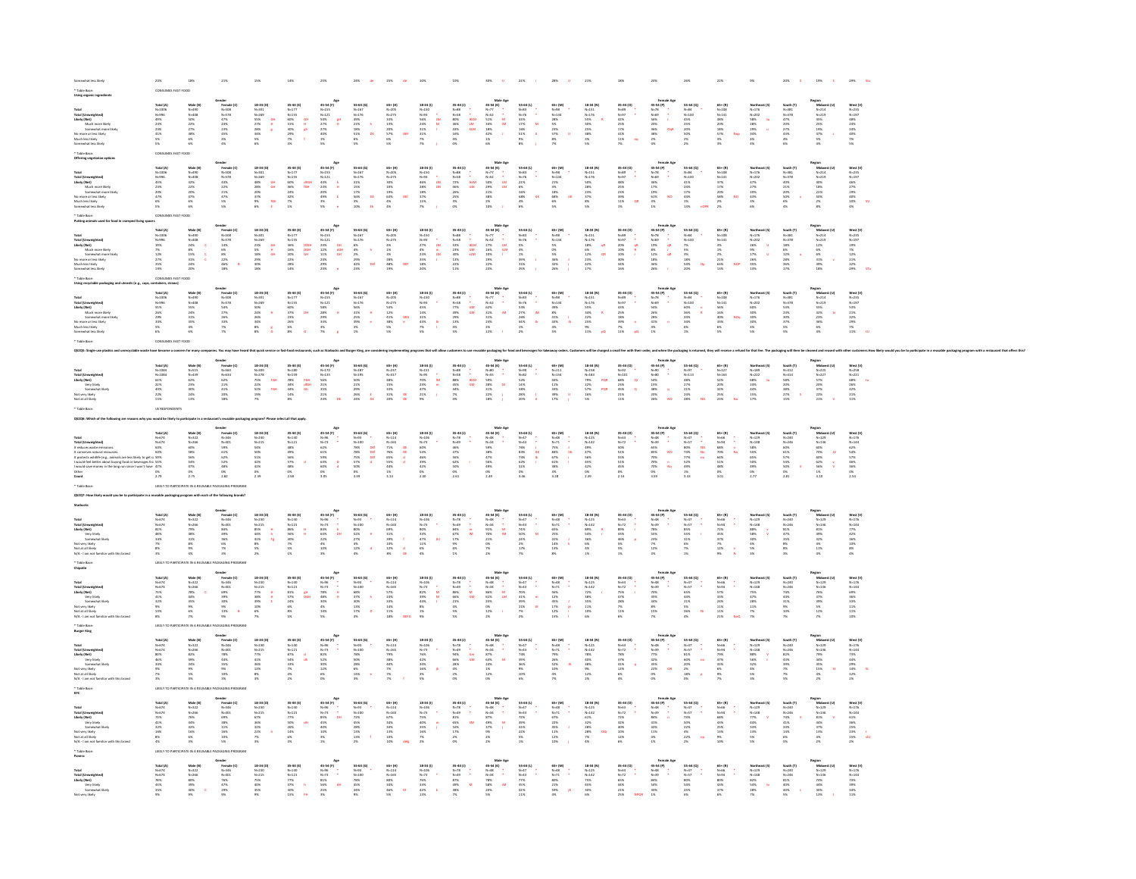| Total (Umweighted)<br>Taiely (Net)<br>Likely (Net)<br>Much more likely<br>Mo more or less likely<br>No more or less likely<br>Much less likely<br>Somewhat less likely                                                                                                                                                                                                                                                                                                                                        | Total (A)<br>N=1006<br>N=996<br>A9%<br>25%<br>25%<br>41%<br>S%                                                                                   | Male (B)<br>N=408<br>N=408<br>S0%<br>22%<br>27%<br>38%<br>6%                | ender<br>Female (C)<br>N=508<br>N=578<br>47%<br>23%<br>45%<br>45%<br>45%                | 18-34 (D)<br>N=301<br>N=269<br>S5%<br>27%<br>28%<br>34%<br>S%<br>6%<br>$\begin{array}{c} \mathbf{G} \mathbf{H} \\ \mathbf{H} \\ \mathbf{g} \end{array}$                                 | 35-44 (E)<br>N=177<br>N=155<br>SO%<br>S1%<br>30%<br>29%<br>29%<br>$\begin{array}{cc} \mathbf{B} & \mathbf{B} & \mathbf{B} \\ \mathbf{B} & \mathbf{B} & \mathbf{B} \\ \mathbf{F} & \mathbf{F} & \mathbf{F} \end{array}$ | Ay<br>45-54 (P)<br>N=135<br>N=121<br>54%<br>27%<br>40%<br>1%<br>5%                                     | $\begin{array}{l} 55-64\; (G)\\ N=167\\ N=176\\ 39\%\\ 21\%\\ 18\%\\ 51\%\\ 6\%\\ 5\% \end{array}$                                                                                                                                                                                                                                                                                                         | 65+ (H)<br>N=205<br>N=275<br>N=275<br>33%<br>20%<br>57%<br>6%<br>57%                                              | $\begin{array}{r} 18\,34\,01\\ \mathbf{N}{\text{--}}\,150\\ \mathbf{N}{\text{--}}\,93\\ \mathbf{56}\%\\ 24\%\\ 31\%\\ 31\%\\ 7\%\\ 7\% \end{array}$<br>$\begin{array}{c} \bullet \\ \bullet \\ M \\ M \\ \bullet \end{array}$                                                                                                             | $\begin{array}{l} 35\text{--}44\ (1)\\ \mathit{N}{-}38\\ \mathit{N}{-}58\\ \mathit{N}{-}58\\ 30\%\ 36\%\ 43\%\ 43\%\ 16\%\ 4\%\ 4\%\ 4\%\ 4\%\ 4\%\ 4\%\ }\end{array}$<br>$\begin{array}{l} \bullet \\ \bullet \\ \bullet \\ \bullet \\ \bullet \\ \bullet \\ \bullet \\ \bullet \\ \bullet \\ \bullet \\ \bullet \\ \bullet \end{array}$                                                                  | $\begin{array}{ccc} \textbf{Mule} & \textbf{Age} \\ \textbf{45-54 (K)} & & \\ \textbf{N+77} & \bullet & \\ \textbf{N+52} & \bullet & \\ \textbf{53+56} & \textbf{M} \\ \textbf{34+56} & \textbf{M} \\ \textbf{34+56} & \textbf{1} \\ \textbf{356} & & \\ \textbf{156} & & \\ \textbf{056} & & \\ \end{array}$                                                                                                                                                               | 55-64 (L)<br>N=83<br>N=76<br>33%<br>17%<br>16%<br>51%<br>51%<br>i<br>M                                                                               | 65+ (M)<br>N=98<br>N=134<br>28%<br>S%<br>23%<br>S%<br>N%                                                                                                                                           | 18-34 (N)<br>N=151<br>N=176<br>SS%<br>SS%<br>30%<br>25%<br>38%<br>S%                                                                                                                                                    | $\begin{array}{l} 35\text{--}44\ ( \text{O} ) \\ \text{N--}50 \\ \text{N--}97 \\ \text{42\%} \\ 42\% \\ \text{25\%} \\ 17\% \\ \text{41\%} \\ 11\% \\ \text{7\%} \end{array} \quad ,$                                                                                                                                                                                  | $\begin{array}{lcl} & & \text{Female Age} \\ 45-54\ (P) & & \\ \text{N--78} & & & \\ \text{N--69} & & & \\ 56\% & & & \\ 20\% & & & \\ 20\% & & & \\ 38\% & & & \\ 2\% & & & \\ 4\% & & & \\ \end{array}$                                                                                                                                                                                                                | $55 - 64 (Q)$<br>$N = 84$<br>$N = 100$<br>$45 \%$<br>$25 \%$<br>$20 \%$<br>$21 \%$                                                                                                                                                                                                                    | $\begin{array}{r} 65* (0) \\ \mathsf{N\!\!-\!\!108} \\ \mathsf{N\!\!-\!\!141} \\ 38\% \\ 20\% \\ 18\% \\ 57\% \\ 35\% \\ 35\% \end{array}$                                                | Northeast (5)<br>N=276<br>N=202<br>S8% tu<br>28% u<br>28% u<br>34% 4%                  | $\begin{array}{l} \textbf{South (T)}\\ \textbf{N}=381\\ \textbf{N}=378\\ \textbf{4.7}\%\\ \textbf{2.2}\%\\ \textbf{2.7}\%\\ \textbf{4.3}\%\\ \textbf{4.3}\%\\ \textbf{5.}\end{array}$    | Region<br>Michwest (U)<br>N-214<br>N-219<br>45%<br>25%<br>29%<br>47%<br>5%<br>4%<br>4%<br>4%     | West (V)<br>N-235<br>N-197<br>A8%<br>24%<br>24%<br>24%<br>NS                                    |
|---------------------------------------------------------------------------------------------------------------------------------------------------------------------------------------------------------------------------------------------------------------------------------------------------------------------------------------------------------------------------------------------------------------------------------------------------------------------------------------------------------------|--------------------------------------------------------------------------------------------------------------------------------------------------|-----------------------------------------------------------------------------|-----------------------------------------------------------------------------------------|-----------------------------------------------------------------------------------------------------------------------------------------------------------------------------------------|------------------------------------------------------------------------------------------------------------------------------------------------------------------------------------------------------------------------|--------------------------------------------------------------------------------------------------------|------------------------------------------------------------------------------------------------------------------------------------------------------------------------------------------------------------------------------------------------------------------------------------------------------------------------------------------------------------------------------------------------------------|-------------------------------------------------------------------------------------------------------------------|-------------------------------------------------------------------------------------------------------------------------------------------------------------------------------------------------------------------------------------------------------------------------------------------------------------------------------------------|------------------------------------------------------------------------------------------------------------------------------------------------------------------------------------------------------------------------------------------------------------------------------------------------------------------------------------------------------------------------------------------------------------|-----------------------------------------------------------------------------------------------------------------------------------------------------------------------------------------------------------------------------------------------------------------------------------------------------------------------------------------------------------------------------------------------------------------------------------------------------------------------------|------------------------------------------------------------------------------------------------------------------------------------------------------|----------------------------------------------------------------------------------------------------------------------------------------------------------------------------------------------------|-------------------------------------------------------------------------------------------------------------------------------------------------------------------------------------------------------------------------|------------------------------------------------------------------------------------------------------------------------------------------------------------------------------------------------------------------------------------------------------------------------------------------------------------------------------------------------------------------------|--------------------------------------------------------------------------------------------------------------------------------------------------------------------------------------------------------------------------------------------------------------------------------------------------------------------------------------------------------------------------------------------------------------------------|-------------------------------------------------------------------------------------------------------------------------------------------------------------------------------------------------------------------------------------------------------------------------------------------------------|-------------------------------------------------------------------------------------------------------------------------------------------------------------------------------------------|----------------------------------------------------------------------------------------|------------------------------------------------------------------------------------------------------------------------------------------------------------------------------------------|--------------------------------------------------------------------------------------------------|-------------------------------------------------------------------------------------------------|
| Total<br>Total (Umweighted)<br>Likely (Netch more likely<br>Moth more likely<br>Somewhat here likely<br>Much less likely<br>Somewhat less likely                                                                                                                                                                                                                                                                                                                                                              | Total (A)<br>N=1006<br>N=996<br>43%<br>23%<br>20%<br>47%<br>6%<br>6%                                                                             | Male (B)<br>N=400<br>N=408<br>42%<br>22%<br>20%<br>47%<br>6%<br>6%          | Gender<br>Female (C)<br>N=578<br>43%<br>43%<br>22%<br>22%<br>47%<br>5%<br>5%            | $\begin{array}{l} 18\text{--}34\ ( \text{D)} \\ \text{N=}301 \\ \text{N=}269 \\ \text{4856} \\ 2856 \\ \text{2876} \\ 2056 \\ \text{3756} \\ 956 \\ \text{676} \end{array}$<br>aH<br>GH | 35-44 (E)<br>N=177<br>N=155<br>S0%<br>36%<br>36%<br>24%<br>32%<br>7%<br>dfGH<br>fGH                                                                                                                                    | Apr 45-54 (P)<br>N-125<br>N-125<br>N-125<br>23%<br>23%<br>23%<br>3%<br>5%                              | $\begin{array}{r} 55-64\; (G)\\ N=167\\ N=176\\ 31\%\\ 15\%\\ 17\%\\ 56\%\\ 3\%\\ 10\% \end{array}$<br>$\alpha$                                                                                                                                                                                                                                                                                            | 65+ (H)<br>N-205<br>N-275<br>N-275<br>10%<br>10%<br>63%<br>4%<br>4%                                               | $\begin{array}{r} 18\text{--}34\ (1)\\ \mathsf{N}{\text{--}}150\\ \mathsf{N}{\text{--}}93\\ \mathsf{46}\%\\ 28\%\\ 28\%\\ 37\%\\ 37\%\\ 11\%\\ 7\% \end{array}$<br>$\frac{1}{2}$                                                                                                                                                          | $\begin{array}{ll} 35.44\ (1)\\ \mathit{N=88} & \ast \\ \mathit{N=58} & \ast \\ 72\,\mathrm{S} & \phantom{00} \mathrm{RLM} \\ 46\,\mathrm{S} & \phantom{0} \mathrm{RLM} \\ 26\,\mathrm{S} & \phantom{0} \mathrm{RLM} \\ 26\,\mathrm{S} & \phantom{0} \mathrm{RLM} \\ 26\,\mathrm{S} & \phantom{0} \mathrm{S} \\ 3\,\mathrm{S} & \phantom{0} \mathrm{S} \\ 0\,\mathrm{S} & \phantom{0} \end{array}$         | $\begin{array}{rcl} \textbf{Male Age} & & \\ \textbf{45-54 (K)} & & \\ \textbf{48-77} & \bullet & \\ \textbf{Ne-77} & \bullet & \\ \textbf{5056} & \bullet & \\ \textbf{5076} & \bullet & \\ \textbf{2186} & \bullet & \\ \textbf{2286} & \bullet & \\ \textbf{2386} & \bullet & \\ \textbf{258} & \bullet & \\ \textbf{268} & \bullet & \\ \textbf{278} & \bullet & \\ \textbf{288} & \bullet & \\ \textbf{298} & \bullet & \\ \textbf{2096} & \bullet & \\ \textbf{2196}$ | $55-64 (1)$<br>$N-83$<br>$N-76$<br>$22%$<br>$6%$<br>$68%$<br>$68%$<br>$68%$                                                                          | 65+ (M)<br>N=98<br>N=134<br>21%<br>21%<br>S%<br>68%<br>6%<br>5%                                                                                                                                    | 18-34 (N)<br>N=151<br>N=176<br>SO%<br>28%<br>28%<br>37%<br>8%                                                                                                                                                           | $\begin{array}{l} 35\hbox{-}84\, (O)\\ \,N\hbox{-}89\\ \,N\hbox{-}97\\ \,N\hbox{-}85\\ \,25\%\\ \,25\%\\ \,23\%\\ \,23\%\\ \,23\%\\ \,11\% \qquad \quad \, QR\\ \,15\% \qquad \qquad \end{array}$                                                                                                                                                                      | $\begin{array}{c} \textbf{Frame} \textbf{ Age} \\ \textbf{45-54 (P)} \\ \textbf{N} \rightarrow \textbf{2} \\ \textbf{N} \rightarrow \textbf{6} \\ \textbf{3:956} \\ \textbf{3:956} \\ \textbf{1:966} \\ \textbf{6:156} \\ \textbf{6:186} \\ \textbf{7:136} \\ \textbf{8:136} \\ \textbf{1:16} \\ \textbf{1:16} \\ \textbf{1:16} \\ \textbf{1:16} \\ \textbf{1:16} \\ \textbf{1:16} \\ \textbf{1:16} \\ \textbf{1:16} \\$ | $\begin{array}{l} 55\text{--}64\,\,(\mathbf{Q})\\ \mathbf{N}{=}84\\ \mathbf{N}{=}100\\ 41\,\%\\ 24\,\%\\ 24\,\%\\ 17\,\%\\ 44\,\%\\ 15\\ 15\\ 13\,\% \end{array}$                                                                                                                                     | $\begin{array}{r} 65* (8) \\ \hline N+108 \\ N+141 \\ 37\% \\ 17\% \\ 20\% \\ 28\% \\ 2\% \end{array}$                                                                                    | Northeast (S)<br>N=176<br>N=202<br>47%<br>27%<br>27%<br>43%<br>43%<br>8%               | $\begin{array}{l} \textbf{South (T)}\\ \textbf{N=331} \\ \textbf{N=378} \\ \textbf{40\%} \\ \textbf{21\%} \\ \textbf{20\%} \\ \textbf{50\%} \\ \textbf{6\%} \\ \textbf{4\%} \end{array}$ | Region<br>Midwest (U)<br>N=214<br>N=219<br>40%<br>12%<br>22%<br>22%<br>22%<br>23%                | West (V)<br>N=235<br>N=197<br>46%<br>27%<br>40%<br>10%<br>10%<br>4%                             |
| Total<br>Total (Umweighted)<br>Likely (Net)<br>Much more likely<br>Mommer or less likely<br>Mommer or less likely<br>Much less likely<br>Somewhat less likely<br>Somewhat less likely                                                                                                                                                                                                                                                                                                                         | Total (A)<br>N=1056<br>N=996<br>N=19%<br>27%<br>27%<br>27%<br>35%                                                                                | Male (B)<br>N=400<br>N=408<br>24%<br>35%<br>33%<br>24%<br>24%<br>24%        | Gender<br>Female (C)<br>N=508<br>N=578<br>14%<br>6%<br>22%<br>46%<br>22%<br>46%<br>18%  | 18-34 (D)<br>N=301<br>N=269<br>23%<br>23%<br>18%<br>29%<br>30%<br>18%<br>요<br>요                                                                                                         | $\begin{array}{r} 35-44 \; (E) \\ N=177 \\ N=155 \\ 36 \, \% \\ 36 \, \% \\ 16 \, \% \\ 22 \, \% \\ 22 \, \% \\ 22 \, \% \\ 24 \, \% \\ \end{array}$<br>DIGH<br>DGH<br>GH                                              | Age<br>45-54 (F)<br>N=155<br>N=121<br>23%<br>41%<br>24%<br>24%<br>24%<br>24%<br>on<br>On<br>On<br>On   | $\begin{array}{ll} 55-64\; (G)\\ \mathsf{N} \neg 167\\ \mathsf{N} \neg 776\\ 6\%\\ 2\%\\ 2\%\\ 2\%\\ 42\%\\ 62\%\\ 23\% \end{array} \quad \begin{array}{ll} \mathtt{h}\vspace{0.2cm}\\ \mathtt{h}\vspace{0.2cm}\\ \mathtt{h}\vspace{0.2cm}\\ \mathtt{h}\vspace{0.2cm}\\ \mathtt{h}\vspace{0.2cm}\\ \mathtt{h}\vspace{0.2cm}\\ \mathtt{h}\vspace{0.2cm}\\ \mathtt{h}\vspace{0.2cm}\\ \mathtt{h}\vspace{0.2$ | 65+ (H)<br>N-205<br>N-275<br>N-3%<br>48%<br>28%<br>48%                                                            | $\begin{array}{l} 18\text{-}34\ (0)\\ \mathsf{N}{\text{-}}150\\ \mathsf{N}{\text{-}}03\\ \mathsf{27}\text{-}8\\  \  \  \, 23\%\\ \mathsf{23}\%\\  \  \  \, 35\%\\  \  \  \, 18\%\\  \  \  \, 20\% \end{array}$<br>$\begin{array}{c}\n\bullet \\ \bullet \\ \bullet \\ \bullet \\ \bullet\n\end{array}$                                    | $\begin{array}{ll} 35.44\ (1)\\ \mathit{N}{=}88\\ \mathit{N}{=}58\\ \mathit{S3}\,\mathit{N} & \mathit{N}\text{CUM} \\ 23\,\mathit{N} & \mathit{L}\text{UM} \\ 23\,\mathit{N} & \mathit{L}\text{LM} \\ 33\,\mathit{N} & \mathit{k}\text{LM} \\ 22\,\mathit{N} & \mathit{1}\,\mathit{N} \\ 11\,\mathit{N} & \end{array}$                                                                                     | Male Age<br>45-54 (K)<br>$N=77$<br>$N=52$<br>27%<br>16%<br>16%<br>29%<br>22%<br>22%<br>23%                                                                                                                                                                                                                                                                                                                                                                                  | 55-64 (L)<br>N=33<br>N=76<br>S%<br>S%<br>S%<br>32%<br>32%<br>25%<br>÷,                                                                               | $65 + (M4)$<br>$N = 344$<br>$N = 344$<br>$5 \%$<br>$5 \%$<br>$5 \%$<br>$5 \%$                                                                                                                      | $\begin{aligned} &\mathbf{18}\text{-}\mathbf{34}\text{ (N)}\\ &\mathbf{N}{=}151\\ &\mathbf{N}{=}176\\ &\mathbf{18}\%\\ &\mathbf{6}\%\\ &\mathbf{12}\%\\ &\mathbf{23}\%\\ &\mathbf{17}\% \end{aligned}$<br>$rac{48}{48}$ | $\begin{array}{l} 35\text{--}44\ (O)\\ \mathcal{N}{=}89\\ \mathcal{N}{=}97\\ 20\%\\ 20\%\\ 10\%\\ 80\%\\ 30\%\\ 34\%\\ 16\%\\ \end{array}$                                                                                                                                                                                                                             |                                                                                                                                                                                                                                                                                                                                                                                                                          | $55 - 64 (Q)$<br>$N = 84$<br>$N = 100$<br>$7\%$<br>$5\%$<br>$54\%$<br>$54\%$<br>$20\%$                                                                                                                                                                                                                | $\begin{array}{l} \textbf{65+ (R)}\\ \textbf{N-108}\\ \textbf{N-141}\\ \textbf{3%}\\ \textbf{1%}\\ \textbf{2%}\\ \textbf{21%}\\ \textbf{33%}\\ \textbf{13%}\\ \textbf{13%}\\ \end{array}$ | Northeast (\$)<br>N=176<br>N=202<br>26%<br>26%<br>17%<br>17%<br>26%<br>35%<br>13%      | South (T)<br>N=331<br>N=378<br>18%<br>28%<br>28%<br>28%<br>36%<br>17%                                                                                                                    | Region<br>Michwest (U)<br>N-214<br>N-219<br>12%<br>6%<br>6%<br>81%<br>39%<br>18%<br>18%          | West (V)<br>N=235<br>N=197<br>N=19%<br>29%<br>22%<br>22%<br>29%                                 |
| Total<br>Total (Unweighted)<br>Likely (Net)<br>Much more likely<br>Somwohat more li<br>No more or less likely<br>Much less likely<br>Somewhat less likely                                                                                                                                                                                                                                                                                                                                                     | Total (A)<br>N=1006<br>N=996<br>N=9%<br>20%<br>20%<br>S%<br>S%<br>6%                                                                             | Male (B)<br>N=408<br>N=408<br>S5%<br>24%<br>33%<br>35%<br>4%<br>4%          | Gender<br>Female (C)<br>N=508<br>N=578<br>S4%<br>27%<br>28%<br>33%<br>7%<br>7%          | 18-34 (D)<br>N=301<br>N=269<br>S0%<br>24%<br>26%<br>34%<br>8%<br>R%                                                                                                                     | 35-44 (E)<br>N=177<br>N=155<br>N=155<br>SD%<br>37%<br>25%<br>25%<br>6%<br>$\mathfrak{m}$                                                                                                                               | Age<br>$45-54$ (P)<br>$N=125$<br>$N=121$<br>$58\%$<br>$28\%$<br>$28\%$<br>$33\%$<br>$35\%$<br>$7\%$    | $\begin{array}{l} 55-64\; (G)\\ N=167\\ N=176\\ 56\%\\ 31\%\\ 25\%\\ 39\%\\ 3\%\\ 1\% \end{array}$<br>$\frac{8}{3}$                                                                                                                                                                                                                                                                                        | 65+ (M)<br>N-205<br>N-275<br>S3%<br>S3%<br>41%<br>S5%<br>S5%<br>$\frac{\text{prb}}{\epsilon}$                     | $\begin{array}{r} 18\text{--}34\ (0) \\ \mathit{N}{\small +}150 \\ \mathit{N}{\small +}03 \\ \mathit{45}\% \\ \mathit{45}\% \\ \mathit{31}\% \\ \mathit{43}\% \\ \mathit{76} \\ \mathit{57}\% \end{array}$<br>$\frac{1}{4}$                                                                                                               | $\begin{array}{ll} 35\,44\,(1)\\ \vspace{0.2cm} N\!-\!88 & \vspace{0.2cm} \\ N\!-\!88 & \vspace{0.2cm} \\ 77\% & \vspace{0.2cm} \mathrm{R.M}\\ 49\% & \vspace{0.2cm} \\ 23\% & \vspace{0.2cm} \\ 4\% & \vspace{0.2cm} \\ 5\% & \vspace{0.2cm} \end{array}$                                                                                                                                                 | Male Age<br>45-54 (K)<br>N=52<br>N=52<br>S21%<br>S21%<br>24%<br>24%<br>25%<br>25%                                                                                                                                                                                                                                                                                                                                                                                           | 35-64 (L)<br>N=35<br>N=76<br>S3% 32% iM<br>25% 26% 26<br>44% 26<br>3%                                                                                | $\begin{array}{l} 63* \, (M) \\ \mathsf{N=98} \\ \mathsf{N=134} \\ 896 \\ \mathsf{816} \\ 436 \\ \mathsf{436} \\ 436 \\ \mathsf{576} \\ \mathsf{576} \end{array}$                                  | 18-34 (N)<br>N=151<br>N=176<br>N=176<br>SS%<br>34%<br>22%<br>25%<br>25%<br>N=11%<br>$\langle \mathbf{r}% _{j}^{\left( 2\right) }\rangle$                                                                                | $\begin{array}{l} 35\text{--}84\ (0)\\ \mathcal{N}{=}39\\ \mathcal{N}{=}97\\ 43\%\\ 23\%\\ 23\%\\ 23\%\\ 33\%\\ 23\%\\ 23\%\\ 23\%\\ 23\%\\ 23\%\\ 21\%\\ 21\%\\ \end{array}$                                                                                                                                                                                          | $\begin{array}{c} \text{Female Age} \\ 45-54\,\,(9) \\ N-78 \qquad \, \ast \\ N+69 \qquad \, \ast \\ N+69 \qquad \, \ast \\ 5.6\% \\ 2.696 \\ 2.696 \\ 2.696 \\ 4.1\% \\ 4.5\% \\ \text{Q} \qquad \, 1.7\% \end{array}$                                                                                                                                                                                                  | $\begin{array}{l} 55\text{-}64\,\text{(Q)}\\[.2em] N=84\\[.2em] N=100\\[.2em] 60\%\\[.2em] 56\%\\[.24\%\\[.24\%\\[.24\%\\[.24\%\\[.24\%\\[.24\%\\[.24\%\\[.24\%\\[.24\%\\[.24\%\\[.24\%\\[.24\%\\[.24\%\\[.24\%\\[.24\%\\[.24\%\\[.24\%\\[.24\%\\[.24\%\\[.24\%\\[.24\%\\[.24\%\\$                    | $65 + (8)$<br>$N - 108$<br>$N - 141$<br>$56%$<br>$16%$<br>$33%$<br>$6%$<br>$6%$                                                                                                           | Northeast (5)<br>N=176<br>N=202<br>60%<br>30%<br>30%<br>30%<br>4%<br>4%                | South (T)<br>N-381<br>N-378<br>S3%<br>23%<br>37%<br>S5%<br>S%                                                                                                                            | Region<br>Midwest (U)<br>N=214<br>N=219<br>SS%<br>32%<br>23%<br>25%<br>86%<br>4%                 | West (V)<br>N=235<br>N=197<br>S3%<br>23%<br>23%<br>23%<br>29%<br>7%<br>11%                      |
|                                                                                                                                                                                                                                                                                                                                                                                                                                                                                                               |                                                                                                                                                  |                                                                             |                                                                                         |                                                                                                                                                                                         |                                                                                                                                                                                                                        |                                                                                                        |                                                                                                                                                                                                                                                                                                                                                                                                            |                                                                                                                   |                                                                                                                                                                                                                                                                                                                                           |                                                                                                                                                                                                                                                                                                                                                                                                            |                                                                                                                                                                                                                                                                                                                                                                                                                                                                             |                                                                                                                                                      |                                                                                                                                                                                                    |                                                                                                                                                                                                                         |                                                                                                                                                                                                                                                                                                                                                                        |                                                                                                                                                                                                                                                                                                                                                                                                                          |                                                                                                                                                                                                                                                                                                       |                                                                                                                                                                                           |                                                                                        |                                                                                                                                                                                          |                                                                                                  |                                                                                                 |
| Total<br>Total (Umweighted)<br>Likely (Net)<br>Yery likely<br>Semivuhat likely<br>Not very likely<br>Not at all likely                                                                                                                                                                                                                                                                                                                                                                                        | Total (A)<br>N=1084<br>N=1084<br>S2%<br>22%<br>22%<br>40%<br>22%<br>15%                                                                          | Male (B)<br>N=515<br>N=439<br>62%<br>23%<br>40%<br>24%<br>24%               | Gender<br>Female (C)<br>N=560<br>N=534<br>62%<br>22%<br>22%<br>22%<br>28%               | 18-34 (D)<br>N=309<br>N=278<br>75%<br>22%<br>22%<br>19%<br>19%<br>FGH<br>FGH                                                                                                            | $\begin{array}{l} 35\text{--}44\; (0)\\ \mathit{N}{-}180\\ \mathit{N}{-}159\\ \mathit{78\%}\\ \mathit{78\%}\\ 34\%\\ 44\%\\ 14\%\\ 356 \end{array}$<br>FOH<br>dfGH<br>Gh                                               | As<br>45-54 (F)<br>N=135<br>56%<br>21%<br>21%<br>23%<br>23%                                            | 55-64 (G)<br>N=187<br>N=195<br>SO%<br>21%<br>29%<br>26%<br>$\frac{1}{\alpha}$                                                                                                                                                                                                                                                                                                                              | 65+ (H)<br>N-237<br>N-317<br>48%<br>15%<br>33%<br>31%<br>31%<br>DE<br>DE                                          | $\begin{array}{r} 18\text{-}34\ (0) \\ \text{N-}151 \\ \text{N-}05 \\ \text{70\%} \\ 23\% \\ \text{4.7\%} \\ 21\% \\ \text{9\%} \end{array}$<br>$\begin{array}{c} \bullet \\ \bullet \\ \bullet \\ \bullet \\ \bullet \end{array}$                                                                                                        | $\begin{aligned} 35\text{--}44 &(1) \\ N\text{--}88 \\ N\text{--}88 \\ 33\% \\ 45\% \\ 44\% \\ 7\% \\ 4\% \end{aligned}$<br>$\begin{array}{l} \bullet \\ \bullet \\ \bullet \\ \bullet \\ \bullet \\ \bullet \\ \bullet \end{array}$                                                                                                                                                                       | Male Age<br>45-54 (K)<br>N=80<br>N=55<br>99%<br>28%<br>21%<br>21%<br>18%<br>18%<br>1                                                                                                                                                                                                                                                                                                                                                                                        | 55-64 (L)<br>N=90<br>N=82<br>S2%<br>14%<br>18%<br>28%<br>20%                                                                                         | $\begin{array}{l} 63* (M) \\ N\text{-}111 \\ N\text{-}154 \\ 44\% \\ 11\% \\ 33\% \\ 39\% \\ 17\% \end{array}$                                                                                     | $\begin{array}{l} 18\text{--}34\; (N)\\ N\text{--}153\\ N\text{--}183\\ 79\%\\ 22\%\\ 5\,7\%\\ 16\%\\ 5\% \end{array}$<br>poje<br>Poje                                                                                  | $\begin{array}{ccc} 35-44 & (0) & & \\ \hline \mathsf{N} = 92 & & \\ \mathsf{N} = 101 & & \\ 68\% & & \\ 23\% & & \\ 45\% & & \\ 21\% & & \\ 11\% & & \\ \end{array}$                                                                                                                                                                                                  | Fermale Age<br>45-54 (P)<br>N-90<br>N-90<br>54%<br>58%<br>38%<br>20%<br>20%<br>20%<br>NO                                                                                                                                                                                                                                                                                                                                 | $\begin{array}{l} 55\text{--}64\ (0)\\ \text{N=}97\\ \text{N=}113\\ 48\%\newline 27\%\newline 21\%\newline 24\%\newline 23\%\newline \end{array}$                                                                                                                                                     | $\begin{array}{l} \textbf{65+ (R)}\\ \textbf{N=127}\\ \textbf{N=163}\\ \textbf{52\%}\\ \textbf{20\%}\\ \textbf{32\%}\\ \textbf{25\%}\\ \textbf{23\%} \end{array}$                         | Northeast (S)<br>N=222<br>N=222<br>68%<br>24%<br>24%<br>44%<br>15%<br>17%              | South (T)<br>N=412<br>N=414<br>SB%<br>20%<br>3B%<br>27%<br>15%                                                                                                                           | Region<br>Midwest (U)<br>N-225<br>N-227<br>S7%<br>20%<br>22%<br>22%<br>22%                       | West (V)<br>N=258<br>N=221<br>68%<br>26%<br>26%<br>21%<br>11%                                   |
|                                                                                                                                                                                                                                                                                                                                                                                                                                                                                                               |                                                                                                                                                  |                                                                             |                                                                                         |                                                                                                                                                                                         |                                                                                                                                                                                                                        |                                                                                                        |                                                                                                                                                                                                                                                                                                                                                                                                            |                                                                                                                   |                                                                                                                                                                                                                                                                                                                                           |                                                                                                                                                                                                                                                                                                                                                                                                            |                                                                                                                                                                                                                                                                                                                                                                                                                                                                             |                                                                                                                                                      |                                                                                                                                                                                                    |                                                                                                                                                                                                                         |                                                                                                                                                                                                                                                                                                                                                                        |                                                                                                                                                                                                                                                                                                                                                                                                                          |                                                                                                                                                                                                                                                                                                       |                                                                                                                                                                                           |                                                                                        |                                                                                                                                                                                          |                                                                                                  |                                                                                                 |
| $\begin{tabular}{l c c c} \multicolumn{1}{c}{\textbf{Total (A)}} & \multicolumn{1}{c}{\textbf{Total (A)}} & \multicolumn{1}{c}{\textbf{Total (A)}}\\ \multicolumn{1}{c}{\textbf{Total (Doseu)} model} & $\mathbf{N} = \mathbf{O}(\mathbf{A})$ & $\mathbf{N} = \mathbf{O}(\mathbf{A})$ & $\mathbf{O}(\mathbf{A})$ \\ \multicolumn{1}{c}{\textbf{It of the case in which the model of the data.} & $\mathbf{O}(\mathbf{A})$ & $\mathbf{O}(\mathbf{A})$ \\ \multicolumn{1}{c}{\textbf{It to be the better about$ |                                                                                                                                                  | Male (B)<br>N=322<br>N=266<br>60%<br>S8%<br>S6%<br>S4%<br>47%<br>0%<br>2.75 | Gender<br>Female (C)<br>N=346<br>N=401<br>S2%<br>S2%<br>S2%<br>48%<br>25%<br>25%<br>25% | 18-34 (D)<br>N-230<br>N-215<br>S4%<br>S4%<br>S1%<br>42%<br>42%<br>42%<br>O%<br>2.39                                                                                                     | 35-44 (E)<br>N-121<br>N-121<br>48%<br>48%<br>57%<br>57%<br>48%<br>0%<br>2.58                                                                                                                                           | Age<br>45-54 (F)<br>N-73<br>62%<br>62%<br>63%<br>60%<br>63%<br>60%<br>0 %<br>3.05                      | $\begin{array}{l} 55-64\ (G) \\ N=93 \end{array}$ $\begin{array}{l} N=100 \\ 78\% \\ 78\% \\ 75\% \\ 57\% \\ 50\% \\ 0\% \\ 3.39 \end{array}$<br>Def<br>Def<br>Def<br>d                                                                                                                                                                                                                                    | 65+(M)<br>N=114<br>N=165<br>71%<br>76%<br>65%<br>65%<br>44%<br>1%<br>11%                                          | $18-34 (1)$ $N+106$ $N+73$ $60\%$ $53\%$ $46\%$ $39\%$ $42\%$ $0\%$ $2.40$                                                                                                                                                                                                                                                                | $15-44 (1)$<br>$N-78$<br>$N-40%$<br>$46%$<br>$47%$<br>$50%$<br>$50%$<br>$50%$<br>$2.61$                                                                                                                                                                                                                                                                                                                    | Male Age<br>45-54 (K)<br>N-53<br>N-54<br>S9%<br>35%<br>47%<br>49%<br>OK<br>2.49                                                                                                                                                                                                                                                                                                                                                                                             | 55-64 (L)<br>N=47<br>N=43<br>N=53%<br>S3%<br>S3%<br>S3%<br>S1%<br>O%<br>3.46                                                                         | $\begin{aligned} 63 + (30) \\ N &\rightarrow 3 \\ N &\rightarrow 7 \\ 75\% \\ 84\% \\ 67\% \\ 61\% \\ 33\% \\ 33\% \\ 3.28 \end{aligned}$                                                          | $18-34 (N)$<br>$N=142$<br>$N=142$<br>$49%$<br>$47%$<br>$56%$<br>$42%$<br>$0%$<br>$2.39$                                                                                                                                 | 35-44 (0)<br>N=63<br>N=72<br>SO%<br>S1%<br>S1%<br>S1%<br>45%<br>O%<br>2.53                                                                                                                                                                                                                                                                                             | Fernale Age<br>45-54 (P)<br>N=48<br>N=48<br>65%<br>65%<br>85%<br>70%<br>70%<br>70%<br>0%<br>3.50                                                                                                                                                                                                                                                                                                                         | $\begin{array}{ll} 53\text{-}64\; (Q)\\ \mathbb{N}{\rightarrow}7\\ \mathbb{N}{\rightarrow}57\\ 80\%\\ 74\%\\ 79\%\\ 79\%\\ 49\%\\ 15\\ 15\\ 333 \end{array}$                                                                                                                                          | 65+ (R)<br>N-65<br>N-94<br>64%<br>70%<br>64%<br>51%<br>48%<br>0%<br>3.01                                                                                                                  | Northeast (5)<br>N=129<br>N=148<br>S8%<br>S5%<br>S5%<br>S5%<br>49%<br>49%<br>P5%<br>D% | South (T)<br>N=240<br>N=246<br>60%<br>61%<br>57%<br>S4%<br>90%<br>0%<br>2.81                                                                                                             | Region<br>Michwest (U)<br>N-136<br>N-136<br>60%<br>60%<br>70%<br>60%<br>62%<br>56%<br>1%<br>3.10 | West (V)<br>N=176<br>N=144<br>62%<br>S4%<br>S7%<br>46%<br>36%<br>O%<br>2.54                     |
|                                                                                                                                                                                                                                                                                                                                                                                                                                                                                                               |                                                                                                                                                  |                                                                             |                                                                                         |                                                                                                                                                                                         |                                                                                                                                                                                                                        |                                                                                                        |                                                                                                                                                                                                                                                                                                                                                                                                            |                                                                                                                   |                                                                                                                                                                                                                                                                                                                                           |                                                                                                                                                                                                                                                                                                                                                                                                            |                                                                                                                                                                                                                                                                                                                                                                                                                                                                             |                                                                                                                                                      |                                                                                                                                                                                                    |                                                                                                                                                                                                                         |                                                                                                                                                                                                                                                                                                                                                                        |                                                                                                                                                                                                                                                                                                                                                                                                                          |                                                                                                                                                                                                                                                                                                       |                                                                                                                                                                                           |                                                                                        |                                                                                                                                                                                          |                                                                                                  |                                                                                                 |
|                                                                                                                                                                                                                                                                                                                                                                                                                                                                                                               |                                                                                                                                                  |                                                                             |                                                                                         |                                                                                                                                                                                         |                                                                                                                                                                                                                        |                                                                                                        |                                                                                                                                                                                                                                                                                                                                                                                                            |                                                                                                                   |                                                                                                                                                                                                                                                                                                                                           |                                                                                                                                                                                                                                                                                                                                                                                                            |                                                                                                                                                                                                                                                                                                                                                                                                                                                                             |                                                                                                                                                      |                                                                                                                                                                                                    |                                                                                                                                                                                                                         |                                                                                                                                                                                                                                                                                                                                                                        |                                                                                                                                                                                                                                                                                                                                                                                                                          |                                                                                                                                                                                                                                                                                                       |                                                                                                                                                                                           |                                                                                        |                                                                                                                                                                                          |                                                                                                  |                                                                                                 |
| Total<br>Total (Umweighted)<br>Likely (Net)<br>Very likely<br>Somewhat II<br>Not very likely<br>Not at all likely<br>N/A -1 am not famil                                                                                                                                                                                                                                                                                                                                                                      | Total (A)<br>N=674<br>N=674<br>S2%<br>S2%<br>S3%<br>N%<br>N%                                                                                     |                                                                             |                                                                                         |                                                                                                                                                                                         |                                                                                                                                                                                                                        |                                                                                                        |                                                                                                                                                                                                                                                                                                                                                                                                            |                                                                                                                   |                                                                                                                                                                                                                                                                                                                                           |                                                                                                                                                                                                                                                                                                                                                                                                            |                                                                                                                                                                                                                                                                                                                                                                                                                                                                             |                                                                                                                                                      |                                                                                                                                                                                                    |                                                                                                                                                                                                                         |                                                                                                                                                                                                                                                                                                                                                                        |                                                                                                                                                                                                                                                                                                                                                                                                                          |                                                                                                                                                                                                                                                                                                       |                                                                                                                                                                                           |                                                                                        |                                                                                                                                                                                          |                                                                                                  |                                                                                                 |
|                                                                                                                                                                                                                                                                                                                                                                                                                                                                                                               |                                                                                                                                                  | Male (B)<br>N=322<br>N=266<br>N9%<br>48%<br>31%<br>S%<br>S%<br>N%           | Sender<br>Female (C)<br>N-346<br>N-401<br>84%<br>49%<br>36%<br>S%<br>N-12%              | 18-34 (D)<br>N-230<br>N-215<br>85%<br>44%<br>41%<br>8%<br>5%<br>5%                                                                                                                      | 35-44 (E)<br>N-140<br>N-121<br>S6%<br>S6%<br>S6%<br>N%<br>N%<br>N%<br>N%<br>$\frac{8}{8}$                                                                                                                              | Age<br>45-54 (F)<br>N=16<br>N=173<br>N=175<br>63%<br>22%<br>4%<br>10%<br>35%                           | 55-64 (G)<br>N=03<br>N=100<br>80%<br>S2%<br>27%<br>4%<br>12%<br>4%<br>$\bar{\mathbf{a}}$                                                                                                                                                                                                                                                                                                                   | 65+ (H)<br>N-114<br>N-165<br>N-165<br>S2%<br>31%<br>10%<br>12%<br>12%                                             | $\begin{array}{r} 18\text{--}34\ (0) \\ \mathit{N}{\small +}106 \\ \mathit{N}{\small +}73 \\ \mathit{80}\% \\ \mathit{33}\% \\ \mathit{33}\% \\ \mathit{47}\% \\ \mathit{11}\% \\ \mathit{6}\% \\ \mathit{4}\% \end{array}$                                                                                                               | $\begin{aligned} 35-44 &\ (1) \\ N-78 &\\ N-49 &\\ 8-4\% \\ 8-7\% &\\ 17\% &\\ 2\% &\\ 6\% &\\ 1\% &\\ 1\% &\\ \end{aligned}$<br>$\frac{1}{m}$                                                                                                                                                                                                                                                             | $\begin{array}{rcl} \textbf{Male Age} & & & \\ \textbf{Atale Age} & & & \\ \textbf{45-54 (K)} & & & \\ \textbf{N=63} & & & \\ \textbf{N=34} & & & \\ \textbf{9356} & & & \\ \textbf{2366} & & & \\ \textbf{2376} & & & \\ \textbf{238} & & & \\ \textbf{238} & & & \\ \end{array}$                                                                                                                                                                                          | 55-64 (L)<br>N=47<br>N=43<br>N=5<br>24%<br>24%<br>24%<br>24%<br>17%                                                                                  | $\begin{array}{l} 65* \, ( {\rm M} ) \\ \, {\rm N} \!\!\!\!&\!\!\!-\!\!\! 48 \\ \, {\rm N} \!\!\!\!&\!\!\!-\!\!\! 71 \\ \, 85\% \\ \, 25\% \\ \, 41\% \\ \, 14\% \\ \, 13\% \\ \, 8\% \end{array}$ | $18-34 (N)$<br>$N=125$<br>$N=142$<br>$89%$<br>$84%$<br>$86%$<br>$86%$<br>$4\%$<br>$1\%$                                                                                                                                 | 35-44 (0)<br>N=53<br>N=72<br>89%<br>43%<br>46%<br>5%<br>5%<br>5%<br>5%                                                                                                                                                                                                                                                                                                 | $\begin{array}{lcl} & & \textbf{Frame} & \textbf{Age} \\ & & 45-54 \textbf{ (P)} & & \\ & N & -0.5 & & \\ & N & -2.9 & & \\ & & 7.25\% & & \\ & & 7.25\% & & \\ & & 2.25\% & & \\ & & 2.25\% & & \\ & & 3.5\% & & \\ \end{array}$                                                                                                                                                                                        | $55 - 64 (Q)$<br>$N = 57$<br>$853%$<br>$553%$<br>$513%$<br>$79%$<br>$79%$<br>$11%$                                                                                                                                                                                                                    | 65+(R)<br>N-66<br>N-94<br>N-94<br>22%<br>37%<br>37%<br>22%                                                                                                                                | Northeast (\$)<br>N=129<br>N=148<br>SB% v<br>SB% v<br>Now<br>4%<br>4%<br>S% 3%         | South (T)<br>N=240<br>N=246<br>N=3%<br>47%<br>S%<br>S%<br>S%<br>N%                                                                                                                       | Region<br>Midwest (U)<br>N-129<br>N-126<br>N-126<br>426<br>426<br>426<br>426<br>426<br>426       | West (V)<br>N=176<br>N=144<br>77%<br>42%<br>42%<br>10%<br>B%<br>4%                              |
| Total<br>Total (Umweighted)<br>Likely (Net)<br>Very likely<br>Somewhat li<br>Not at all likely<br>N/A - I am not famil<br>N/A - I am not famil                                                                                                                                                                                                                                                                                                                                                                | Total (A)<br>N=674<br>N=674<br>N=574<br>23%<br>41%<br>32%<br>20%<br>10%<br>R%                                                                    | Male (B)<br>N=322<br>N=266<br>P8%<br>25%<br>9%<br>9%<br>P%                  | ender<br>Female (C)<br>N=346<br>N=401<br>69%<br>39%<br>39%<br>25%<br>25%                | 18-34 (D)<br>N-230<br>N-215<br>77%<br>38%<br>39%<br>10%<br>6%<br>F%                                                                                                                     | $15 - 44 (E)$<br>$N = 140$<br>$N = 121$<br>$81%$<br>$57%$<br>$24%$<br>$6%$<br>$8%$<br>$5%$<br>gH<br>DGH                                                                                                                | Age<br>$45-54$ (P)<br>$N=73$<br>$78-73$<br>$7856$<br>$4556$<br>$456$<br>$1456$<br>$556$                | $\begin{array}{l} 35-64\; (G) \\ N-93 \\ N-100 \\ 68\% \\ 37\% \\ 30\% \\ 13\% \\ 13\% \\ 17\% \\ 3\% \end{array}$                                                                                                                                                                                                                                                                                         | 65+ (H)<br>N-114<br>N-165<br>S7%<br>24%<br>24%<br>14%<br>14%<br>11%<br>12%                                        | $\begin{array}{r} 18\,34\,(0)\\ \,N\!\!\!\!-106\\ \,N\!\!\!\!-73\\ 8\,2\%\\ 3\,9\%\\ 44\%\\ 8\%\\ 1\%\\ 3\end{array}$<br>$\begin{array}{c} 1 \\ 2 \\ 3 \\ 4 \end{array}$                                                                                                                                                                  | $\begin{aligned} 35-44 &\ (1) \\ \text{N} &\rightarrow 78 \\ \text{N} &\rightarrow 0 \\ 86\% \\ 23\% \\ 21\% \\ 4\% \\ 5\% \\ 5\% \end{aligned}$<br>$\frac{1}{m}$                                                                                                                                                                                                                                          | $\begin{array}{lcl} \textbf{Male Age} & & \\ \textbf{45-54 (K)} & & \\ \textbf{N=48} & & \\ \textbf{N=34} & & \\ \textbf{86\%} & & \\ \textbf{53\%} & & \\ \textbf{63\%} & & \\ \textbf{12\%} & & \\ \textbf{23\%} & & \\ \textbf{23\%} & & \\ \textbf{23\%} & & \\ \textbf{23\%} & & \\ \textbf{23\%} & & \\ \textbf{23\%} & & \\ \textbf{23\%} & & \\ \textbf{23\%} & & \\ \textbf{23\%} & & \\ \textbf{23\$                                                              | $\begin{array}{l} 55-64 \ (1) \\ \mathit{N}{-47} \\ \mathit{N}{-43} \\ \mathit{70\%} \\ 31\% \\ 32\% \\ 21\% \\ \mathit{7\%} \\ 21\% \\ \end{array}$ | $\begin{array}{r} 63* (M) \\ N{=}48 \\ N{=}71 \\ 58\% \\ 12\% \\ 43\% \\ 17\% \\ 12\% \\ 12\% \\ 13\% \\ 13\% \end{array}$                                                                         | 18-34 (N)<br>N=125<br>N=142<br>72%<br>38%<br>35%<br>11%<br>10%<br>10%                                                                                                                                                   | $\begin{array}{lll} 35\hbox{-}44\ (0) \\ \hline 1\hline 1\hline 3 \\ \hline 1\hline 1\hline 2 \\ \end{array} \quad \begin{array}{ll} 7 \\ \times \\ 7 \\ \times \\ 8 \\ \end{array} \quad \begin{array}{ll} 7 \\ \times \\ 7 \\ \times \\ \end{array} \quad \begin{array}{ll} 7 \\ \times \\ 8 \\ \end{array} \quad \begin{array}{ll} 7 \\ \times \\ 1 \\ \end{array}$ | $\begin{array}{c} \textbf{Female Age} \\ \textbf{45-54 (P)} \\ \textbf{N-48} \\ \textbf{N-39} \\ \textbf{70%} \\ \textbf{25%} \\ \textbf{35%} \\ \textbf{35%} \\ \textbf{35%} \\ \textbf{36%} \\ \textbf{37%} \\ \textbf{38%} \\ \textbf{39%} \\ \textbf{39%} \\ \textbf{30%} \\ \textbf{30%} \\ \textbf{31%} \\ \textbf{32%} \\ \textbf{33%} \\ \textbf{34%} \\ \textbf{35%} \\ \textbf{36%} \\ \textbf{38%} \\ \$      | $55 - 64 (Q)$<br>$N = 57$<br>$65 \%$<br>$44 \%$<br>$21 \%$<br>$5 \%$<br>$6 \%$                                                                                                                                                                                                                        | $\begin{array}{r} 65* (8) \\ N=66 \\ N=94 \\ 57\% \\ 33\% \\ 24\% \\ 11\% \\ 11\% \\ 11\% \\ 21\% \end{array}$                                                                            | Northeast (S)<br>N=120<br>N=148<br>75%<br>47%<br>28%<br>115%<br>7%                     | South (T)<br>N=240<br>N=246<br>74%<br>44%<br>S1%<br>D%<br>10%<br>T%                                                                                                                      | Region<br>Midwest (U)<br>N-136<br>N-136<br>76%<br>39%<br>39%<br>12%<br>12%                       | West (V)<br>N=176<br>N=144<br>69%<br>38%<br>33%<br>11%<br>11%<br>11%                            |
| * Table Base:<br>Burger King<br>Total<br>Total (Umweighted)<br>Likely (Net)<br>Somewhat likely<br>Not very likely<br>Not at all likely<br>Not at all likely<br>N/A - I am not familiar                                                                                                                                                                                                                                                                                                                        | Total (A)<br>N=674<br>N=674<br>N=674<br>20%<br>46%<br>34%<br>P%<br>P%<br>LIKELY TO P                                                             | Male (B)<br>N=322<br>N=266<br>82%<br>49%<br>9%<br>S%<br>5%<br>5%            | iender<br>Female (C)<br>N=361<br>N=401<br>78%<br>44%<br>35%<br>9%<br>10%<br>35%         | 18-34 (D)<br>N-230<br>N-215<br>77%<br>41%<br>42%<br>12%<br>12%<br>R%                                                                                                                    | 35-44 (E)<br>N=140<br>N=121<br>SPK<br>S4%<br>33%<br>PK<br>4%<br>2%<br>$\frac{\rm d}{{\rm d}h}$                                                                                                                         | Age<br>$45-54$ (F)<br>$N=96$<br>$N=73$<br>$8.256$<br>$5.256$<br>$5.256$<br>$1.256$<br>$6.56$<br>$0.56$ | $55-64 (G)$ $N=03$ $N=100$ $78\%$ $50\%$ $28\%$ $6\%$ $14\%$                                                                                                                                                                                                                                                                                                                                               | 65+ (H)<br>N=114<br>N=165<br>N%<br>S3%<br>40%<br>N%<br>N%                                                         | $\begin{array}{r} 18\text{--}34\ (0) \\ \mathit{N}{-}106 \\ \mathit{N}{-}73 \\ \mathit{76}\% \\ \mathit{76}\% \\ 34\% \\ 35\% \\ 3\% \\ 5\% \end{array}$<br>jk                                                                                                                                                                            | $\begin{array}{ll} 35\,44\,(1)\\ \, & \times\, -78\\ \, & \times\, -49\\ \, & \times\, -49\\ \, & \times\, 64\%\\ \, & \times\, 66\%\\ \, & \times\, 28\\ \, & \times\, 24\\ \, & \times\, 66\\ \, & \times\, 66\\ \, & \times\, 66\\ \, & \times\, 66\\ \, & \times\, 66\\ \, & \times\, 66\\ \, & \times\, 66\\ \, & \times\, 66\\ \, & \times\, 66\\ \, & \times\, 66\\ \, & \times\, 66$               | $\begin{array}{l l} \hbox{\bf Male Ags} \\ \hline 45-54 (K) & & \\ \hline N=48 & & \\ \hline N=34 & & \\ \hline 87\% & & \\ \hline 83\% & & \\ \hline 24\% & & \\ 24\% & & \\ \hline 24\% & & \\ 12\% & & \\ \hline \end{array}$                                                                                                                                                                                                                                            | $\begin{array}{l} 55-64 \ (1) \\ \mathit{N}{-47} \\ \mathit{N}{-43} \\ 74\% \\ 39\% \\ 36\% \\ 36\% \\ 10\% \\ 10\% \\ 6\% \end{array}$              | 65+ (M)<br>N-48<br>N-71<br>N-71<br>P%<br>26%<br>S2%<br>4%<br>4%<br>P%                                                                                                                              | 18-34 (N)<br>N=125<br>N=142<br>N=162<br>N6<br>40%<br>38%<br>9%<br>12%<br>2%                                                                                                                                             | $\begin{array}{l} 35\text{--}64\ (0)\\ \mathcal{N}{=}53\\ \mathcal{N}{=}72\\ \mathcal{N}86\\ 37\%\\ 41\%\\ 42\%\\ 66\\ 4\%\\ \end{array}$                                                                                                                                                                                                                              | Fermale Age<br>45-54 (P)<br>N=53<br>N=59<br>77%<br>42%<br>22%<br>22%<br>0%<br>0%<br>0%                                                                                                                                                                                                                                                                                                                                   | $\begin{array}{l} 55-64\,\,(Q)\\ \mathcal{N}=47\\ \mathcal{N}=57\\ 8.1\%\\ 8.1\%\\ 60\%\\ 20\%\\ 25\\ 26\\ 28\\ 26\\ 26\\ 28\\ 29\\ 20\\ 26\\ 29\\ 20\\ 20\\ 26\\ 28\\ 29\\ 20\\ 20\\ 20\\ 24\\ 26\\ 29\\ 20\\ 20\\ 20\\ 24\\ 26\\ 27\\ 28\\ 29\\ 20\\ 20\\ 20\\ 24\\ 20\\ 24\\ 20\\ 20\\ 20\\ 20\\ $ | 65+ (R)<br>N-66<br>N-94<br>N-94<br>N-52%<br>SX<br>SX<br>N-5                                                                                                                               | Northeast (S)<br>N-120<br>N-148<br>SSK<br>SSK<br>SX<br>SK<br>SK<br>SK                  | South (T)<br>N-240<br>N-246<br>S2%<br>S2%<br>S2%<br>P%<br>P%                                                                                                                             | Region<br>Midwest (U)<br>N-129<br>N-126<br>79%<br>4%<br>4%<br>15%<br>2%<br>2%                    | West (V)<br>N-176<br>N-144<br>N-186<br>23%<br>14%<br>12%<br>12%                                 |
| * Table Base:<br>KFC<br>Total<br>Total (Umweighted)<br>Likely (Net)<br>Very likely<br>Somewhat likely<br>Not very likely<br>Not at all likely<br>N/A - I am not familiar v<br>* Table Base:<br>Panera                                                                                                                                                                                                                                                                                                         | $\begin{array}{l} \text{Total (A)} \\ N\!\!=\!\!574 \\ N\!\!=\!\!574 \\ N\!\!=\!\!3\% \\ 73\% \\ 41\% \\ 32\% \\ 16\% \\ 8\% \\ 4\% \end{array}$ | Male (B)<br>N=322<br>N=266<br>N6%<br>44%<br>32%<br>16%<br>6%<br>6%          | iender<br>Female (C)<br>N=346<br>N=401<br>S9%<br>38%<br>31%<br>10%<br>10%<br>5%         | 18-34 (D)<br>N=230<br>N=215<br>67%<br>36%<br>32%<br>22%<br>7%<br>N                                                                                                                      | 35-44 (E)<br>N=140<br>N=121<br>77%<br>SO%<br>26%<br>14%<br>8%                                                                                                                                                          | Age<br>45-54 (F)<br>N=16<br>N=173<br>45%<br>45%<br>40%<br>10%<br>10%<br>3%<br>1%                       | $\begin{array}{l} 55-64\; (G)\\ N=93\\ N=100\\ 72\%\\ 45\%\\ 28\%\\ 13\%\\ 13\%\\ 2\% \end{array}$<br>$\alpha$                                                                                                                                                                                                                                                                                             | $\begin{array}{l} 63* (H) \\ N-114 \\ N-165 \\ 67 \% \\ 34 \% \\ 34 \% \\ 13 \% \\ 13 \% \\ 10 \% \\ \end{array}$ | $\begin{array}{r} 18\text{-}34\ (0) \\ \mathsf{N}{\text{-}}\,106 \\ \mathsf{N}{\text{-}}\,73 \\ \mathsf{75}\, \mathsf{N} \\ \mathsf{40}\, \mathsf{N} \\ \mathsf{35}\, \mathsf{N} \\ \mathsf{35}\, \mathsf{N} \\ \mathsf{16}\, \mathsf{N} \\ \mathsf{7}\, \mathsf{N} \\ \mathsf{27}\, \mathsf{N} \end{array}$<br>$\mathbb{T}^{\mathsf{m}}$ | $\begin{array}{ll} 35\,44\,(1)\\ \,N-78 & \bullet\\ \,N-49 & \bullet\\ 8\,1\% & \text{lim}\\ 6\,3\% & \text{lim}\\ 1\,68 & \text{lim}\\ 1\,78 & \text{lim}\\ 2\,9 & \text{lim}\\ 2\,9 & \text{lim}\\ 2\,9 & \text{lim}\\ 2\,9 & \text{lim}\\ 2\,9 & \text{lim}\\ 2\,9 & \text{lim}\\ 2\,9 & \text{lim}\\ 2\,9 & \text{lim}\\ 2\,9 & \text{lim}\\ 2\,9 & \text{lim}\\ 2\,9 & \text{lim}\\ 2\,9 & \text{lim$ | Male Age<br>45–54 (K)<br>$N=48$<br>$N=34$<br>87%<br>49%<br>49%<br>2%<br>2%<br>2%                                                                                                                                                                                                                                                                                                                                                                                            | 55-64 (L)<br>N=43<br>N=43<br>22%<br>33%<br>22%<br>5%<br>22%                                                                                          | $\begin{array}{l} 65* \, (M)\\ N=48\\ N=71\\ 67\%\\ 22\%\\ 45\%\\ 11\%\\ 12\%\\ 12\%\\ 12\%\\ 12\% \end{array}$<br>$\alpha$                                                                        | $\begin{array}{r} \textbf{18-34 (N)} \\ \textbf{N=125} \\ \textbf{N=142} \\ \textbf{61\%} \\ \textbf{32\%} \\ \textbf{28\%} \\ \textbf{28\%} \\ \textbf{7\%} \\ \textbf{7\%} \end{array}$<br>oa                         | $\begin{array}{l} 35\text{--}44\ ( \text{O} )\\ h=63\\ h=72\\ 72\%\\ 22\%\\ 40\%\\ 10\%\\ 12\%\\ 6\% \end{array} \, ,$                                                                                                                                                                                                                                                 | $\begin{array}{l} \textbf{Female Age} \\ 45-54\,\,(9) \\ \textbf{N}=88 \\ \textbf{N}=39 \\ 34\% \\ 43\% \\ 43\% \\ 13\% \\ 13\% \\ 13\% \\ \end{array}$<br>Fermale Age<br>45-54 (P)<br>N-48<br>N-39<br>84%<br>84%<br>30%<br>30%<br>20%<br>1%                                                                                                                                                                             | $55-64 (Q)$<br>$N=57$<br>$73%$<br>$50%$<br>$22%$<br>$22%$<br>$22%$<br>$22%$                                                                                                                                                                                                                           | $\begin{array}{l} 65* (R) \\ N\text{-}66 \\ N\text{-}94 \\ 68\% \\ 43\% \\ 25\% \\ 23\% \\ 13\% \\ 9\% \\ 10\% \end{array}$                                                               | Northeast (5)<br>N=120<br>N=148<br>77% V<br>44%<br>33% V<br>13% S%                     | South (T)<br>N=240<br>N=246<br>N4%<br>41%<br>S3%<br>14%<br>D%                                                                                                                            | Region<br>Midwest (U)<br>N-136<br>N-136<br>81%<br>4%<br>4%<br>2%<br>2%<br>2%                     | West (V)<br>N=176<br>N=144<br>61%<br>S6%<br>25%<br>25%<br>15%<br>15%<br>$\frac{t}{\sin \theta}$ |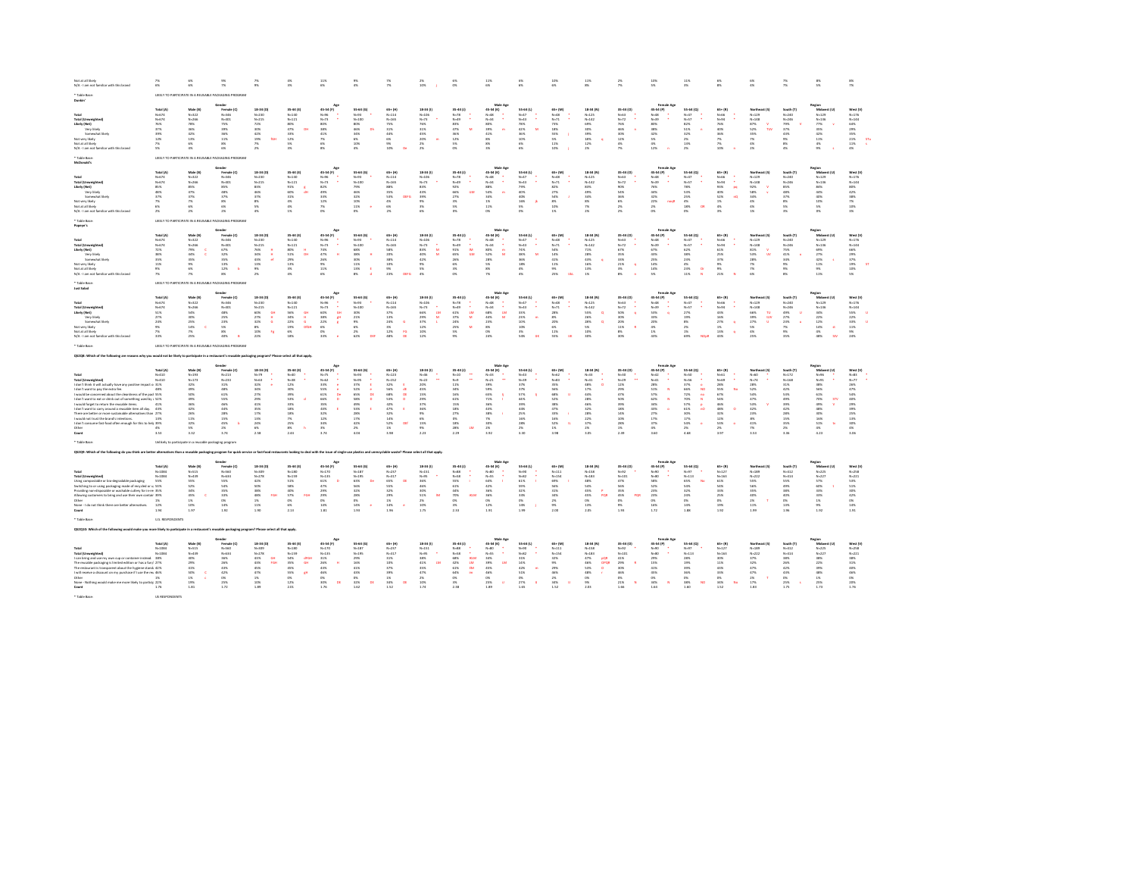| Net at all likely<br>N/A - I am not familiar with this brand                                                                                                                                                                                                                                                                                                                                                                                                                                                                                   | 246<br>6%                                                                               | <b>ANC</b><br>6%                                                                                                | <b>ON</b><br>7%                                                                                                         | 256<br>9%                                                                                                                                    | 4%<br>3%                                                                                                                    | 11%<br>6%                                                                                                                               | 9%<br>4%                                                                                                                  | $^{26}$<br>7%                                                                                                                                                  | 2%<br>10%                                                                                                                 | 6%<br>ox.                                                                                                                            | 11%<br>6%                                                                                                                        | 6%<br>6%                                                                                              | 10%<br>6%                                                                                                       | 11%<br>8%                                                                                                                  | $^{26}$<br>7%                                                                                                                    | 10%<br>5%                                                                                                            | 11%<br>3%                                                                                                                                                                                          | 6%<br>8%                                                                                                                    | 6%<br>4%                                                                                                                        | 7%<br>-2%                                                                                                           | 880<br>5%                                                                                                                              | $8\%$                                                                                                           |
|------------------------------------------------------------------------------------------------------------------------------------------------------------------------------------------------------------------------------------------------------------------------------------------------------------------------------------------------------------------------------------------------------------------------------------------------------------------------------------------------------------------------------------------------|-----------------------------------------------------------------------------------------|-----------------------------------------------------------------------------------------------------------------|-------------------------------------------------------------------------------------------------------------------------|----------------------------------------------------------------------------------------------------------------------------------------------|-----------------------------------------------------------------------------------------------------------------------------|-----------------------------------------------------------------------------------------------------------------------------------------|---------------------------------------------------------------------------------------------------------------------------|----------------------------------------------------------------------------------------------------------------------------------------------------------------|---------------------------------------------------------------------------------------------------------------------------|--------------------------------------------------------------------------------------------------------------------------------------|----------------------------------------------------------------------------------------------------------------------------------|-------------------------------------------------------------------------------------------------------|-----------------------------------------------------------------------------------------------------------------|----------------------------------------------------------------------------------------------------------------------------|----------------------------------------------------------------------------------------------------------------------------------|----------------------------------------------------------------------------------------------------------------------|----------------------------------------------------------------------------------------------------------------------------------------------------------------------------------------------------|-----------------------------------------------------------------------------------------------------------------------------|---------------------------------------------------------------------------------------------------------------------------------|---------------------------------------------------------------------------------------------------------------------|----------------------------------------------------------------------------------------------------------------------------------------|-----------------------------------------------------------------------------------------------------------------|
| Durchin'                                                                                                                                                                                                                                                                                                                                                                                                                                                                                                                                       |                                                                                         |                                                                                                                 | LIKELY TO PARTICIPATE IN A REUSABLE PACKAGING PROGRAM                                                                   |                                                                                                                                              |                                                                                                                             |                                                                                                                                         |                                                                                                                           |                                                                                                                                                                |                                                                                                                           |                                                                                                                                      |                                                                                                                                  |                                                                                                       |                                                                                                                 |                                                                                                                            |                                                                                                                                  |                                                                                                                      |                                                                                                                                                                                                    |                                                                                                                             |                                                                                                                                 |                                                                                                                     |                                                                                                                                        |                                                                                                                 |
| <b>Total (Unweighted</b><br>Likely (Net)<br>Very likely<br>Somewhat likely<br>Not very likely<br>Not at all likely<br>N/A - I am not familiar with this brand                                                                                                                                                                                                                                                                                                                                                                                  | Total (A)<br>$N - 674$<br>$N - 674$<br>76%<br>37%<br>39%<br>12%<br>7%<br>5%             | Male (B)<br>$N - 322$<br>$N - 266$<br>78%<br>36%<br>42%<br>13%<br>6%<br>4%                                      | Gende<br>Female (C)<br>$N - 346$<br>$N = 401$<br>75%<br>39%<br>36%<br>11%<br>8%<br>6%                                   | 18-34 (D)<br>N-230<br>$N - 215$<br>72%<br>sos<br>42%<br>KIH<br>19%<br>7%<br>$2\%$                                                            | 35-44 (E)<br>$N = 140$<br>$N - 121$<br>80%<br>47%<br><b>DH</b><br>33%<br>12%<br>5%<br>$3\%$                                 | Age<br>45-54 (F)<br>$N - 26$<br>$N - 73$<br>sox.<br>38%<br>41%<br>7%<br>6%<br>$8\%$                                                     | 55-64 (G)<br>$N = 0.3$<br>$N - 100$<br>apx.<br>46%<br>$\alpha$<br>34%<br>6%<br>10%<br>4%                                  | 65+(H)<br>$N = 114$<br>$N - 165$<br>75%<br>31%<br>44%<br>6%<br>9%<br>10%                                                                                       | 18-34 (1)<br>$N - 106$<br>$N - 73$<br>76%<br>31%<br>45%<br>20%<br>m<br>2%<br>$2\%$                                        | $35-44(1)$<br>$N - 78$<br>$N - 49$<br>83%<br>47%<br>36%<br>12%<br>5%<br>ox.                                                          | Male Age<br>45-54 (K)<br>$N - 48$<br>$N - 34$<br>aps.<br>39%<br>41%<br>8%<br>8%<br>3%                                            | 55-64 (L)<br>$N = 42$<br>$N = 43$<br>78%<br>42%<br>36%<br>10%<br>6%<br>6%                             | 65+ (M)<br>$N=48$<br>$N - 71$<br>73%<br>18%<br>55%<br>5%<br>11%<br>10%                                          | 18-34 (N)<br>$N-125$<br>$N - 142$<br>69%<br>30%<br>39%<br>18%<br>12%<br>$2\%$                                              | $35-44(0)$<br>$N - 63$<br>$N = 72$<br>76%<br>46%<br>30%<br>12%<br>4%<br>7%                                                       | Female Az<br>45-54 (P)<br>$N - 48$<br>$N - 39$<br>apx.<br>38%<br>42%<br>5%<br>4%<br>$12\%$                           | 55-64 (Q)<br>$N = 47$<br>$N - 57$<br>82%<br>51%<br>32%<br>2%<br>13%<br>$2\%$                                                                                                                       | 65+ (R)<br>$N + 66$<br>$N - 94$<br>76%<br>40%<br>36%<br>7%<br>7%<br>10%                                                     | Northeast (S)<br>$N - 129$<br>$N - 148$<br>87%<br>v.<br>52%<br>TUV<br>35%<br>7%<br>4%<br>$2\%$                                  | South (T)<br>$N - 240$<br>$N - 246$<br>79%<br>37%<br>43%<br>2%<br>8%<br>$4\%$                                       | Region<br>Midwest (U)<br>$N - 129$<br>$N - 136$<br>77%<br>35%<br>42%<br>11%<br>4%<br>$9\%$                                             | West (V)<br>$N - 176$<br>$N = 144$<br>64%<br>20%<br>$\frac{35\%}{21\%}$<br>ST <sub>1</sub><br>11%<br>4%         |
| * Tahla Ras<br>McDonald's                                                                                                                                                                                                                                                                                                                                                                                                                                                                                                                      |                                                                                         |                                                                                                                 | LIKELY TO PARTICIPATE IN A REUSABLE PACKAGING PROGRAM                                                                   |                                                                                                                                              |                                                                                                                             |                                                                                                                                         |                                                                                                                           |                                                                                                                                                                |                                                                                                                           |                                                                                                                                      | Male Age                                                                                                                         |                                                                                                       |                                                                                                                 |                                                                                                                            |                                                                                                                                  | Female Az                                                                                                            |                                                                                                                                                                                                    |                                                                                                                             |                                                                                                                                 |                                                                                                                     |                                                                                                                                        |                                                                                                                 |
| Total<br><b>Total (Umweighted)</b><br>Likely (Net)<br>Very likel<br>Somewhat likely<br>Not very likely<br>Not at all likely<br>N/A - I am not familiar with this brand                                                                                                                                                                                                                                                                                                                                                                         | Total (A)<br>$N - 674$<br>$N = 674$<br>85%<br>48%<br>37%<br>7%<br>6%<br>2%              | Male (B)<br>$N - 322$<br>$N - 266$<br>85%<br>47%<br>37%<br>7%<br>6%<br>2%                                       | Female (C)<br>$N - 346$<br>$N = 401$<br>ssx<br>$48\%$<br>37%<br>8%<br>6%<br>2%                                          | 18-34 (D)<br>$N - 230$<br>$N = 215$<br>83%<br>46%<br>37%<br>8%<br>5%<br>4%                                                                   | 35-44 (E)<br>$N - 140$<br>$N = 121$<br>91%<br>60%<br>$31\%$<br>4%<br>4%<br>1%                                               | Age<br>45-54 (F)<br>$N - 96$<br>$N = 73$<br>82%<br>49%<br>33%<br>12%<br>7%<br>$0\%$                                                     | 55-64 (G)<br>$N - 93$<br>$N - 100$<br>79%<br>46%<br>32%<br>10%<br>11%<br>0%                                               | 65+ (H<br>$N = 114$<br>$N - 165$<br>88%<br>$35\%$<br>53%<br>DEFG<br>4%<br>6%<br>$2\%$                                                                          | 18-34 (1)<br>$N - 106$<br>$N - 73$<br>83%<br>43%<br>39%<br>9%<br>3%<br>6%                                                 | 35-44 (J)<br>$N - 78$<br>$N = 49$<br>92%<br>66%<br>ita<br>22%<br>3%<br>5%<br>O%                                                      | 45-54 (K)<br>$N - 48$<br>$N = 34$<br>ssx.<br>S4%<br>34%<br>1%<br>11%<br>O%                                                       | 55-64 (L)<br>$N = 47$<br>$N - 43$<br>79%<br>40%<br>40%<br>16%<br>5%<br>$\infty$                       | 65+ (M)<br>$N - 48$<br>$N - 71$<br>82%<br>27%<br>54%<br>8%<br>10%<br>1%                                         | 18-34 (N<br>$N - 125$<br>$N = 142$<br>83%<br>49%<br>34%<br>8%<br>7%<br>256                                                 | 35-44 (0)<br>$N - 63$<br>$N = 72$<br>90%<br>54%<br>$36\%$<br>6%<br>2%<br>2%                                                      | 45-54 (P)<br>$N = 48$<br>$N - 39$<br>76%<br>44%<br>$32\%$<br>22%<br>noat<br>256<br>0%                                | 55-64 (Q)<br>$N = 47$<br>$N = 57$<br>78%<br>53%<br>$25\%$<br>$\frac{4\%}{18\%}$<br>$1$<br>O%                                                                                                       | 65+ (R)<br>$N + 66$<br>$N = 94$<br>93%<br>pg<br>40%<br>$52\%$<br>nQ<br>1%<br>4%<br>$3\%$                                    | Northeast (S)<br>$N - 129$<br>$N - 148$<br>92%<br>$\mathbf{v}$<br>58%<br>$34\%$<br>4%<br>4%<br>1%                               | South (T)<br>$N - 240$<br>$N - 246$<br>85%<br>48%<br>37%<br>8%<br>5%<br>3%                                          | Region<br>Midwest (U)<br>$N - 129$<br>$N - 136$<br>84%<br>44%<br>40%<br>10%<br>5%<br>ox.                                               | West (V)<br>$N - 176$<br>$N = 144$<br>80%<br>42%<br>38%<br>$7\%$<br>10%<br>$3\%$                                |
| * Tahla Ras<br>Popeve's                                                                                                                                                                                                                                                                                                                                                                                                                                                                                                                        |                                                                                         |                                                                                                                 | LIKELY TO PARTICIPATE IN A REUSABLE PACKAGING PROGRAM                                                                   |                                                                                                                                              |                                                                                                                             | Age                                                                                                                                     |                                                                                                                           |                                                                                                                                                                |                                                                                                                           |                                                                                                                                      | Male Age                                                                                                                         |                                                                                                       |                                                                                                                 |                                                                                                                            |                                                                                                                                  | Female Az                                                                                                            |                                                                                                                                                                                                    |                                                                                                                             |                                                                                                                                 |                                                                                                                     | Region                                                                                                                                 |                                                                                                                 |
| Total<br><b>Total (Umweighted)</b><br>Likely (Net)<br>Very likel<br>Somewhat likely<br>Not very likely<br>Not at all likely<br>N/A - I am not familiar with this brand                                                                                                                                                                                                                                                                                                                                                                         | Total (A)<br>$N - 674$<br>$N = 674$<br>72%<br>38%<br>35%<br>11%<br>9%<br>$\overline{7}$ | Male (B)<br>$N - 322$<br>$N - 266$<br>79%<br>44%<br>35%<br>9%<br>6%<br>7%                                       | Female (C)<br>$N - 346$<br>$N = 401$<br>67%<br>32%<br>35%<br>13%<br>$12\%$<br>$8\%$                                     | 18-34 (D)<br>$N - 230$<br>$N = 215$<br>$\mathbf{H}$<br>76%<br>34%<br>43%<br>$\mathcal{A}$<br>13%<br>$9\%$<br>$2\%$                           | 35-44 (E)<br>$N - 140$<br>$N = 121$<br>$80\%$<br>$\mathbf H$<br>51%<br>œ<br>29%<br>13%<br>3%<br>4%                          | 45-54 (F)<br>$N - 96$<br>$N = 73$<br>74%<br>47%<br>26%<br>$9\%$<br>11%<br>$6\%$                                                         | 55-64 (G)<br>$N - 93$<br>$N - 100$<br>68%<br>38%<br>30%<br>11%<br>13%<br>8%                                               | 65+ (H<br>$N = 114$<br>$N - 165$<br>58%<br>20%<br>38%<br>10%<br>$9\%$<br>23%<br><b>DEED</b>                                                                    | 18-34 (1)<br>$N - 106$<br>$N - 73$<br>83%<br>$\overline{M}$<br>40%<br>M<br>42%<br>9%<br>$5\%$<br>4%                       | 35-44 (J)<br>$N = 78$<br>$N = 49$<br>91%<br><b>IM</b><br>65%<br><b>ILM</b><br>26%<br>6%<br>3%<br>ox.                                 | 45-54 (K)<br>$N - 48$<br>$N = 34$<br>aox.<br>$\mathbf{m}$<br>52%<br>28%<br>S%<br>8%<br>256                                       | 55-64 (L)<br>$N = 47$<br>$N - 43$<br>74%<br>38%<br>36%<br>18%<br>4%<br>4%                             | 65+ (M)<br>$N - 48$<br>$N - 71$<br>54%<br>$14\%$<br>41%<br>11%<br>$9\%$<br>25%<br>10 <sup>2</sup>               | 18-34 (N)<br>$N - 125$<br>$N = 142$<br>71%<br>$28\%$<br>43%<br>16%<br>13%<br>$1\%$                                         | 35-44 (0)<br>$N = 63$<br>$N - 72$<br>67%<br>$35\%$<br>33%<br>21%<br>×<br>3%<br>sx.                                               | 45-54 (P)<br>$N=48$<br>$N - 39$<br>67%<br>43%<br>25%<br>14%<br>14%<br>5%                                             | 55-64 (Q)<br>$N=47$<br>$N = 57$<br>62%<br>38%<br>23%<br>$4\%$<br>23%<br>11%                                                                                                                        | 65+ (R)<br>$N + 66$<br>$N = 94$<br>61%<br>25%<br>37%<br>$9\%$<br>$9\%$<br>21%                                               | Northeast (S)<br>$N - 129$<br>$N - 148$<br>81%<br>$\mathbf{v}$<br>53%<br>$\mathbf{w}$<br>28%<br>$\gamma_{\rm N}$<br>$2\%$<br>6% | South (T)<br>$N - 240$<br>$N - 246$<br>75%<br>41%<br>34%<br>$9\%$<br>$9\%$<br>$8\%$                                 | Midwest (U)<br>$N - 129$<br>$N-136$<br>69%<br>$27\%$<br>42%<br>11%<br>$9\%$<br>11%                                                     | West (V)<br>$N - 176$<br>$N = 144$<br>66%<br>$\frac{29\%}{37\%}$<br>19%<br><b>S</b><br>10%<br>5%                |
| Table Base<br>Just Salad                                                                                                                                                                                                                                                                                                                                                                                                                                                                                                                       |                                                                                         |                                                                                                                 | LIKELY TO PARTICIPATE IN A REUSABLE PACKAGING PROGRAM                                                                   |                                                                                                                                              |                                                                                                                             |                                                                                                                                         |                                                                                                                           |                                                                                                                                                                |                                                                                                                           |                                                                                                                                      |                                                                                                                                  |                                                                                                       |                                                                                                                 |                                                                                                                            |                                                                                                                                  | Female As                                                                                                            |                                                                                                                                                                                                    |                                                                                                                             |                                                                                                                                 |                                                                                                                     |                                                                                                                                        |                                                                                                                 |
| Total<br><b>Total (Unweighted)</b><br>Likely (Net)<br>Very likely<br>Somewhat likely<br>Not very likely<br>Not at all likely<br>N/A - I am not familiar with this bran                                                                                                                                                                                                                                                                                                                                                                         | Total (A)<br>$N = 674$<br>$N - 674$<br>51%<br>27%<br>24%<br>9%<br>7%<br>33%             | Male (B)<br>$N - 322$<br>$N - 266$<br>54%<br>senc.<br>25%<br>14%<br>c<br>7%<br>25%                              | Female (C)<br>$N = 346$<br>$N = 401$<br>$48\%$<br>25%<br>23%<br>5%<br>\$%<br>40%                                        | 18-34 (D)<br>$N - 230$<br>$N - 215$<br>50%<br>GH<br>27%<br>$\mathbf{H}$<br>32%<br>$\alpha$<br>$8\%$<br>10%<br>$\mathbf{r}_\mathrm{R}$<br>22% | 35-44 (E)<br>$N - 140$<br>$N = 121$<br>56%<br><b>GH</b><br>$\frac{34\%}{22\%}$<br>H<br>$\alpha$<br>19%<br>DIGH<br>6%<br>18% | 45-54 (F)<br>$N - 96$<br>$N = 73$<br>$\begin{array}{r} 60\% \\ 38\% \\ 22\% \end{array}$<br>GH<br>gH<br>×<br>$6\%$<br>ox<br>33%         | 55-64 (G)<br>$N = 93$<br>$N - 100$<br>30%<br>21%<br>9%<br>6%<br>$2\%$<br>62%<br><b>COL</b>                                | 65+ (H)<br>$N = 114$<br>$N - 165$<br>37%<br>13%<br>24%<br><b>d</b><br>3%<br>$12\%$<br>fo.<br>48%<br><b>DE</b>                                                  | 18-34 (1)<br>$N - 106$<br>$N - 73$<br>66%<br><b>LM</b><br>$\frac{29\%}{37\%}$<br>$\overline{M}$<br>×<br>12%<br>10%<br>12% | $35-44(1)$<br>$N - 78$<br>$N=49$<br>61%<br>$_{\rm DM}$<br>$\frac{37\%}{24\%}$<br><b>M</b><br>25%<br>$\overline{\nu}$<br>$5\%$<br>256 | Male Ag<br>45-54 (K)<br>$N - 48$<br>$N - 34$<br>68%<br>$_{\rm DM}$<br>44%<br>$\overline{\mathbf{M}}$<br>23%<br>as.<br>os.<br>24% | 55-64 (L)<br>$N = 47$<br>$N = 43$<br>33%<br>23%<br>10%<br>10%<br>3%<br>54%<br><b>TIME</b>             | 65+ (M)<br>$N - 48$<br>$N = 71$<br>28%<br>$8\%$<br>20%<br>6%<br>11%<br>55%<br>$\overline{u}$                    | 18-34 (N)<br>$N - 125$<br>$N - 142$<br>55%<br>$\alpha$<br>26%<br>28%<br>$\alpha$<br>5%<br>10%<br>30%                       | 35-64 (0)<br>$N - 63$<br>$N = 72$<br>50%<br><b>A</b><br>30%<br>20%<br>11%<br>×<br>$8\%$<br>30%                                   | 45-54 (P)<br>$N=48$<br>$N - 39$<br>53%<br>$\mathbf{q}$<br>33%<br>20%<br>$4\%$<br>$1\%$<br>43%                        | 55-64 (0)<br>$N = 47$<br>$N - 57$<br>27%<br>19%<br>8%<br>$2\%$<br>$1\%$<br>eas.<br>NOM                                                                                                             | $65 + (8)$<br>$N - 66$<br>$N - 94$<br>43%<br>$16\%$<br>27%<br>$1\%$<br>13%<br>43%                                           | Northeast (5)<br>$N - 129$<br>$N - 148$<br>66%<br>TU<br>$39\%$<br>tuv<br>27%<br><b>U</b><br>5%<br>$4\%$<br>25%                  | South (1)<br>$N - 240$<br>$N = 246$<br>49%<br>27%<br>23%<br>$2\%$<br>9%<br>35%                                      | tegion<br>Midwest (tt)<br>$N - 129$<br>$N-136$<br>34%<br>22%<br>12%<br>14%<br>$\Omega$<br>$4\%$<br>48%<br>Sty                          | West (V)<br>$N - 176$<br>$N = 144$<br>55%<br>22%<br>33%<br><b>u</b><br>11%<br>$9\%$<br>24%                      |
| <b>Table Base</b>                                                                                                                                                                                                                                                                                                                                                                                                                                                                                                                              |                                                                                         |                                                                                                                 | LIKELY TO PARTICIPATE IN A REUSABLE PACKAGING PROGRAM                                                                   |                                                                                                                                              |                                                                                                                             |                                                                                                                                         |                                                                                                                           |                                                                                                                                                                |                                                                                                                           |                                                                                                                                      |                                                                                                                                  |                                                                                                       |                                                                                                                 |                                                                                                                            |                                                                                                                                  |                                                                                                                      |                                                                                                                                                                                                    |                                                                                                                             |                                                                                                                                 |                                                                                                                     |                                                                                                                                        |                                                                                                                 |
| following are reasons why you would not be likely to participate in a restaurant's reusable packaging program? Please select all that apply.                                                                                                                                                                                                                                                                                                                                                                                                   |                                                                                         |                                                                                                                 | Gende                                                                                                                   |                                                                                                                                              |                                                                                                                             | Am                                                                                                                                      |                                                                                                                           |                                                                                                                                                                |                                                                                                                           |                                                                                                                                      | Male Age                                                                                                                         |                                                                                                       |                                                                                                                 |                                                                                                                            |                                                                                                                                  | Female Az                                                                                                            |                                                                                                                                                                                                    |                                                                                                                             |                                                                                                                                 |                                                                                                                     | Region                                                                                                                                 |                                                                                                                 |
| <b>Total (Unweighted)</b><br>I don't think it will actually have any positive impact or 31%<br>don't want to pay the extra fee.<br>would be concerned about the cleanliness of the paci 55%<br>don't want to eat or drink out of something used by a 52%<br>would forget to return the reusable items.<br>don't want to carry around a reusable item all day.<br>There are better or more sustainable alternatives than 27%<br>would not trust the brand's intentions.<br>I don't consume fast-food often enough for this to helc 39%<br>Other | Total (A)<br>$N - 410$<br>$N - 410$<br>483<br>41%<br>43%<br>13%<br>4%<br>3.53           | Male (B)<br>$N - 193$<br>$N - 173$<br>32%<br>49%<br>sox<br>49%<br>36%<br>42%<br>26%<br>11%<br>32%<br>5%<br>3.32 | Female (C)<br>$N = 213$<br>$N - 233$<br>31%<br>48%<br>61%<br>55%<br>46%<br>44%<br>$28\%$<br>15%<br>45%<br>$2\%$<br>3.74 | 18-34 (D)<br>N-79<br>$N = 63$<br>32%<br>34%<br>27%<br>20%<br>41%<br>35%<br>$17\%$<br>13%<br>24%<br>$6\%$<br>2.58                             | 35-44 (E)<br>$N-38$<br>12%<br>30%<br>39%<br>53%<br>33%<br>$18\%$<br>$18\%$<br>7%<br>25%<br>$8\%$<br>2.44                    | 45-54 (F)<br>$N - 75$<br>$N = 62$<br>33%<br>55%<br>61%<br>De<br>66%<br>$\mathbf{D}$<br>35%<br>43%<br>32%<br>12%<br>34%<br>$3\%$<br>3.74 | 55-64 (G)<br>4-93<br>$N = 95$<br>37%<br>52%<br>65%<br>$\alpha$<br>58%<br>49%<br>53%<br>28%<br>17%<br>42%<br>$2\%$<br>4.04 | 65+ (H)<br>$N = 123$<br>$N = 152$<br>32%<br>56%<br>$68\%$<br><b>DE</b><br>53%<br>$\bullet$<br>42%<br>47%<br><b>E</b><br>32%<br>14%<br>DEF<br>52%<br>1%<br>3.98 | 18-34 (1)<br>N-46<br>$N = 22$<br>20%<br>45%<br>$15\%$<br>$\frac{29\%}{37\%}$<br>36%<br>9%<br>6%<br>15%<br>$9\%$<br>2.23   | $35-44(1)$<br>$N - 10$<br>$N=2$<br>11%<br>34%<br>16%<br>61%<br>15%<br>$18\%$<br>27%<br>O%<br>18%<br>$28\%$<br><b>LM</b><br>2.29      | 45-54 (K)<br>$N - 33$<br>$N = 21$<br>39%<br>sso<br>65%<br>71%<br>36%<br>43%<br>38%<br>7%<br>30%<br>$_{\rm 2N}$<br>3.92           | 55-64 (L)<br>$N - 35$<br>37%<br>37%<br>57%<br>44%<br>39%<br>44%<br>25%<br>16%<br>28%<br>$2\%$<br>3.30 | 65+ (M)<br>$N = 62$<br>$N - 83$<br>35%<br>56%<br>68%<br>52%<br>38%<br>$47\%$<br>33%<br>16%<br>52%<br>1%<br>3.98 | 18-34 (N)<br>$N - 33$<br>$N = 41$<br>48%<br>$\circ$<br>17%<br>44%<br>28%<br>46%<br>32%<br>28%<br>22%<br>37%<br>256<br>3.05 | 35-44 (0)<br>$N - 30$<br>$N - 29$<br>$12\%$<br>29%<br>47%<br>50%<br>39%<br>18%<br>14%<br>10%<br>28%<br>1%<br>2.49                | 45-54 (P)<br>$1 - 42$<br>$N = 12$<br>28%<br>51%<br>57%<br>62%<br>34%<br>43%<br>$27\%$<br>17%<br>37%<br>$4\%$<br>3.60 | 55-64 (0)<br>$N - 50$<br>$N - 56$<br>37%<br>NO<br>66%<br>72%<br>$\mathfrak{so}% =\mathfrak{so}_{2}\left( 1\right) ^{\ast }$<br>70%<br>N<br>57%<br>61%<br>'nо<br>30%<br>17%<br>54%<br>$2\%$<br>4.68 | $65 + (8)$<br>$N = 61$<br>$N = 62$<br>$28\%$<br>ss%<br>No<br>67%<br>54%<br>46%<br>48%<br>32%<br>12%<br>53%<br>$2\%$<br>3.97 | Northeast (\$)<br>$N - 60$<br>$N - 74$<br>28%<br>52%<br>54%<br>47%<br>53%<br>$42\%$<br>23%<br>8%<br>41%<br>$7\%$<br>3.53        | South (T)<br>$N = 172$<br>$N - 168$<br>31%<br>42%<br>53%<br>49%<br>39%<br>42%<br>28%<br>15%<br>35%<br>$2\%$<br>3.36 | Midwest (U)<br>$N - 96$<br>$N = 91$<br>38%<br>56%<br>$61\%$<br>70%<br><b>STV</b><br>49%<br>×<br>48%<br>30%<br>16%<br>51%<br>4%<br>4.23 | West (V)<br>$N=83$<br>$N=77$<br>26%<br>$47\%$<br>54%<br>40%<br>29%<br>39%<br>25%<br>13%<br>30%<br>$4\%$<br>3.06 |
| * Table Base:                                                                                                                                                                                                                                                                                                                                                                                                                                                                                                                                  |                                                                                         | Unlikely to participate in a reusable packaging program                                                         |                                                                                                                         |                                                                                                                                              |                                                                                                                             |                                                                                                                                         |                                                                                                                           |                                                                                                                                                                |                                                                                                                           |                                                                                                                                      |                                                                                                                                  |                                                                                                       |                                                                                                                 |                                                                                                                            |                                                                                                                                  |                                                                                                                      |                                                                                                                                                                                                    |                                                                                                                             |                                                                                                                                 |                                                                                                                     |                                                                                                                                        |                                                                                                                 |
| QS2Q9: Which of the following do you think are better alternatives than a reusable packaging program for quick service or fast-food restaurants looking to deal with the issue of single-use plastics and unrecyclable waste?                                                                                                                                                                                                                                                                                                                  |                                                                                         |                                                                                                                 | Gende                                                                                                                   |                                                                                                                                              |                                                                                                                             |                                                                                                                                         |                                                                                                                           |                                                                                                                                                                |                                                                                                                           |                                                                                                                                      | Male Age                                                                                                                         |                                                                                                       |                                                                                                                 |                                                                                                                            |                                                                                                                                  | Female Az                                                                                                            |                                                                                                                                                                                                    |                                                                                                                             |                                                                                                                                 |                                                                                                                     | Region                                                                                                                                 |                                                                                                                 |
| <b>Total (Umg</b><br>Using compostable or bio-degradable packaging<br>Switching to or using packaging made of recycled or u 53%<br>Providing non-disposable or washable cutlery for in-ret 35%<br>Allowing customers to bring and use their own contain 39%<br>Other<br>None - I do not think there are better alternatives.                                                                                                                                                                                                                   | Total (A)<br>$N - 1084$<br>$N - 1084$<br>55%<br>1%<br>12%<br>1.94                       | Male (B)<br>$N - 515$<br>$N - 439$<br>55%<br>52%<br>34%<br>45%<br>1%<br>10%<br>1.97                             | Female (C)<br>$N - 560$<br>$N - 634$<br>55%<br>54%<br>35%<br>$33%$<br>O%<br>$14\%$<br>1.92                              | 18-34 (D)<br>N-309<br>$N - 278$<br>42%<br>50%<br>sex<br>48%<br>for<br>1%<br>11%<br>1.90                                                      | 35-44 (E)<br>$N - 180$<br>$N - 159$<br>51%<br>58%<br>40%<br>$57\%$<br>FGI<br>os.<br>6%<br>2.13                              | 45-54 (F)<br>$N = 170$<br>$N = 135$<br>61%<br>$\sim$<br>47%<br>29%<br>29%<br>0%<br>14%<br>1.81                                          | 55-64 (G)<br>$N - 187$<br>$N - 195$<br>63%<br><b>D</b><br>56%<br>32%<br>$28\%$<br>0%<br>14%<br>1.93                       | 65+(H)<br>$N = 237$<br>$N - 317$<br>65%<br>DE<br>55%<br>32%<br>$29\%$<br>1%<br>$14\%$<br>1.96                                                                  | 18-34 (1)<br>$N = 151$<br>$N-95$<br>36%<br>46%<br>$30\%$<br>$51\%$<br><b>TM</b><br>2%<br>10%<br>1.75                      | $35-44(1)$<br>$N - 88$<br>$N-58$<br>55%<br>- 11<br>61%<br>44%<br>70%<br><b>IKLM</b><br>$0\%$<br>$3\%$<br>2.33                        | 45-54 (K)<br>$N - 80$<br>$N-55$<br>64%<br>42%<br>36%<br>36%<br>O%<br>12%<br>1.9                                                  | 55-64 (L)<br>$N - 90$<br>$N - 82$<br>61%<br>59%<br>32%<br>33%<br>O%<br>14%<br>1.99                    | 65+ (M)<br>$N = 111$<br>$N - 154$<br>69%<br>56%<br>31%<br>34%<br>$2\%$<br>$9\%$<br>2.00                         | 18-34 (N)<br>$N - 158$<br>$N - 183$<br>48%<br>54%<br>45%<br>45%<br>POR<br>$^{cos}$<br>13%<br>2.05                          | 35-44 (0)<br>$N = 92$<br>$N - 101$<br>47%<br>56%<br>$35\%$<br>45%<br>POR<br>$0\%$<br>9%<br>1.93                                  | 45-54 (P)<br>$N = 90$<br>$N - 80$<br>58%<br>52%<br>$23\%$<br>$2\,3\%$<br>0%<br>16%<br>1.72                           | 55-64 (Q)<br>$N = 97$<br>$N - 113$<br>65%<br><b>No</b><br>54%<br>32%<br>$\frac{24\%}{0\%}$<br>14%<br>1.88                                                                                          | $65 + (8)$<br>$N = 127$<br>$N - 163$<br>61%<br>54%<br>33%<br>25%<br>os:<br>19%<br>1.92                                      | Northeast (S)<br>$N - 189$<br>$N = 222$<br>55%<br>56%<br>35%<br>$\frac{40\%}{2\%}$<br>$11\%$<br>1.99                            | South (T)<br>$N = 412$<br>$N = 414$<br>55%<br>49%<br>38%<br>40%<br>$0\%$<br>13%<br>1.95                             | Midwest (U)<br>$N = 225$<br>$N = 227$<br>57%<br>60%<br>33%<br>$33\%$<br>1%<br>$9\%$<br>1.92                                            | West (V)<br>$N - 258$<br>$N = 221$<br>53%<br>51%<br>30%<br>42%<br>$0\%$<br>$14\%$<br>1.91                       |
| Table Rase<br>52Q10: Which of the following would make you more likely to participate in a restaurant's reusable packaging program? Please select all that apply.                                                                                                                                                                                                                                                                                                                                                                              | U.S. RESPONDENTS                                                                        |                                                                                                                 |                                                                                                                         |                                                                                                                                              |                                                                                                                             |                                                                                                                                         |                                                                                                                           |                                                                                                                                                                |                                                                                                                           |                                                                                                                                      |                                                                                                                                  |                                                                                                       |                                                                                                                 |                                                                                                                            |                                                                                                                                  |                                                                                                                      |                                                                                                                                                                                                    |                                                                                                                             |                                                                                                                                 |                                                                                                                     |                                                                                                                                        |                                                                                                                 |
|                                                                                                                                                                                                                                                                                                                                                                                                                                                                                                                                                |                                                                                         |                                                                                                                 | Gende                                                                                                                   |                                                                                                                                              |                                                                                                                             | Age                                                                                                                                     |                                                                                                                           |                                                                                                                                                                |                                                                                                                           |                                                                                                                                      | Male Ae                                                                                                                          |                                                                                                       |                                                                                                                 |                                                                                                                            |                                                                                                                                  | <b>female</b> As                                                                                                     |                                                                                                                                                                                                    |                                                                                                                             |                                                                                                                                 |                                                                                                                     | Region                                                                                                                                 |                                                                                                                 |
| <b>Total (Un</b><br>I can bring and use my own cup or container instead. 38%<br>The reusable packaging is limited edition or has a fun/: 27%<br>The restaurant is transparent about the hygiene stand; 42%<br>will receive a discount on my purchase if I use the reu 46%<br>None - Nothing would make me more likely to particis 22%                                                                                                                                                                                                          | Total (A)<br>$N - 1084$<br>$N - 1084$<br>1%<br>1.76<br>US RESPONDENT                    | Male (B)<br>$N - 515$<br>$N - 439$<br>40%<br>29%<br>41%<br>sox<br>1%<br>19%<br>1.81                             | Female (C)<br>$N - 560$<br>$N - 634$<br>36%<br>26%<br>43%<br>$42\%$<br>O%<br>25%<br>1.72                                | 18-34 (D)<br>N-309<br>$N - 278$<br><b>GH</b><br>43%<br>43%<br>FOH<br>45%<br>$47\%$<br>$1\%$<br>10%<br>1.89                                   | 35-44 (E)<br>$N - 180$<br>$N - 159$<br>54%<br>dfGH<br>35%<br><b>GH</b><br>45%<br>55%<br>os.<br>12%<br>2.01                  | 45-54 (F)<br>$N = 170$<br>$N = 135$<br>31%<br>26%<br>43%<br>46%<br>O%<br><b>DE</b><br>30%<br>1.76                                       | 55-64 (G)<br>$N - 187$<br>$N - 195$<br>29%<br>16%<br>41%<br>43%<br>0%<br>32%<br>$\infty$<br>1.62                          | 65+(H)<br>$N = 237$<br>$N - 317$<br>31%<br>10%<br>37%<br>39%<br>1%<br>34%<br>DE<br>1.52                                                                        | 18-34 (1)<br>$N = 151$<br>$N-95$<br>38%<br>41%<br><b>LM</b><br>35%<br>47%<br>$2\%$<br>10%<br>1.74                         | $35-44(1)$<br>$N - 88$<br>$N-58$<br>68%<br><b>IKUM</b><br>42%<br><b>LM</b><br><b>IIM</b><br>61%<br>64%<br>ox.<br>3%<br>2.38          | 45-54 (K)<br>$N - 80$<br>$N-55$<br>34%<br>39%<br><b>LM</b><br>45%<br>46%<br>O%<br>25%<br>1.89                                    | 55-64 (L)<br>$N - 90$<br>$N - 82$<br>31%<br>14%<br>42%<br>51%<br>$\infty$<br>27%<br>×<br>1.65         | 65+ (M)<br>$N = 111$<br>$N - 154$<br>32%<br>9%<br>$24\%$<br>46%<br>$2\%$<br>34%<br>1.52                         | 18-34 (N)<br>$N - 158$<br>$N-183$<br>47%<br>oon<br>46%<br>oras<br>53%<br>$\circ$<br>48%<br>coc.<br>9%<br>2.03              | 35-44 (0)<br>$N = 92$<br>$N = 101$<br>$^{41 \%}_{29 \%}$<br>×<br>30%<br>46%<br><b>ON</b><br>21%<br>$\boldsymbol{\kappa}$<br>1.66 | 45-54 (P)<br>$N = 90$<br>$N - 80$<br>29%<br>15%<br>$41\%$<br>45%<br>0%<br>34%<br>$^{12}$<br>1.64                     | 55-64 (Q)<br>$8 - 97$<br>$N = 113$<br>28%<br>19%<br>39%<br>36%<br>O%<br>38%<br><b>NO</b><br>1.60                                                                                                   | $65 + (8)$<br>$N = 127$<br>$N - 163$<br>30%<br>11%<br>43%<br>33%<br>0%<br>34%<br>No<br>1.52                                 | Northeast (\$)<br>$N - 180$<br>$N = 222$<br>37%<br>32%<br>47%<br>$42\%$<br>$2\%$<br>17%<br>1.83                                 | South (T)<br>$N = 412$<br>$N - 414$<br>38%<br>26%<br>42%<br>43%<br>$O\%$<br>25%<br>1.75                             | Midwest (U)<br>$N = 225$<br>$N = 227$<br>38%<br>22%<br>39%<br>48%<br>1%<br>25%<br>1.73                                                 | West (V)<br>$N - 258$<br>$N = 221$<br>38%<br>31%<br>40%<br>46%<br>$0\%$<br>20%                                  |
| * Table Base                                                                                                                                                                                                                                                                                                                                                                                                                                                                                                                                   |                                                                                         |                                                                                                                 |                                                                                                                         |                                                                                                                                              |                                                                                                                             |                                                                                                                                         |                                                                                                                           |                                                                                                                                                                |                                                                                                                           |                                                                                                                                      |                                                                                                                                  |                                                                                                       |                                                                                                                 |                                                                                                                            |                                                                                                                                  |                                                                                                                      |                                                                                                                                                                                                    |                                                                                                                             |                                                                                                                                 |                                                                                                                     |                                                                                                                                        |                                                                                                                 |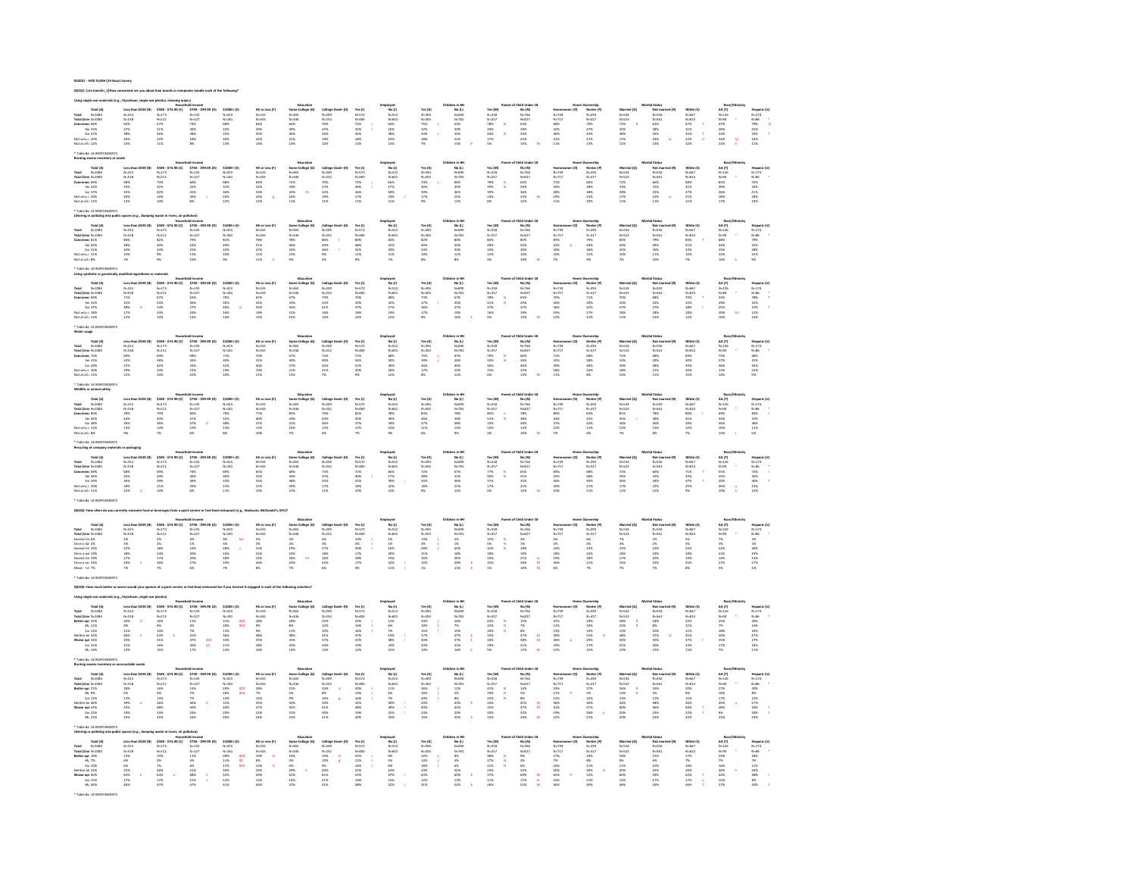## 042021 - HOD FLASH (24 Hour) Survey

\* Table Ba US RESPONDENTS

QS2Q1: [res transfer\_1]How concerned are you about how brands or companies handle each of the following?

| Total (A)<br>Total N=1084<br>Total (Unv N=1084                                                                                                                                                                                                                                                                                                                                                                                                                             | Less tha<br>N=313<br>N=518<br>65%<br>27%                                                                                   | \$50K - \$74.9K (C)<br>N=173<br>N=211                                             | 575K - 599.<br>N=135<br>N=127<br>74%<br>S6%                                                                                              | $\begin{array}{l} 5100K{*}\left( t \right) \\ N{=}415 \\ N{=}181 \end{array}$                                                                                                                                                                                                                                                         | HS or Less (F)<br>N=333<br>N=343<br>64%<br>29%<br>35%<br>22%                                       | textcanter<br>Some College (G)<br>N=365<br>N=366<br>30%<br>30%<br>21%<br>21%                                                                                                                                                                     | College O<br>N=209<br>N=252                                                            | Yes (I)<br>N=572<br>N=483<br>71%<br>35%                                    | Employed<br>No (J)<br>N=512<br>N=601<br>64%<br>26%<br>28%<br>38%<br>28%<br>28%                 | Yes (K)<br>N=394<br>N=303<br>75%<br>32%                                                                                                                                                   | in in HH<br>No (L)<br>N-690<br>N-781                                        | Yes (M)<br>N=318<br>N=257                                                                                                                                                                              | hild Und<br>No (N)<br>N=766<br>N=827<br>63%<br>29%<br>34%<br>22%                                                   |                                                                                                               | Noneranip<br>Renter (P)<br>N=293<br>N=317                                                   | Married (Q)<br>N=534<br>N=523<br>22%<br>34%<br>38%<br>17%<br>17%           | al Status<br>Mot mu<br>N=550<br>N=561<br>63%<br>28%<br>28%<br>35%                             | White (5)<br>N=667<br>N=814<br>67%<br>31%<br>35%<br>35%<br>22%               | AA (T)<br>N=326<br>N=90<br>47%<br>26%<br>22%<br>32%<br>21%                | Hispanic (U)<br>N=174<br>N=86<br>79% s<br>34% s<br>45% T<br>10% T               |
|----------------------------------------------------------------------------------------------------------------------------------------------------------------------------------------------------------------------------------------------------------------------------------------------------------------------------------------------------------------------------------------------------------------------------------------------------------------------------|----------------------------------------------------------------------------------------------------------------------------|-----------------------------------------------------------------------------------|------------------------------------------------------------------------------------------------------------------------------------------|---------------------------------------------------------------------------------------------------------------------------------------------------------------------------------------------------------------------------------------------------------------------------------------------------------------------------------------|----------------------------------------------------------------------------------------------------|--------------------------------------------------------------------------------------------------------------------------------------------------------------------------------------------------------------------------------------------------|----------------------------------------------------------------------------------------|----------------------------------------------------------------------------|------------------------------------------------------------------------------------------------|-------------------------------------------------------------------------------------------------------------------------------------------------------------------------------------------|-----------------------------------------------------------------------------|--------------------------------------------------------------------------------------------------------------------------------------------------------------------------------------------------------|--------------------------------------------------------------------------------------------------------------------|---------------------------------------------------------------------------------------------------------------|---------------------------------------------------------------------------------------------|----------------------------------------------------------------------------|-----------------------------------------------------------------------------------------------|------------------------------------------------------------------------------|---------------------------------------------------------------------------|---------------------------------------------------------------------------------|
|                                                                                                                                                                                                                                                                                                                                                                                                                                                                            |                                                                                                                            |                                                                                   |                                                                                                                                          |                                                                                                                                                                                                                                                                                                                                       |                                                                                                    |                                                                                                                                                                                                                                                  |                                                                                        |                                                                            |                                                                                                |                                                                                                                                                                                           |                                                                             |                                                                                                                                                                                                        |                                                                                                                    | Momed<br>N=739<br>N=717<br>68%<br>S2%<br>32%<br>21%                                                           |                                                                                             |                                                                            |                                                                                               |                                                                              |                                                                           | $\frac{1}{\alpha t}$                                                            |
| Concerner 68%<br>Ve: 31%<br>So: 37%                                                                                                                                                                                                                                                                                                                                                                                                                                        |                                                                                                                            | $\frac{67\%}{31\%}$                                                               |                                                                                                                                          | $\frac{68\%}{32\%}$                                                                                                                                                                                                                                                                                                                   |                                                                                                    |                                                                                                                                                                                                                                                  | 70%<br>35%<br>34%<br>19%                                                               |                                                                            |                                                                                                |                                                                                                                                                                                           | 63%<br>30%                                                                  | $\bar{N}$<br>78%<br>34%                                                                                                                                                                                |                                                                                                                    |                                                                                                               | 70%<br>27%<br>43%<br>43%                                                                    |                                                                            |                                                                                               |                                                                              |                                                                           |                                                                                 |
|                                                                                                                                                                                                                                                                                                                                                                                                                                                                            |                                                                                                                            | 36%<br>22%                                                                        | $\frac{38\%}{18\%}$                                                                                                                      | 35%<br>20%                                                                                                                                                                                                                                                                                                                            |                                                                                                    |                                                                                                                                                                                                                                                  |                                                                                        | $36%$<br>$18%$                                                             |                                                                                                | $\frac{43\%}{18\%}$                                                                                                                                                                       | $33%$<br>$22%$                                                              | $\frac{44\%}{17\%}$<br>$\boldsymbol{\mathcal{N}}$                                                                                                                                                      |                                                                                                                    |                                                                                                               |                                                                                             |                                                                            |                                                                                               | ÷,                                                                           |                                                                           |                                                                                 |
| Vot very c 20%<br>Not at all + 12%                                                                                                                                                                                                                                                                                                                                                                                                                                         | 38%<br>20%<br>15%                                                                                                          | 11%                                                                               | $8\%$                                                                                                                                    | 12%                                                                                                                                                                                                                                                                                                                                   | 14%                                                                                                | 14%                                                                                                                                                                                                                                              | 12%                                                                                    | 11%                                                                        | 13%                                                                                            |                                                                                                                                                                                           | 15%                                                                         | 5%                                                                                                                                                                                                     | 15%                                                                                                                | 11%                                                                                                           | 13%                                                                                         | 11%                                                                        | $\ddot{\phantom{a}}$<br>13%                                                                   | 12%                                                                          | su.                                                                       | 11%                                                                             |
| Table By US RESPONDENTS                                                                                                                                                                                                                                                                                                                                                                                                                                                    |                                                                                                                            |                                                                                   |                                                                                                                                          |                                                                                                                                                                                                                                                                                                                                       |                                                                                                    |                                                                                                                                                                                                                                                  |                                                                                        |                                                                            |                                                                                                |                                                                                                                                                                                           |                                                                             |                                                                                                                                                                                                        |                                                                                                                    |                                                                                                               |                                                                                             |                                                                            |                                                                                               |                                                                              |                                                                           |                                                                                 |
|                                                                                                                                                                                                                                                                                                                                                                                                                                                                            |                                                                                                                            |                                                                                   |                                                                                                                                          |                                                                                                                                                                                                                                                                                                                                       |                                                                                                    | $\begin{array}{r} \text{Eobcation} \\ \text{Some College (G)} \\ \text{Ne}-565 \\ \text{Ne}-546 \\ \text{2206} \\ \text{2206} \\ \text{2306} \\ \text{4366} \\ \text{66} \\ \text{1676} \\ \text{176} \end{array}$                               |                                                                                        |                                                                            |                                                                                                |                                                                                                                                                                                           |                                                                             |                                                                                                                                                                                                        |                                                                                                                    |                                                                                                               |                                                                                             |                                                                            |                                                                                               |                                                                              |                                                                           |                                                                                 |
|                                                                                                                                                                                                                                                                                                                                                                                                                                                                            |                                                                                                                            |                                                                                   |                                                                                                                                          | \$100K+(E)                                                                                                                                                                                                                                                                                                                            |                                                                                                    |                                                                                                                                                                                                                                                  |                                                                                        |                                                                            | mployed<br>No (J)<br>N-512<br>N-601<br>N-612<br>27%<br>38%<br>23%<br>23%                       |                                                                                                                                                                                           | en in HH<br>No (L)<br>N-690<br>N-781<br>66%<br>30%<br>36%<br>22%<br>22%     |                                                                                                                                                                                                        | Dhild Und<br>No (N)<br>N-766<br>N-827<br>65%<br>25%<br>25%<br>25%                                                  | (0)                                                                                                           |                                                                                             |                                                                            | al Status<br>Not ma<br>N=550<br>N=561<br>S5%<br>S5%<br>35%<br>23%<br>23%                      |                                                                              |                                                                           |                                                                                 |
| Total (A)<br>Total M-1034<br>Total (Umr N-1034<br>Concerner 69%<br>Wi 32%<br>Soi 37%                                                                                                                                                                                                                                                                                                                                                                                       | Less than 3<br>N-313<br>N-518<br>N-518<br>68%<br>33%<br>35%<br>20%<br>12%                                                  | Mouse<br>500K - \$74.9K (C)<br>N=173<br>174%<br>32%<br>42%<br>42%<br>10%<br>10%   | old Income<br>575K - 599.9K (D)<br>N=135<br>N=127<br>66%<br>25%<br>41%                                                                   | N-415<br>N-181                                                                                                                                                                                                                                                                                                                        | HS or Less (F)<br>N=333<br>N=343<br>S35<br>S35<br>335<br>235<br>235<br>235<br>125                  |                                                                                                                                                                                                                                                  | College Grad+ (H)<br>N=209<br>N=252                                                    | Yes (I)<br>N=572<br>N=483<br>72%<br>36%<br>36%<br>17%<br>17%               |                                                                                                | Yes (K)<br>N=304<br>N=303<br>N=503<br>36%<br>39%<br>39%<br>17%                                                                                                                            |                                                                             | Yes (M)<br>N=318<br>N=257<br>N=576<br>29%<br>39%<br>14%<br>14%                                                                                                                                         |                                                                                                                    | Homeo<br>N=739<br>N=717<br>71%<br>33%<br>33%<br>19%<br>11%                                                    | Numership<br>Renter (P)<br>N=317<br>N=317<br>G6%<br>28%<br>38%<br>28%<br>25%                | Married (Q)<br>N-534<br>N-523<br>N-52%<br>23%<br>33%<br>17%<br>11%         |                                                                                               | White (5)<br>N=667<br>N=814<br>S3%<br>31%<br>37%<br>21%<br>21%               | Race<br>AA (T)<br>N=326<br>N=50<br>S5%<br>S5%<br>26%<br>26%<br>26%<br>17% | Hispanic (U)<br>N=174<br>N=86<br>72%<br>32%<br>41%<br>41%<br>18%<br>10%         |
|                                                                                                                                                                                                                                                                                                                                                                                                                                                                            |                                                                                                                            |                                                                                   |                                                                                                                                          |                                                                                                                                                                                                                                                                                                                                       |                                                                                                    |                                                                                                                                                                                                                                                  |                                                                                        |                                                                            |                                                                                                |                                                                                                                                                                                           |                                                                             |                                                                                                                                                                                                        |                                                                                                                    |                                                                                                               |                                                                                             |                                                                            |                                                                                               |                                                                              |                                                                           |                                                                                 |
|                                                                                                                                                                                                                                                                                                                                                                                                                                                                            |                                                                                                                            |                                                                                   |                                                                                                                                          | $rac{68\%}{31\%}$                                                                                                                                                                                                                                                                                                                     |                                                                                                    |                                                                                                                                                                                                                                                  |                                                                                        |                                                                            |                                                                                                |                                                                                                                                                                                           |                                                                             |                                                                                                                                                                                                        |                                                                                                                    |                                                                                                               |                                                                                             |                                                                            |                                                                                               |                                                                              |                                                                           |                                                                                 |
| Vot verv c 20%                                                                                                                                                                                                                                                                                                                                                                                                                                                             |                                                                                                                            |                                                                                   |                                                                                                                                          |                                                                                                                                                                                                                                                                                                                                       |                                                                                                    |                                                                                                                                                                                                                                                  |                                                                                        |                                                                            |                                                                                                |                                                                                                                                                                                           |                                                                             |                                                                                                                                                                                                        |                                                                                                                    |                                                                                                               |                                                                                             |                                                                            |                                                                                               |                                                                              |                                                                           |                                                                                 |
| Not at all + 11%                                                                                                                                                                                                                                                                                                                                                                                                                                                           |                                                                                                                            |                                                                                   | 26%<br>8%                                                                                                                                | $\begin{array}{r} 36\% \\ 20\% \\ 12\% \end{array}$                                                                                                                                                                                                                                                                                   |                                                                                                    |                                                                                                                                                                                                                                                  | 70%<br>37%<br>32%<br>32%<br>19%                                                        |                                                                            |                                                                                                |                                                                                                                                                                                           |                                                                             |                                                                                                                                                                                                        |                                                                                                                    |                                                                                                               |                                                                                             |                                                                            |                                                                                               |                                                                              |                                                                           |                                                                                 |
| Tobb as in apply                                                                                                                                                                                                                                                                                                                                                                                                                                                           |                                                                                                                            |                                                                                   |                                                                                                                                          |                                                                                                                                                                                                                                                                                                                                       |                                                                                                    |                                                                                                                                                                                                                                                  |                                                                                        |                                                                            |                                                                                                |                                                                                                                                                                                           |                                                                             |                                                                                                                                                                                                        |                                                                                                                    |                                                                                                               |                                                                                             |                                                                            |                                                                                               |                                                                              |                                                                           |                                                                                 |
| ering or polluting                                                                                                                                                                                                                                                                                                                                                                                                                                                         |                                                                                                                            |                                                                                   |                                                                                                                                          |                                                                                                                                                                                                                                                                                                                                       |                                                                                                    |                                                                                                                                                                                                                                                  |                                                                                        |                                                                            |                                                                                                |                                                                                                                                                                                           |                                                                             |                                                                                                                                                                                                        |                                                                                                                    |                                                                                                               |                                                                                             |                                                                            |                                                                                               |                                                                              |                                                                           |                                                                                 |
|                                                                                                                                                                                                                                                                                                                                                                                                                                                                            | Less the<br>(8)                                                                                                            | \$50K - \$74.9K (C)                                                               | old Income<br>\$75K - \$99.9K (D)                                                                                                        | \$100K+(E)                                                                                                                                                                                                                                                                                                                            |                                                                                                    |                                                                                                                                                                                                                                                  |                                                                                        |                                                                            |                                                                                                |                                                                                                                                                                                           |                                                                             | Yes (M)                                                                                                                                                                                                |                                                                                                                    | $ 0\rangle$                                                                                                   |                                                                                             |                                                                            |                                                                                               |                                                                              |                                                                           |                                                                                 |
|                                                                                                                                                                                                                                                                                                                                                                                                                                                                            | N=313<br>N=518                                                                                                             |                                                                                   |                                                                                                                                          | N=415<br>N=181                                                                                                                                                                                                                                                                                                                        |                                                                                                    |                                                                                                                                                                                                                                                  |                                                                                        | Yes (I)<br>N=572<br>N=483                                                  |                                                                                                |                                                                                                                                                                                           | $No (1)$<br>$N=690$<br>$N=781$                                              | $N - 318$                                                                                                                                                                                              |                                                                                                                    |                                                                                                               |                                                                                             |                                                                            |                                                                                               |                                                                              |                                                                           |                                                                                 |
|                                                                                                                                                                                                                                                                                                                                                                                                                                                                            |                                                                                                                            |                                                                                   |                                                                                                                                          |                                                                                                                                                                                                                                                                                                                                       |                                                                                                    |                                                                                                                                                                                                                                                  |                                                                                        |                                                                            |                                                                                                |                                                                                                                                                                                           |                                                                             | $N - 257$                                                                                                                                                                                              |                                                                                                                    |                                                                                                               |                                                                                             |                                                                            |                                                                                               |                                                                              |                                                                           |                                                                                 |
|                                                                                                                                                                                                                                                                                                                                                                                                                                                                            | 80%<br>48%<br>33%<br>13%<br>7%                                                                                             | 550K -<br>N=211<br>N=211<br>S2%<br>49%<br>33%<br>9%                               | 3/38 -:<br>N=135<br>N=127<br>79%<br>S4%<br>S5%<br>11%<br>10%                                                                             | 81%<br>49%<br>32%<br>32%<br>30%                                                                                                                                                                                                                                                                                                       |                                                                                                    |                                                                                                                                                                                                                                                  |                                                                                        | 80%<br>48%<br>32%<br>11%<br>9%                                             |                                                                                                | Yes (K)<br>N=304<br>N=303<br>82%<br>82%<br>33%<br>10%<br>85%                                                                                                                              | 80%<br>50%<br>50%<br>30%<br>11%                                             | 84%<br>49%<br>34%<br>12%                                                                                                                                                                               | No (N)<br>N-766<br>N-827<br>80%<br>S0%<br>S0%<br>30%<br>30%                                                        | Momeo<br>N=739<br>N=717<br>83%<br>S2%<br>30%<br>10%<br>7%                                                     | Dwnership<br>Renter (P)<br>N=293<br>N=317<br>P9%<br>44%<br>36%<br>12%<br>9%                 |                                                                            | Mot ma<br>Not ma<br>N=550<br>N=561<br>N=561<br>N%<br>SD%<br>11%<br>10%                        |                                                                              |                                                                           | Hispanic (U)<br>N=174<br>N=86<br>79%<br>S1%<br>28%<br>12%<br>12%                |
|                                                                                                                                                                                                                                                                                                                                                                                                                                                                            |                                                                                                                            |                                                                                   |                                                                                                                                          |                                                                                                                                                                                                                                                                                                                                       |                                                                                                    |                                                                                                                                                                                                                                                  | $\epsilon$                                                                             |                                                                            |                                                                                                |                                                                                                                                                                                           |                                                                             |                                                                                                                                                                                                        |                                                                                                                    |                                                                                                               |                                                                                             |                                                                            |                                                                                               |                                                                              |                                                                           |                                                                                 |
| Total (A)<br>Total N=1084<br>Total (Umx N=1084<br>Concernes 81%<br>Wes 10%<br>Sox 31%<br>Not were 0 11%<br>Not at all i 8%                                                                                                                                                                                                                                                                                                                                                 |                                                                                                                            |                                                                                   |                                                                                                                                          |                                                                                                                                                                                                                                                                                                                                       |                                                                                                    | <b>Education</b><br>Some College (G)<br>N-365<br>N-546<br>46%<br>32%<br>13%<br>13%                                                                                                                                                               | College On<br>N=209<br>N=252<br>86%<br>49%<br>S6%<br>9%                                |                                                                            | Employed<br>No (J)<br>N-512<br>N-601<br>N-601<br>S2%<br>S2%<br>S0%<br>11%<br>7%                |                                                                                                                                                                                           |                                                                             |                                                                                                                                                                                                        |                                                                                                                    |                                                                                                               |                                                                                             | Married (Q)<br>N-534<br>N-523<br>83%<br>SO%<br>32%<br>10%<br>10%           |                                                                                               | White (5)<br>N=667<br>N=614<br>S4%<br>S1%<br>S3%<br>N%                       | Race<br>AA (T)<br>N=126<br>N=50<br>68%<br>44%<br>25%<br>15%               |                                                                                 |
| Table Ba US RES                                                                                                                                                                                                                                                                                                                                                                                                                                                            |                                                                                                                            |                                                                                   |                                                                                                                                          |                                                                                                                                                                                                                                                                                                                                       |                                                                                                    |                                                                                                                                                                                                                                                  |                                                                                        |                                                                            |                                                                                                |                                                                                                                                                                                           |                                                                             |                                                                                                                                                                                                        |                                                                                                                    |                                                                                                               |                                                                                             |                                                                            |                                                                                               |                                                                              |                                                                           |                                                                                 |
|                                                                                                                                                                                                                                                                                                                                                                                                                                                                            |                                                                                                                            |                                                                                   |                                                                                                                                          |                                                                                                                                                                                                                                                                                                                                       |                                                                                                    |                                                                                                                                                                                                                                                  |                                                                                        |                                                                            |                                                                                                |                                                                                                                                                                                           |                                                                             |                                                                                                                                                                                                        |                                                                                                                    |                                                                                                               |                                                                                             |                                                                            |                                                                                               |                                                                              |                                                                           |                                                                                 |
|                                                                                                                                                                                                                                                                                                                                                                                                                                                                            | Less than \$50K (B)                                                                                                        | \$50K - \$74.9K (C)                                                               | \$75K - \$99.9K (D)                                                                                                                      | \$100K+(E)                                                                                                                                                                                                                                                                                                                            |                                                                                                    |                                                                                                                                                                                                                                                  |                                                                                        |                                                                            |                                                                                                |                                                                                                                                                                                           | Children in Ht                                                              | Yes (M)                                                                                                                                                                                                | Child Under 18                                                                                                     | Ham<br>(O) -                                                                                                  |                                                                                             |                                                                            |                                                                                               |                                                                              |                                                                           |                                                                                 |
| Total (A)<br>Total N=1084<br>Total (Umr N=1084                                                                                                                                                                                                                                                                                                                                                                                                                             |                                                                                                                            |                                                                                   |                                                                                                                                          | N=415<br>N=181                                                                                                                                                                                                                                                                                                                        |                                                                                                    |                                                                                                                                                                                                                                                  |                                                                                        | Yes (I)<br>N=572<br>N=483                                                  |                                                                                                |                                                                                                                                                                                           | No (L)<br>N=690<br>N=781                                                    |                                                                                                                                                                                                        |                                                                                                                    |                                                                                                               |                                                                                             |                                                                            |                                                                                               | White (\$)<br>N=667<br>N=814                                                 |                                                                           |                                                                                 |
|                                                                                                                                                                                                                                                                                                                                                                                                                                                                            |                                                                                                                            |                                                                                   |                                                                                                                                          |                                                                                                                                                                                                                                                                                                                                       |                                                                                                    |                                                                                                                                                                                                                                                  |                                                                                        |                                                                            |                                                                                                |                                                                                                                                                                                           |                                                                             | $\frac{N}{N}$                                                                                                                                                                                          |                                                                                                                    |                                                                                                               |                                                                                             |                                                                            |                                                                                               | $\tau$                                                                       |                                                                           |                                                                                 |
| Concerner 69%<br>Ve: 32%<br>Sor 37%                                                                                                                                                                                                                                                                                                                                                                                                                                        |                                                                                                                            |                                                                                   |                                                                                                                                          | $\overline{A}$                                                                                                                                                                                                                                                                                                                        |                                                                                                    |                                                                                                                                                                                                                                                  |                                                                                        |                                                                            |                                                                                                |                                                                                                                                                                                           |                                                                             |                                                                                                                                                                                                        |                                                                                                                    |                                                                                                               |                                                                                             |                                                                            |                                                                                               |                                                                              |                                                                           |                                                                                 |
| 301 37%<br>Not very c 18%<br>Not at all i 12%                                                                                                                                                                                                                                                                                                                                                                                                                              | Leis tru<br>N=313<br>N=518<br>21%<br>32%<br>32%<br>17%                                                                     | 550m -<br>N=211<br>N=211<br>67%<br>34%<br>34%<br>23%<br>23%                       | 9756 - 1<br>N=135<br>N=127<br>63%<br>56%<br>27%<br>24%<br>24%                                                                            | 70%<br>30%<br>40%<br>16%<br>14%                                                                                                                                                                                                                                                                                                       | HS or Less (F)<br>N=333<br>N=343<br>S2%<br>S2%<br>32%<br>19%<br>19%                                |                                                                                                                                                                                                                                                  | College Grad+ (M)<br>N-209<br>N-252<br>73%<br>33%<br>41%<br>41%<br>16%<br>10%          | 70%<br>33%<br>37%<br>18%<br>18%                                            |                                                                                                | Yes (K)<br>N=304<br>N=303<br>73%<br>37%<br>36%<br>17%<br>17%                                                                                                                              | 67%<br>30%<br>37%<br>37%<br>19%                                             | N-318<br>N-318<br>78%<br>41%<br>37%<br>16%                                                                                                                                                             | No (N)<br>N-766<br>N-827<br>S%<br>S%<br>37%<br>37%<br>19%<br>19%                                                   | Nomes<br>N=739<br>N=717<br>N=%<br>34%<br>36%<br>19%<br>12%                                                    | Dwnership<br>Renter (P)<br>N=293<br>N=317<br>29%<br>29%<br>42%<br>17%<br>17%                |                                                                            |                                                                                               | 70%<br>32%<br>38%<br>38%<br>18%                                              | $\alpha$                                                                  |                                                                                 |
|                                                                                                                                                                                                                                                                                                                                                                                                                                                                            |                                                                                                                            |                                                                                   |                                                                                                                                          |                                                                                                                                                                                                                                                                                                                                       |                                                                                                    | $\begin{array}{c} \text{Education}\\ \text{Some College (G)}\\ N\text{-}365\\ N\text{-}346\\ 6.7\%\\ 33\%\\ 34\%\\ 21\%\\ 21\%\\ \end{array}$                                                                                                    |                                                                                        |                                                                            | Employed<br>Mc (J)<br>M-512<br>N-601<br>S3%<br>S2%<br>S2%<br>S2%<br>N-62%<br>N-62%<br>N-62%    |                                                                                                                                                                                           |                                                                             |                                                                                                                                                                                                        |                                                                                                                    |                                                                                                               |                                                                                             | Married (Q)<br>N=534<br>N=523<br>N=523<br>23%<br>33%<br>33%<br>13%         | Marital Status<br>Mot mar<br>N=550<br>N=561<br>68%<br>32%<br>37%<br>18%<br>18%                |                                                                              | Race/f<br>AA (T)<br>N=126<br>N=00<br>S4%<br>29%<br>25%<br>25%<br>30%      | Hispanic (U)<br>N=174<br>N=86<br>N=85<br>TSK<br>TPS<br>TPS<br>TPS<br>TPS<br>TPS |
|                                                                                                                                                                                                                                                                                                                                                                                                                                                                            |                                                                                                                            |                                                                                   |                                                                                                                                          |                                                                                                                                                                                                                                                                                                                                       |                                                                                                    |                                                                                                                                                                                                                                                  |                                                                                        |                                                                            |                                                                                                |                                                                                                                                                                                           |                                                                             |                                                                                                                                                                                                        |                                                                                                                    |                                                                                                               |                                                                                             |                                                                            |                                                                                               |                                                                              |                                                                           |                                                                                 |
| later usage                                                                                                                                                                                                                                                                                                                                                                                                                                                                |                                                                                                                            |                                                                                   |                                                                                                                                          |                                                                                                                                                                                                                                                                                                                                       |                                                                                                    | Educatio                                                                                                                                                                                                                                         |                                                                                        |                                                                            | Employed<br>Mc (J)<br>M-512<br>M-601<br>M-601<br>S8%<br>28%<br>20%<br>20%<br>12%               |                                                                                                                                                                                           | Children in HP                                                              |                                                                                                                                                                                                        | f Child Under 18                                                                                                   |                                                                                                               |                                                                                             |                                                                            | Marital Statu                                                                                 |                                                                              | Race/t                                                                    |                                                                                 |
| Total (A)<br>N=1084                                                                                                                                                                                                                                                                                                                                                                                                                                                        | Less than \$50K (B)                                                                                                        |                                                                                   | \$75K - \$99.9K (D)                                                                                                                      | $$100K+ [E]$                                                                                                                                                                                                                                                                                                                          | HS or Less (F)                                                                                     |                                                                                                                                                                                                                                                  |                                                                                        |                                                                            |                                                                                                |                                                                                                                                                                                           |                                                                             | Yes (M)                                                                                                                                                                                                |                                                                                                                    | (0)                                                                                                           |                                                                                             | Married (Q)                                                                |                                                                                               |                                                                              |                                                                           |                                                                                 |
|                                                                                                                                                                                                                                                                                                                                                                                                                                                                            | $N - 313$<br>$N - 518$                                                                                                     | $$50K - $74.9K (C)\nN=173\nN=211$                                                 | $N - 135$<br>$N = 127$                                                                                                                   | $N = 415$<br>$N = 181$                                                                                                                                                                                                                                                                                                                |                                                                                                    | Some College (G)<br>N=365<br>N=346                                                                                                                                                                                                               | College Grad+ (H)<br>N=209<br>N=252                                                    | Yes (1)<br>N=572<br>N=483                                                  |                                                                                                |                                                                                                                                                                                           | $No (1)$<br>$N=600$<br>$N=781$                                              | $N - 318$                                                                                                                                                                                              |                                                                                                                    |                                                                                                               | Renter (P)<br>N=293<br>N=317                                                                |                                                                            | Not man<br>N=550<br>N=561                                                                     | White (5)<br>N=667<br>N=814                                                  |                                                                           |                                                                                 |
|                                                                                                                                                                                                                                                                                                                                                                                                                                                                            |                                                                                                                            |                                                                                   |                                                                                                                                          |                                                                                                                                                                                                                                                                                                                                       |                                                                                                    |                                                                                                                                                                                                                                                  |                                                                                        |                                                                            |                                                                                                |                                                                                                                                                                                           |                                                                             | $\frac{N}{N}$                                                                                                                                                                                          |                                                                                                                    |                                                                                                               |                                                                                             |                                                                            |                                                                                               |                                                                              |                                                                           |                                                                                 |
|                                                                                                                                                                                                                                                                                                                                                                                                                                                                            |                                                                                                                            |                                                                                   | 68%<br>35%<br>33%<br>23%                                                                                                                 |                                                                                                                                                                                                                                                                                                                                       |                                                                                                    |                                                                                                                                                                                                                                                  | $72\%$<br>$30\%$<br>$42\%$<br>$21\%$                                                   |                                                                            |                                                                                                |                                                                                                                                                                                           |                                                                             |                                                                                                                                                                                                        |                                                                                                                    |                                                                                                               | 68%<br>28%<br>40%<br>24%                                                                    |                                                                            |                                                                                               |                                                                              |                                                                           |                                                                                 |
| Total N=1084<br>Total (Umr N=1084<br>Concerner 70%<br>Vir 31%<br>Set 39%<br>Not verv c 20%<br>Not at all : 11%                                                                                                                                                                                                                                                                                                                                                             | 69%<br>32%<br>37%<br>37%<br>19%                                                                                            | 69%<br>28%<br>42%<br>20%<br>10%                                                   |                                                                                                                                          | 71%<br>30%<br>41%<br>41%<br>19%                                                                                                                                                                                                                                                                                                       | No Br Li<br>N=333<br>N=343<br>70%<br>31%<br>40%<br>19%<br>19%                                      | 67%<br>87%<br>87%<br>87%<br>21%                                                                                                                                                                                                                  |                                                                                        | 71%<br>71%<br>34%<br>37%<br>20%                                            |                                                                                                | Yes (K)<br>N=304<br>N=303<br>75%<br>39%<br>36%<br>17%                                                                                                                                     | 67%<br>26%<br>40%<br>21%<br>21%                                             | N=318<br>N=257<br>79%<br>43%<br>43%<br>15%<br>15%                                                                                                                                                      | No (N)<br>N=766<br>N=827<br>66%<br>26%<br>26%<br>40%<br>22%<br>13%                                                 | Momed<br>N-739<br>N-717<br>71%<br>22%<br>32%<br>18%<br>18%                                                    |                                                                                             | Married<br>N=534<br>N=523<br>22%<br>33%<br>33%<br>18%<br>18%               | 68%<br>29%<br>38%<br>21%<br>11%                                                               | 69%<br>30%<br>39%<br>20%<br>20%                                              | AA (T)<br>N=126<br>N=90<br>23%<br>37%<br>36%<br>13%<br>14%                | Hispanic (U)<br>N=174<br>N=86<br>G8%<br>S5%<br>31%<br>24%                       |
|                                                                                                                                                                                                                                                                                                                                                                                                                                                                            |                                                                                                                            |                                                                                   |                                                                                                                                          |                                                                                                                                                                                                                                                                                                                                       |                                                                                                    |                                                                                                                                                                                                                                                  | 7%                                                                                     |                                                                            |                                                                                                |                                                                                                                                                                                           |                                                                             |                                                                                                                                                                                                        |                                                                                                                    |                                                                                                               | 8%                                                                                          |                                                                            |                                                                                               |                                                                              |                                                                           |                                                                                 |
| fable Ba US RESPO<br>vildlife or animal safety                                                                                                                                                                                                                                                                                                                                                                                                                             |                                                                                                                            |                                                                                   |                                                                                                                                          |                                                                                                                                                                                                                                                                                                                                       |                                                                                                    |                                                                                                                                                                                                                                                  |                                                                                        |                                                                            |                                                                                                |                                                                                                                                                                                           |                                                                             |                                                                                                                                                                                                        |                                                                                                                    |                                                                                                               |                                                                                             |                                                                            |                                                                                               |                                                                              |                                                                           |                                                                                 |
|                                                                                                                                                                                                                                                                                                                                                                                                                                                                            |                                                                                                                            |                                                                                   |                                                                                                                                          |                                                                                                                                                                                                                                                                                                                                       |                                                                                                    | Education                                                                                                                                                                                                                                        |                                                                                        |                                                                            |                                                                                                |                                                                                                                                                                                           | Children in HP                                                              |                                                                                                                                                                                                        | of Child Under 18                                                                                                  |                                                                                                               |                                                                                             |                                                                            |                                                                                               |                                                                              | Race/                                                                     |                                                                                 |
| Total (A)<br>Total<br>$N - 1084$                                                                                                                                                                                                                                                                                                                                                                                                                                           | Less than \$50K (B)                                                                                                        | \$50K - \$74.9K (C)                                                               | \$75K - \$99.9K (D)                                                                                                                      | $$100K+ [E]$                                                                                                                                                                                                                                                                                                                          | HS or Less (F)                                                                                     | Some College (G)                                                                                                                                                                                                                                 | College Grad+ (H)                                                                      | Yes (1)<br>N=572<br>N=483                                                  |                                                                                                | $\begin{array}{l} \textbf{Yes (K)} \\ \textbf{N=304} \\ \textbf{N=303} \\ \textbf{83\%} \\ \textbf{83\%} \\ \textbf{46\%} \\ \textbf{37\%} \\ \textbf{11\%} \\ \textbf{11\%} \end{array}$ | en in Pet<br>No (L)<br>N=781<br>78%<br>38%<br>38%<br>38%<br>13%             | Yes (M)                                                                                                                                                                                                |                                                                                                                    | $ 0\rangle$                                                                                                   | a Ownership<br>Renter (P)<br>N=293<br>N=317                                                 | Married (Q)                                                                |                                                                                               | White (S)                                                                    |                                                                           |                                                                                 |
|                                                                                                                                                                                                                                                                                                                                                                                                                                                                            |                                                                                                                            |                                                                                   |                                                                                                                                          |                                                                                                                                                                                                                                                                                                                                       |                                                                                                    | N=365<br>N=346                                                                                                                                                                                                                                   | N-209<br>N-252                                                                         |                                                                            |                                                                                                |                                                                                                                                                                                           |                                                                             |                                                                                                                                                                                                        |                                                                                                                    |                                                                                                               |                                                                                             |                                                                            |                                                                                               | N-667<br>N-814                                                               |                                                                           |                                                                                 |
|                                                                                                                                                                                                                                                                                                                                                                                                                                                                            |                                                                                                                            |                                                                                   |                                                                                                                                          |                                                                                                                                                                                                                                                                                                                                       |                                                                                                    |                                                                                                                                                                                                                                                  |                                                                                        |                                                                            |                                                                                                |                                                                                                                                                                                           |                                                                             |                                                                                                                                                                                                        |                                                                                                                    |                                                                                                               |                                                                                             |                                                                            |                                                                                               |                                                                              |                                                                           |                                                                                 |
| Total N-1084<br>Total (Umr N-1084<br>Concernec 80%<br>Vit 42%<br>Sot 38%<br>Not vir o 12%<br>Not at all i 8%                                                                                                                                                                                                                                                                                                                                                               | N-313<br>N-518<br>78%<br>42%<br>36%<br>13%                                                                                 |                                                                                   | $\mathbf b$                                                                                                                              | 346m*<br>N=181<br>N=181<br>N%<br>42%<br>38%<br>13%                                                                                                                                                                                                                                                                                    | No Br 1<br>N=333<br>N=343<br>77%<br>40%<br>37%<br>13%<br>13%                                       | 83%<br>43%<br>41%<br>41%<br>10%                                                                                                                                                                                                                  | 79%<br>43%<br>36%<br>15%<br>6%                                                         |                                                                            |                                                                                                |                                                                                                                                                                                           |                                                                             |                                                                                                                                                                                                        |                                                                                                                    |                                                                                                               |                                                                                             |                                                                            |                                                                                               |                                                                              |                                                                           |                                                                                 |
| Vot at all : 8%                                                                                                                                                                                                                                                                                                                                                                                                                                                            |                                                                                                                            | 3508 -<br>N-173<br>N-211<br>79% 43% 43%<br>46% 14%                                | 3758.-<br>N=127<br>B4%<br>S7% 47%<br>47% 10%                                                                                             | 8%                                                                                                                                                                                                                                                                                                                                    |                                                                                                    |                                                                                                                                                                                                                                                  |                                                                                        | 82%<br>45%<br>37%<br>11%<br>7%                                             | Employed<br>Mc (J)<br>M-512<br>N-601<br>78%<br>39%<br>39%<br>44%<br>9%                         |                                                                                                                                                                                           | 256                                                                         | TES (M)<br>N=318<br>N=257<br>85%<br>S1%<br>S4%<br>12%                                                                                                                                                  | No (N)<br>N=766<br>N=827<br>78%<br>38%<br>38%<br>39%<br>39%                                                        | Homeo<br>N=739<br>N=717<br>80%<br>43%<br>37%<br>12%<br>12%                                                    | 8%<br>83%<br>41%<br>42%<br>11%<br>6%                                                        | Married<br>N=534<br>N=523<br>81%<br>45%<br>36%<br>12%                      |                                                                                               | 80%<br>41%<br>39%<br>12%<br>12%                                              | AA (T)<br>N=126<br>N=90<br>69%<br>S3%<br>S6%<br>16%<br>15%                | Hispanic (U)<br>N=174<br>N=86<br>83% t<br>47%<br>47%<br>36%<br>11%              |
|                                                                                                                                                                                                                                                                                                                                                                                                                                                                            |                                                                                                                            |                                                                                   |                                                                                                                                          |                                                                                                                                                                                                                                                                                                                                       |                                                                                                    |                                                                                                                                                                                                                                                  |                                                                                        |                                                                            |                                                                                                |                                                                                                                                                                                           |                                                                             |                                                                                                                                                                                                        |                                                                                                                    |                                                                                                               |                                                                                             |                                                                            |                                                                                               |                                                                              |                                                                           |                                                                                 |
|                                                                                                                                                                                                                                                                                                                                                                                                                                                                            |                                                                                                                            |                                                                                   |                                                                                                                                          |                                                                                                                                                                                                                                                                                                                                       |                                                                                                    |                                                                                                                                                                                                                                                  |                                                                                        |                                                                            |                                                                                                |                                                                                                                                                                                           |                                                                             |                                                                                                                                                                                                        |                                                                                                                    |                                                                                                               |                                                                                             |                                                                            |                                                                                               |                                                                              |                                                                           |                                                                                 |
| Table Ba US RESPONDENT:<br>ecycling of company materials or packaging                                                                                                                                                                                                                                                                                                                                                                                                      |                                                                                                                            |                                                                                   |                                                                                                                                          |                                                                                                                                                                                                                                                                                                                                       |                                                                                                    |                                                                                                                                                                                                                                                  |                                                                                        |                                                                            |                                                                                                |                                                                                                                                                                                           |                                                                             |                                                                                                                                                                                                        |                                                                                                                    |                                                                                                               |                                                                                             |                                                                            |                                                                                               |                                                                              |                                                                           |                                                                                 |
|                                                                                                                                                                                                                                                                                                                                                                                                                                                                            |                                                                                                                            |                                                                                   |                                                                                                                                          |                                                                                                                                                                                                                                                                                                                                       |                                                                                                    | Educatio                                                                                                                                                                                                                                         |                                                                                        |                                                                            |                                                                                                |                                                                                                                                                                                           | Children in HP                                                              |                                                                                                                                                                                                        | f Child Under 18                                                                                                   |                                                                                                               |                                                                                             |                                                                            | Marital Status                                                                                |                                                                              | Race/E                                                                    |                                                                                 |
|                                                                                                                                                                                                                                                                                                                                                                                                                                                                            | Less than \$50K (B)                                                                                                        |                                                                                   |                                                                                                                                          |                                                                                                                                                                                                                                                                                                                                       |                                                                                                    |                                                                                                                                                                                                                                                  |                                                                                        |                                                                            |                                                                                                |                                                                                                                                                                                           |                                                                             | Yes (M)                                                                                                                                                                                                |                                                                                                                    | (O)                                                                                                           |                                                                                             | Married (O)                                                                |                                                                                               |                                                                              |                                                                           |                                                                                 |
|                                                                                                                                                                                                                                                                                                                                                                                                                                                                            |                                                                                                                            |                                                                                   |                                                                                                                                          |                                                                                                                                                                                                                                                                                                                                       |                                                                                                    |                                                                                                                                                                                                                                                  |                                                                                        |                                                                            |                                                                                                |                                                                                                                                                                                           |                                                                             |                                                                                                                                                                                                        |                                                                                                                    |                                                                                                               |                                                                                             |                                                                            |                                                                                               |                                                                              |                                                                           |                                                                                 |
|                                                                                                                                                                                                                                                                                                                                                                                                                                                                            |                                                                                                                            |                                                                                   |                                                                                                                                          |                                                                                                                                                                                                                                                                                                                                       |                                                                                                    |                                                                                                                                                                                                                                                  |                                                                                        |                                                                            |                                                                                                |                                                                                                                                                                                           |                                                                             |                                                                                                                                                                                                        |                                                                                                                    |                                                                                                               |                                                                                             |                                                                            |                                                                                               |                                                                              |                                                                           | $\frac{1}{3}$                                                                   |
|                                                                                                                                                                                                                                                                                                                                                                                                                                                                            |                                                                                                                            |                                                                                   |                                                                                                                                          |                                                                                                                                                                                                                                                                                                                                       |                                                                                                    |                                                                                                                                                                                                                                                  |                                                                                        |                                                                            |                                                                                                |                                                                                                                                                                                           |                                                                             |                                                                                                                                                                                                        |                                                                                                                    |                                                                                                               |                                                                                             |                                                                            |                                                                                               | $\tau$                                                                       |                                                                           |                                                                                 |
| Total (A)<br>Total M-1084<br>Total (Um N-1084<br>Concerner 69%<br>We 34%<br>Son 10%<br>Net variation 20%<br>lot wrv c 20%<br>Not at all + 11%                                                                                                                                                                                                                                                                                                                              |                                                                                                                            |                                                                                   |                                                                                                                                          |                                                                                                                                                                                                                                                                                                                                       |                                                                                                    |                                                                                                                                                                                                                                                  |                                                                                        |                                                                            |                                                                                                | Yes (K)<br>N=304<br>N=303<br>22%<br>38%<br>35%<br>35%<br>18%<br>9%                                                                                                                        | No (L)<br>N=690<br>N=781<br>67%<br>31%<br>31%<br>36%<br>12%                 | Yes (M)<br>N=338<br>N=257<br>N%<br>27%<br>40%<br>37%<br>17%<br>17%<br>6%                                                                                                                               | No (N)<br>N-766<br>N-827<br>65%<br>31%<br>35%<br>21%<br>21%                                                        |                                                                                                               |                                                                                             |                                                                            | al Status<br>Mot ma<br>N=550<br>N=561<br>66%<br>32%<br>32%<br>34%<br>12%                      |                                                                              | AA (T)<br>N=126<br>N=90<br>S5%<br>S5%<br>26%<br>26%<br>26%                |                                                                                 |
|                                                                                                                                                                                                                                                                                                                                                                                                                                                                            | Less th<br>N=513<br>N=518<br>N=518<br>S8%<br>32%<br>36%<br>18%<br>18%                                                      | Mouseh<br>500K - \$74.9K (C)<br>N=173<br>N=211<br>69%<br>30%<br>21%<br>21%<br>10% | nold Income<br>5758 - 599.9K (D)<br>N=135<br>74%<br>36%<br>36%<br>20%<br>6%                                                              | \$100K+ (E)<br>N=115<br>N=181<br>69%<br>38%<br>38%<br>31%<br>21%                                                                                                                                                                                                                                                                      | HS or Less (f)<br>N=333<br>N=343<br>S3%<br>S3%<br>32%<br>21%<br>21%                                | Education<br>Some College (G)<br>N=365<br>0.8%<br>3.0%<br>3.8%<br>2.0%<br>2.2%                                                                                                                                                                   | College Or<br>N=209<br>N=252<br>73%<br>37%<br>35%<br>17%<br>12%                        | Yes (I)<br>N=572<br>N=483<br>72%<br>40%<br>32%<br>32%<br>18%<br>18%        | Employed<br>No (J)<br>N=512<br>N=601<br>N=601<br>S9%<br>27%<br>22%<br>22%<br>12%               |                                                                                                                                                                                           |                                                                             |                                                                                                                                                                                                        |                                                                                                                    | Nomed<br>N=739<br>N=717<br>S3%<br>S5%<br>S4%<br>20%<br>10%                                                    | Dwnership<br>Renter (P)<br>N=317<br>N=317<br>G8%<br>28%<br>21%<br>40%<br>21%                | Married<br>N=534<br>N=523<br>22%<br>35%<br>36%<br>17%<br>17%               |                                                                                               | White (\$)<br>N=667<br>N=814<br>71%<br>33%<br>37%<br>20%                     |                                                                           | Hispanic (U)<br>N=174<br>N=86<br>22% t<br>32% t<br>40% T<br>13% 15%             |
|                                                                                                                                                                                                                                                                                                                                                                                                                                                                            |                                                                                                                            |                                                                                   |                                                                                                                                          |                                                                                                                                                                                                                                                                                                                                       |                                                                                                    |                                                                                                                                                                                                                                                  |                                                                                        |                                                                            |                                                                                                |                                                                                                                                                                                           |                                                                             |                                                                                                                                                                                                        |                                                                                                                    |                                                                                                               |                                                                                             |                                                                            |                                                                                               |                                                                              |                                                                           |                                                                                 |
|                                                                                                                                                                                                                                                                                                                                                                                                                                                                            |                                                                                                                            |                                                                                   |                                                                                                                                          |                                                                                                                                                                                                                                                                                                                                       |                                                                                                    |                                                                                                                                                                                                                                                  |                                                                                        |                                                                            |                                                                                                |                                                                                                                                                                                           |                                                                             |                                                                                                                                                                                                        |                                                                                                                    |                                                                                                               |                                                                                             |                                                                            |                                                                                               |                                                                              |                                                                           |                                                                                 |
|                                                                                                                                                                                                                                                                                                                                                                                                                                                                            |                                                                                                                            |                                                                                   |                                                                                                                                          |                                                                                                                                                                                                                                                                                                                                       |                                                                                                    |                                                                                                                                                                                                                                                  |                                                                                        |                                                                            |                                                                                                |                                                                                                                                                                                           | <b>Children</b> in Hit                                                      |                                                                                                                                                                                                        | Onlid Under 18                                                                                                     |                                                                                                               |                                                                                             |                                                                            | <b>Ball State</b>                                                                             |                                                                              |                                                                           |                                                                                 |
|                                                                                                                                                                                                                                                                                                                                                                                                                                                                            |                                                                                                                            | \$50K - \$74.9K (C)                                                               |                                                                                                                                          | \$100K+(E)                                                                                                                                                                                                                                                                                                                            |                                                                                                    |                                                                                                                                                                                                                                                  |                                                                                        |                                                                            |                                                                                                |                                                                                                                                                                                           |                                                                             |                                                                                                                                                                                                        |                                                                                                                    | (O)                                                                                                           |                                                                                             |                                                                            |                                                                                               |                                                                              |                                                                           |                                                                                 |
|                                                                                                                                                                                                                                                                                                                                                                                                                                                                            |                                                                                                                            |                                                                                   |                                                                                                                                          |                                                                                                                                                                                                                                                                                                                                       |                                                                                                    |                                                                                                                                                                                                                                                  |                                                                                        |                                                                            |                                                                                                |                                                                                                                                                                                           |                                                                             |                                                                                                                                                                                                        |                                                                                                                    |                                                                                                               |                                                                                             |                                                                            |                                                                                               |                                                                              |                                                                           |                                                                                 |
|                                                                                                                                                                                                                                                                                                                                                                                                                                                                            |                                                                                                                            |                                                                                   |                                                                                                                                          |                                                                                                                                                                                                                                                                                                                                       |                                                                                                    |                                                                                                                                                                                                                                                  |                                                                                        |                                                                            |                                                                                                |                                                                                                                                                                                           |                                                                             |                                                                                                                                                                                                        |                                                                                                                    |                                                                                                               |                                                                                             |                                                                            |                                                                                               |                                                                              |                                                                           |                                                                                 |
| Total N-1084<br>Total N-1084<br>Total (Umr N-1084<br>Several tin 6%<br>Once a die 2%<br>Several tin 23%                                                                                                                                                                                                                                                                                                                                                                    |                                                                                                                            |                                                                                   | old Income<br>575K - 599.<br>N=135<br>N=127<br>3%<br>1%<br>23%                                                                           |                                                                                                                                                                                                                                                                                                                                       |                                                                                                    |                                                                                                                                                                                                                                                  |                                                                                        |                                                                            |                                                                                                |                                                                                                                                                                                           | en in HP<br>No (L)<br>N=690<br>N=781<br>2%<br>2%<br>20%                     |                                                                                                                                                                                                        |                                                                                                                    |                                                                                                               |                                                                                             |                                                                            |                                                                                               | White (\$)<br>N=667<br>N=814<br>S%<br>3%                                     | Rao<br>AA (T)<br>N=126<br>N=90<br>7%<br>3%                                | Hispanic (U)<br>N=174<br>N=86<br>7%<br>1%<br>26%                                |
| Once a we 19%<br>Several tin 19%                                                                                                                                                                                                                                                                                                                                                                                                                                           |                                                                                                                            |                                                                                   |                                                                                                                                          |                                                                                                                                                                                                                                                                                                                                       |                                                                                                    |                                                                                                                                                                                                                                                  |                                                                                        |                                                                            | ployed<br>No (J)<br>N=512<br>N=601<br>N6%<br>16%<br>16%                                        |                                                                                                                                                                                           |                                                                             |                                                                                                                                                                                                        |                                                                                                                    |                                                                                                               |                                                                                             |                                                                            |                                                                                               |                                                                              |                                                                           |                                                                                 |
|                                                                                                                                                                                                                                                                                                                                                                                                                                                                            |                                                                                                                            |                                                                                   |                                                                                                                                          |                                                                                                                                                                                                                                                                                                                                       |                                                                                                    |                                                                                                                                                                                                                                                  |                                                                                        |                                                                            |                                                                                                |                                                                                                                                                                                           |                                                                             |                                                                                                                                                                                                        |                                                                                                                    |                                                                                                               |                                                                                             |                                                                            |                                                                                               |                                                                              |                                                                           |                                                                                 |
| Once a mc 24%<br>Never - 1d 7%                                                                                                                                                                                                                                                                                                                                                                                                                                             | Less th<br>N=313<br>N=518<br>S%<br>S%<br>21%<br>21%<br>21%<br>21%                                                          | 996m -<br>N=211<br>N=211<br>S%<br>26%<br>26%<br>26%<br>26%                        | $\begin{array}{r} 20\% \\ 20\% \\ 27\% \\ 6\% \end{array}$                                                                               | $5100K + 15$ $N - 181$ $9\%$ $3\%$ $28\%$ $16\%$ $19\%$ $19\%$                                                                                                                                                                                                                                                                        | HS or Less (F)<br>N=333<br>N=343<br>S%<br>25%<br>22%<br>22%<br>14%<br>26%<br>8%                    | Education<br>Some College (G)<br>N-365<br>N-346<br>256<br>296<br>296<br>296<br>286<br>287                                                                                                                                                        | College<br>N=252<br>N=252<br>S%<br>S%<br>25%<br>25%<br>25%<br>6%                       | Yes (1)<br>N=572<br>N=483<br>10%<br>4%<br>30%<br>17%<br>18%<br>17%         | $\begin{array}{r} 20\% \\ 19\% \\ 32\% \\ 11\% \end{array}$                                    | Yes (K)<br>N=334<br>N=333<br>N=303<br>14%<br>23%<br>21%<br>15%<br>15%                                                                                                                     | 18%<br>20%<br>29%<br>29%                                                    | Yes (M)<br>N=318<br>N=257<br>N=256<br>S%<br>S2%<br>18%<br>18%<br>18%<br>15%                                                                                                                            | No (N)<br>N=766<br>N=827<br>2%<br>19%<br>28%<br>28%<br>28%<br>$\frac{1}{\omega}$                                   | Momeo<br>N=739<br>N=717<br>S%<br>25%<br>25%<br>19%<br>26%                                                     | Durnership<br>Remter (P)<br>N=293<br>N=317<br>6%<br>2%<br>2%<br>22%<br>18%<br>21%<br>21%    | N-534<br>N-523<br>N-523<br>N-523<br>N-525<br>25%<br>25%                    | Not ma<br>N=550<br>N=561<br>N=561<br>23%<br>23%<br>23%<br>23%                                 | 22%<br>18%<br>19%<br>25%                                                     | 23%<br>23%<br>21%<br>27%<br>27%                                           | 19%<br>16%<br>27%<br>3%                                                         |
|                                                                                                                                                                                                                                                                                                                                                                                                                                                                            |                                                                                                                            |                                                                                   |                                                                                                                                          |                                                                                                                                                                                                                                                                                                                                       |                                                                                                    |                                                                                                                                                                                                                                                  |                                                                                        |                                                                            |                                                                                                |                                                                                                                                                                                           |                                                                             |                                                                                                                                                                                                        |                                                                                                                    |                                                                                                               |                                                                                             |                                                                            |                                                                                               |                                                                              |                                                                           |                                                                                 |
|                                                                                                                                                                                                                                                                                                                                                                                                                                                                            |                                                                                                                            |                                                                                   |                                                                                                                                          |                                                                                                                                                                                                                                                                                                                                       |                                                                                                    |                                                                                                                                                                                                                                                  |                                                                                        |                                                                            |                                                                                                |                                                                                                                                                                                           |                                                                             |                                                                                                                                                                                                        |                                                                                                                    |                                                                                                               |                                                                                             |                                                                            |                                                                                               |                                                                              |                                                                           |                                                                                 |
|                                                                                                                                                                                                                                                                                                                                                                                                                                                                            |                                                                                                                            |                                                                                   |                                                                                                                                          |                                                                                                                                                                                                                                                                                                                                       |                                                                                                    |                                                                                                                                                                                                                                                  |                                                                                        |                                                                            |                                                                                                |                                                                                                                                                                                           |                                                                             |                                                                                                                                                                                                        |                                                                                                                    |                                                                                                               |                                                                                             |                                                                            |                                                                                               |                                                                              |                                                                           |                                                                                 |
|                                                                                                                                                                                                                                                                                                                                                                                                                                                                            |                                                                                                                            |                                                                                   |                                                                                                                                          |                                                                                                                                                                                                                                                                                                                                       |                                                                                                    | Education                                                                                                                                                                                                                                        |                                                                                        |                                                                            |                                                                                                |                                                                                                                                                                                           | Children in HP                                                              |                                                                                                                                                                                                        | Child Under 18                                                                                                     |                                                                                                               | Ownership                                                                                   |                                                                            | Marital Statu                                                                                 |                                                                              | Race/t                                                                    |                                                                                 |
|                                                                                                                                                                                                                                                                                                                                                                                                                                                                            | Less than \$50K (B)                                                                                                        | \$50K - \$74,9K (C)                                                               |                                                                                                                                          | \$100K+(E)                                                                                                                                                                                                                                                                                                                            | HS or Less (#)                                                                                     |                                                                                                                                                                                                                                                  |                                                                                        |                                                                            |                                                                                                |                                                                                                                                                                                           |                                                                             | Yes (M)                                                                                                                                                                                                |                                                                                                                    | (0)                                                                                                           |                                                                                             |                                                                            |                                                                                               |                                                                              |                                                                           |                                                                                 |
|                                                                                                                                                                                                                                                                                                                                                                                                                                                                            |                                                                                                                            |                                                                                   |                                                                                                                                          |                                                                                                                                                                                                                                                                                                                                       |                                                                                                    |                                                                                                                                                                                                                                                  |                                                                                        |                                                                            |                                                                                                |                                                                                                                                                                                           |                                                                             |                                                                                                                                                                                                        |                                                                                                                    |                                                                                                               |                                                                                             |                                                                            |                                                                                               |                                                                              |                                                                           |                                                                                 |
|                                                                                                                                                                                                                                                                                                                                                                                                                                                                            |                                                                                                                            |                                                                                   |                                                                                                                                          | aco<br>aco                                                                                                                                                                                                                                                                                                                            |                                                                                                    |                                                                                                                                                                                                                                                  |                                                                                        |                                                                            |                                                                                                |                                                                                                                                                                                           |                                                                             |                                                                                                                                                                                                        |                                                                                                                    |                                                                                                               |                                                                                             |                                                                            |                                                                                               |                                                                              |                                                                           |                                                                                 |
|                                                                                                                                                                                                                                                                                                                                                                                                                                                                            |                                                                                                                            |                                                                                   |                                                                                                                                          |                                                                                                                                                                                                                                                                                                                                       |                                                                                                    |                                                                                                                                                                                                                                                  |                                                                                        |                                                                            |                                                                                                |                                                                                                                                                                                           |                                                                             |                                                                                                                                                                                                        |                                                                                                                    |                                                                                                               |                                                                                             |                                                                            |                                                                                               |                                                                              |                                                                           |                                                                                 |
|                                                                                                                                                                                                                                                                                                                                                                                                                                                                            |                                                                                                                            |                                                                                   |                                                                                                                                          |                                                                                                                                                                                                                                                                                                                                       |                                                                                                    |                                                                                                                                                                                                                                                  |                                                                                        |                                                                            |                                                                                                |                                                                                                                                                                                           |                                                                             |                                                                                                                                                                                                        | $\frac{M}{M}$                                                                                                      |                                                                                                               |                                                                                             |                                                                            |                                                                                               |                                                                              |                                                                           |                                                                                 |
|                                                                                                                                                                                                                                                                                                                                                                                                                                                                            | $\begin{array}{r} N\text{-}313 \\ N\text{-}518 \\ 20\% \\ 9\% \\ 11\% \\ 46\% \\ 34\% \\ 21\% \\ 21\% \\ 13\% \end{array}$ | N-173<br>N-211<br>16%<br>16%<br>53%<br>31%<br>31%<br>16%<br>15%                   |                                                                                                                                          | 5100K*<br>N=151<br>N=181<br>31%<br>18%<br>35%<br>35%<br>31%<br>21%<br>12%                                                                                                                                                                                                                                                             |                                                                                                    |                                                                                                                                                                                                                                                  |                                                                                        | Yes (1)<br>N=572<br>N=483<br>32%<br>16%<br>16%<br>37%<br>31%<br>31%<br>12% | Employed<br>No (J)<br>N=512<br>N=601<br>N=51%<br>S%<br>S%<br>29%<br>29%<br>25%<br>N=51%<br>15% | Yes (K)<br>N=304<br>N=303<br>34%<br>35%<br>37%<br>37%<br>30%<br>10%                                                                                                                       | No (L)<br>N=690<br>N=781<br>N=781<br>10%<br>47%<br>37%<br>37%<br>21%<br>16% |                                                                                                                                                                                                        | No (N)<br>N-766<br>N-827<br>N-875<br>N-475<br>SK<br>475<br>215<br>215<br>215                                       | $\begin{array}{r} N-739 \\ N-717 \\ 25\% \\ 12\% \\ 13\% \\ 39\% \\ 23\% \\ 23\% \\ 13\% \\ 13\% \end{array}$ | Dwnership<br>Renter (P)<br>N-293<br>N-317<br>19%<br>19%<br>29%<br>29%<br>19%<br>19%<br>12%  |                                                                            | Not ma<br>N=550<br>N=561<br>N=561<br>N%<br>N%<br>N%<br>N%<br>N%<br>N%<br>N%<br>N%<br>N%<br>N% |                                                                              | AA (T)<br>N=30<br>N=90<br>25%<br>25%<br>18%<br>25%<br>25%<br>7%           |                                                                                 |
| Using neg.<br>Total (A)<br>Total (Um N-1054<br>Total (Um N-1054<br>Better opi 23%<br>M: 52%<br>Morse be 43%<br>Worse opi 24%<br>Morse be 43%<br>So: 22%<br>M: 54%<br>So: 22%<br>M: 14%<br>M: 14%<br>So: 22%                                                                                                                                                                                                                                                                |                                                                                                                            |                                                                                   | nold incomes<br>\$758K - \$99.9K (D)<br>\$758K - \$99.9K (D)<br>N - 125<br>45%<br>45%<br>41%<br>\$27%<br>\$27%<br>bC<br>17%              |                                                                                                                                                                                                                                                                                                                                       | HS or L4<br>N=333<br>N=343<br>18%<br>9%<br>9%<br>48%<br>35%<br>18%<br>18%<br>18%                   | Education<br>Seme College (G)<br>N=365<br>N=346<br>18%<br>33%<br>48%<br>20%<br>14%                                                                                                                                                               | Collage Grad+ (M)<br>N-209<br>N-252<br>N-252<br>12%<br>12%<br>42%<br>24%<br>24%<br>24% |                                                                            |                                                                                                |                                                                                                                                                                                           |                                                                             | N-318<br>N-257<br>42%<br>22%<br>22%<br>24%<br>24%<br>19%<br>19%                                                                                                                                        |                                                                                                                    |                                                                                                               |                                                                                             | Married (O)<br>N=534<br>N=523<br>28% R<br>28% R<br>38% R<br>38% R<br>31% R |                                                                                               | White (\$)<br>N=667<br>N=814<br>22%<br>11%<br>11%<br>41%<br>23%<br>23%       |                                                                           | Hispanic (U)<br>N=174<br>N=86<br>26%<br>16%<br>16%<br>47%<br>47%<br>27%         |
| Table Ba US RESPONDENT:<br><b>Remains excess in</b>                                                                                                                                                                                                                                                                                                                                                                                                                        |                                                                                                                            |                                                                                   |                                                                                                                                          |                                                                                                                                                                                                                                                                                                                                       |                                                                                                    |                                                                                                                                                                                                                                                  |                                                                                        |                                                                            |                                                                                                |                                                                                                                                                                                           |                                                                             |                                                                                                                                                                                                        |                                                                                                                    |                                                                                                               |                                                                                             |                                                                            |                                                                                               |                                                                              |                                                                           |                                                                                 |
|                                                                                                                                                                                                                                                                                                                                                                                                                                                                            | Less the                                                                                                                   |                                                                                   |                                                                                                                                          | \$100K+(E)                                                                                                                                                                                                                                                                                                                            |                                                                                                    | Educatio                                                                                                                                                                                                                                         |                                                                                        |                                                                            |                                                                                                |                                                                                                                                                                                           | Children in HP                                                              |                                                                                                                                                                                                        | Child Under 18                                                                                                     | (O)                                                                                                           |                                                                                             |                                                                            | Marital Statu                                                                                 |                                                                              | Race/I                                                                    |                                                                                 |
|                                                                                                                                                                                                                                                                                                                                                                                                                                                                            |                                                                                                                            |                                                                                   |                                                                                                                                          |                                                                                                                                                                                                                                                                                                                                       |                                                                                                    |                                                                                                                                                                                                                                                  |                                                                                        |                                                                            |                                                                                                |                                                                                                                                                                                           |                                                                             |                                                                                                                                                                                                        |                                                                                                                    |                                                                                                               |                                                                                             |                                                                            |                                                                                               |                                                                              |                                                                           |                                                                                 |
|                                                                                                                                                                                                                                                                                                                                                                                                                                                                            |                                                                                                                            |                                                                                   |                                                                                                                                          |                                                                                                                                                                                                                                                                                                                                       |                                                                                                    |                                                                                                                                                                                                                                                  |                                                                                        |                                                                            |                                                                                                |                                                                                                                                                                                           |                                                                             |                                                                                                                                                                                                        |                                                                                                                    |                                                                                                               |                                                                                             |                                                                            |                                                                                               |                                                                              |                                                                           |                                                                                 |
|                                                                                                                                                                                                                                                                                                                                                                                                                                                                            |                                                                                                                            | $$50K - $74$<br>$N=273$<br>$N=211$<br>$16\%$<br>$3\%$                             |                                                                                                                                          | aco<br>acd                                                                                                                                                                                                                                                                                                                            |                                                                                                    |                                                                                                                                                                                                                                                  | $\hat{\mathbf{G}}$                                                                     |                                                                            |                                                                                                |                                                                                                                                                                                           |                                                                             |                                                                                                                                                                                                        |                                                                                                                    |                                                                                                               |                                                                                             |                                                                            |                                                                                               |                                                                              |                                                                           |                                                                                 |
| $\begin{tabular}{l c c} \multicolumn{1}{l}{\quad \quad & Total\quad (A)}\\ \multicolumn{1}{l}{\quad \quad & N=1084}\\ \multicolumn{1}{l}{\quad \quad & N=1084}\\ \multicolumn{1}{l}{\quad \quad & N=1084}\\ \multicolumn{1}{l}{\quad \quad & M: 9\%}\\ \multicolumn{1}{l}{\quad \quad & M: 9\%}\\ \multicolumn{1}{l}{\quad \quad & M: 9\%}\\ \multicolumn{1}{l}{\quad \quad & M: 12\%}\\ \multicolumn{1}{l}{\quad \quad & M: 12\%}\\ \multicolumn{1}{l}{\quad \quad & M: $ |                                                                                                                            |                                                                                   |                                                                                                                                          |                                                                                                                                                                                                                                                                                                                                       | HS or Less (F)<br>N=333<br>N=343<br>18%<br>7%<br>12%<br>12%                                        |                                                                                                                                                                                                                                                  | $\epsilon$                                                                             |                                                                            |                                                                                                |                                                                                                                                                                                           |                                                                             | $\begin{array}{c} N \\ N \\ N \end{array}$                                                                                                                                                             |                                                                                                                    |                                                                                                               |                                                                                             |                                                                            | Wotma<br>Notma<br>N=550<br>N=561<br>N5%<br>S%<br>S%                                           |                                                                              |                                                                           |                                                                                 |
| seither be 36%<br>Worse cai 43%                                                                                                                                                                                                                                                                                                                                                                                                                                            |                                                                                                                            |                                                                                   |                                                                                                                                          | \$100K+<br>N=115<br>N=181<br>29%<br>16%<br>16%<br>11%<br>31%<br>40%                                                                                                                                                                                                                                                                   | $35%$<br>$47%$                                                                                     |                                                                                                                                                                                                                                                  | College<br>N=252<br>N=252<br>25%<br>8%<br>16%<br>16%<br>41%                            | Yes (I)<br>N=572<br>N=483<br>30%<br>13%<br>15%<br>15%                      |                                                                                                |                                                                                                                                                                                           | No (L)<br>N-690<br>N-781<br>N-781<br>12%<br>S%<br>8%<br>43%<br>45%          |                                                                                                                                                                                                        | $\frac{M}{M}$                                                                                                      | Nomeo<br>N=739<br>N=717<br>23%<br>11%<br>12%<br>56%                                                           |                                                                                             | Married<br>N=534<br>N=523<br>26%<br>26%<br>13%<br>40%                      | 38%<br>46%                                                                                    |                                                                              |                                                                           |                                                                                 |
| Sor 22%<br>Ms 22%                                                                                                                                                                                                                                                                                                                                                                                                                                                          | Less th<br>N=518<br>N=518<br>18%<br>18%<br>18%<br>43%<br>43%<br>19%<br>24%                                                 | 3%<br>13%<br>36%<br>48%<br>23%<br>25%                                             | Household Income<br>4.9K (C) 575K - 599.9K (D)<br>N = 135<br>N = 127<br>13%<br>7%<br>46% 6<br>46% 6<br>40%<br>40%<br>$\frac{24\%}{16\%}$ | 20%<br>20%                                                                                                                                                                                                                                                                                                                            | $23%$<br>$24%$                                                                                     | <b>Education<br/>Some College (0)</b><br>N=365<br>15%<br>15%<br>43%<br>43%<br>42%<br>$\frac{21\%}{21\%}$                                                                                                                                         | 20%<br>21%                                                                             |                                                                            |                                                                                                | Yes (K)<br>N=304<br>N=303<br>36%<br>36%<br>26%<br>24%<br>24%<br>24%<br>24%                                                                                                                | 20%<br>25%                                                                  | $\begin{array}{l} \textbf{Yes (M)}\\ \textbf{N=328} \\ \textbf{N=257} \\ \textbf{4256} \\ \textbf{4256} \\ \textbf{2256} \\ \textbf{2456} \\ \textbf{3576} \\ \textbf{3586} \end{array}$<br>20%<br>15% | No (N)<br>N-766<br>N-827<br>N-827<br>S%<br>S%<br>41%<br>22%<br>24%<br>$\bar{u}$                                    | 19%<br>22%                                                                                                    | Dwnership<br>Renter (P)<br>N=317<br>N=317<br>17%<br>S%<br>12%<br>47%<br>$\frac{26\%}{21\%}$ | $\frac{20\%}{20\%}$                                                        | 23%<br>23%                                                                                    |                                                                              | AA (T)<br>N=326<br>N=90<br>27%<br>10%<br>17%<br>45%<br>28%<br>6%<br>22%   |                                                                                 |
|                                                                                                                                                                                                                                                                                                                                                                                                                                                                            |                                                                                                                            |                                                                                   |                                                                                                                                          |                                                                                                                                                                                                                                                                                                                                       |                                                                                                    |                                                                                                                                                                                                                                                  |                                                                                        | 38%<br>19%<br>20%                                                          | Employed<br>No (J)<br>N=512<br>N=601<br>N=601<br>N%<br>N%<br>N%<br>A0%<br>25%<br>24%           |                                                                                                                                                                                           |                                                                             |                                                                                                                                                                                                        |                                                                                                                    |                                                                                                               |                                                                                             |                                                                            |                                                                                               | White (\$)<br>N=667<br>N=814<br>20%<br>9%<br>11%<br>36%<br>44%<br>22%<br>22% |                                                                           | Hispanic (U)<br>N=174<br>N=86<br>20%<br>20%<br>8%<br>12%<br>30%<br>30%<br>24%   |
| <b>No Ball IR BESIDE</b><br>ring or polluting                                                                                                                                                                                                                                                                                                                                                                                                                              |                                                                                                                            |                                                                                   |                                                                                                                                          |                                                                                                                                                                                                                                                                                                                                       |                                                                                                    |                                                                                                                                                                                                                                                  |                                                                                        |                                                                            |                                                                                                |                                                                                                                                                                                           |                                                                             |                                                                                                                                                                                                        |                                                                                                                    |                                                                                                               |                                                                                             |                                                                            |                                                                                               |                                                                              |                                                                           |                                                                                 |
|                                                                                                                                                                                                                                                                                                                                                                                                                                                                            |                                                                                                                            |                                                                                   |                                                                                                                                          |                                                                                                                                                                                                                                                                                                                                       |                                                                                                    |                                                                                                                                                                                                                                                  |                                                                                        |                                                                            |                                                                                                |                                                                                                                                                                                           |                                                                             |                                                                                                                                                                                                        |                                                                                                                    |                                                                                                               |                                                                                             |                                                                            |                                                                                               |                                                                              |                                                                           |                                                                                 |
|                                                                                                                                                                                                                                                                                                                                                                                                                                                                            |                                                                                                                            |                                                                                   |                                                                                                                                          |                                                                                                                                                                                                                                                                                                                                       |                                                                                                    |                                                                                                                                                                                                                                                  |                                                                                        |                                                                            |                                                                                                |                                                                                                                                                                                           |                                                                             |                                                                                                                                                                                                        |                                                                                                                    |                                                                                                               |                                                                                             |                                                                            |                                                                                               |                                                                              |                                                                           |                                                                                 |
|                                                                                                                                                                                                                                                                                                                                                                                                                                                                            |                                                                                                                            |                                                                                   |                                                                                                                                          |                                                                                                                                                                                                                                                                                                                                       |                                                                                                    |                                                                                                                                                                                                                                                  |                                                                                        |                                                                            |                                                                                                |                                                                                                                                                                                           |                                                                             |                                                                                                                                                                                                        |                                                                                                                    |                                                                                                               |                                                                                             | Married (Q)<br>N=534<br>N=523                                              |                                                                                               |                                                                              |                                                                           |                                                                                 |
|                                                                                                                                                                                                                                                                                                                                                                                                                                                                            | urath<br>N=313<br>N=518<br>12%                                                                                             |                                                                                   |                                                                                                                                          |                                                                                                                                                                                                                                                                                                                                       |                                                                                                    |                                                                                                                                                                                                                                                  | ø<br>$\mathbf{r}$                                                                      |                                                                            |                                                                                                |                                                                                                                                                                                           |                                                                             |                                                                                                                                                                                                        |                                                                                                                    | names<br>N=739<br>N=717<br>17%                                                                                | Wnership<br>  Renter (P)<br>  N=317<br>  19%<br>  19%                                       | 20%                                                                        | tal Status<br>Not mi<br>N=550<br>N=561<br>15%<br>6%                                           | White (S)<br>N=667<br>N=814<br>17%<br>7%                                     | Race/<br>AA (T)<br>$N=126$<br>$N=90$<br>$23\%$                            | Hispanic (U)<br>N=174<br>N=86<br>18%                                            |
| Total (A)<br>Total N=1084<br>Total (Umr N=1084<br>Better opi 18%<br>M: 7%<br>So: 10%<br>ther by 23%                                                                                                                                                                                                                                                                                                                                                                        |                                                                                                                            | House<br>\$50K - \$74.9K (C)<br>N=173<br>N=211<br>10%<br>3%<br>7%                 |                                                                                                                                          | $\frac{\text{BCD}}{\text{BC}}$                                                                                                                                                                                                                                                                                                        |                                                                                                    |                                                                                                                                                                                                                                                  |                                                                                        |                                                                            |                                                                                                |                                                                                                                                                                                           | hildren in HH<br>No (L)<br>N=690<br>N=781<br>9%<br>9%<br>9%<br>8%           |                                                                                                                                                                                                        |                                                                                                                    | $7\%$<br>10%                                                                                                  | $\mathbf{a}$                                                                                |                                                                            |                                                                                               | 10%                                                                          |                                                                           |                                                                                 |
|                                                                                                                                                                                                                                                                                                                                                                                                                                                                            |                                                                                                                            | $\alpha$                                                                          |                                                                                                                                          |                                                                                                                                                                                                                                                                                                                                       |                                                                                                    |                                                                                                                                                                                                                                                  |                                                                                        |                                                                            |                                                                                                |                                                                                                                                                                                           |                                                                             |                                                                                                                                                                                                        |                                                                                                                    | $\mathcal{P}$                                                                                                 |                                                                                             |                                                                            |                                                                                               |                                                                              |                                                                           |                                                                                 |
| Worse opi 60%<br>Sor 15%<br>Ms. 44%                                                                                                                                                                                                                                                                                                                                                                                                                                        | 6%<br>6%<br>25%<br>63%<br>17%<br>46%                                                                                       | 26%<br>64%<br>17%<br>47%                                                          | ald Income<br>575K - \$2<br>N=135<br>N=127<br>11%<br>4%<br>63%<br>21%<br>63%<br>21%<br>$\frac{1}{\epsilon}$                              | $\begin{array}{r} 5100 \mathrm{K} * \{ \mathbf{E} \} \\ \mathrm{N} = 115 \\ \mathrm{N} = 181 \\ 28 \, \mathrm{K} \\ 21 \, \mathrm{K} \\ 11 \, \mathrm{K} \\ 11 \, \mathrm{K} \\ 11 \, \mathrm{K} \\ 12 \, \mathrm{K} \\ 22 \, \mathrm{K} \\ 12 \, \mathrm{K} \\ 12 \, \mathrm{K} \\ 12 \, \mathrm{K} \\ 41 \, \mathrm{K} \end{array}$ | HS or Less (#)<br>N=333<br>N=343<br>N=533<br>N=6%<br>OS<br>23%<br>23%<br>23%<br>N=6%<br>15%<br>A4% | $\begin{array}{r} \text{ Education}\\ \text{Some College (G)}\\ \text{N-365}\\ \text{N-366}\\ \text{N-446}\\ \text{N-46}\\ \text{686}\\ \text{686}\\ \text{2956}\\ \text{h}\\ \text{1486}\\ \text{1486}\\ \text{476}\\ \text{476}\\ \end{array}$ | College<br>N-252<br>N-252<br>19%<br>19%<br>20%<br>21%<br>21%<br>21%                    | Yes (1)<br>N=572<br>N=483<br>25%<br>14%<br>14%<br>22%<br>53%<br>16%<br>38% | Employed<br>No (J)<br>N-512<br>N-601<br>9%<br>9%<br>8%<br>8%<br>6%<br>15%<br>52%<br>1          | Yes (K)<br>N=304<br>N=303<br>32%<br>14%<br>14%<br>24%<br>12%<br>11%                                                                                                                       | 22%<br>60%<br>17%<br>52%                                                    | Yes (M)<br>N=318<br>N=257<br>N=257<br>38%<br>23%<br>25%<br>37%<br>11%<br>26%                                                                                                                           | Child Under 18<br>No (N)<br>N-766<br>N-827<br>9%<br>9%<br>8%<br>6%<br>17%<br>17%<br>52%<br>A<br>$\frac{1}{\alpha}$ | $\begin{array}{r} 20\% \\ 62\% \\ 16\% \\ 46\% \end{array}$                                                   | 8%<br>11%<br>30%<br>52%<br>12%<br>40%                                                       | 9%<br>11%<br>20%<br>60%<br>14%<br>46%                                      | 10%<br>25%<br>59%<br>17%<br>43%                                                               | 20%<br>63%<br>17%<br>46%<br>ţ                                                | 7%<br>16%<br>34%<br>42%<br>15%<br>27%                                     | 7%<br>11%<br>24%<br>58%<br>8%<br>8%                                             |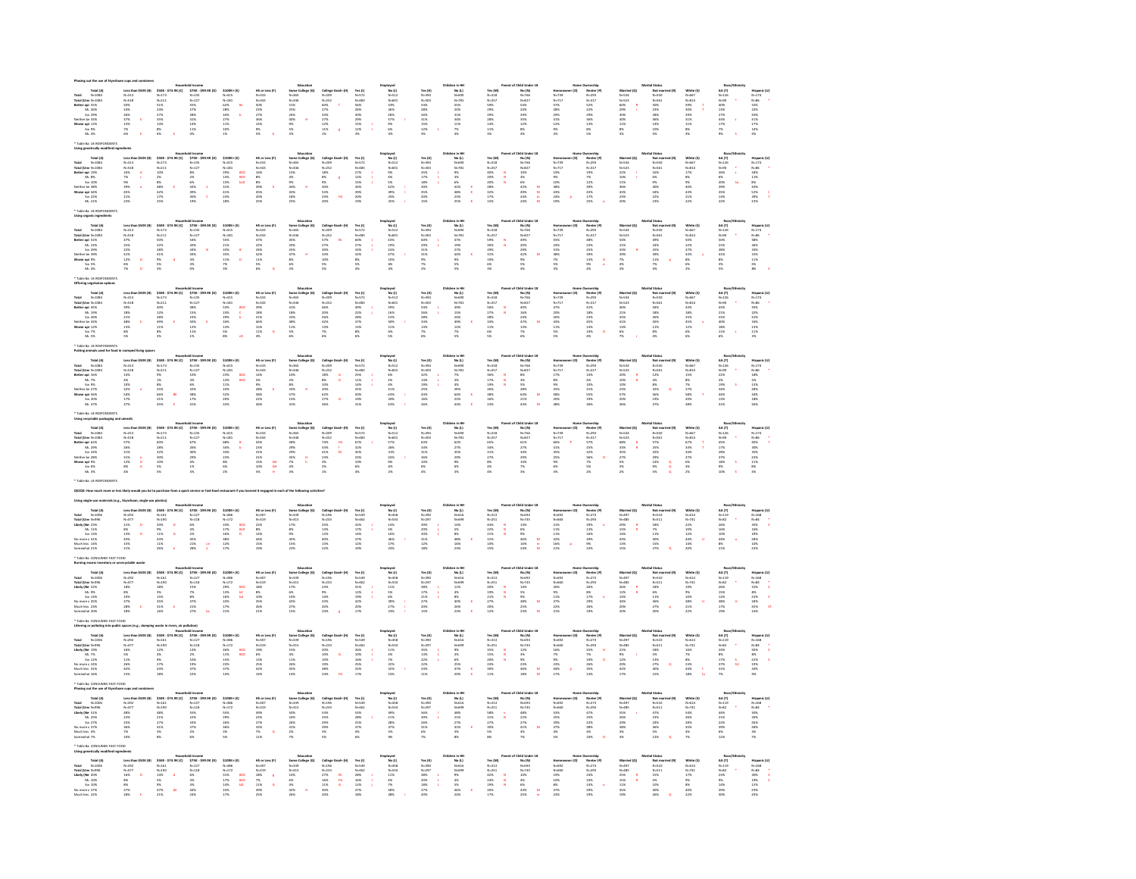| otal N=1084<br>otal (Umr N=1084                                                                                                                                                                                                                                                                                                           |                                                                                                      | Mouse<br>\$50K - \$74.9K (C)<br>N=173<br>N=211<br>51%<br>24%<br>25%<br>35%<br>46%<br>8              | ald Income<br>\$75% - \$99.9K (D)<br>N=135<br>N=127<br>N=127%<br>28%<br>28%<br>131%<br>14%<br>4%               | $\begin{array}{l} \textbf{5100K+ (f)}\\ \textbf{N=115} \\ \textbf{N=181} \\ \textbf{62\%} \\ \textbf{28\%} \\ \textbf{28\%} \\ \textbf{34\%} \\ \textbf{27\%} \\ \textbf{17\%} \\ \textbf{10\%} \\ \textbf{18\%} \\ \textbf{19\%} \\ \end{array}$ | HS or Less (F)<br>N=333<br>N=343<br>SD%<br>23%<br>23%<br>25%<br>14%<br>N%         | Education<br>Seme College (0)<br>N-365<br>N-346<br>51%<br>26%<br>26%<br>26%<br>9%<br>3%<br>3%                                                                                                                                                                                                                                                                                                                             | College 1<br>N=209<br>N=252<br>CO%<br>27%<br>27%<br>22%<br>22%<br>22%        |                                                                                 | Employed<br>No (1)<br>N-512<br>N-601<br>S3%<br>28%<br>28%<br>S%<br>6%<br>4%<br>4% |                                                                                 | Children in HH<br>No (L)<br>N−690<br>N−781<br>S5%<br>24%<br>34%<br>34%<br>34%<br>11%<br>P%                                                                                                                                                                                                                                                                                       |                                                                                   | FChild Under<br>No.(N)<br>N=766<br>N=827<br>S4%<br>24%<br>24%<br>12%<br>12%<br>12%                      |                                                                   |                                                                                                       | Married (Q)<br>N=534<br>N=523<br>60%<br>29%<br>29%<br>30%<br>31%<br>N%        | ital Status<br>Not ma<br>N=550<br>N=561<br>N=561<br>28%<br>28%<br>28%<br>14%<br>10%<br>10%              |                                                                                 | Race<br>AA (T)<br>N=126<br>N=90<br>42%<br>12%<br>27%<br>12%<br>7%<br>P%                           | Hispanic (U)<br>N=174<br>S2%<br>S2%<br>22%<br>33%<br>31%<br>17%<br>14%         |
|-------------------------------------------------------------------------------------------------------------------------------------------------------------------------------------------------------------------------------------------------------------------------------------------------------------------------------------------|------------------------------------------------------------------------------------------------------|-----------------------------------------------------------------------------------------------------|----------------------------------------------------------------------------------------------------------------|---------------------------------------------------------------------------------------------------------------------------------------------------------------------------------------------------------------------------------------------------|-----------------------------------------------------------------------------------|---------------------------------------------------------------------------------------------------------------------------------------------------------------------------------------------------------------------------------------------------------------------------------------------------------------------------------------------------------------------------------------------------------------------------|------------------------------------------------------------------------------|---------------------------------------------------------------------------------|-----------------------------------------------------------------------------------|---------------------------------------------------------------------------------|----------------------------------------------------------------------------------------------------------------------------------------------------------------------------------------------------------------------------------------------------------------------------------------------------------------------------------------------------------------------------------|-----------------------------------------------------------------------------------|---------------------------------------------------------------------------------------------------------|-------------------------------------------------------------------|-------------------------------------------------------------------------------------------------------|-------------------------------------------------------------------------------|---------------------------------------------------------------------------------------------------------|---------------------------------------------------------------------------------|---------------------------------------------------------------------------------------------------|--------------------------------------------------------------------------------|
|                                                                                                                                                                                                                                                                                                                                           | Less than<br>N-518<br>N-518<br>SO%<br>24%<br>26%<br>37%<br>13%<br>13%<br>P%                          |                                                                                                     |                                                                                                                |                                                                                                                                                                                                                                                   |                                                                                   |                                                                                                                                                                                                                                                                                                                                                                                                                           |                                                                              | Yes (1)<br>N=572<br>N=483<br>S6%<br>26%<br>30%<br>29%<br>15%<br>12%             |                                                                                   | Yes (K)<br>N=304<br>N=303<br>S4%<br>28%<br>28%<br>31%<br>31%<br>15%             |                                                                                                                                                                                                                                                                                                                                                                                  | Yes (M)<br>N=318<br>N=257<br>S9%<br>29%<br>29%<br>29%<br>14%<br>11%<br>11%        |                                                                                                         | Momes<br>N-739<br>N-717<br>S7%<br>S3%<br>29%<br>31%<br>12%        | Nenter (P<br>N=293<br>N=317<br>S2%<br>29%<br>36%<br>13%<br>8%<br>5%                                   |                                                                               |                                                                                                         | White (\$)<br>N=667<br>N=814<br>S9%<br>S9%<br>31%<br>11%<br>11%<br>11%<br>8%    |                                                                                                   |                                                                                |
|                                                                                                                                                                                                                                                                                                                                           |                                                                                                      |                                                                                                     |                                                                                                                | b.                                                                                                                                                                                                                                                |                                                                                   |                                                                                                                                                                                                                                                                                                                                                                                                                           |                                                                              |                                                                                 |                                                                                   |                                                                                 |                                                                                                                                                                                                                                                                                                                                                                                  |                                                                                   |                                                                                                         |                                                                   |                                                                                                       |                                                                               |                                                                                                         |                                                                                 | $\mathbf{r}$                                                                                      |                                                                                |
| 1000 1000 1000 1000<br>M. 26%<br>M. 26%<br>Neither bs 33%<br>Worse coi 22%<br>So: 9%<br>M. 4%                                                                                                                                                                                                                                             |                                                                                                      |                                                                                                     |                                                                                                                |                                                                                                                                                                                                                                                   |                                                                                   |                                                                                                                                                                                                                                                                                                                                                                                                                           | $\epsilon$                                                                   |                                                                                 |                                                                                   |                                                                                 |                                                                                                                                                                                                                                                                                                                                                                                  |                                                                                   |                                                                                                         |                                                                   |                                                                                                       |                                                                               |                                                                                                         |                                                                                 |                                                                                                   |                                                                                |
| <b>INN RA TIS RP</b>                                                                                                                                                                                                                                                                                                                      |                                                                                                      |                                                                                                     |                                                                                                                |                                                                                                                                                                                                                                                   |                                                                                   |                                                                                                                                                                                                                                                                                                                                                                                                                           |                                                                              |                                                                                 |                                                                                   |                                                                                 |                                                                                                                                                                                                                                                                                                                                                                                  |                                                                                   |                                                                                                         |                                                                   |                                                                                                       |                                                                               |                                                                                                         |                                                                                 |                                                                                                   |                                                                                |
|                                                                                                                                                                                                                                                                                                                                           |                                                                                                      | x (c)                                                                                               |                                                                                                                |                                                                                                                                                                                                                                                   |                                                                                   | Education<br>Some College (G)<br>$N+365$<br>$N+365$<br>$13\%$<br>$3\%$<br>$44\%$<br>$43\%$<br>$46\%$<br>$18\%$<br>$25\%$                                                                                                                                                                                                                                                                                                  |                                                                              |                                                                                 | imployed<br>No (1)<br>N=512<br>N=601<br>N=512<br>42%<br>42%<br>25%<br>25%         |                                                                                 |                                                                                                                                                                                                                                                                                                                                                                                  |                                                                                   | Child Unde<br>No (N)<br>N-766<br>N-827<br>10%<br>10%<br>42%<br>40%<br>24%<br>24%                        |                                                                   |                                                                                                       |                                                                               |                                                                                                         |                                                                                 |                                                                                                   |                                                                                |
| Total (A)<br>Total (M=1034<br>Total (Um M=1034<br>Better opi 19%<br>Maither by 38%<br>Sot 10%<br>Neither by 38%<br>Worse opi 44%<br>Sot 22%<br>Ms 21%                                                                                                                                                                                     | Less th<br>N=313<br>N=518<br>N%<br>N%<br>N%<br>N%<br>21%<br>21%                                      | \$50K - \$7:<br>N=173<br>N=211<br>10%<br>2%<br>48%<br>42%<br>42%<br>17%                             | ild Income<br>575K - 599.<br>N=135<br>N=127<br>8%<br>2%<br>49%<br>49%<br>30%<br>19%                            | \$100K+ (E)<br>N=415<br>N=181<br>29%<br>14%<br>14%<br>15%<br>41%<br>41%<br>28%                                                                                                                                                                    | HS or La<br>N=333<br>N=343<br>N=56<br>S%<br>S%<br>AS%<br>25%<br>25%               |                                                                                                                                                                                                                                                                                                                                                                                                                           | College (<br>N=252<br>N=252<br>N%<br>S3%<br>S3%<br>S3%<br>S3%<br>20%         | Yes (1)<br>N=572<br>N=483<br>27%<br>15%<br>39%<br>39%<br>20%<br>19%             |                                                                                   | Yes (K)<br>N=304<br>N=303<br>35%<br>35%<br>35%<br>35%<br>20%<br>35%             | No (1)<br>N=500<br>N=781<br>S% 6% 42%<br>48% 42% 48%                                                                                                                                                                                                                                                                                                                             | Yes (M)<br>N=318<br>N=257<br>40%<br>20%<br>20%<br>28%<br>32%<br>17%<br>15%        |                                                                                                         | No. 739<br>N=739<br>N=717<br>19%<br>10%<br>38%<br>43%<br>24%      | Norther (P<br>N=293<br>N=317<br>19%<br>19%<br>43%<br>43%<br>17%<br>25%                                | Married<br>N=534<br>N=523<br>22%<br>22%<br>11%<br>36%<br>43%<br>22%           | al Status<br>Not ma<br>N=550<br>N=551<br>N=551<br>S%<br>S%<br>40%<br>44%<br>22%<br>23%                  | White (\$)<br>N=667<br>N=814<br>17%<br>8%<br>9%<br>40%<br>43%<br>21%<br>22%     | Race<br>AA (T)<br>N=126<br>N=50<br>20%<br>05%<br>39%<br>35%<br>35%<br>13%<br>22%<br>$\frac{1}{3}$ | Hispanic (U)<br>N=174<br>N=86<br>18%<br>18%<br>S2%<br>S2%<br>S2%<br>29%<br>29% |
|                                                                                                                                                                                                                                                                                                                                           | $\frac{d}{c}$                                                                                        |                                                                                                     |                                                                                                                | aco<br>aco<br>bcD                                                                                                                                                                                                                                 |                                                                                   |                                                                                                                                                                                                                                                                                                                                                                                                                           | $\pmb{\epsilon}$                                                             |                                                                                 |                                                                                   |                                                                                 |                                                                                                                                                                                                                                                                                                                                                                                  |                                                                                   |                                                                                                         |                                                                   |                                                                                                       |                                                                               |                                                                                                         |                                                                                 | <b>Su</b>                                                                                         |                                                                                |
|                                                                                                                                                                                                                                                                                                                                           |                                                                                                      |                                                                                                     | $\epsilon$                                                                                                     |                                                                                                                                                                                                                                                   |                                                                                   |                                                                                                                                                                                                                                                                                                                                                                                                                           |                                                                              |                                                                                 |                                                                                   |                                                                                 |                                                                                                                                                                                                                                                                                                                                                                                  |                                                                                   | $\frac{1}{2}$                                                                                           |                                                                   |                                                                                                       |                                                                               |                                                                                                         |                                                                                 |                                                                                                   |                                                                                |
|                                                                                                                                                                                                                                                                                                                                           |                                                                                                      |                                                                                                     |                                                                                                                |                                                                                                                                                                                                                                                   |                                                                                   |                                                                                                                                                                                                                                                                                                                                                                                                                           | fo.                                                                          |                                                                                 |                                                                                   |                                                                                 |                                                                                                                                                                                                                                                                                                                                                                                  |                                                                                   |                                                                                                         |                                                                   |                                                                                                       |                                                                               |                                                                                                         |                                                                                 |                                                                                                   |                                                                                |
| <b>INN RA TIS RP</b>                                                                                                                                                                                                                                                                                                                      |                                                                                                      |                                                                                                     |                                                                                                                |                                                                                                                                                                                                                                                   |                                                                                   |                                                                                                                                                                                                                                                                                                                                                                                                                           |                                                                              |                                                                                 |                                                                                   |                                                                                 |                                                                                                                                                                                                                                                                                                                                                                                  |                                                                                   |                                                                                                         |                                                                   |                                                                                                       |                                                                               |                                                                                                         |                                                                                 |                                                                                                   |                                                                                |
| $\begin{array}{r} \mbox{sing\,} \mbox{or} \mbox{sym} \mbox{${\scriptstyle$\cdots$}$} \mbox{~~~~Total (A)} \\ \mbox{Total (Ums\,N=1004\,\\ \mbox{Total (Ums\,N=2305\,\\ \mbox{Br\,} 239\,\\ \mbox{~Me\,} 239\,\\ \mbox{Na\,} 239\,\\ \mbox{We then be 339K} \\ \mbox{Compt\,} 256 \,\\ \mbox{~Me\,} 495 \,\\ \mbox{~Me\,} 495 \end{array}$ |                                                                                                      | .9K (C)                                                                                             | old Income<br>\$75K - \$99.<br>N=135<br>N=127<br>54%<br>24%<br>44%<br>44%<br>3%<br>3%<br>0%                    |                                                                                                                                                                                                                                                   | HS or Le<br>N=333<br>N=343<br>A7%<br>22%<br>24%<br>24%<br>11%<br>5%<br>N=6        | $\begin{array}{r} \text{Eductition} \\ \text{Somre College (G)} \\ \text{$N$--365$} \\ \text{$N$--365$} \\ \text{$N$--366$} \\ \text{$225$} \\ \text{$225$} \\ \text{$235$} \\ \text{$236$} \\ \text{$236$} \\ \text{$256$} \\ \text{$286$} \\ \text{$286$} \\ \text{$286$} \\ \text{$296$} \\ \text{$296$} \\ \text{$296$} \\ \text{$296$} \\ \text{$296$} \\ \text{$296$} \\ \text{$296$} \\ \text{$296$} \\ \text{$29$ |                                                                              |                                                                                 | Imployed<br>No (1)<br>N-512<br>N-601<br>43%<br>24%<br>47%<br>40%<br>60%<br>44%    |                                                                                 |                                                                                                                                                                                                                                                                                                                                                                                  |                                                                                   | Child Unde<br>No (N)<br>N-765<br>N-827<br>N-957<br>20%<br>20%<br>42%<br>9%<br>N-42%<br>9%<br>8%         |                                                                   | Numership<br>Rember (P)<br>N=293<br>N=317<br>48%<br>25%<br>25%<br>39%<br>13%<br>9%                    |                                                                               | ital Status<br>Not mar<br>N=550<br>N=561<br>49%<br>25%<br>25%<br>39%<br>11%<br>P%                       |                                                                                 | Rac<br>AA (T)<br>N=326<br>N=930<br>S2%<br>22%<br>22%<br>41%<br>S%<br>S%                           |                                                                                |
|                                                                                                                                                                                                                                                                                                                                           | Less th<br>N=313<br>N=518<br>A7%<br>25%<br>25%<br>41%<br>12%                                         |                                                                                                     |                                                                                                                |                                                                                                                                                                                                                                                   |                                                                                   |                                                                                                                                                                                                                                                                                                                                                                                                                           | $\alpha$                                                                     |                                                                                 |                                                                                   |                                                                                 |                                                                                                                                                                                                                                                                                                                                                                                  |                                                                                   |                                                                                                         |                                                                   |                                                                                                       |                                                                               |                                                                                                         |                                                                                 |                                                                                                   |                                                                                |
|                                                                                                                                                                                                                                                                                                                                           |                                                                                                      |                                                                                                     |                                                                                                                | ś                                                                                                                                                                                                                                                 |                                                                                   |                                                                                                                                                                                                                                                                                                                                                                                                                           |                                                                              |                                                                                 |                                                                                   |                                                                                 |                                                                                                                                                                                                                                                                                                                                                                                  |                                                                                   |                                                                                                         |                                                                   |                                                                                                       |                                                                               |                                                                                                         |                                                                                 |                                                                                                   |                                                                                |
|                                                                                                                                                                                                                                                                                                                                           | $\mathbf{b}$                                                                                         | \$50% - \$74<br>N=173<br>N=211<br>SO%<br>22% 41%<br>41%<br>41%<br>5%<br>$\mathbf{d}$                |                                                                                                                | $5100K + (t)$ $N = 115$<br>$N = 1811$ $55K$ $55K$ $35K$ $35K$ $11K$ $75K$<br>$\overline{a}$                                                                                                                                                       |                                                                                   |                                                                                                                                                                                                                                                                                                                                                                                                                           | College<br>N=252<br>S7%<br>S7%<br>27%<br>33%<br>33%<br>10%<br>S%<br>S%       | Yes (1)<br>N=572<br>N=483<br>GD%<br>27%<br>33%<br>32%<br>8%<br>5%<br>5%         |                                                                                   | Yes (K)<br>N=304<br>N=303<br>N=303<br>SD%<br>29%<br>31%<br>N%<br>N%<br>N%       | No (L)<br>N-690<br>N-781<br>N-781<br>S%<br>S%<br>S%<br>S%                                                                                                                                                                                                                                                                                                                        | Yes (M)<br>N=318<br>N=257<br>S9%<br>S9%<br>31%<br>29%<br>31%<br>10%<br>6%<br>31%  |                                                                                                         | mames<br>N=739<br>N=717<br>S5% 34%<br>31% 33%                     | $\frac{1}{2}$                                                                                         | Married (Q)<br>N=534<br>N=523<br>S4%<br>S3%<br>23%<br>N%<br>N%                |                                                                                                         | White (5)<br>N=667<br>N=814<br>SO%<br>22%<br>22%<br>43%<br>8%<br>6%<br>6%<br>2% |                                                                                                   | Hispania<br>N=374<br>N=86<br>S8%<br>26%<br>32%<br>33%<br>33%<br>33%            |
| lable Ba US RESPONDENTS                                                                                                                                                                                                                                                                                                                   |                                                                                                      |                                                                                                     |                                                                                                                |                                                                                                                                                                                                                                                   |                                                                                   |                                                                                                                                                                                                                                                                                                                                                                                                                           |                                                                              |                                                                                 |                                                                                   |                                                                                 |                                                                                                                                                                                                                                                                                                                                                                                  |                                                                                   |                                                                                                         |                                                                   |                                                                                                       |                                                                               |                                                                                                         |                                                                                 |                                                                                                   |                                                                                |
|                                                                                                                                                                                                                                                                                                                                           |                                                                                                      |                                                                                                     |                                                                                                                |                                                                                                                                                                                                                                                   |                                                                                   | Educatio                                                                                                                                                                                                                                                                                                                                                                                                                  |                                                                              |                                                                                 |                                                                                   |                                                                                 | Children in HP                                                                                                                                                                                                                                                                                                                                                                   |                                                                                   | of Child Under 18                                                                                       |                                                                   |                                                                                                       |                                                                               | Marital Status<br>Mot mam<br>N=561<br>N=561<br>N=561<br>44%<br>26%<br>N56<br>N56<br>N56<br>N56<br>N56   |                                                                                 | Race/E                                                                                            |                                                                                |
| Total (A)<br>Total M-1034<br>Total (Unv N-1034<br>Better opi 45%<br>M: 19%<br>Sot 26%                                                                                                                                                                                                                                                     | Less than \$50K (B)<br>$N-313$<br>$N-518$                                                            | Maxuel<br>574.9K - 574.9K (C)<br>N=173<br>N=211<br>40%<br>22%<br>22%<br>42%<br>8%<br>35%            | ald Income<br>\$758. \$59.98(D)<br>N=135<br>N=127<br>N=136<br>236<br>236 E<br>236 E<br>136<br>136 E<br>136     | $$100K+ [t]$                                                                                                                                                                                                                                      | MS or Less (#)<br>N=333<br>N=343<br>39%<br>18%<br>21%<br>46%<br>15%<br>11%<br>4%  | <b>Education<br/>Serm College (G)</b><br>N=365<br>N=346<br>N5%<br>23%<br>48%<br>23%<br>5%<br>6%                                                                                                                                                                                                                                                                                                                           | College Grad+ (M)<br>N=209<br>N=252<br>46%<br>20%<br>20%<br>21%<br>13%<br>7% | Yes (1)<br>N=572<br>N=483<br>49%<br>22%<br>28%<br>37%<br>37%<br>13%<br>8%<br>6% | Employed<br>N=512<br>N=512<br>N=601<br>N=51%<br>10%<br>S%<br>S%<br>S%             | Yes (K)<br>N=304<br>N=303<br>S4%<br>26%<br>26%<br>33%<br>33%<br>33%<br>7%<br>6% | No (L)<br>N-690<br>N-781<br>39%<br>15%<br>24%<br>24%<br>12%<br>7%<br>3%                                                                                                                                                                                                                                                                                                          | Yes (M)<br>N-318<br>N-257<br>S6%<br>27%<br>28%<br>34%<br>11%<br>6%<br>5%          | No (N)<br>N-766<br>N-827<br>N-827<br>40%<br>24%<br>47%<br>13%<br>7%                                     | Homeo<br>N=739<br>N=717<br>47%<br>20%<br>20%<br>43%<br>11%<br>5%  | Dwnership<br>Renter (P)<br>N=293<br>N=317<br>41%<br>18%<br>45%<br>14%<br>10%<br>4%                    | Married (Q)<br>N=534<br>N=523<br>46%<br>23%<br>23%<br>41%<br>41%<br>13%<br>6% | d (R)                                                                                                   | White (\$)<br>N=657<br>N=814<br>43%<br>12%<br>25%<br>45%<br>12%<br>6%           | AA (T)<br>N=326<br>N=90<br>43%<br>23%<br>40%<br>18%<br>18%<br>11%                                 | Hispanic (U)<br>N=174<br>N=86<br>S3%<br>22%<br>22%<br>32%<br>33%<br>31%<br>31% |
|                                                                                                                                                                                                                                                                                                                                           |                                                                                                      |                                                                                                     |                                                                                                                | $\frac{1}{\epsilon}$                                                                                                                                                                                                                              |                                                                                   |                                                                                                                                                                                                                                                                                                                                                                                                                           |                                                                              |                                                                                 |                                                                                   |                                                                                 |                                                                                                                                                                                                                                                                                                                                                                                  |                                                                                   |                                                                                                         |                                                                   |                                                                                                       |                                                                               |                                                                                                         |                                                                                 |                                                                                                   |                                                                                |
| ther by 43%                                                                                                                                                                                                                                                                                                                               | 39%<br>18% 21%<br>48% 13%<br>8% 5%                                                                   |                                                                                                     |                                                                                                                |                                                                                                                                                                                                                                                   |                                                                                   |                                                                                                                                                                                                                                                                                                                                                                                                                           |                                                                              |                                                                                 |                                                                                   |                                                                                 |                                                                                                                                                                                                                                                                                                                                                                                  |                                                                                   |                                                                                                         |                                                                   |                                                                                                       |                                                                               |                                                                                                         |                                                                                 |                                                                                                   |                                                                                |
| Worse coi 12%<br>Sot 7%<br>Ms. 5%                                                                                                                                                                                                                                                                                                         |                                                                                                      |                                                                                                     |                                                                                                                | -- 115<br>N-181<br>SS%<br>29%<br>34%<br>34%<br>35%                                                                                                                                                                                                |                                                                                   |                                                                                                                                                                                                                                                                                                                                                                                                                           |                                                                              |                                                                                 |                                                                                   |                                                                                 |                                                                                                                                                                                                                                                                                                                                                                                  |                                                                                   |                                                                                                         |                                                                   |                                                                                                       |                                                                               |                                                                                                         |                                                                                 |                                                                                                   |                                                                                |
|                                                                                                                                                                                                                                                                                                                                           |                                                                                                      |                                                                                                     |                                                                                                                |                                                                                                                                                                                                                                                   |                                                                                   |                                                                                                                                                                                                                                                                                                                                                                                                                           |                                                                              |                                                                                 |                                                                                   |                                                                                 |                                                                                                                                                                                                                                                                                                                                                                                  |                                                                                   |                                                                                                         |                                                                   |                                                                                                       |                                                                               |                                                                                                         |                                                                                 |                                                                                                   |                                                                                |
| Total (A)<br>$N-1084$                                                                                                                                                                                                                                                                                                                     | Less than \$50K (B)                                                                                  |                                                                                                     |                                                                                                                | \$100K+(E)                                                                                                                                                                                                                                        |                                                                                   | Educatio                                                                                                                                                                                                                                                                                                                                                                                                                  |                                                                              |                                                                                 | Employed<br>N=512<br>N=512<br>N=601<br>N=621<br>4%<br>43%<br>20%<br>20%<br>43%    |                                                                                 | Children in HP<br>$No (L)$<br>$N=600$<br>$N=781$                                                                                                                                                                                                                                                                                                                                 |                                                                                   | rent of Child Under 18                                                                                  |                                                                   | (O)                                                                                                   |                                                                               | Marital Status<br>McC man<br>M=550<br>M=561<br>22%<br>48%<br>SS%<br>SS%<br>SS%<br>22%<br>22%<br>est (m) |                                                                                 | Race/E                                                                                            |                                                                                |
| Total (Umr N-1084                                                                                                                                                                                                                                                                                                                         | $N = 313$<br>$N = 518$                                                                               | Mouseh<br>520K - 524.9K (C)<br>N=173<br>N=211<br>9%<br>25%<br>25%<br>21%<br>21%<br>49%<br>E         | ald Income<br>\$75% - \$99.9K (D)<br>N+135<br>N+135<br>N%<br>S3%<br>6%<br>S3%<br>13%<br>13%<br>13%<br>13%      | $\begin{array}{r} N\text{--}415 \\ N\text{--}181 \\ 23\% \\ 23\% \\ 13\% \\ 24\% \\ 24\% \\ 20\% \\ 33\% \end{array}$                                                                                                                             | HS or Less (F)<br>N=333<br>N=343<br>35%<br>SS%<br>DS%<br>SS%<br>22%<br>22%        | Education<br>Some College (G)<br>N=365<br>N=366<br>N5%<br>25%<br>25%<br>25%<br>15%<br>41%                                                                                                                                                                                                                                                                                                                                 |                                                                              | Yes (1)<br>N=572<br>N=483<br>25%<br>14%<br>14%<br>25%<br>S0%<br>19%<br>31%      |                                                                                   | Yes (K)<br>N=304<br>N=303<br>N=303<br>32%<br>14%<br>25%<br>43%<br>16%<br>26%    |                                                                                                                                                                                                                                                                                                                                                                                  | Yes (M)<br>N-318<br>N-257<br>N-257<br>36%<br>19%<br>26%<br>38%<br>16%<br>23%      | No (N)<br>N-766<br>N-827<br>S%<br>S%<br>S%<br>25%<br>21%<br>21%<br>21%                                  | Homeo<br>N=739<br>N=717<br>17%<br>SSK<br>SSK<br>20%<br>38%<br>38% | Dwnership<br>Renter (P)<br>N=293<br>N=317<br>14%<br>4%<br>10%<br>S5%<br>19%<br>19%<br>19%             | Married (Q)<br>N=534<br>N=523<br>20% R<br>20% R<br>10% R<br>23% R<br>20% R    |                                                                                                         | White (\$)<br>N=657<br>N=814<br>S%<br>S%<br>S%<br>N%<br>S%<br>N%<br>N%<br>N%    | AA (T)<br>N=90<br>22%<br>3%<br>34%<br>44%<br>44%<br>13%<br>31%                                    | Hispanic (U)<br>N=174<br>N=86<br>18%<br>18%<br>18%                             |
| Better api 16%<br>Ms 7%<br>Sor 9%                                                                                                                                                                                                                                                                                                         |                                                                                                      |                                                                                                     |                                                                                                                | $rac{BCD}{BCD}$                                                                                                                                                                                                                                   |                                                                                   |                                                                                                                                                                                                                                                                                                                                                                                                                           |                                                                              |                                                                                 |                                                                                   |                                                                                 |                                                                                                                                                                                                                                                                                                                                                                                  |                                                                                   |                                                                                                         |                                                                   |                                                                                                       |                                                                               |                                                                                                         |                                                                                 |                                                                                                   |                                                                                |
| er be 27%<br>Warse opi 56%<br>So: 20%                                                                                                                                                                                                                                                                                                     | 14%<br>4%<br>10%<br>32%<br>54%<br>17%<br>37%                                                         |                                                                                                     |                                                                                                                |                                                                                                                                                                                                                                                   |                                                                                   |                                                                                                                                                                                                                                                                                                                                                                                                                           |                                                                              |                                                                                 |                                                                                   |                                                                                 | 7% 3% 4% 29% 43%<br>29% 64% 22% 43%                                                                                                                                                                                                                                                                                                                                              |                                                                                   | $\bar{u}$                                                                                               |                                                                   |                                                                                                       |                                                                               |                                                                                                         |                                                                                 |                                                                                                   | 28%<br>54%<br>18%<br>18%                                                       |
| Ms 37%                                                                                                                                                                                                                                                                                                                                    |                                                                                                      |                                                                                                     |                                                                                                                |                                                                                                                                                                                                                                                   |                                                                                   |                                                                                                                                                                                                                                                                                                                                                                                                                           |                                                                              |                                                                                 |                                                                                   |                                                                                 |                                                                                                                                                                                                                                                                                                                                                                                  |                                                                                   |                                                                                                         |                                                                   |                                                                                                       |                                                                               |                                                                                                         |                                                                                 |                                                                                                   |                                                                                |
| able Ba US RESPONDENT:<br>ing recyclable packaging and utensils                                                                                                                                                                                                                                                                           |                                                                                                      |                                                                                                     |                                                                                                                |                                                                                                                                                                                                                                                   |                                                                                   | Education<br>Some College (0)<br>N-365<br>29%<br>29%<br>29%<br>29%<br>24%<br>4%<br>4%<br>3%                                                                                                                                                                                                                                                                                                                               |                                                                              |                                                                                 |                                                                                   |                                                                                 |                                                                                                                                                                                                                                                                                                                                                                                  |                                                                                   |                                                                                                         |                                                                   |                                                                                                       |                                                                               |                                                                                                         |                                                                                 |                                                                                                   |                                                                                |
| Total (A)<br>Total N-1084<br>Total (Umr N-1084<br>Better ooi 62%                                                                                                                                                                                                                                                                          | Less than<br>N=513<br>N=518<br>S7%<br>S5%<br>31%<br>31%<br>31%<br>22%<br>4%                          | Nouse<br>930K - \$74.9K (C)<br>N-173<br>N-211<br>60K<br>28K<br>32K<br>30K<br>55K<br>55K             | old Income<br>\$75K - \$99.9K (D)<br>N - 135<br>N - 137<br>626<br>40%<br>40%<br>40%<br>40%<br>40%<br>1%<br>40% | \$100K+(E)                                                                                                                                                                                                                                        | HS or Less (#)<br>N=333<br>N=343<br>S4%<br>S4%<br>33%<br>33%<br>10%<br>10%<br>N5% |                                                                                                                                                                                                                                                                                                                                                                                                                           |                                                                              |                                                                                 | Employed<br>N=512<br>N=512<br>N=601<br>S7%<br>26%<br>34%<br>S%<br>6%<br>21%       |                                                                                 | 05 (1)<br>Mo (1)<br>N-690<br>N-781<br>S2%<br>27%<br>29%<br>29%<br>29%<br>6%<br>3%                                                                                                                                                                                                                                                                                                | Yes (M)<br>N=318<br>N=257<br>S5%<br>S4%<br>31%<br>27%<br>R%<br>4%                 | nt of Child Under 18<br>No (N)<br>N-766<br>N-817<br>61%<br>61%<br>27%<br>24%<br>29%<br>20%<br>25%<br>3% |                                                                   | Numership<br>Renter (P)<br>N=317<br>S7%<br>25%<br>36%<br>36%<br>7%<br>S6%<br>25%                      | Married (Q)<br>N=534<br>N=523<br>SS%<br>SS%<br>SS%<br>27%<br>S%               | ital Status<br>Not man<br>N=550<br>N=561<br>N=561<br>S5%<br>25%<br>28%<br>28%<br>N=6<br>N%              |                                                                                 | Race/<br>AA (T)<br>N-126<br>N-90<br>A5%<br>12%<br>28%<br>37%<br>12%<br>9%<br>10%                  | Mispanic (U)<br>N=174<br>N=86<br>65% T<br>10% 10%<br>10% 11%<br>11% 8%         |
|                                                                                                                                                                                                                                                                                                                                           |                                                                                                      |                                                                                                     |                                                                                                                | $\frac{8}{6}$                                                                                                                                                                                                                                     |                                                                                   |                                                                                                                                                                                                                                                                                                                                                                                                                           | $\frac{16}{6}$                                                               |                                                                                 |                                                                                   |                                                                                 |                                                                                                                                                                                                                                                                                                                                                                                  |                                                                                   |                                                                                                         |                                                                   |                                                                                                       |                                                                               |                                                                                                         |                                                                                 |                                                                                                   |                                                                                |
| Ms 29%<br>Sot 33%<br>her be 28%                                                                                                                                                                                                                                                                                                           |                                                                                                      |                                                                                                     |                                                                                                                |                                                                                                                                                                                                                                                   |                                                                                   |                                                                                                                                                                                                                                                                                                                                                                                                                           |                                                                              |                                                                                 |                                                                                   |                                                                                 |                                                                                                                                                                                                                                                                                                                                                                                  |                                                                                   |                                                                                                         |                                                                   |                                                                                                       |                                                                               |                                                                                                         |                                                                                 |                                                                                                   |                                                                                |
| Warse api 9%<br>Sot 6%<br>Mt. 3%                                                                                                                                                                                                                                                                                                          | $\begin{array}{c}\n\bullet \\ \bullet \\ \bullet\n\end{array}$                                       |                                                                                                     |                                                                                                                | N=15<br>N=181<br>68%<br>34%<br>34%<br>25%<br>8%<br>2%                                                                                                                                                                                             |                                                                                   |                                                                                                                                                                                                                                                                                                                                                                                                                           | College C<br>N=252<br>N=252<br>N41%<br>N523%<br>23%<br>23%<br>25%<br>21%     | Yes (1)<br>N=572<br>N=483<br>67%<br>32%<br>35%<br>23%<br>10%<br>6%<br>4%        |                                                                                   | Yes (K)<br>N=304<br>N=303<br>S3%<br>S3%<br>33%<br>26%<br>26%<br>E0%<br>6%<br>4% |                                                                                                                                                                                                                                                                                                                                                                                  |                                                                                   |                                                                                                         | Homed<br>N-739<br>N-717<br>66%<br>31%<br>35%<br>25%<br>6%<br>35%  |                                                                                                       |                                                                               | $\begin{array}{c} \mathbf{a} \\ \mathbf{a} \end{array}$                                                 | White (\$)<br>N=667<br>N=814<br>67%<br>S3%<br>34%<br>27%<br>6%<br>4%            |                                                                                                   |                                                                                |
|                                                                                                                                                                                                                                                                                                                                           |                                                                                                      |                                                                                                     |                                                                                                                |                                                                                                                                                                                                                                                   |                                                                                   |                                                                                                                                                                                                                                                                                                                                                                                                                           |                                                                              |                                                                                 |                                                                                   |                                                                                 |                                                                                                                                                                                                                                                                                                                                                                                  |                                                                                   |                                                                                                         |                                                                   |                                                                                                       |                                                                               |                                                                                                         |                                                                                 |                                                                                                   |                                                                                |
|                                                                                                                                                                                                                                                                                                                                           |                                                                                                      |                                                                                                     |                                                                                                                |                                                                                                                                                                                                                                                   |                                                                                   |                                                                                                                                                                                                                                                                                                                                                                                                                           |                                                                              |                                                                                 |                                                                                   |                                                                                 |                                                                                                                                                                                                                                                                                                                                                                                  |                                                                                   |                                                                                                         |                                                                   |                                                                                                       |                                                                               |                                                                                                         |                                                                                 |                                                                                                   |                                                                                |
|                                                                                                                                                                                                                                                                                                                                           |                                                                                                      |                                                                                                     |                                                                                                                |                                                                                                                                                                                                                                                   |                                                                                   |                                                                                                                                                                                                                                                                                                                                                                                                                           |                                                                              |                                                                                 | mployed<br>N=458<br>N=534<br>N=534<br>N=534<br>10%<br>46%<br>17%<br>46%<br>17%    |                                                                                 |                                                                                                                                                                                                                                                                                                                                                                                  |                                                                                   |                                                                                                         |                                                                   |                                                                                                       |                                                                               | tal Status<br>Mot ma<br>N=510<br>N=511<br>N=511<br>18%<br>11%<br>40%<br>15%                             |                                                                                 |                                                                                                   |                                                                                |
| Total (A)<br>Total (Viru N-996<br>Total (Uru N-996<br>Likely (Ne 23%<br>Mo more 442%<br>No more 442%<br>Much less 14%<br>Somewhat 21%<br>Somewhat 21%                                                                                                                                                                                     | Less than<br>N=292<br>N=477<br>21%<br>8%<br>13%<br>43%<br>15%<br>21%                                 | Mouse<br>574.9K (C)<br>N=161<br>N=160<br>20%<br>20%<br>20%<br>11%<br>11%<br>20%<br>e                | ild Income<br>575K - 595<br>N=127<br>N=118<br>6%<br>4%<br>2%<br>45%<br>21%<br>21%                              | \$100K+ (E)<br>N-386<br>N-172<br>33%<br>17%<br>18%<br>18%<br>18%                                                                                                                                                                                  | HS or 1<br>N-307<br>N-319<br>22%<br>8%<br>14%<br>44%<br>15%<br>19%                | Education<br>Some College (0)<br>N-315<br>17%<br>23%<br>45%<br>45%<br>15%<br>15%                                                                                                                                                                                                                                                                                                                                          | College 1<br>N=233<br>N=233<br>25%<br>25%<br>22%<br>40%<br>23%               | Yes (1)<br>N=549<br>N=462<br>3.2%<br>1.2%<br>1.2%<br>1.2%                       |                                                                                   | Yes (K)<br>N=390<br>N=297<br>39%<br>39%<br>20%<br>31%<br>12%<br>12%             | lren in Mi<br>No (L)<br>N=616<br>N=619<br>14%<br>S%<br>S%<br>48%<br>48%<br>16%<br>23%                                                                                                                                                                                                                                                                                            | Yes (M)<br>N=313<br>N=251<br>A4%<br>22%<br>21%<br>31%<br>10%<br>15%               | Child Unde<br>No (N)<br>N=093<br>N=745<br>14%<br>0%<br>46%<br>16%<br>16%<br>16%                         | names<br>N-602<br>N-600<br>21%<br>11%<br>42%<br>16%<br>21%        | Dwnership<br>Renter (P)<br>N=273<br>N=293<br>29%<br>18%<br>18%<br>9%<br>9%<br>23%                     | Marrie<br>N=487<br>N=485<br>29%<br>15%<br>14%<br>13%<br>15%                   |                                                                                                         | White (5)<br>N=614<br>N=741<br>22%<br>10%<br>12%<br>44%<br>44%<br>44%           | Race<br>AA (T)<br>N=82<br>26%<br>16%<br>16%<br>44%<br>8%<br>21%                                   | Hispani<br>N-168<br>N-84<br>15%<br>16%<br>16%<br>16%<br>14%<br>14%             |
|                                                                                                                                                                                                                                                                                                                                           | $\ddot{\phantom{a}}$                                                                                 |                                                                                                     |                                                                                                                | 600<br>60<br>0                                                                                                                                                                                                                                    |                                                                                   |                                                                                                                                                                                                                                                                                                                                                                                                                           |                                                                              |                                                                                 |                                                                                   |                                                                                 |                                                                                                                                                                                                                                                                                                                                                                                  | $\begin{array}{c} N \\ N \\ N \end{array}$                                        |                                                                                                         |                                                                   |                                                                                                       | t                                                                             |                                                                                                         |                                                                                 |                                                                                                   |                                                                                |
|                                                                                                                                                                                                                                                                                                                                           |                                                                                                      |                                                                                                     |                                                                                                                |                                                                                                                                                                                                                                                   |                                                                                   |                                                                                                                                                                                                                                                                                                                                                                                                                           |                                                                              |                                                                                 |                                                                                   |                                                                                 |                                                                                                                                                                                                                                                                                                                                                                                  |                                                                                   |                                                                                                         |                                                                   |                                                                                                       |                                                                               |                                                                                                         |                                                                                 |                                                                                                   |                                                                                |
|                                                                                                                                                                                                                                                                                                                                           |                                                                                                      |                                                                                                     |                                                                                                                |                                                                                                                                                                                                                                                   |                                                                                   |                                                                                                                                                                                                                                                                                                                                                                                                                           |                                                                              |                                                                                 |                                                                                   |                                                                                 |                                                                                                                                                                                                                                                                                                                                                                                  |                                                                                   |                                                                                                         |                                                                   |                                                                                                       |                                                                               |                                                                                                         |                                                                                 |                                                                                                   |                                                                                |
|                                                                                                                                                                                                                                                                                                                                           |                                                                                                      |                                                                                                     |                                                                                                                |                                                                                                                                                                                                                                                   |                                                                                   |                                                                                                                                                                                                                                                                                                                                                                                                                           |                                                                              |                                                                                 |                                                                                   |                                                                                 |                                                                                                                                                                                                                                                                                                                                                                                  |                                                                                   |                                                                                                         |                                                                   |                                                                                                       |                                                                               |                                                                                                         |                                                                                 |                                                                                                   |                                                                                |
| $\begin{array}{l} \textbf{Total} \left( \textbf{A} \right) \\ \textbf{Total} \left( \textbf{Mean} \right) \\ \textbf{Total} \left( \textbf{U} \right) \\ \textbf{Total} \left( \textbf{U} \right) \\ \textbf{New 22\%} \\ \textbf{Mn 23\%} \\ \textbf{So more 33\%} \\ \textbf{Month less 23\%} \\ \textbf{Somewhat 20\%} \end{array}$    |                                                                                                      | Nousel<br>\$50K - \$74.9K (C)<br>N=161<br>8%<br>3%<br>\$5%<br>\$5%<br>\$16%<br>8%<br>16%            | sld Income<br>  \$75K - \$99.<br>  N=127<br>  N=118<br>  15%<br>  8%<br>  8%<br>  8%<br>  27%                  | \$100K+ (f)<br>N=386<br>N=172<br>29%<br>18%<br>18%<br>18%<br>17%<br>17%                                                                                                                                                                           | HS or Ls<br>N=307<br>N=319<br>18%<br>28%<br>26%<br>26%<br>26%<br>26%              | Education<br>Some College (0)<br>N-315<br>17%<br>17%<br>42%<br>42%<br>27%<br>27%                                                                                                                                                                                                                                                                                                                                          | College<br>N=233<br>N=233<br>23%<br>23%<br>24%<br>20%<br>24%                 | Yes (1)<br>N=549<br>N=462<br>3.1%<br>3.2%<br>3.2%<br>2.0%<br>2.7%               | mployed<br>N=458<br>N=584<br>N=584<br>S%<br>S%<br>S%<br>27%<br>27%<br>27%         | Yes (K)<br>N=390<br>N=297<br>38%<br>17%<br>21%<br>21%<br>20%<br>15%             | No (L)<br>N-616<br>N-699<br>11%<br>4%<br>26%<br>26%<br>26%                                                                                                                                                                                                                                                                                                                       | Yes (M)<br>N=313<br>N=251<br>N=251<br>40%<br>19%<br>21%<br>27%<br>20%             | No (N)<br>N-693<br>N-693<br>N-745<br>S%<br>S%<br>S%<br>25%<br>25%                                       |                                                                   | Dwnership<br>Renter (P)<br>N=273<br>N=293<br>26%<br>26%<br>29%<br>26%<br>26%                          | Marrie<br>N=487<br>N=485<br>26%<br>12%<br>14%<br>20%<br>20%                   | Not ma<br>N=510<br>N=511<br>N=511<br>S5%<br>27%<br>27%<br>27%                                           | White (\$)<br>N=614<br>N=741<br>19%<br>9%<br>10%<br>18%<br>18%<br>21%           | Race<br>AA (T)<br>N=82<br>26%<br>15%<br>15%<br>38%<br>17%<br>19%                                  | Hispanic (U)<br>N-168<br>N-84<br>11%<br>S%<br>23%<br>28%<br>18%<br>16%         |
|                                                                                                                                                                                                                                                                                                                                           |                                                                                                      |                                                                                                     |                                                                                                                | aco<br>BC<br>Bd                                                                                                                                                                                                                                   |                                                                                   |                                                                                                                                                                                                                                                                                                                                                                                                                           |                                                                              |                                                                                 |                                                                                   |                                                                                 |                                                                                                                                                                                                                                                                                                                                                                                  |                                                                                   |                                                                                                         |                                                                   |                                                                                                       |                                                                               |                                                                                                         |                                                                                 |                                                                                                   |                                                                                |
|                                                                                                                                                                                                                                                                                                                                           | N-292<br>N-477<br>18%<br>8%<br>37%<br>28%<br>28%                                                     |                                                                                                     |                                                                                                                |                                                                                                                                                                                                                                                   |                                                                                   |                                                                                                                                                                                                                                                                                                                                                                                                                           |                                                                              |                                                                                 |                                                                                   |                                                                                 |                                                                                                                                                                                                                                                                                                                                                                                  |                                                                                   |                                                                                                         | Homeo<br>N-602<br>N-660<br>20%<br>9%<br>11%<br>37%<br>22%<br>22%  |                                                                                                       |                                                                               |                                                                                                         |                                                                                 |                                                                                                   | $\mathbf{s}$                                                                   |
|                                                                                                                                                                                                                                                                                                                                           |                                                                                                      |                                                                                                     |                                                                                                                |                                                                                                                                                                                                                                                   |                                                                                   |                                                                                                                                                                                                                                                                                                                                                                                                                           |                                                                              |                                                                                 |                                                                                   |                                                                                 |                                                                                                                                                                                                                                                                                                                                                                                  |                                                                                   |                                                                                                         |                                                                   |                                                                                                       |                                                                               |                                                                                                         |                                                                                 |                                                                                                   |                                                                                |
| AN BY CONSUMPS EAST FOOD                                                                                                                                                                                                                                                                                                                  |                                                                                                      |                                                                                                     | ald In                                                                                                         |                                                                                                                                                                                                                                                   |                                                                                   | Educati                                                                                                                                                                                                                                                                                                                                                                                                                   |                                                                              |                                                                                 |                                                                                   |                                                                                 |                                                                                                                                                                                                                                                                                                                                                                                  |                                                                                   | Child Under 18                                                                                          |                                                                   |                                                                                                       |                                                                               |                                                                                                         |                                                                                 | Race/                                                                                             |                                                                                |
| Terring on pr.<br>Total (A)<br>Total (Une N=2006<br>Total (Une N=996<br>Likely (Ne 1996<br>Mac Total Source 24%<br>Nomeron 24%<br>Much less 41%<br>Somewhat 16%                                                                                                                                                                           | Less than \$50K (B)<br>$N = 292$<br>$N = 477$                                                        | Nousel<br>\$500X - \$74.9K (C)<br>N=161<br>12%<br>4%<br>\$5%<br>27%<br>43%<br>18%                   | old Income<br>\$758.-\$99.9K (D)<br>N=127<br>N=118<br>195<br>225<br>4755<br>4755                               | \$100K+(E)                                                                                                                                                                                                                                        | HS or Less (f)<br>N=307<br>N=319<br>19%<br>19%<br>25%<br>25%<br>42%               | Education<br>Some College (G)<br>N-315<br>15%<br>4%<br>45%<br>26%<br>45%<br>14%                                                                                                                                                                                                                                                                                                                                           | College G<br>N=233<br>N=233<br>20%<br>10%<br>10%<br>10%<br>38%<br>24%        |                                                                                 | mployed<br>N=458<br>N=534<br>N=534<br>N%<br>N%<br>N%<br>22%<br>S2%<br>S2%<br>N%   |                                                                                 |                                                                                                                                                                                                                                                                                                                                                                                  |                                                                                   |                                                                                                         | (0)                                                               | Dwnership<br>Renter (P)<br>N=273<br>N=293<br>25%<br>26%<br>26%<br>26%<br>35%<br>14%                   | Married (Q)<br>N=497<br>N=485<br>21% - 7<br>22% - 7<br>12% - 20% - 42% - 17%  | Marital Status<br>Mot mar<br>N=510<br>N=511<br>18%<br>S%<br>27%<br>40%<br>15%                           | White (5)<br>N=614<br>N=741<br>N%<br>7%<br>23%<br>44%<br>43%<br>44%             |                                                                                                   | Hispanic<br>N=38<br>N=34<br>30%<br>3%<br>22%<br>22%<br>42%                     |
|                                                                                                                                                                                                                                                                                                                                           |                                                                                                      |                                                                                                     |                                                                                                                | aco<br>aco                                                                                                                                                                                                                                        |                                                                                   |                                                                                                                                                                                                                                                                                                                                                                                                                           | - d                                                                          |                                                                                 |                                                                                   |                                                                                 |                                                                                                                                                                                                                                                                                                                                                                                  |                                                                                   |                                                                                                         |                                                                   |                                                                                                       |                                                                               |                                                                                                         |                                                                                 |                                                                                                   |                                                                                |
|                                                                                                                                                                                                                                                                                                                                           | $\begin{array}{r} 16\% \\ 5\% \\ 11\% \\ 26\% \\ 42\% \\ 15\% \end{array}$                           |                                                                                                     |                                                                                                                | 5100K*<br>N=386<br>N=172<br>26%<br>11%<br>15%<br>23%<br>37%                                                                                                                                                                                       |                                                                                   |                                                                                                                                                                                                                                                                                                                                                                                                                           |                                                                              | Yes (I)<br>N=549<br>N=462<br>26%<br>10%<br>16%<br>25%<br>32%<br>32%             |                                                                                   | Yes (K)<br>N=390<br>N=297<br>35%<br>35%<br>22%<br>33%<br>33%<br>11%             | No (L)<br>N-616<br>N-699<br>9%<br>9%<br>9%<br>47%<br>47%<br>20%                                                                                                                                                                                                                                                                                                                  | Yes (M)<br>N=313<br>N=251<br>S5%<br>15%<br>20%<br>24%<br>20%<br>24%<br>S0%<br>11% | No (N)<br>N=693<br>N=745<br>N=745<br>12%<br>23%<br>46%<br>18%                                           | Nomeo<br>N-602<br>N-660<br>N-660<br>16%<br>23%<br>44%<br>17%      |                                                                                                       |                                                                               | $\alpha$                                                                                                |                                                                                 | AA (T)<br>N=32<br>N=82<br>24%<br>S%<br>37%<br>37%<br>31%<br>7%<br>$\frac{s}{s_0}$                 |                                                                                |
|                                                                                                                                                                                                                                                                                                                                           |                                                                                                      |                                                                                                     |                                                                                                                |                                                                                                                                                                                                                                                   |                                                                                   |                                                                                                                                                                                                                                                                                                                                                                                                                           |                                                                              |                                                                                 |                                                                                   |                                                                                 |                                                                                                                                                                                                                                                                                                                                                                                  |                                                                                   | $\frac{M}{M}$                                                                                           |                                                                   |                                                                                                       |                                                                               |                                                                                                         |                                                                                 |                                                                                                   |                                                                                |
| Table Ba CONSUMES FAST FOOD<br>sing out the use of Sty                                                                                                                                                                                                                                                                                    |                                                                                                      |                                                                                                     |                                                                                                                |                                                                                                                                                                                                                                                   |                                                                                   |                                                                                                                                                                                                                                                                                                                                                                                                                           |                                                                              |                                                                                 |                                                                                   |                                                                                 |                                                                                                                                                                                                                                                                                                                                                                                  |                                                                                   |                                                                                                         |                                                                   |                                                                                                       |                                                                               |                                                                                                         |                                                                                 |                                                                                                   |                                                                                |
|                                                                                                                                                                                                                                                                                                                                           | \$50K (B)<br>Less than                                                                               | \$50K - \$74.9K (C)                                                                                 |                                                                                                                | \$100K+(E)                                                                                                                                                                                                                                        |                                                                                   | Educatio                                                                                                                                                                                                                                                                                                                                                                                                                  | $+00$                                                                        |                                                                                 | Employed<br>No (J)<br>N=53<br>N=53<br>49%<br>23%<br>23%<br>37%<br>5%<br>9%        |                                                                                 | Children in His                                                                                                                                                                                                                                                                                                                                                                  |                                                                                   | f Child Under 18                                                                                        | (0)                                                               |                                                                                                       |                                                                               | Marital Status<br>Mot mar<br>N=510<br>N=511<br>47%<br>23%<br>24%<br>36%<br>5%<br>12%<br>a m             |                                                                                 | Race/Et                                                                                           |                                                                                |
| Total (A)<br>Total (Umr N=006<br>Total (Umr N=006<br>Likely (Ne 51%<br>Mo 27%<br>Sou 27%<br>No more c 37%                                                                                                                                                                                                                                 | $\begin{array}{r} N-292 \\ N-477 \\ 48\% \\ 23\% \\ 25\% \\ 25\% \\ 36\% \\ 7\% \\ 10\% \end{array}$ | $\begin{array}{r} N-161 \\ N-190 \\ 48\% \\ 21\% \\ 21\% \\ 27\% \\ 41\% \\ 3\% \\ 8\% \end{array}$ |                                                                                                                |                                                                                                                                                                                                                                                   |                                                                                   |                                                                                                                                                                                                                                                                                                                                                                                                                           |                                                                              | Yes (1)<br>N=549<br>N=462<br>S3%<br>25%<br>25%<br>37%<br>4%<br>6%               |                                                                                   | Yes (K)<br>N=390<br>N=297<br>S6%<br>S0%<br>30%<br>31%<br>6%<br>7%               | $N = \begin{cases} 1, & \text{if } 0 \leq x \leq 1, \\ 0, & \text{if } 0 \leq x \leq 1, \\ 0, & \text{if } 0 \leq x \leq 1, \\ 0, & \text{if } 0 \leq x \leq 1, \\ 0, & \text{if } 0 \leq x \leq 1, \\ 0, & \text{if } 0 \leq x \leq 1, \\ 0, & \text{if } 0 \leq x \leq 1, \\ 0, & \text{if } 0 \leq x \leq 1, \\ 0, & \text{if } 0 \leq x \leq 1, \\ 0, & \text{if } 0 \leq x$ |                                                                                   | No (N)<br>N=693<br>N=745<br>AB%<br>27%<br>41%<br>4%<br>AS%                                              | Homeo<br>N=602<br>N=660<br>S3%<br>25%<br>25%<br>4%<br>87%         |                                                                                                       |                                                                               |                                                                                                         |                                                                                 | AA (T)<br>N=119<br>N=82<br>44%<br>21%<br>22%<br>89%<br>6%<br>12%                                  |                                                                                |
|                                                                                                                                                                                                                                                                                                                                           |                                                                                                      |                                                                                                     |                                                                                                                |                                                                                                                                                                                                                                                   |                                                                                   |                                                                                                                                                                                                                                                                                                                                                                                                                           |                                                                              |                                                                                 |                                                                                   |                                                                                 |                                                                                                                                                                                                                                                                                                                                                                                  |                                                                                   |                                                                                                         |                                                                   |                                                                                                       |                                                                               |                                                                                                         |                                                                                 |                                                                                                   |                                                                                |
| fuch less 4%<br>omewhat 7%                                                                                                                                                                                                                                                                                                                |                                                                                                      |                                                                                                     | ald Income<br>\$758-599.9K (D)<br>N=128<br>55%<br>22%<br>23%<br>\$7%<br>2%                                     | \$100K+<br>N-386<br>N-372<br>S5%<br>29%<br>26%<br>36%<br>36%                                                                                                                                                                                      | HS or Less (F)<br>N=307<br>N=319<br>49%<br>23%<br>23%<br>23%<br>N=51%<br>7%       | Education<br>Some College (G)<br>N-339<br>N-315<br>SO%<br>26%<br>26%<br>25%<br>25%                                                                                                                                                                                                                                                                                                                                        | College Gr:<br>N=255<br>N=253<br>S3%<br>S5%<br>29%<br>S5%<br>S5%             |                                                                                 |                                                                                   |                                                                                 |                                                                                                                                                                                                                                                                                                                                                                                  | Yes (M)<br>N=313<br>N=251<br>SB%<br>SB%<br>31%<br>SO%<br>S%<br>S%                 |                                                                                                         |                                                                   | Dwnership<br>Renter (P)<br>N=273<br>N=293<br>47%<br>25%<br>25%<br>4%<br>4%<br>4%<br>10%               | Married (Q)<br>N=497<br>N=485<br>S5%<br>S6%<br>29%<br>S6%<br>S5%              |                                                                                                         | White (\$)<br>N=614<br>N=741<br>S4%<br>28%<br>28%<br>35%<br>4%                  |                                                                                                   | Hispanic (U)<br>N=168<br>N=84<br>SO%<br>26%<br>26%<br>S%<br>S%                 |
| He Ba CONSUMES FAST FOOD                                                                                                                                                                                                                                                                                                                  |                                                                                                      |                                                                                                     |                                                                                                                |                                                                                                                                                                                                                                                   |                                                                                   |                                                                                                                                                                                                                                                                                                                                                                                                                           |                                                                              |                                                                                 |                                                                                   |                                                                                 |                                                                                                                                                                                                                                                                                                                                                                                  |                                                                                   |                                                                                                         |                                                                   |                                                                                                       |                                                                               |                                                                                                         |                                                                                 |                                                                                                   |                                                                                |
| Total (A)                                                                                                                                                                                                                                                                                                                                 | Less than \$50K (B)                                                                                  | \$50K - \$74.9K (C)                                                                                 | hold Incom                                                                                                     | \$100K+(E)                                                                                                                                                                                                                                        | HS or Less (#)                                                                    | Education                                                                                                                                                                                                                                                                                                                                                                                                                 |                                                                              |                                                                                 | tmployed<br>Mo (1)<br>M=58<br>M=584<br>M=58<br>4%<br>7%<br>38%<br>28%             |                                                                                 | Children in HH                                                                                                                                                                                                                                                                                                                                                                   |                                                                                   | of Child Under 18                                                                                       |                                                                   | Home Ownership<br>$r(0)$ Renter (P)<br>$N=273$<br>$N=293$<br>$2.4\%$<br>$1.0\%$<br>$3.9\%$<br>$1.9\%$ |                                                                               | Marital Status                                                                                          |                                                                                 | Race/Et                                                                                           |                                                                                |
| Total N-1006<br>Total (Um N-996<br>Likely (Ne 20%<br>Ms 10%<br>Sot 10%                                                                                                                                                                                                                                                                    | Less true<br>N=292<br>N=477<br>16%<br>8%<br>8%<br>8%<br>37%<br>28%<br>$\mathbf{b}$                   | 3908 - 161<br>N-161<br>N-190<br>14%<br>5%<br>47%<br>47%<br>$\bar{\bf d}$                            | old Income<br>\$75% - \$99.9K (D)<br>N=127<br>N=118<br>6%<br>\$%<br>\$%<br>44%<br>44%                          | 3100k*<br>N=386<br>N=172<br>31%<br>17%<br>14%<br>17%                                                                                                                                                                                              | No or Le<br>N=307<br>N=319<br>18%<br>25%<br>39%<br>$\mathbf{z}$                   | Education<br>Scene College (G)<br>N=335<br>10%<br>6%<br>4%<br>42%<br>42%<br>26%                                                                                                                                                                                                                                                                                                                                           | College Crad+ (M)<br>N=196<br>N=233<br>27% 60<br>16% 60<br>16% 60%<br>30%    | Yes (1)<br>N=549<br>N=462<br>28%<br>16%<br>12%<br>37%<br>18%                    |                                                                                   | Yes (K)<br>N=390<br>N=297<br>38%<br>20%<br>20%<br>27%                           | un in mm<br>No (L)<br>N=616<br>N=619<br>9%<br>4%<br>5%<br>44%<br>24%                                                                                                                                                                                                                                                                                                             | Yes (M)<br>N=313<br>N=251<br>42%<br>24%<br>19%<br>26%<br>26%                      | No (N)<br>No (N)<br>N=693<br>N=745<br>10%<br>45%<br>45%<br>45%                                          | Nomeo<br>N-692<br>N-692<br>N-695<br>19%<br>SX<br>SX<br>SX<br>23%  |                                                                                                       | Married (O)<br>N=497<br>N=485<br>25% R<br>15% R<br>11% S5%<br>19%             | al Status<br>Not married (R)<br>N-510<br>N-511<br>15%<br>S%<br>40%<br>40%<br>26% Q                      | White (5)<br>N=614<br>N=741<br>17%<br>9%<br>8%<br>40%<br>40%                    | AA (T)<br>$N=119$<br>$N=82$<br>$23%$                                                              | Mispanic (U)<br>N=168<br>N=84<br>30% S<br>19% S<br>12% S                       |
|                                                                                                                                                                                                                                                                                                                                           |                                                                                                      |                                                                                                     |                                                                                                                | aco<br>aco<br>bo                                                                                                                                                                                                                                  | <b>i</b>                                                                          |                                                                                                                                                                                                                                                                                                                                                                                                                           |                                                                              | Í                                                                               |                                                                                   | $\frac{1}{4}$                                                                   |                                                                                                                                                                                                                                                                                                                                                                                  | $\begin{array}{c} N \\ N \\ N \end{array}$                                        |                                                                                                         |                                                                   | $\bullet$                                                                                             | $\frac{8}{8}$                                                                 |                                                                                                         |                                                                                 | 9%<br>14%<br>39%<br>30%                                                                           |                                                                                |
| lo more c 37%<br>fuch less 22%                                                                                                                                                                                                                                                                                                            | é                                                                                                    | $_{\rm{b6}}$                                                                                        |                                                                                                                |                                                                                                                                                                                                                                                   |                                                                                   |                                                                                                                                                                                                                                                                                                                                                                                                                           |                                                                              |                                                                                 |                                                                                   |                                                                                 |                                                                                                                                                                                                                                                                                                                                                                                  |                                                                                   | $\frac{M}{m}$                                                                                           |                                                                   |                                                                                                       |                                                                               |                                                                                                         |                                                                                 |                                                                                                   | 29%<br>20%                                                                     |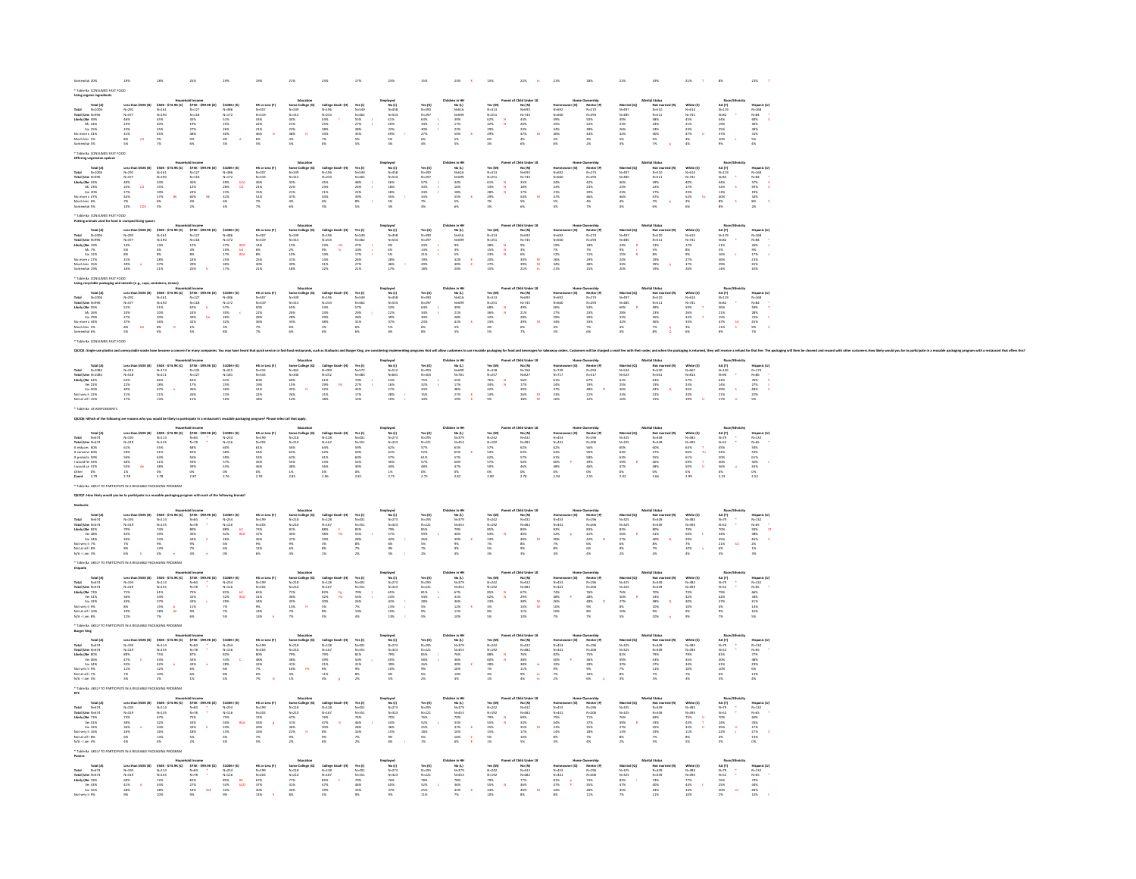|                                                                                                                                                                                                                                                                                                                                                                                                                                                                         |                                                                                                                  |                                                                                           | old Income<br>575K - 59:<br>N=127<br>N=118<br>45%<br>19%<br>27%<br>48%<br>O%<br>6%                  |                                                                                                                                                                                                       |                                                                                 |                                                                                                                                                                                                                                                       |                                                                             |                                                                      | nployed<br>No (J)<br>N=538<br>N=534<br>49%<br>22%<br>49%<br>5%<br>5%                  |                                                                     |                                                                                              | Yes (M)<br>N=313<br>N=251<br>S2%<br>S2%<br>29%<br>29%<br>E%          |                                                                                                      |                                                                          |                                                                                                               |                                                                                | al Status<br>Not ma<br>N=511<br>N=511<br>48%<br>24%<br>24%<br>24%<br>S%                             | White (\$)<br>N=514<br>N=741<br>45%<br>23%<br>23%<br>47%<br>4%<br>4%                | Race<br>AA (T)<br>N=82<br>N=82<br>44%<br>19%<br>25%<br>37%<br>10%<br>25% |                                                                                                                                                                                                                                          |
|-------------------------------------------------------------------------------------------------------------------------------------------------------------------------------------------------------------------------------------------------------------------------------------------------------------------------------------------------------------------------------------------------------------------------------------------------------------------------|------------------------------------------------------------------------------------------------------------------|-------------------------------------------------------------------------------------------|-----------------------------------------------------------------------------------------------------|-------------------------------------------------------------------------------------------------------------------------------------------------------------------------------------------------------|---------------------------------------------------------------------------------|-------------------------------------------------------------------------------------------------------------------------------------------------------------------------------------------------------------------------------------------------------|-----------------------------------------------------------------------------|----------------------------------------------------------------------|---------------------------------------------------------------------------------------|---------------------------------------------------------------------|----------------------------------------------------------------------------------------------|----------------------------------------------------------------------|------------------------------------------------------------------------------------------------------|--------------------------------------------------------------------------|---------------------------------------------------------------------------------------------------------------|--------------------------------------------------------------------------------|-----------------------------------------------------------------------------------------------------|-------------------------------------------------------------------------------------|--------------------------------------------------------------------------|------------------------------------------------------------------------------------------------------------------------------------------------------------------------------------------------------------------------------------------|
|                                                                                                                                                                                                                                                                                                                                                                                                                                                                         | Less that<br>N=292<br>N=477<br>46%<br>23%<br>23%<br>41%<br>8%<br>S%                                              | \$50K -<br>N-161<br>N-190<br>45%<br>20%<br>25%<br>45%<br>3%                               |                                                                                                     | \$100K+ (E)<br>N-386<br>N-172<br>S1%<br>S56<br>26%<br>40%<br>40%<br>6%                                                                                                                                | NS or L<br>N=307<br>N=319<br>43%<br>22%<br>22%<br>46%<br>6%<br>6%<br>5%         | Some C<br>N=339<br>N=315<br>44%<br>23%<br>23%<br>48%<br>3%<br>3%                                                                                                                                                                                      | College<br>N-196<br>N-233<br>S4%<br>S4%<br>28%<br>N6%                       | Yes (1)<br>N=549<br>N=462<br>S5%<br>27%<br>28%<br>S5%<br>S5%         |                                                                                       | Yes (K)<br>N=390<br>N=297<br>S3%<br>34%<br>30%<br>27%<br>6%<br>A%   | No (L)<br>N=616<br>N=699<br>39%<br>39%<br>17%<br>22%<br>50%<br>5%                            |                                                                      | No (N)<br>N=693<br>N=745<br>A3%<br>43%<br>23%<br>47%                                                 | Nomeo<br>N-660<br>N-660<br>A9%<br>25%<br>24%<br>S%<br>S%                 | Renter<br>N=273<br>N=293<br>SO%<br>22%<br>28%<br>43%<br>4%<br>4%                                              | Marries<br>N=497<br>N=485<br>49%<br>23%<br>25%<br>42%                          |                                                                                                     |                                                                                     |                                                                          | Hispanic<br>N=168<br>N=84<br>60%<br>30%<br>30%<br>30%<br>31%<br>5%                                                                                                                                                                       |
|                                                                                                                                                                                                                                                                                                                                                                                                                                                                         |                                                                                                                  |                                                                                           |                                                                                                     |                                                                                                                                                                                                       |                                                                                 |                                                                                                                                                                                                                                                       |                                                                             |                                                                      |                                                                                       |                                                                     |                                                                                              |                                                                      |                                                                                                      |                                                                          |                                                                                                               |                                                                                |                                                                                                     |                                                                                     |                                                                          |                                                                                                                                                                                                                                          |
| $\begin{array}{r} \textbf{if } \textbf{U} \textbf{cm} \; \textbf{N} \textbf{m}_{\text{max}} \\ \textbf{iv } \textbf{f} \textbf{Ne} \; \; 49 \% \\ \textbf{M}_1 \; \; 24 \% \\ \textbf{Sat} \; \; 25 \% \\ \textbf{Sat} \; 25 \% \\ \textbf{m} \textbf{cm} \textbf{cm} \; \textbf{c} \; \; 41 \% \\ \textbf{ruch} \; \textbf{les} \; \; 5 \% \\ \textbf{amewchat} \; 5 \% \\ \textbf{amewchat} \; 5 \% \end{array}$                                                      |                                                                                                                  |                                                                                           |                                                                                                     |                                                                                                                                                                                                       |                                                                                 |                                                                                                                                                                                                                                                       |                                                                             |                                                                      |                                                                                       |                                                                     |                                                                                              |                                                                      |                                                                                                      |                                                                          |                                                                                                               |                                                                                |                                                                                                     |                                                                                     |                                                                          |                                                                                                                                                                                                                                          |
|                                                                                                                                                                                                                                                                                                                                                                                                                                                                         |                                                                                                                  |                                                                                           |                                                                                                     |                                                                                                                                                                                                       |                                                                                 |                                                                                                                                                                                                                                                       |                                                                             |                                                                      |                                                                                       |                                                                     |                                                                                              |                                                                      |                                                                                                      |                                                                          |                                                                                                               |                                                                                |                                                                                                     |                                                                                     |                                                                          |                                                                                                                                                                                                                                          |
|                                                                                                                                                                                                                                                                                                                                                                                                                                                                         |                                                                                                                  |                                                                                           |                                                                                                     |                                                                                                                                                                                                       |                                                                                 |                                                                                                                                                                                                                                                       |                                                                             |                                                                      |                                                                                       |                                                                     |                                                                                              |                                                                      |                                                                                                      |                                                                          |                                                                                                               |                                                                                |                                                                                                     |                                                                                     |                                                                          |                                                                                                                                                                                                                                          |
|                                                                                                                                                                                                                                                                                                                                                                                                                                                                         | Less than<br>N=292<br>N=477<br>40%<br>23%<br>17%<br>44%<br>7%<br>N                                               | \$50K - \$74<br>N=161<br>N=190<br>34%<br>19%<br>19%<br>\$7%<br>6%                         | old Income<br>\$758 - \$99.9K (D)<br>N=127<br>N=118<br>36%<br>25%<br>25%<br>25%                     | $5100K + (t)$<br>$N-386$<br>$N-172$<br>$49\%$<br>$28\%$<br>$21\%$<br>$41\%$<br>$6\%$                                                                                                                  | HS or Less (F)<br>N=307<br>N=319<br>36%<br>21%<br>15%<br>51%<br>7%              | Education<br>Some College (<br>N=333)<br>N=315<br>43%<br>22%<br>47%<br>4%<br>6%<br>6%                                                                                                                                                                 | College On<br>N=295<br>N=293<br>45%<br>44%<br>21%<br>44%<br>6%<br>6%        | Yes (1)<br>N=549<br>N=462<br>48%<br>26%<br>22%<br>33%<br>8%<br>8%    | Imployed<br>N=458<br>N=534<br>N=534<br>N5%<br>18%<br>18%<br>S5%<br>N5%                | Yes (K)<br>N=390<br>N=297<br>S7%<br>S3%<br>33%<br>24%<br>25%<br>P%  | ren in HH<br>No (L)<br>N-616<br>N-699<br>34%<br>16%<br>16%<br>55%<br>55%<br>55%              | Yes (M)<br>N-313<br>N-251<br>N-251<br>S3%<br>29%<br>29%<br>P%<br>N-X | Child Under 18<br>No (N)<br>N-693<br>N-745<br>N-745<br>12%<br>12%<br>S4%<br>S4%<br>S%                |                                                                          | Demorship<br>Renter (R<br>N=273<br>N=293<br>42%<br>23%<br>46%<br>4%<br>4%<br>7%                               | Married (Q)<br>N=497<br>N=485<br>46%<br>23%<br>46%<br>4%                       | tal Status<br>Mot ma<br>N=510<br>N=511<br>39%<br>22%<br>47%<br>47%<br>A7%                           | White (5)<br>N=614<br>N=741<br>AOK<br>17%<br>23%<br>S2%<br>23%<br>25%               | Race<br>AA (T)<br>N=82<br>44%<br>40%<br>32%<br>32%<br>8%<br>8%<br>8%     | Mispanic (U)<br>N=168<br>N=84<br>N=87<br>S7%<br>S7%<br>19%<br>2%<br>S%<br>S%                                                                                                                                                             |
|                                                                                                                                                                                                                                                                                                                                                                                                                                                                         |                                                                                                                  |                                                                                           |                                                                                                     | tica<br>CD                                                                                                                                                                                            |                                                                                 |                                                                                                                                                                                                                                                       |                                                                             |                                                                      |                                                                                       |                                                                     |                                                                                              |                                                                      |                                                                                                      |                                                                          |                                                                                                               |                                                                                |                                                                                                     |                                                                                     |                                                                          | $\frac{1}{s}$                                                                                                                                                                                                                            |
|                                                                                                                                                                                                                                                                                                                                                                                                                                                                         |                                                                                                                  |                                                                                           |                                                                                                     |                                                                                                                                                                                                       |                                                                                 |                                                                                                                                                                                                                                                       |                                                                             |                                                                      |                                                                                       |                                                                     |                                                                                              |                                                                      |                                                                                                      |                                                                          |                                                                                                               |                                                                                |                                                                                                     |                                                                                     |                                                                          |                                                                                                                                                                                                                                          |
| Total (A<br>Total (Umr N-205<br>Total (Umr N-295<br>Likely (Ne 43%<br>Momore 47%<br>No more 47%<br>Muchies 6%<br>Shammabi 5%                                                                                                                                                                                                                                                                                                                                            |                                                                                                                  |                                                                                           |                                                                                                     |                                                                                                                                                                                                       |                                                                                 |                                                                                                                                                                                                                                                       |                                                                             |                                                                      |                                                                                       |                                                                     |                                                                                              |                                                                      |                                                                                                      | Nomed<br>N=502<br>N=560<br>N=51%<br>23%<br>23%<br>47%                    |                                                                                                               |                                                                                |                                                                                                     |                                                                                     |                                                                          |                                                                                                                                                                                                                                          |
|                                                                                                                                                                                                                                                                                                                                                                                                                                                                         |                                                                                                                  |                                                                                           |                                                                                                     |                                                                                                                                                                                                       |                                                                                 |                                                                                                                                                                                                                                                       |                                                                             |                                                                      |                                                                                       |                                                                     |                                                                                              |                                                                      |                                                                                                      |                                                                          |                                                                                                               |                                                                                |                                                                                                     |                                                                                     |                                                                          |                                                                                                                                                                                                                                          |
|                                                                                                                                                                                                                                                                                                                                                                                                                                                                         |                                                                                                                  |                                                                                           |                                                                                                     |                                                                                                                                                                                                       |                                                                                 | Education<br>Some College (0)<br>N-339<br>N-319<br>12%<br>2%<br>39%<br>39%<br>18%<br>18%                                                                                                                                                              |                                                                             |                                                                      |                                                                                       |                                                                     |                                                                                              |                                                                      |                                                                                                      |                                                                          |                                                                                                               |                                                                                |                                                                                                     |                                                                                     |                                                                          |                                                                                                                                                                                                                                          |
|                                                                                                                                                                                                                                                                                                                                                                                                                                                                         |                                                                                                                  |                                                                                           |                                                                                                     |                                                                                                                                                                                                       |                                                                                 |                                                                                                                                                                                                                                                       |                                                                             |                                                                      |                                                                                       |                                                                     |                                                                                              |                                                                      |                                                                                                      |                                                                          |                                                                                                               |                                                                                |                                                                                                     |                                                                                     |                                                                          |                                                                                                                                                                                                                                          |
|                                                                                                                                                                                                                                                                                                                                                                                                                                                                         |                                                                                                                  |                                                                                           |                                                                                                     |                                                                                                                                                                                                       |                                                                                 |                                                                                                                                                                                                                                                       | $\frac{16}{6}$                                                              |                                                                      |                                                                                       |                                                                     |                                                                                              |                                                                      |                                                                                                      |                                                                          |                                                                                                               |                                                                                |                                                                                                     |                                                                                     |                                                                          |                                                                                                                                                                                                                                          |
|                                                                                                                                                                                                                                                                                                                                                                                                                                                                         |                                                                                                                  |                                                                                           |                                                                                                     | aco<br>bd<br>acd                                                                                                                                                                                      |                                                                                 |                                                                                                                                                                                                                                                       |                                                                             |                                                                      |                                                                                       |                                                                     |                                                                                              |                                                                      |                                                                                                      |                                                                          |                                                                                                               |                                                                                |                                                                                                     |                                                                                     |                                                                          |                                                                                                                                                                                                                                          |
| Total (A)<br>d<br>d 10tm N-2006<br>al (Utm N-296<br>chy (Ne 19%<br>Machiess 35%<br>Auchiess 35%<br>Auchiess 35%<br>Auchiess 35%<br>Comewhat 19%                                                                                                                                                                                                                                                                                                                         | Less than<br>N=292<br>N=477<br>14%<br>S%<br>S%<br>S%<br>31%<br>39%<br>16%                                        | Nausch<br>530K - 574.9K (C)<br>N-161<br>14%<br>6%<br>8%<br>37%<br>37%<br>21%<br>21%       | old Income<br>\$75K - \$99.9K (D)<br>N +127<br>12%<br>12%<br>4%<br>8%<br>8%<br>24%<br>29%<br>b      | $\begin{array}{l} 5100\mathrm{K} * (\mathrm{E}) \\ \mathrm{N-386} \\ \mathrm{N-172} \\ 27\% \\ 27\% \\ 10\% \\ 17\% \\ 30\% \\ 17\% \end{array}$                                                      | HS or Less (F<br>N-307<br>N-319<br>N-319<br>1456<br>SK<br>2556<br>4056<br>2556  |                                                                                                                                                                                                                                                       | College<br>N=296<br>N=233<br>24%<br>24%<br>24%<br>24%<br>31%                | Yes (1)<br>N=549<br>N=462<br>27%<br>10%<br>17%<br>26%<br>27%<br>21%  | Imployed<br>N=458<br>N=584<br>N=584<br>N=5%<br>46%<br>28%<br>46%<br>17%               | Yes (K)<br>N-390<br>N-297<br>34%<br>35%<br>21%<br>29%<br>29%<br>18% | ren in HH<br>No (L)<br>N-616<br>N-699<br>9%<br>3%<br>3%<br>3%<br>3%<br>40%<br>20%            | Yes (M)<br>N=313<br>N=251<br>SB%<br>15%<br>23%<br>25%<br>27%<br>27%  | Child Under 18<br>No (N)<br>N-693<br>N-745<br>9%<br>9%<br>8%<br>9%<br>21%<br>21%                     | Nomeo<br>N=602<br>N=660<br>N=50<br>N%<br>25%<br>34%<br>34%<br>21%        | Northern<br>Renter<br>N=293<br>N=293<br>29%<br>29%<br>38%<br>38%                                              | Married (C)<br>N=497<br>N=485<br>24%<br>24%<br>15%<br>24%                      | ital Status<br>Not max<br>N=510<br>N=511<br>13%<br>S%<br>S%<br>29%<br>29%<br>19%                    | White (5)<br>N=614<br>N=741<br>17%<br>8%<br>27%<br>27%<br>27%                       | Race<br>AA (T)<br>N=82<br>21%<br>5%<br>16%<br>36%<br>29%<br>29%          | Hispanic (U)<br>N=168<br>N=84<br>26%<br>9%<br>17%<br>17%<br>17%<br>18%<br>16%                                                                                                                                                            |
|                                                                                                                                                                                                                                                                                                                                                                                                                                                                         |                                                                                                                  |                                                                                           |                                                                                                     |                                                                                                                                                                                                       |                                                                                 |                                                                                                                                                                                                                                                       |                                                                             |                                                                      |                                                                                       |                                                                     |                                                                                              |                                                                      |                                                                                                      |                                                                          |                                                                                                               |                                                                                |                                                                                                     |                                                                                     |                                                                          |                                                                                                                                                                                                                                          |
|                                                                                                                                                                                                                                                                                                                                                                                                                                                                         |                                                                                                                  |                                                                                           |                                                                                                     |                                                                                                                                                                                                       |                                                                                 | Education<br>Some College<br>N=339<br>N=35%<br>26%<br>26%<br>28%<br>6%<br>6%                                                                                                                                                                          |                                                                             |                                                                      |                                                                                       |                                                                     |                                                                                              |                                                                      |                                                                                                      |                                                                          |                                                                                                               |                                                                                |                                                                                                     |                                                                                     |                                                                          |                                                                                                                                                                                                                                          |
| Total (A)<br>stal M-1056<br>stal (Umr N-956<br>kely (Ne 55%<br>Ms. 26%<br>Sor 29%<br>o more c 34%<br>tuch less 5%<br>mewhat 6%                                                                                                                                                                                                                                                                                                                                          | Less tha<br>N=292<br>N=477<br>S1%<br>24%<br>27%<br>S%<br>S%                                                      | Nousel<br>\$50K - \$74.9K (C)<br>N=161<br>S1%<br>20%<br>20%<br>\$6%<br>\$5%<br>6%         | old Income<br>\$75K - \$99.9K  <br>N=127<br>N=118<br>62% b<br>24% b<br>39% b<br>1%<br>1%<br>5%      | $\begin{array}{l} 5100\mathrm{K} * (\mathrm{E}) \\ \mathrm{N-386} \\ \mathrm{N-172} \\ \mathrm{57\%} \\ \mathrm{30\%} \\ \mathrm{26\%} \\ \mathrm{32\%} \\ \mathrm{38\%} \\ \mathrm{8\%} \end{array}$ | HS or Less  <br>N=307<br>N=319<br>S0%<br>22%<br>28%<br>N%<br>N%                 |                                                                                                                                                                                                                                                       | College<br>N=233<br>N=233<br>S3%<br>29%<br>29%<br>3%<br>S%                  | Yes (1)<br>N=549<br>N=462<br>S7%<br>29%<br>28%<br>31%<br>6%<br>6%    | Imployed<br>N=458<br>N=458<br>N=534<br>S2%<br>S2%<br>37%<br>S3%<br>S3%                | Yes (K)<br>N-390<br>N-297<br>64%<br>34%<br>35%<br>23%<br>6%<br>8%   | Thildren in 191<br>Mo (L)<br>N-616<br>N-619<br>49%<br>21%<br>28%<br>41%<br>5%<br>5%<br>5%    | Yes (M)<br>N=313<br>N=251<br>S8%<br>S8%<br>32%<br>23%<br>4%<br>S%    | Child Under :<br>No (N)<br>N=693<br>N=745<br>49%<br>21%<br>28%<br>39%<br>6%<br>7%                    | Nomes<br>N-602<br>N-600<br>N-60<br>S%<br>29%<br>N-60<br>N-60             | Numership<br>Renter (R<br>N=273<br>N=293<br>S4%<br>23%<br>33%<br>33%<br>7%<br>7%                              | Married (Q)<br>N=497<br>N=485<br>60%<br>28%<br>32%<br>32%<br>4%                | tal Status<br>Not ma<br>N=510<br>N=511<br>49%<br>23%<br>25%<br>N%<br>N%                             | White (5)<br>N=614<br>N=741<br>S9%<br>26%<br>32%<br>33%<br>33%<br>33%               | Race<br>AA (T)<br>N=82<br>36%<br>21%<br>21%<br>47%<br>47%<br>11%<br>6%   | Mispanic (U)<br>N-168<br>N-84<br>N-84<br>S9%<br>25%<br>25%<br>25%<br>S%                                                                                                                                                                  |
|                                                                                                                                                                                                                                                                                                                                                                                                                                                                         |                                                                                                                  |                                                                                           |                                                                                                     |                                                                                                                                                                                                       |                                                                                 |                                                                                                                                                                                                                                                       |                                                                             |                                                                      |                                                                                       |                                                                     |                                                                                              |                                                                      |                                                                                                      |                                                                          |                                                                                                               |                                                                                |                                                                                                     |                                                                                     |                                                                          | 计可变                                                                                                                                                                                                                                      |
|                                                                                                                                                                                                                                                                                                                                                                                                                                                                         |                                                                                                                  |                                                                                           |                                                                                                     |                                                                                                                                                                                                       |                                                                                 |                                                                                                                                                                                                                                                       |                                                                             |                                                                      |                                                                                       |                                                                     |                                                                                              |                                                                      |                                                                                                      |                                                                          |                                                                                                               |                                                                                |                                                                                                     |                                                                                     |                                                                          |                                                                                                                                                                                                                                          |
|                                                                                                                                                                                                                                                                                                                                                                                                                                                                         |                                                                                                                  |                                                                                           |                                                                                                     |                                                                                                                                                                                                       |                                                                                 |                                                                                                                                                                                                                                                       |                                                                             |                                                                      |                                                                                       |                                                                     |                                                                                              |                                                                      |                                                                                                      |                                                                          |                                                                                                               |                                                                                |                                                                                                     |                                                                                     | su<br>s                                                                  |                                                                                                                                                                                                                                          |
|                                                                                                                                                                                                                                                                                                                                                                                                                                                                         |                                                                                                                  |                                                                                           |                                                                                                     |                                                                                                                                                                                                       |                                                                                 |                                                                                                                                                                                                                                                       |                                                                             |                                                                      |                                                                                       |                                                                     |                                                                                              |                                                                      |                                                                                                      |                                                                          |                                                                                                               |                                                                                |                                                                                                     |                                                                                     |                                                                          |                                                                                                                                                                                                                                          |
|                                                                                                                                                                                                                                                                                                                                                                                                                                                                         |                                                                                                                  |                                                                                           |                                                                                                     |                                                                                                                                                                                                       |                                                                                 |                                                                                                                                                                                                                                                       |                                                                             |                                                                      |                                                                                       |                                                                     |                                                                                              |                                                                      |                                                                                                      |                                                                          |                                                                                                               |                                                                                |                                                                                                     |                                                                                     |                                                                          |                                                                                                                                                                                                                                          |
|                                                                                                                                                                                                                                                                                                                                                                                                                                                                         |                                                                                                                  |                                                                                           |                                                                                                     |                                                                                                                                                                                                       |                                                                                 | res.<br>Education<br>Some College (0)<br>N-365<br>N-366<br>60%<br>15%<br>436<br>26%<br>14%                                                                                                                                                            |                                                                             |                                                                      |                                                                                       |                                                                     | lren in HH<br>No (L)<br>N=690<br>N=781<br>S5%<br>17%<br>38%<br>27%<br>27%                    |                                                                      | Child Under 18<br>No (N)<br>N-766<br>N-827<br>56%<br>17%<br>19%<br>26%<br>18%<br>N<br>18%            |                                                                          |                                                                                                               |                                                                                | ital Status<br>Mot ma<br>N=550<br>N=561<br>N=561<br>63%<br>44%<br>22%<br>44%                        |                                                                                     |                                                                          |                                                                                                                                                                                                                                          |
| Tous, y.,<br>N=1084<br>f Um N=1084<br>r (Ne 62%<br>Yer 22%<br>Ser 40%<br>very li 22%<br>at all 1 15%                                                                                                                                                                                                                                                                                                                                                                    | Less that<br>$N-513$<br>$N-518$<br>$62\%$<br>$22\%$<br>$22\%$<br>$40\%$<br>$21\%$<br>$17\%$                      | Mouse)<br>\$50x - \$74.9K (C)<br>N-173<br>N-211<br>66%<br>18%<br>47%<br>21%<br>21%<br>19% | old Income<br>575K - 599.5<br>N=135<br>N=127<br>62%<br>17%<br>46%<br>26%<br>26%                     | $5100K + (t)$<br>$N-151$<br>$61\%$<br>$25\%$<br>$25\%$<br>$22\%$<br>$16\%$                                                                                                                            | HS or Less (F)<br>N=333<br>N=343<br>S0%<br>19%<br>41%<br>22%<br>22%             |                                                                                                                                                                                                                                                       | College<br>N=252<br>N=252<br>61%<br>29%<br>22%<br>21%<br>18%                | Yes (I)<br>N=572<br>N=483<br>70%<br>27%<br>43%<br>43%<br>17%<br>13%  | mployed<br>No (1)<br>N=512<br>N=601<br>S3%<br>16%<br>37%<br>28%<br>28%                | Yes (K)<br>N=303<br>N=303<br>75%<br>32%<br>43%<br>15%<br>10%        |                                                                                              | Yes (M)<br>N=318<br>N=257<br>76%<br>34%<br>42%<br>42%<br>14%         |                                                                                                      | Homeon<br>N=739<br>N=717<br>61%<br>24%<br>23%<br>23%                     | Dwnership<br>Renter (P)<br>N=233<br>N=317<br>G7%<br>48%<br>48%<br>21%<br>21%                                  | Married (Q)<br>N=534<br>N=523<br>61%<br>25%<br>36%<br>23%<br>16%               |                                                                                                     | White (\$)<br>N=667<br>N=814<br>S7%<br>23%<br>23%<br>24%<br>24%                     | Race<br>AA (T)<br>N=126<br>N=90<br>49%<br>14%<br>21%<br>21%<br>17%       | Hispanic<br>N=174<br>N=86<br>76%<br>27%<br>48%<br>20%<br>5%                                                                                                                                                                              |
|                                                                                                                                                                                                                                                                                                                                                                                                                                                                         |                                                                                                                  |                                                                                           |                                                                                                     |                                                                                                                                                                                                       |                                                                                 |                                                                                                                                                                                                                                                       |                                                                             |                                                                      |                                                                                       |                                                                     |                                                                                              |                                                                      |                                                                                                      |                                                                          |                                                                                                               |                                                                                |                                                                                                     |                                                                                     |                                                                          |                                                                                                                                                                                                                                          |
|                                                                                                                                                                                                                                                                                                                                                                                                                                                                         |                                                                                                                  |                                                                                           |                                                                                                     |                                                                                                                                                                                                       |                                                                                 |                                                                                                                                                                                                                                                       |                                                                             |                                                                      |                                                                                       |                                                                     |                                                                                              |                                                                      |                                                                                                      |                                                                          |                                                                                                               |                                                                                |                                                                                                     |                                                                                     | $\bar{s}$                                                                |                                                                                                                                                                                                                                          |
|                                                                                                                                                                                                                                                                                                                                                                                                                                                                         |                                                                                                                  |                                                                                           |                                                                                                     |                                                                                                                                                                                                       |                                                                                 |                                                                                                                                                                                                                                                       |                                                                             |                                                                      |                                                                                       |                                                                     |                                                                                              |                                                                      |                                                                                                      |                                                                          |                                                                                                               |                                                                                |                                                                                                     |                                                                                     |                                                                          |                                                                                                                                                                                                                                          |
|                                                                                                                                                                                                                                                                                                                                                                                                                                                                         |                                                                                                                  |                                                                                           |                                                                                                     |                                                                                                                                                                                                       |                                                                                 |                                                                                                                                                                                                                                                       |                                                                             |                                                                      |                                                                                       |                                                                     |                                                                                              |                                                                      |                                                                                                      |                                                                          |                                                                                                               |                                                                                |                                                                                                     |                                                                                     |                                                                          |                                                                                                                                                                                                                                          |
|                                                                                                                                                                                                                                                                                                                                                                                                                                                                         |                                                                                                                  |                                                                                           |                                                                                                     |                                                                                                                                                                                                       |                                                                                 |                                                                                                                                                                                                                                                       |                                                                             |                                                                      |                                                                                       |                                                                     |                                                                                              |                                                                      |                                                                                                      |                                                                          |                                                                                                               |                                                                                |                                                                                                     |                                                                                     |                                                                          |                                                                                                                                                                                                                                          |
|                                                                                                                                                                                                                                                                                                                                                                                                                                                                         |                                                                                                                  |                                                                                           |                                                                                                     |                                                                                                                                                                                                       |                                                                                 |                                                                                                                                                                                                                                                       |                                                                             |                                                                      |                                                                                       |                                                                     |                                                                                              |                                                                      |                                                                                                      |                                                                          |                                                                                                               |                                                                                |                                                                                                     |                                                                                     |                                                                          |                                                                                                                                                                                                                                          |
|                                                                                                                                                                                                                                                                                                                                                                                                                                                                         |                                                                                                                  | 9K (C)                                                                                    |                                                                                                     |                                                                                                                                                                                                       |                                                                                 |                                                                                                                                                                                                                                                       |                                                                             |                                                                      |                                                                                       |                                                                     |                                                                                              |                                                                      |                                                                                                      |                                                                          |                                                                                                               |                                                                                |                                                                                                     |                                                                                     |                                                                          |                                                                                                                                                                                                                                          |
|                                                                                                                                                                                                                                                                                                                                                                                                                                                                         |                                                                                                                  |                                                                                           |                                                                                                     |                                                                                                                                                                                                       |                                                                                 |                                                                                                                                                                                                                                                       |                                                                             |                                                                      |                                                                                       |                                                                     |                                                                                              |                                                                      |                                                                                                      |                                                                          |                                                                                                               |                                                                                |                                                                                                     |                                                                                     |                                                                          |                                                                                                                                                                                                                                          |
|                                                                                                                                                                                                                                                                                                                                                                                                                                                                         |                                                                                                                  |                                                                                           |                                                                                                     |                                                                                                                                                                                                       |                                                                                 |                                                                                                                                                                                                                                                       |                                                                             |                                                                      |                                                                                       |                                                                     |                                                                                              |                                                                      |                                                                                                      |                                                                          |                                                                                                               |                                                                                |                                                                                                     | $\frac{\tau}{\tau_0}$                                                               |                                                                          |                                                                                                                                                                                                                                          |
|                                                                                                                                                                                                                                                                                                                                                                                                                                                                         |                                                                                                                  |                                                                                           |                                                                                                     |                                                                                                                                                                                                       |                                                                                 |                                                                                                                                                                                                                                                       |                                                                             |                                                                      |                                                                                       |                                                                     |                                                                                              |                                                                      |                                                                                                      |                                                                          |                                                                                                               |                                                                                |                                                                                                     | $\frac{1}{\alpha}$                                                                  |                                                                          |                                                                                                                                                                                                                                          |
|                                                                                                                                                                                                                                                                                                                                                                                                                                                                         | Less tha<br>N=319<br>N=319<br>61%<br>S9%<br>S6%<br>46%<br>46%<br>1%<br>2.78                                      | \$50K -<br>N-114<br>N-135<br>S5% 61%<br>63% 63%<br>48% 0%<br>2.78                         | old Income<br>\$75K - \$99.9K (D)<br>N -84<br>08%<br>68%<br>68%<br>68%<br>58%<br>39%<br>0%<br>2.87  | \$100K+ (E)<br>N-254<br>N-116<br>SPX<br>SPX<br>SPX<br>SPX<br>43%<br>2.76<br>2.76                                                                                                                      |                                                                                 |                                                                                                                                                                                                                                                       | College<br>N=128<br>N=167<br>64%<br>64%<br>62%<br>S6%<br>O%<br>2.96<br>2.96 | Yes (1)<br>N=401<br>N=351<br>S9%<br>S9%<br>G0%<br>S4%<br>49%<br>2.81 |                                                                                       | Yes (K)<br>N=295<br>N=221<br>S7%<br>S2%<br>S2%<br>48%<br>O%<br>2.75 | Children in MH<br>Mo (L)<br>N=379<br>N=453<br>S5%<br>S5%<br>S5%<br>S5%<br>A7%<br>25%<br>25%  | Yes (M)<br>N=242<br>N=192<br>SP%<br>SP%<br>SP%<br>SP%<br>O%<br>2.80  | Child Under 18<br>No (N)<br>N=432<br>N=482<br>S3%<br>S3%<br>S5%<br>46%<br>2.78<br>2.78               | Nomeo<br>N=453<br>N=441<br>G2%<br>G3%<br>G3%<br>G2%<br>48%<br>D%<br>2.94 | Dwnership<br>Renter (P)<br>N=196<br>N=206<br>S6%<br>S6%<br>S6%<br>46%<br>46%<br>O%<br>2.55                    | Married (Q)<br>N=325<br>N=325<br>63%<br>63%<br>63%<br>47%<br>47%<br>0%<br>2.92 |                                                                                                     | White (5)<br>N=383<br>N=493<br>63%<br>63%<br>65%<br>59%<br>50%<br>50%<br>0%<br>2.99 | Rack<br>AA (T)<br>N=79<br>N=52<br>S5%<br>S5%<br>S5%<br>S5%<br>O%<br>2.23 | Hispanic (U)<br>N=132<br>N=65<br>S4%<br>S3%<br>S1%<br>S1%<br>34%<br>N=66<br>2.52                                                                                                                                                         |
| $\begin{tabular}{l c c c} \multicolumn{1}{l}{\textbf{Total (A} & $N$-674$} \\ \multicolumn{1}{l}{\textbf{Total (Lum} $N$-674$} \\ \multicolumn{1}{l}{\textbf{Total (Lum} $N$-674$} \\ \multicolumn{1}{l}{\textbf{It reduces 6.9\%}} \\ \multicolumn{1}{l}{\textbf{It corresponds 6.9\%}} \\ \multicolumn{1}{l}{\textbf{It creates 5.9\%}} \\ \multicolumn{1}{l}{\textbf{I work} \\ \multicolumn{1}{l}{\textbf{I work}} \\ \multicolumn{1}{l}{\textbf{I work}} \\ \mult$ |                                                                                                                  |                                                                                           |                                                                                                     |                                                                                                                                                                                                       | HS or Less /<br>N=199<br>N=203<br>61%<br>54%<br>S3%<br>46%<br>46%<br>0%<br>2.59 | Education<br>Some College<br>N-218<br>N-210<br>SS%<br>63%<br>63%<br>48%<br>1%<br>2.85                                                                                                                                                                 |                                                                             |                                                                      | Employed<br>No (1)<br>N-323<br>N-323<br>62%<br>62%<br>50%<br>44%<br>44%<br>1%<br>2.75 |                                                                     |                                                                                              |                                                                      |                                                                                                      |                                                                          |                                                                                                               |                                                                                | rital Status<br>Not max<br>N=349<br>N=349<br>N=359<br>S5%<br>S5%<br>48%<br>48%<br>48%<br>O%<br>2.66 |                                                                                     |                                                                          |                                                                                                                                                                                                                                          |
|                                                                                                                                                                                                                                                                                                                                                                                                                                                                         |                                                                                                                  |                                                                                           |                                                                                                     |                                                                                                                                                                                                       |                                                                                 |                                                                                                                                                                                                                                                       |                                                                             |                                                                      |                                                                                       |                                                                     |                                                                                              |                                                                      |                                                                                                      |                                                                          |                                                                                                               |                                                                                |                                                                                                     |                                                                                     |                                                                          |                                                                                                                                                                                                                                          |
|                                                                                                                                                                                                                                                                                                                                                                                                                                                                         |                                                                                                                  |                                                                                           |                                                                                                     |                                                                                                                                                                                                       |                                                                                 |                                                                                                                                                                                                                                                       |                                                                             |                                                                      |                                                                                       |                                                                     |                                                                                              |                                                                      |                                                                                                      |                                                                          |                                                                                                               |                                                                                |                                                                                                     |                                                                                     |                                                                          |                                                                                                                                                                                                                                          |
|                                                                                                                                                                                                                                                                                                                                                                                                                                                                         |                                                                                                                  | .9K (C)                                                                                   |                                                                                                     |                                                                                                                                                                                                       |                                                                                 |                                                                                                                                                                                                                                                       |                                                                             |                                                                      |                                                                                       |                                                                     |                                                                                              |                                                                      |                                                                                                      |                                                                          |                                                                                                               |                                                                                |                                                                                                     |                                                                                     |                                                                          |                                                                                                                                                                                                                                          |
|                                                                                                                                                                                                                                                                                                                                                                                                                                                                         |                                                                                                                  |                                                                                           |                                                                                                     |                                                                                                                                                                                                       |                                                                                 |                                                                                                                                                                                                                                                       |                                                                             |                                                                      |                                                                                       |                                                                     |                                                                                              |                                                                      |                                                                                                      |                                                                          |                                                                                                               |                                                                                |                                                                                                     |                                                                                     | ¢                                                                        | $\frac{1}{\text{ST}}$                                                                                                                                                                                                                    |
|                                                                                                                                                                                                                                                                                                                                                                                                                                                                         |                                                                                                                  |                                                                                           |                                                                                                     | kC<br>BCD                                                                                                                                                                                             |                                                                                 |                                                                                                                                                                                                                                                       | $\frac{\dot{r}}{r_{\rm G}}$                                                 |                                                                      |                                                                                       |                                                                     |                                                                                              |                                                                      |                                                                                                      |                                                                          |                                                                                                               |                                                                                |                                                                                                     |                                                                                     |                                                                          |                                                                                                                                                                                                                                          |
| Fotal M=574<br>Total (Umr N=574<br>Likely (Ne 82%<br>Vei 48%<br>Sor 34%<br>Not set all 18%<br>Not at all 18%<br>Not                                                                                                                                                                                                                                                                                                                                                     |                                                                                                                  |                                                                                           |                                                                                                     |                                                                                                                                                                                                       |                                                                                 |                                                                                                                                                                                                                                                       |                                                                             | Yes (1)<br>N=401<br>N=351<br>83%<br>S5%<br>28%<br>28%<br>2%          |                                                                                       | Yes (K)<br>N=235<br>N=221<br>85%<br>S9%<br>26%<br>26%<br>7%<br>P%   |                                                                                              |                                                                      |                                                                                                      | Homeo<br>N=453<br>N=441<br>82%<br>S2%<br>S2%<br>N%<br>N%                 |                                                                                                               |                                                                                | tal Status<br>Mot ma<br>N=349<br>N=349<br>80%<br>41%<br>40%<br>8%<br>7%<br>4%                       | White (5)<br>N=383<br>N=493<br>79%<br>SO%<br>29%<br>29%<br>7%<br>10%                |                                                                          |                                                                                                                                                                                                                                          |
|                                                                                                                                                                                                                                                                                                                                                                                                                                                                         | Less tha<br>N=193<br>N=319<br>N=31%<br>29%<br>36%<br>N%<br>R%<br>6%                                              | \$50K - \$7<br>N=114<br>N=135<br>74%<br>39%<br>34%<br>9%<br>13%                           | old Income<br>575K - 599.9K (D)<br>N=84<br>N=78<br>80%<br>86%<br>44%<br>F%<br>7%<br>4%<br>e         | $5100K + (1)$ $N=254$ $N=116$ $88\%$ $62\%$ $26\%$ $66$<br>$66$                                                                                                                                       | HS or Less (<br>N=199<br>N=203<br>73%<br>32%<br>36%<br>9%<br>12%<br>6%          | $\begin{array}{c} \text{Eductation} \\ \text{Some Colage} \\ \text{Ne-218} \\ \text{Ne-210} \\ \text{S156} \\ \text{S176} \\ \text{S276} \\ \text{S38} \\ \text{S48} \\ \text{S56} \\ \text{S68} \\ \text{S68} \end{array}$                           | College /<br>N=128<br>N=167<br>SS%<br>SS%<br>29%<br>S%<br>S%<br>S%<br>1%    |                                                                      | Imployed<br>No (J)<br>N-323<br>N-323<br>N-32%<br>S%<br>42%<br>6%<br>S%<br>S%          |                                                                     | ildren in HH<br>No (L)<br>N=379<br>N=453<br>79%<br>40%<br>S%<br>9%<br>9%<br>9%               | Yes (M)<br>N=242<br>N=192<br>S5%<br>S5%<br>23%<br>7%<br>S%           | Child Under 18<br>No (N)<br>N=432<br>N=482<br>80%<br>40%<br>40%<br>8%<br>9%<br>3%                    |                                                                          | Dwnership<br>Renter (P)<br>N=196<br>N=206<br>83%<br>41%<br>42%<br>6%<br>6%<br>4%                              | Married (Q)<br>N=325<br>N=325<br>83%<br>S6%<br>27%<br>0%<br>0%                 |                                                                                                     |                                                                                     | Race)<br>AA (T)<br>N=52<br>N=52<br>N56<br>35%<br>21%<br>O%<br>O%         | Hispanic (U)<br>N=132<br>N=65<br>SS%<br>SS%<br>46%<br>SS%<br>2%<br>2%                                                                                                                                                                    |
|                                                                                                                                                                                                                                                                                                                                                                                                                                                                         |                                                                                                                  |                                                                                           |                                                                                                     |                                                                                                                                                                                                       |                                                                                 |                                                                                                                                                                                                                                                       |                                                                             |                                                                      |                                                                                       |                                                                     |                                                                                              |                                                                      |                                                                                                      |                                                                          |                                                                                                               |                                                                                |                                                                                                     |                                                                                     |                                                                          |                                                                                                                                                                                                                                          |
|                                                                                                                                                                                                                                                                                                                                                                                                                                                                         |                                                                                                                  |                                                                                           |                                                                                                     |                                                                                                                                                                                                       |                                                                                 |                                                                                                                                                                                                                                                       |                                                                             |                                                                      |                                                                                       |                                                                     |                                                                                              |                                                                      |                                                                                                      |                                                                          |                                                                                                               |                                                                                |                                                                                                     |                                                                                     |                                                                          |                                                                                                                                                                                                                                          |
|                                                                                                                                                                                                                                                                                                                                                                                                                                                                         |                                                                                                                  |                                                                                           |                                                                                                     |                                                                                                                                                                                                       |                                                                                 |                                                                                                                                                                                                                                                       |                                                                             |                                                                      |                                                                                       |                                                                     |                                                                                              |                                                                      |                                                                                                      |                                                                          |                                                                                                               |                                                                                |                                                                                                     |                                                                                     |                                                                          |                                                                                                                                                                                                                                          |
| Total (A<br>'otal (Umr N=674<br>'otal (Umr N=674<br>ikely (Ne 73%<br>- Yer 41%<br>Set 32%<br>- Antonio 80%                                                                                                                                                                                                                                                                                                                                                              |                                                                                                                  |                                                                                           |                                                                                                     | tic<br>800                                                                                                                                                                                            |                                                                                 |                                                                                                                                                                                                                                                       | $\frac{r_{\rm g}}{r_{\rm G}}$                                               |                                                                      |                                                                                       |                                                                     |                                                                                              |                                                                      |                                                                                                      |                                                                          |                                                                                                               |                                                                                |                                                                                                     |                                                                                     |                                                                          |                                                                                                                                                                                                                                          |
|                                                                                                                                                                                                                                                                                                                                                                                                                                                                         | Less that<br>N-193<br>N-319<br>N-316<br>216<br>34%<br>34%<br>20%<br>10%                                          | Househ<br>\$50K - \$74.9K (C)<br>N=114<br>61%<br>61%<br>34%<br>27%<br>b<br>8%<br>7%<br>7% | nold Income<br>\$75K - \$99.9K (D)<br>N =84<br>N =73<br>75%<br>\$2%<br>43%<br>0%<br>6%<br>6%        | $$100K + (t)$<br>N=254<br>N=116<br>N=1%<br>S2%<br>S2%<br>29%<br>P%                                                                                                                                    |                                                                                 |                                                                                                                                                                                                                                                       | College<br>N=128<br>N=167<br>S2%<br>S2%<br>S2%<br>S2%<br>S%                 | Yes (1)<br>N=401<br>N=351<br>N=351<br>26%<br>26%<br>26%<br>N%        |                                                                                       | Yes (K)<br>N=295<br>N=221<br>81%<br>S4%<br>28%<br>9%<br>S%          | Children in 101<br>Mo (L)<br>N−379<br>N−453<br>S7%<br>S7%<br>31%<br>22%<br>11%<br>12%        | Yes (M)<br>N=242<br>N=192<br>85%<br>62%<br>23%<br>3%<br>8%<br>8%     | Child Under 18<br>No (N)<br>N-432<br>N-432<br>N-432<br>SPK<br>SPK<br>38%<br>13%<br>11%<br>11%<br>10% | Nomeo<br>N=453<br>N=441<br>N=43%<br>26%<br>26%<br>10%<br>10%             | <b>Dwnership<br/>- Renter (P)</b><br>- N = 196<br>- N = 206<br>- 28%<br>- 48%<br>- 9%<br>- 8%<br>- 8%<br>- 8% |                                                                                |                                                                                                     | White (5)<br>N=383<br>N=493<br>73%<br>42%<br>40%<br>10%<br>9%                       | Race<br>AA (T)<br>N=52<br>N=52<br>N%<br>4%<br>S7%<br>N%<br>N%<br>N%      | Hispanic (U)<br>N=132<br>N=65<br>S6%<br>34%<br>34%<br>14%<br>16%                                                                                                                                                                         |
|                                                                                                                                                                                                                                                                                                                                                                                                                                                                         |                                                                                                                  |                                                                                           |                                                                                                     |                                                                                                                                                                                                       | HS or Less  <br>N=199<br>N=203<br>S3%<br>S4%<br>S4%<br>N%<br>14%<br>15%         | Education<br>Some College (0)<br>N-218<br>N-216<br>71%<br>35%<br>35%<br>25%<br>7%<br>25%                                                                                                                                                              |                                                                             |                                                                      | mployed<br>Mo (J)<br>N=323<br>N=323<br>65%<br>24%<br>24%<br>13%<br>10%<br>13%         |                                                                     |                                                                                              |                                                                      |                                                                                                      |                                                                          |                                                                                                               | Married (Q)<br>N=325<br>N=325<br>20%<br>S0%<br>27%<br>8%<br>10%                | tal Status<br>Not mar<br>N=349<br>N=349<br>20%<br>33%<br>38%<br>10%<br>P%                           |                                                                                     |                                                                          |                                                                                                                                                                                                                                          |
|                                                                                                                                                                                                                                                                                                                                                                                                                                                                         |                                                                                                                  |                                                                                           |                                                                                                     |                                                                                                                                                                                                       |                                                                                 |                                                                                                                                                                                                                                                       |                                                                             |                                                                      |                                                                                       |                                                                     |                                                                                              |                                                                      |                                                                                                      |                                                                          |                                                                                                               |                                                                                |                                                                                                     |                                                                                     |                                                                          |                                                                                                                                                                                                                                          |
|                                                                                                                                                                                                                                                                                                                                                                                                                                                                         |                                                                                                                  |                                                                                           |                                                                                                     |                                                                                                                                                                                                       |                                                                                 |                                                                                                                                                                                                                                                       |                                                                             |                                                                      |                                                                                       |                                                                     |                                                                                              |                                                                      |                                                                                                      |                                                                          |                                                                                                               |                                                                                |                                                                                                     |                                                                                     |                                                                          |                                                                                                                                                                                                                                          |
|                                                                                                                                                                                                                                                                                                                                                                                                                                                                         |                                                                                                                  |                                                                                           |                                                                                                     |                                                                                                                                                                                                       |                                                                                 |                                                                                                                                                                                                                                                       |                                                                             |                                                                      |                                                                                       |                                                                     |                                                                                              |                                                                      |                                                                                                      |                                                                          |                                                                                                               |                                                                                |                                                                                                     |                                                                                     |                                                                          |                                                                                                                                                                                                                                          |
|                                                                                                                                                                                                                                                                                                                                                                                                                                                                         |                                                                                                                  |                                                                                           |                                                                                                     |                                                                                                                                                                                                       |                                                                                 |                                                                                                                                                                                                                                                       |                                                                             |                                                                      |                                                                                       |                                                                     |                                                                                              |                                                                      |                                                                                                      |                                                                          |                                                                                                               |                                                                                |                                                                                                     |                                                                                     |                                                                          |                                                                                                                                                                                                                                          |
| Total (A<br>Total (Umr N=674<br>Total (Umr N=674<br>Likely (Ne 80%<br>Ver 46%<br>Not are all 17%<br>Not at all 17%<br>Not are                                                                                                                                                                                                                                                                                                                                           |                                                                                                                  |                                                                                           |                                                                                                     |                                                                                                                                                                                                       |                                                                                 |                                                                                                                                                                                                                                                       | College<br>N=128<br>N=167<br>N=29%<br>49%<br>11%<br>11%<br>4%               | Yes (1)<br>N=851<br>81%<br>81%<br>50%<br>8%<br>8%<br>8%<br>2%        |                                                                                       | Yes (K)<br>N=295<br>N=221<br>85%<br>S8%<br>26%<br>9%<br>S%<br>2%    |                                                                                              |                                                                      |                                                                                                      | Nomeo<br>N=453<br>N=441<br>S2%<br>S2%<br>S2%<br>N%<br>N%                 |                                                                                                               |                                                                                |                                                                                                     |                                                                                     | Race<br>AA (T)<br>N=52<br>N=52<br>81%<br>41%<br>41%<br>10%<br>6%<br>N=5  |                                                                                                                                                                                                                                          |
|                                                                                                                                                                                                                                                                                                                                                                                                                                                                         | $\begin{array}{r} \text{Less that} \\ N=19.3 \\ N=319 \\ 80\% \\ 47\% \\ 33\% \\ 11\% \\ 7\% \\ 3\% \end{array}$ | House)<br>N=114<br>N=115<br>N=115<br>N=125<br>256<br>226<br>226<br>226<br>226             | old Income<br>\$75K - \$99.9K  <br>N -84<br>N -78<br>\$7%<br>\$3%<br>\$3%<br>\$3%<br>6%<br>6%<br>1% | \$100K+ (E)<br>N=254<br>N=116<br>82%<br>S3%<br>S8%<br>28%<br>6%                                                                                                                                       | HS or Less (F)<br>N-199<br>N-203<br>S2%<br>48%<br>12%<br>7%<br>FX               | Education<br>Some College /<br>N=213<br>N=210<br>79%<br>41%<br>41%<br>4%<br>1%                                                                                                                                                                        |                                                                             |                                                                      | /mployed<br>Mo (J)<br>N-273<br>N-323<br>N-39%<br>N-59%<br>10%<br>6%<br>S-%            |                                                                     | lren in HH<br>No (L)<br>N=379<br>N=453<br>N=57<br>S6%<br>40%<br>10%<br>10%<br>10%            | Yes (M)<br>N=242<br>N=192<br>SB%<br>SD%<br>28%<br>7%<br>4%<br>1%     | hild Under<br>No (N)<br>N=482<br>N=482<br>N6%<br>N6%<br>38%<br>11%<br>N6%                            |                                                                          | Dwnership<br>Renter (P)<br>N=196<br>N=206<br>25%<br>36%<br>39%<br>9%<br>10%<br>6%                             | Married (Q)<br>N=325<br>N=325<br>S1%<br>S2%<br>S2%<br>N%<br>S%                 | tal Status<br>Not ma<br>N=349<br>N=349<br>N%<br>43%<br>S7%<br>11%<br>N%                             | White (5)<br>N=383<br>N=493<br>79%<br>45%<br>45%<br>34%<br>10%<br>7%                |                                                                          | Hispanic (U)<br>N=132<br>N=65<br>77%<br>48%<br>29%<br>29%<br>6%<br>13%<br>4%                                                                                                                                                             |
|                                                                                                                                                                                                                                                                                                                                                                                                                                                                         |                                                                                                                  |                                                                                           |                                                                                                     |                                                                                                                                                                                                       |                                                                                 |                                                                                                                                                                                                                                                       |                                                                             |                                                                      |                                                                                       |                                                                     |                                                                                              |                                                                      |                                                                                                      |                                                                          |                                                                                                               |                                                                                |                                                                                                     |                                                                                     |                                                                          |                                                                                                                                                                                                                                          |
|                                                                                                                                                                                                                                                                                                                                                                                                                                                                         |                                                                                                                  |                                                                                           |                                                                                                     |                                                                                                                                                                                                       |                                                                                 |                                                                                                                                                                                                                                                       |                                                                             |                                                                      |                                                                                       |                                                                     |                                                                                              |                                                                      |                                                                                                      |                                                                          |                                                                                                               |                                                                                |                                                                                                     |                                                                                     |                                                                          |                                                                                                                                                                                                                                          |
|                                                                                                                                                                                                                                                                                                                                                                                                                                                                         |                                                                                                                  |                                                                                           |                                                                                                     |                                                                                                                                                                                                       |                                                                                 |                                                                                                                                                                                                                                                       |                                                                             |                                                                      |                                                                                       |                                                                     |                                                                                              |                                                                      |                                                                                                      |                                                                          |                                                                                                               |                                                                                |                                                                                                     |                                                                                     | ¢                                                                        |                                                                                                                                                                                                                                          |
|                                                                                                                                                                                                                                                                                                                                                                                                                                                                         |                                                                                                                  |                                                                                           |                                                                                                     |                                                                                                                                                                                                       |                                                                                 |                                                                                                                                                                                                                                                       |                                                                             |                                                                      |                                                                                       |                                                                     |                                                                                              |                                                                      |                                                                                                      |                                                                          |                                                                                                               |                                                                                |                                                                                                     | $\frac{1}{\epsilon}$                                                                |                                                                          |                                                                                                                                                                                                                                          |
|                                                                                                                                                                                                                                                                                                                                                                                                                                                                         |                                                                                                                  |                                                                                           |                                                                                                     | $5100K + (t)$ $N=254$<br>$N=116$<br>$75%$<br>$50%$<br>$24%$<br>$15%$                                                                                                                                  | HS or Less (F)<br>N=199<br>N=203<br>72%<br>43%<br>29%<br>16%<br>7%              |                                                                                                                                                                                                                                                       | College 1<br>N-128<br>N-167<br>N-51<br>N-52%<br>SN-61%<br>SN-61%            | Yes (1)<br>N=401<br>N=351<br>74%<br>46%<br>28%<br>16%<br>7%<br>2%    |                                                                                       | Yes (K)<br>N=295<br>N=221<br>N=25<br>25%<br>18%<br>18%<br>S%        |                                                                                              | Yes (M)<br>N=242<br>N=192<br>P9%<br>S5%<br>S5%<br>15%<br>15%<br>S%   | Child Under 18<br>No (N)<br>N-432<br>N-482<br>69%<br>35%<br>35%<br>17%<br>10%<br>5%                  | Nomeo<br>N=453<br>N=441<br>N=441<br>S%<br>44%<br>14%<br>N%               | Dwnership<br>Renter (P)<br>N=196<br>N=206<br>71%<br>37%<br>35%<br>18%<br>2%<br>2%                             | Married (C)<br>N=325<br>N=325<br>N6%<br>49%<br>27%<br>33%<br>33%<br>35%        | ital Status<br>Not mar<br>N=340<br>N=340<br>SS%<br>33%<br>33%<br>29%<br>29%                         | White (5)<br>N=383<br>N=493<br>N=49%<br>49%<br>49%<br>32%<br>11%<br>8%              | Race<br>AA (T)<br>N=79<br>N=52<br>20%<br>20%<br>4%<br>22%<br>4%<br>S%    | $\begin{array}{l} \tiny \textbf{Hipanic (U)}\\ \tiny \textbf{N=132}\\ \tiny \textbf{N=65}\\ \tiny \textbf{60\%}\\ \tiny \textbf{43\%}\\ \tiny \textbf{17\%}\\ \tiny \textbf{27\%}\\ \tiny \textbf{33\%}\\ \tiny \textbf{06} \end{array}$ |
| Total (A)<br>Total (Um N=674<br>Total (Um N=674<br>Likely (Ne 73%<br>Vet 415%<br>Sor 32%<br>Not very li 16%<br>Not at all 18%<br>Not at all 18%<br>Not at all 18%                                                                                                                                                                                                                                                                                                       | Less tha<br>N-193<br>N-319<br>N-319<br>23%<br>36%<br>16%<br>0%<br>4%                                             | House<br>19208 - 574.98 (C)<br>N-114<br>67%<br>52%<br>18%<br>18%<br>18%<br>4%             | nold Income<br>975K - 599.9K (D)<br>N=84<br>975K<br>93%<br>93%<br>43%<br>43%<br>5%<br>2%            |                                                                                                                                                                                                       |                                                                                 | $\begin{array}{r} \texttt{Edo} \texttt{center} \texttt{(}\texttt{0}) \\ \texttt{Some College} \texttt{(0)} \\ \texttt{N-218} \\ \texttt{N-210} \\ \texttt{0.7\%} \\ \texttt{0.7\%} \\ \texttt{2.7\%} \\ \texttt{2.8\%} \\ \texttt{2.8\%} \end{array}$ |                                                                             |                                                                      | Employed<br>No (J)<br>N-323<br>N-323<br>N-5%<br>34%<br>15%<br>15%<br>9%<br>6%         |                                                                     | Children in HH<br>No (L)<br>N=379<br>N=453<br>N=579<br>37%<br>37%<br>14%<br>14%<br>10%<br>6% |                                                                      |                                                                                                      |                                                                          |                                                                                                               |                                                                                |                                                                                                     |                                                                                     |                                                                          |                                                                                                                                                                                                                                          |
|                                                                                                                                                                                                                                                                                                                                                                                                                                                                         |                                                                                                                  |                                                                                           |                                                                                                     |                                                                                                                                                                                                       |                                                                                 |                                                                                                                                                                                                                                                       |                                                                             |                                                                      |                                                                                       |                                                                     |                                                                                              |                                                                      |                                                                                                      |                                                                          |                                                                                                               |                                                                                |                                                                                                     |                                                                                     |                                                                          |                                                                                                                                                                                                                                          |
|                                                                                                                                                                                                                                                                                                                                                                                                                                                                         |                                                                                                                  |                                                                                           |                                                                                                     |                                                                                                                                                                                                       |                                                                                 |                                                                                                                                                                                                                                                       |                                                                             |                                                                      |                                                                                       |                                                                     |                                                                                              |                                                                      |                                                                                                      |                                                                          |                                                                                                               |                                                                                |                                                                                                     |                                                                                     |                                                                          |                                                                                                                                                                                                                                          |
| Total (A)<br>Total N=674<br>Total (Umr N=674<br>Likely (Ne 78%<br>Vet 43%<br>Sot 35%<br>Not very li 9%                                                                                                                                                                                                                                                                                                                                                                  | Less than<br>N=193<br>N=319<br>N=21%<br>41%<br>28%<br>28%                                                        | House<br>1908 - \$74.9K (C)<br>N=114<br>1972<br>24%<br>34%<br>38%<br>10%                  | old Income<br>S75K - \$99.9K (D)<br>N=84<br>N=78<br>81%<br>27%<br>54% R=6<br>9%                     | $5100K + (1)$ $N=254$ $N=116$ $85\%$ $53\%$ $53\%$ $32\%$ $9\%$<br>$\frac{ac}{bcb}$                                                                                                                   | HS or Less (F)<br>N=199<br>N=203<br>67%<br>S7%<br>S0%<br>13%                    | $\begin{array}{c} \textbf{Eductation} \\ \textbf{Source College (G)} \\ \textit{N} \rightarrow 218 \\ \textit{N} \rightarrow 210 \\ \textit{7.7\%} \\ 4.1\% \\ 3.6\% \\ \textit{8.}\% \end{array}$                                                    | College Gr<br>N=128<br>N=167<br>85%<br>47%<br>99%<br>99%                    | Yes (1)<br>N=401<br>N=351<br>PP%<br>46%<br>33%<br>9%                 | tmployed<br>  No (J)<br>  N=273<br>  N=323<br>  76%<br>  40%<br>  37%<br>  9%         | Yes (K)<br>N=295<br>N=221<br>N=25<br>25%<br>25%<br>25%              | 2nildren in HH<br>Mo (L)<br>N=379<br>N=453<br>78%<br>36%<br>42%<br>42%                       | Yes (M)<br>N=242<br>N=192<br>P9%<br>S5%<br>S5%<br>24%<br>24%         | Child Under 18<br>No (N)<br>N-432<br>N-482<br>77%<br>36%<br>40%<br>8%<br>8%                          | Homeo<br>N=453<br>N=441<br>81%<br>47%<br>34%<br>8%<br>$\frac{p}{p}$      | Dwnership<br>Renter (P)<br>N-196<br>N-206<br>N-206<br>N-206<br>SSK<br>SSK<br>SSK<br>11%                       | Married (Q)<br>N=325<br>N=325<br>82%<br>47%<br>95%<br>35%                      | ital Status<br>Mot mar<br>N=340<br>N=340<br>N=34%<br>40%<br>34%<br>34%                              | White (5)<br>N=383<br>N=493<br>77%<br>43%<br>34%<br>34%                             | Race/<br>AA (T)<br>N=52<br>N=52<br>76%<br>25%<br>S0%<br>2%<br>÷          | Hispanic (U)<br>N=132<br>N=65<br>72%<br>44%<br>28%<br>28%<br>13% t                                                                                                                                                                       |

.<br>The land reused with other customers. How likely would you be to participate in a reusable packaging program with a resta